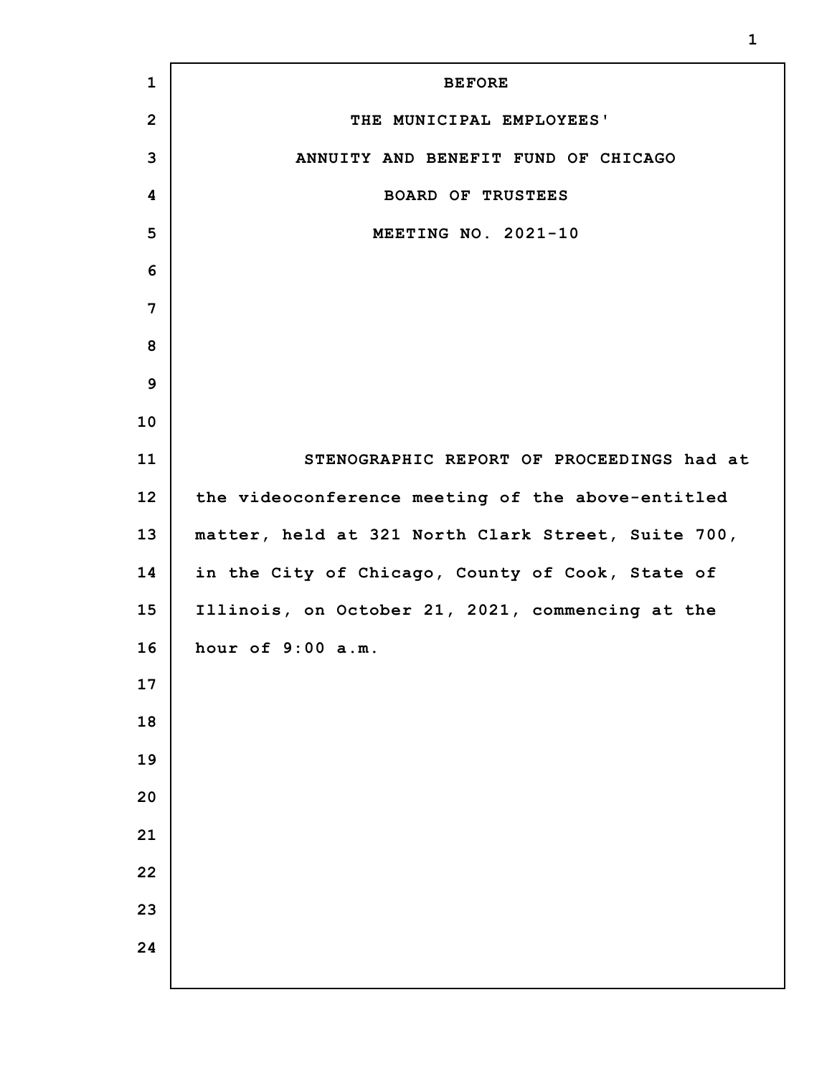| $\mathbf{1}$    | <b>BEFORE</b>                                      |
|-----------------|----------------------------------------------------|
| $\overline{2}$  | THE MUNICIPAL EMPLOYEES'                           |
| 3               | ANNUITY AND BENEFIT FUND OF CHICAGO                |
| 4               | <b>BOARD OF TRUSTEES</b>                           |
| 5               | MEETING NO. 2021-10                                |
| 6               |                                                    |
| 7               |                                                    |
| 8               |                                                    |
| 9               |                                                    |
| 10              |                                                    |
| 11              | STENOGRAPHIC REPORT OF PROCEEDINGS had at          |
| 12 <sub>2</sub> | the videoconference meeting of the above-entitled  |
| 13              | matter, held at 321 North Clark Street, Suite 700, |
| 14              | in the City of Chicago, County of Cook, State of   |
| 15              | Illinois, on October 21, 2021, commencing at the   |
| 16              | hour of 9:00 a.m.                                  |
| 17              |                                                    |
| 18              |                                                    |
| 19              |                                                    |
| 20              |                                                    |
| 21              |                                                    |
| 22              |                                                    |
| 23              |                                                    |
| 24              |                                                    |
|                 |                                                    |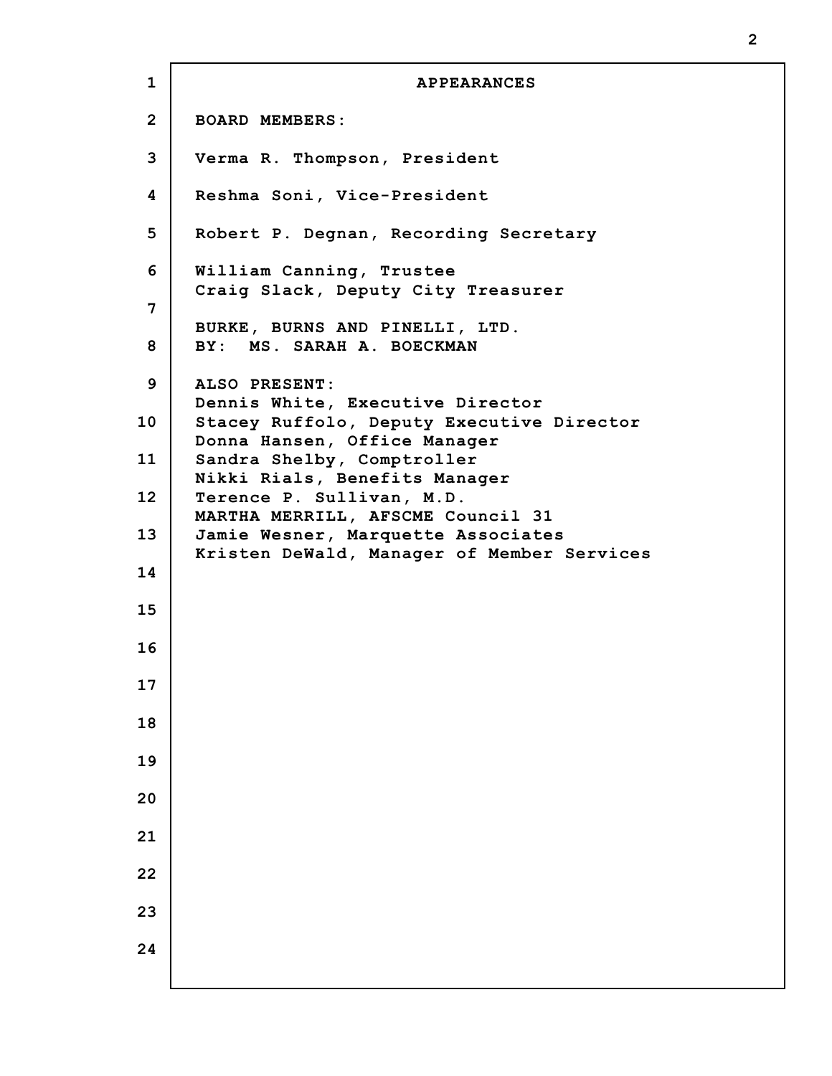**1 2 3 4 5 6 7 8 9 10 11 12 13 14 15 16 17 18 19 20 21 22 23 24 APPEARANCES BOARD MEMBERS: Verma R. Thompson, President Reshma Soni, Vice-President Robert P. Degnan, Recording Secretary William Canning, Trustee Craig Slack, Deputy City Treasurer BURKE, BURNS AND PINELLI, LTD. BY: MS. SARAH A. BOECKMAN ALSO PRESENT: Dennis White, Executive Director Stacey Ruffolo, Deputy Executive Director Donna Hansen, Office Manager Sandra Shelby, Comptroller Nikki Rials, Benefits Manager Terence P. Sullivan, M.D. MARTHA MERRILL, AFSCME Council 31 Jamie Wesner, Marquette Associates Kristen DeWald, Manager of Member Services**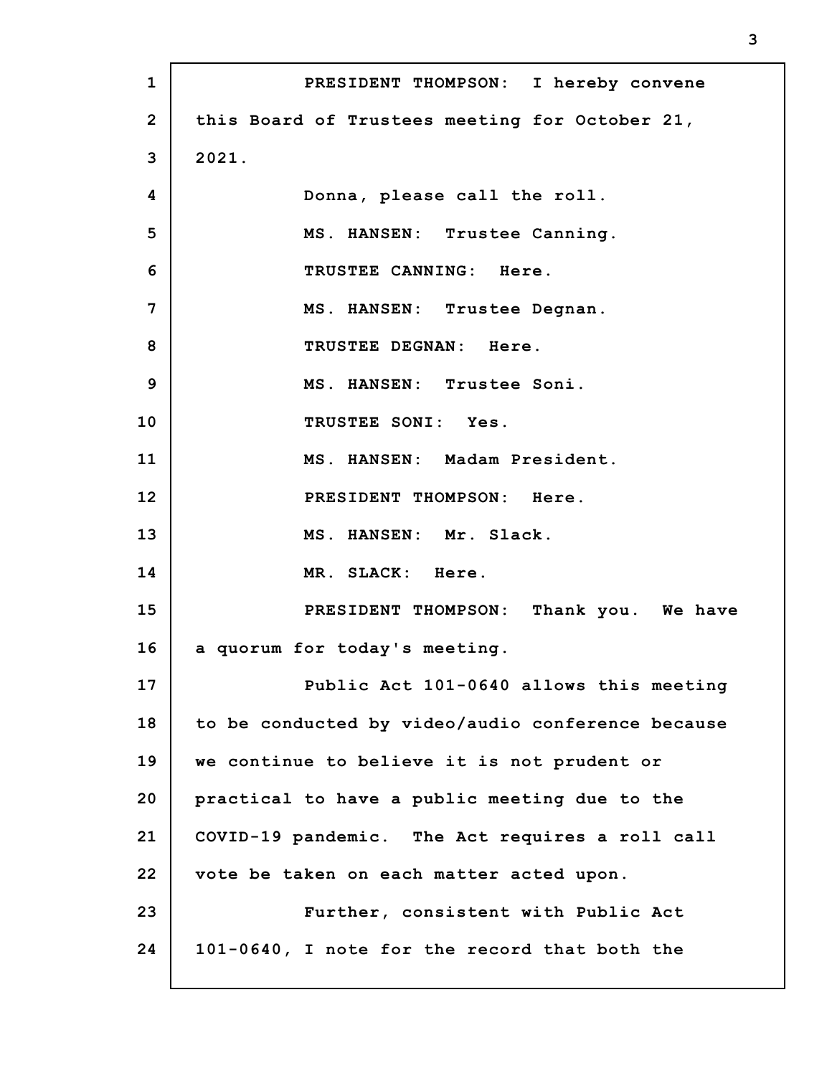| $\mathbf{1}$    | PRESIDENT THOMPSON: I hereby convene              |
|-----------------|---------------------------------------------------|
| $\overline{2}$  | this Board of Trustees meeting for October 21,    |
| 3               | 2021.                                             |
| 4               | Donna, please call the roll.                      |
| 5               | MS. HANSEN: Trustee Canning.                      |
| 6               | TRUSTEE CANNING: Here.                            |
| 7               | MS. HANSEN: Trustee Degnan.                       |
| 8               | TRUSTEE DEGNAN: Here.                             |
| 9               | MS. HANSEN: Trustee Soni.                         |
| 10              | TRUSTEE SONI: Yes.                                |
| 11              | MS. HANSEN: Madam President.                      |
| 12              | PRESIDENT THOMPSON: Here.                         |
| 13              | MS. HANSEN: Mr. Slack.                            |
| 14              | MR. SLACK: Here.                                  |
| 15 <sub>2</sub> | PRESIDENT THOMPSON: Thank you. We have            |
| 16              | a quorum for today's meeting.                     |
| 17              | Public Act 101-0640 allows this meeting           |
| 18              | to be conducted by video/audio conference because |
| 19              | we continue to believe it is not prudent or       |
| 20              | practical to have a public meeting due to the     |
| 21              | COVID-19 pandemic. The Act requires a roll call   |
| 22              | vote be taken on each matter acted upon.          |
| 23              | Further, consistent with Public Act               |
| 24              | 101-0640, I note for the record that both the     |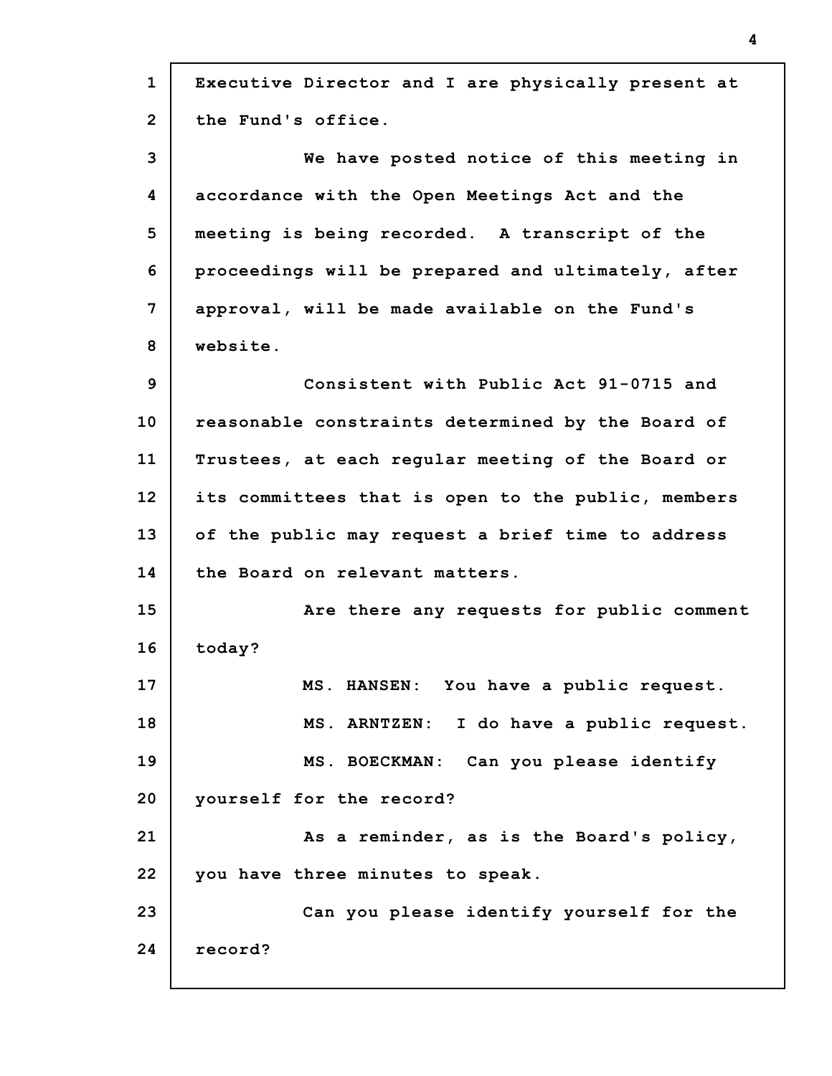| $\mathbf{1}$   | Executive Director and I are physically present at |
|----------------|----------------------------------------------------|
| $\overline{2}$ | the Fund's office.                                 |
| 3              | We have posted notice of this meeting in           |
| 4              | accordance with the Open Meetings Act and the      |
| 5              | meeting is being recorded. A transcript of the     |
| 6              | proceedings will be prepared and ultimately, after |
| 7              | approval, will be made available on the Fund's     |
| 8              | website.                                           |
| 9              | Consistent with Public Act 91-0715 and             |
| 10             | reasonable constraints determined by the Board of  |
| 11             | Trustees, at each regular meeting of the Board or  |
| 12             | its committees that is open to the public, members |
| 13             | of the public may request a brief time to address  |
| 14             | the Board on relevant matters.                     |
| 15             | Are there any requests for public comment          |
| 16             | today?                                             |
| 17             | MS. HANSEN: You have a public request.             |
| 18             | MS. ARNTZEN: I do have a public request.           |
| 19             | MS. BOECKMAN: Can you please identify              |
| 20             | yourself for the record?                           |
| 21             | As a reminder, as is the Board's policy,           |
| 22             | you have three minutes to speak.                   |
| 23             | Can you please identify yourself for the           |
| 24             | record?                                            |
|                |                                                    |

I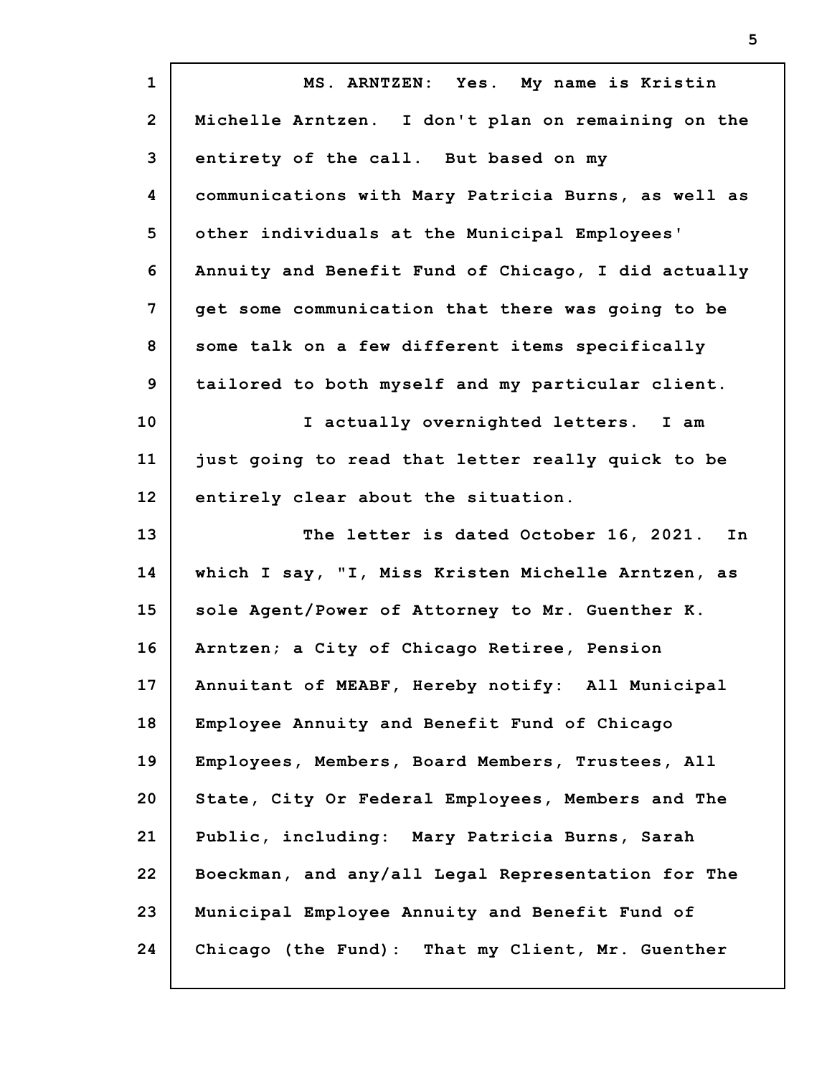| $\mathbf{1}$   | MS. ARNTZEN: Yes. My name is Kristin                |
|----------------|-----------------------------------------------------|
| $\overline{2}$ | Michelle Arntzen. I don't plan on remaining on the  |
| 3              | entirety of the call. But based on my               |
| 4              | communications with Mary Patricia Burns, as well as |
| 5              | other individuals at the Municipal Employees'       |
| 6              | Annuity and Benefit Fund of Chicago, I did actually |
| 7              | get some communication that there was going to be   |
| 8              | some talk on a few different items specifically     |
| 9              | tailored to both myself and my particular client.   |
| 10             | I actually overnighted letters. I am                |
| 11             | just going to read that letter really quick to be   |
| 12             | entirely clear about the situation.                 |
|                |                                                     |
| 13             | The letter is dated October 16, 2021. In            |
| 14             | which I say, "I, Miss Kristen Michelle Arntzen, as  |
| 15             | sole Agent/Power of Attorney to Mr. Guenther K.     |
| 16             | Arntzen; a City of Chicago Retiree, Pension         |
| 17             | Annuitant of MEABF, Hereby notify: All Municipal    |
| 18             | Employee Annuity and Benefit Fund of Chicago        |
| 19             | Employees, Members, Board Members, Trustees, All    |
| 20             | State, City Or Federal Employees, Members and The   |
| 21             | Public, including: Mary Patricia Burns, Sarah       |
| 22             | Boeckman, and any/all Legal Representation for The  |
| 23             | Municipal Employee Annuity and Benefit Fund of      |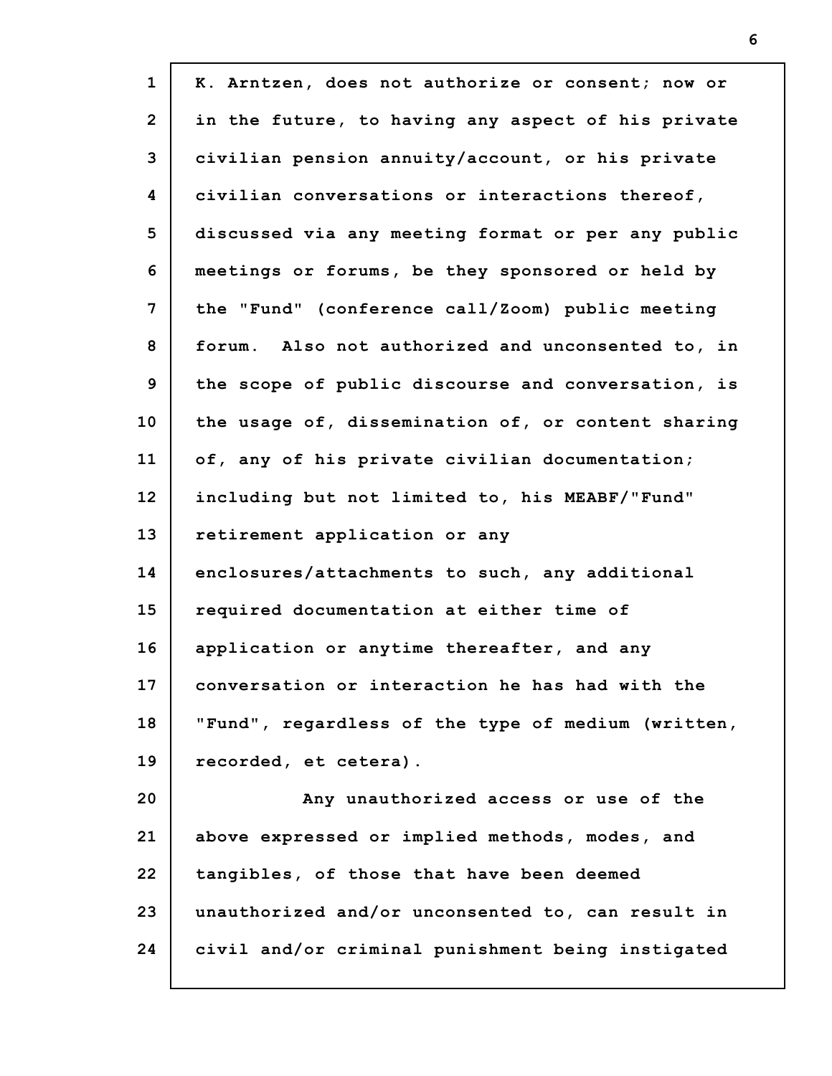| $\mathbf{1}$   | K. Arntzen, does not authorize or consent; now or  |
|----------------|----------------------------------------------------|
| $\overline{2}$ | in the future, to having any aspect of his private |
| 3              | civilian pension annuity/account, or his private   |
| 4              | civilian conversations or interactions thereof,    |
| 5              | discussed via any meeting format or per any public |
| 6              | meetings or forums, be they sponsored or held by   |
| 7              | the "Fund" (conference call/Zoom) public meeting   |
| 8              | forum. Also not authorized and unconsented to, in  |
| 9              | the scope of public discourse and conversation, is |
| 10             | the usage of, dissemination of, or content sharing |
| 11             | of, any of his private civilian documentation;     |
| 12             | including but not limited to, his MEABF/"Fund"     |
| 13             | retirement application or any                      |
| 14             | enclosures/attachments to such, any additional     |
| 15             | required documentation at either time of           |
| 16             | application or anytime thereafter, and any         |
| 17             | conversation or interaction he has had with the    |
| 18             | "Fund", regardless of the type of medium (written, |
| 19             | recorded, et cetera).                              |
| 20             | Any unauthorized access or use of the              |
| 21             | above expressed or implied methods, modes, and     |
| 22             | tangibles, of those that have been deemed          |
| 23             | unauthorized and/or unconsented to, can result in  |
| 24             | civil and/or criminal punishment being instigated  |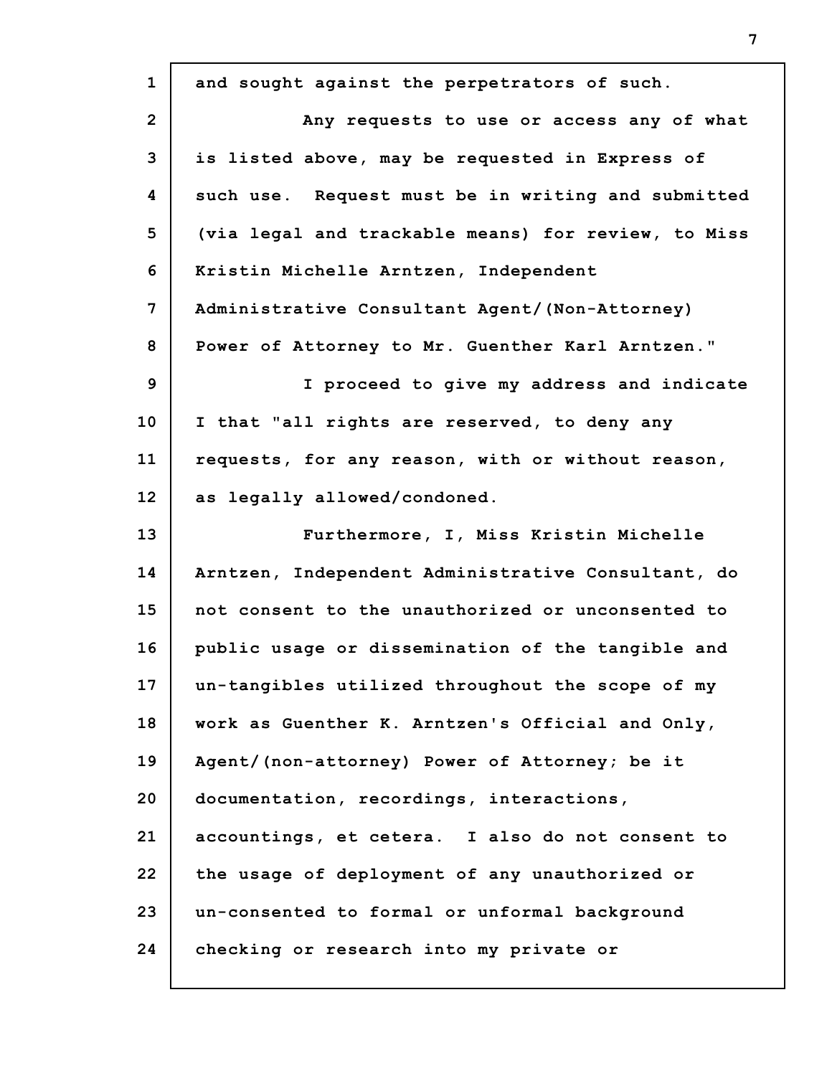| $\mathbf{1}$   | and sought against the perpetrators of such.        |
|----------------|-----------------------------------------------------|
| $\overline{2}$ | Any requests to use or access any of what           |
| 3              | is listed above, may be requested in Express of     |
| 4              | such use. Request must be in writing and submitted  |
| 5              | (via legal and trackable means) for review, to Miss |
| 6              | Kristin Michelle Arntzen, Independent               |
| 7              | Administrative Consultant Agent/(Non-Attorney)      |
| 8              | Power of Attorney to Mr. Guenther Karl Arntzen."    |
| 9              | I proceed to give my address and indicate           |
| 10             | I that "all rights are reserved, to deny any        |
| 11             | requests, for any reason, with or without reason,   |
| 12             | as legally allowed/condoned.                        |
| 13             | Furthermore, I, Miss Kristin Michelle               |
| 14             | Arntzen, Independent Administrative Consultant, do  |
| 15             | not consent to the unauthorized or unconsented to   |
| 16             | public usage or dissemination of the tangible and   |
| 17             | un-tangibles utilized throughout the scope of my    |
| 18             | work as Guenther K. Arntzen's Official and Only,    |
| 19             | Agent/(non-attorney) Power of Attorney; be it       |
| 20             | documentation, recordings, interactions,            |
| 21             | accountings, et cetera. I also do not consent to    |
| 22             | the usage of deployment of any unauthorized or      |
| 23             | un-consented to formal or unformal background       |
| 24             | checking or research into my private or             |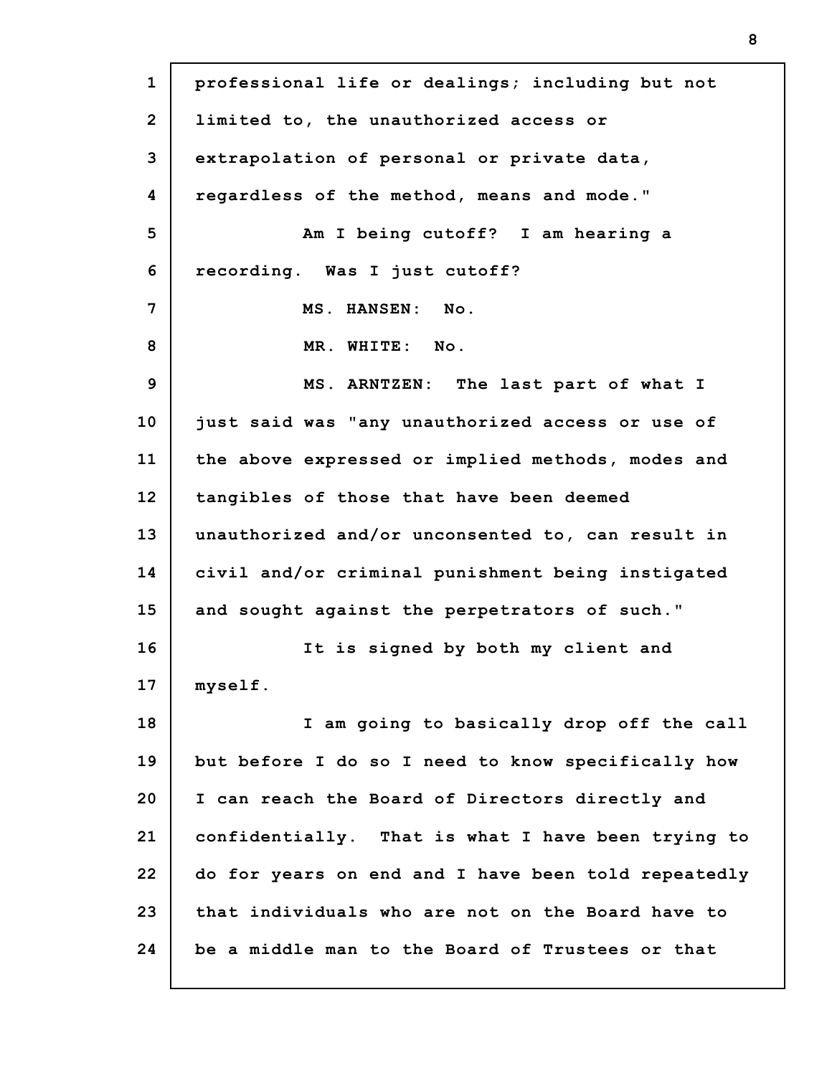| $\mathbf{1}$   | professional life or dealings; including but not    |
|----------------|-----------------------------------------------------|
| $\overline{2}$ | limited to, the unauthorized access or              |
| 3              | extrapolation of personal or private data,          |
| 4              | regardless of the method, means and mode."          |
| 5              | Am I being cutoff? I am hearing a                   |
| 6              | recording. Was I just cutoff?                       |
| 7              | MS. HANSEN: No.                                     |
| 8              | MR. WHITE: No.                                      |
| 9              | MS. ARNTZEN: The last part of what I                |
| 10             | just said was "any unauthorized access or use of    |
| 11             | the above expressed or implied methods, modes and   |
| 12             | tangibles of those that have been deemed            |
| 13             | unauthorized and/or unconsented to, can result in   |
| 14             | civil and/or criminal punishment being instigated   |
| 15             | and sought against the perpetrators of such."       |
| 16             | It is signed by both my client and                  |
| 17             | myself.                                             |
| 18             | I am going to basically drop off the call           |
| 19             | but before I do so I need to know specifically how  |
| 20             | I can reach the Board of Directors directly and     |
| 21             | confidentially. That is what I have been trying to  |
| 22             | do for years on end and I have been told repeatedly |
| 23             | that individuals who are not on the Board have to   |
| 24             | be a middle man to the Board of Trustees or that    |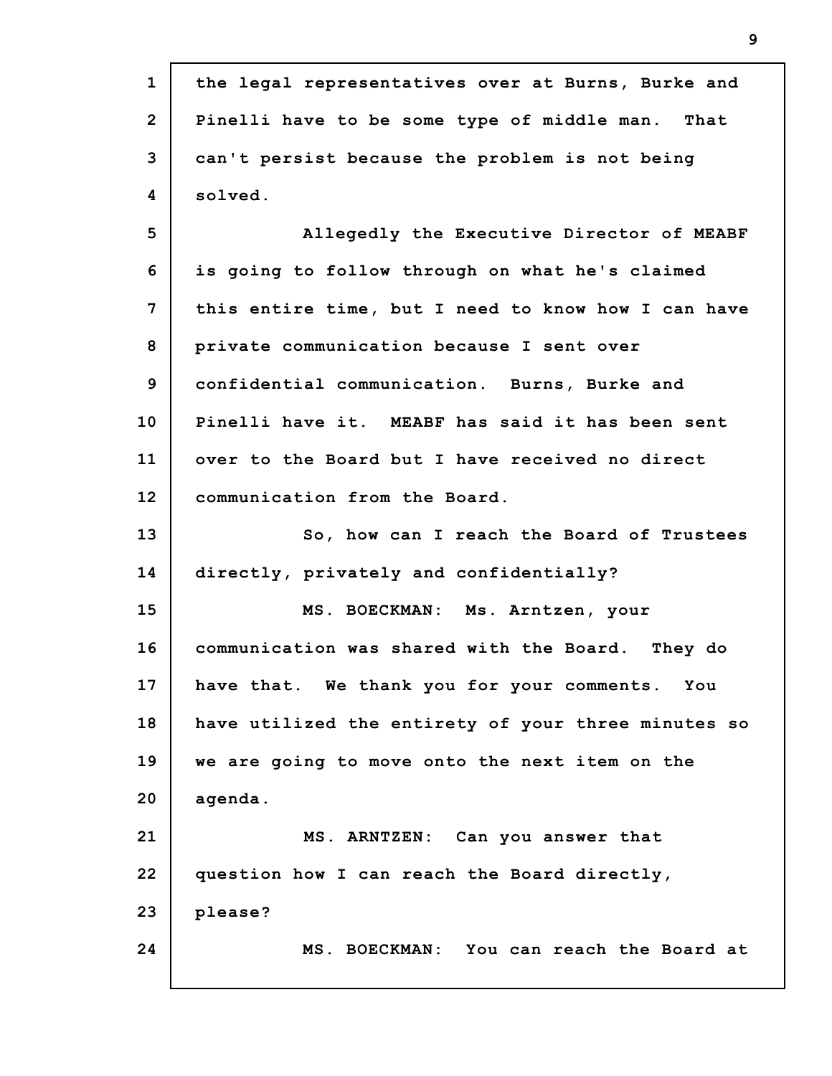| $\mathbf{1}$   | the legal representatives over at Burns, Burke and  |
|----------------|-----------------------------------------------------|
| $\overline{2}$ | Pinelli have to be some type of middle man. That    |
| 3              | can't persist because the problem is not being      |
| 4              | solved.                                             |
| 5              | Allegedly the Executive Director of MEABF           |
| 6              | is going to follow through on what he's claimed     |
| 7              | this entire time, but I need to know how I can have |
| 8              | private communication because I sent over           |
| 9              | confidential communication. Burns, Burke and        |
| 10             | Pinelli have it. MEABF has said it has been sent    |
| 11             | over to the Board but I have received no direct     |
| 12             | communication from the Board.                       |
| 13             | So, how can I reach the Board of Trustees           |
| 14             | directly, privately and confidentially?             |
| 15             | MS. BOECKMAN: Ms. Arntzen, your                     |
| 16             | communication was shared with the Board. They do    |
| 17             | have that. We thank you for your comments. You      |
| 18             | have utilized the entirety of your three minutes so |
| 19             | we are going to move onto the next item on the      |
| 20             | agenda.                                             |
| 21             | MS. ARNTZEN: Can you answer that                    |
| 22             | question how I can reach the Board directly,        |
| 23             | please?                                             |
| 24             | MS. BOECKMAN: You can reach the Board at            |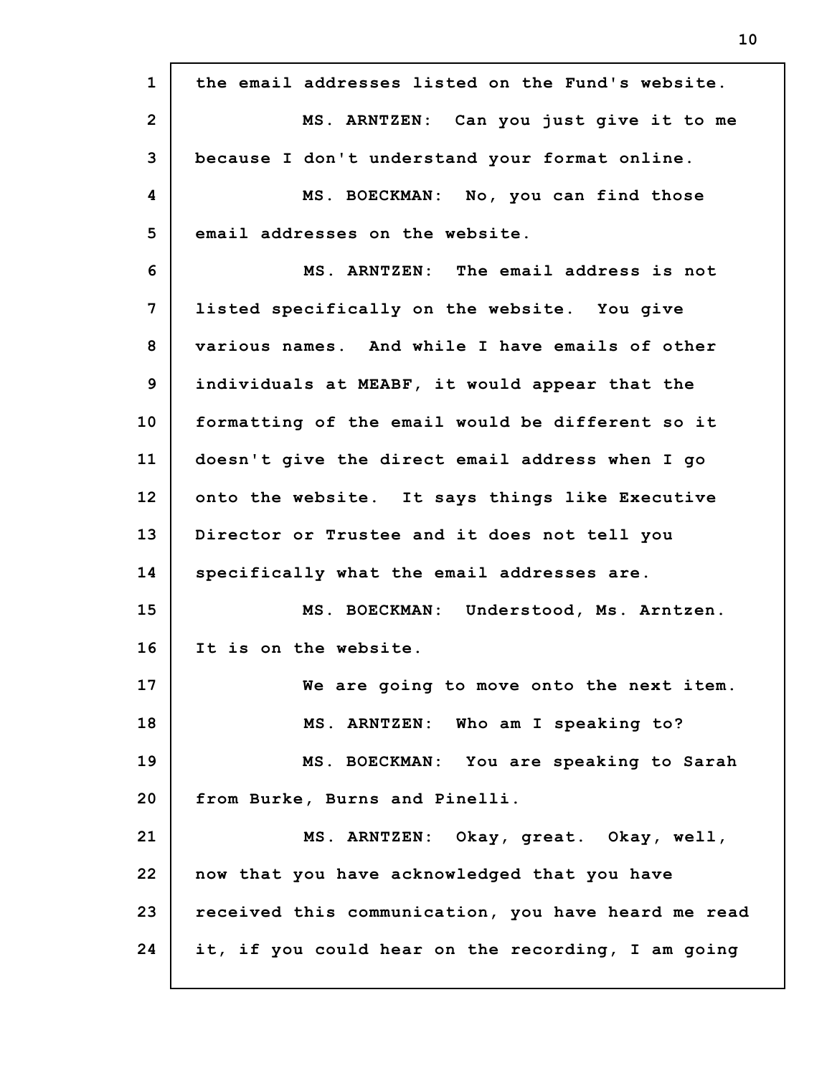| $\mathbf{1}$   | the email addresses listed on the Fund's website.   |
|----------------|-----------------------------------------------------|
| $\overline{2}$ | MS. ARNTZEN: Can you just give it to me             |
| 3              | because I don't understand your format online.      |
| 4              | MS. BOECKMAN: No, you can find those                |
| 5              | email addresses on the website.                     |
| 6              | MS. ARNTZEN: The email address is not               |
| 7              | listed specifically on the website. You give        |
| 8              | various names. And while I have emails of other     |
| 9              | individuals at MEABF, it would appear that the      |
| 10             | formatting of the email would be different so it    |
| 11             | doesn't give the direct email address when I go     |
| 12             | onto the website. It says things like Executive     |
| 13             | Director or Trustee and it does not tell you        |
| 14             | specifically what the email addresses are.          |
| 15             | MS. BOECKMAN: Understood, Ms. Arntzen.              |
| 16             | It is on the website.                               |
| 17             | We are going to move onto the next item.            |
| 18             | MS. ARNTZEN: Who am I speaking to?                  |
| 19             | MS. BOECKMAN: You are speaking to Sarah             |
| 20             | from Burke, Burns and Pinelli.                      |
| 21             | MS. ARNTZEN: Okay, great. Okay, well,               |
| 22             | now that you have acknowledged that you have        |
| 23             | received this communication, you have heard me read |
| 24             | it, if you could hear on the recording, I am going  |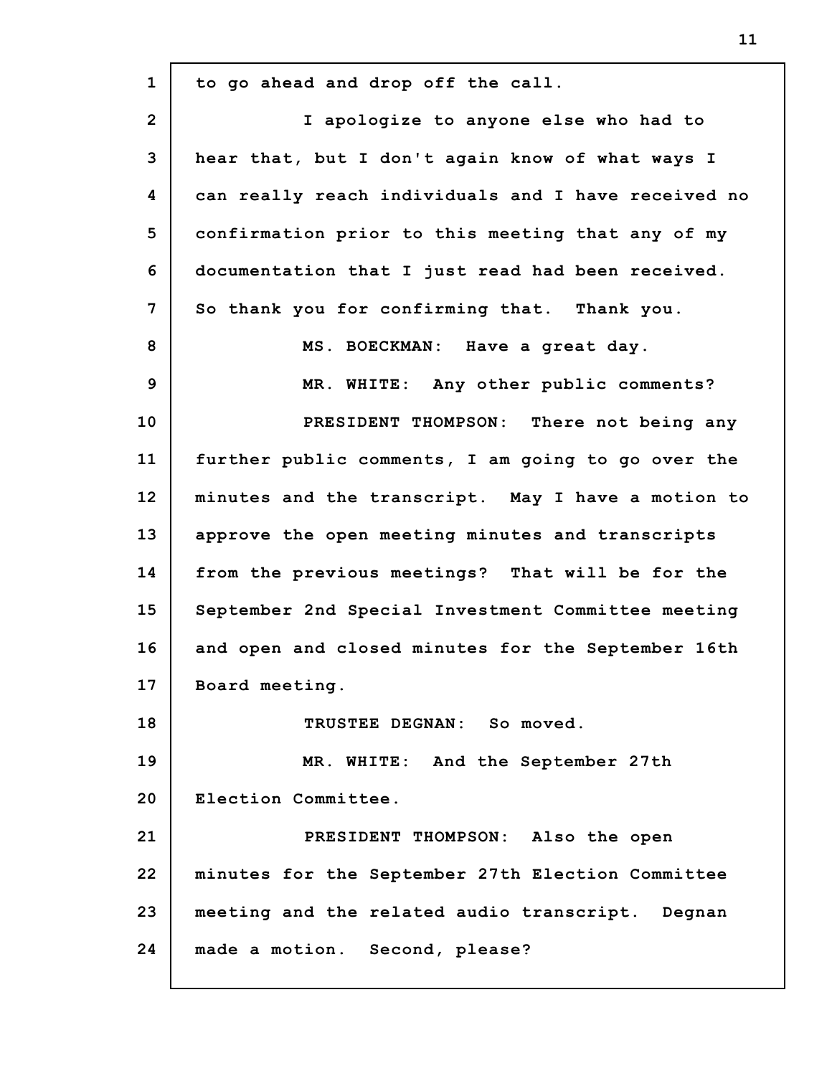| $\mathbf{1}$   | to go ahead and drop off the call.                  |
|----------------|-----------------------------------------------------|
| $\overline{2}$ | I apologize to anyone else who had to               |
| 3              | hear that, but I don't again know of what ways I    |
| 4              | can really reach individuals and I have received no |
| 5              | confirmation prior to this meeting that any of my   |
| 6              | documentation that I just read had been received.   |
| 7              | So thank you for confirming that. Thank you.        |
| 8              | MS. BOECKMAN: Have a great day.                     |
| $\mathbf{9}$   | MR. WHITE: Any other public comments?               |
| 10             | PRESIDENT THOMPSON: There not being any             |
| 11             | further public comments, I am going to go over the  |
| 12             | minutes and the transcript. May I have a motion to  |
| 13             | approve the open meeting minutes and transcripts    |
| 14             | from the previous meetings? That will be for the    |
| 15             | September 2nd Special Investment Committee meeting  |
| 16             | and open and closed minutes for the September 16th  |
| 17             | Board meeting.                                      |
| 18             | TRUSTEE DEGNAN: So moved.                           |
| 19             | MR. WHITE: And the September 27th                   |
| 20             | Election Committee.                                 |
| 21             | PRESIDENT THOMPSON: Also the open                   |
| 22             | minutes for the September 27th Election Committee   |
| 23             | meeting and the related audio transcript. Degnan    |
| 24             | made a motion. Second, please?                      |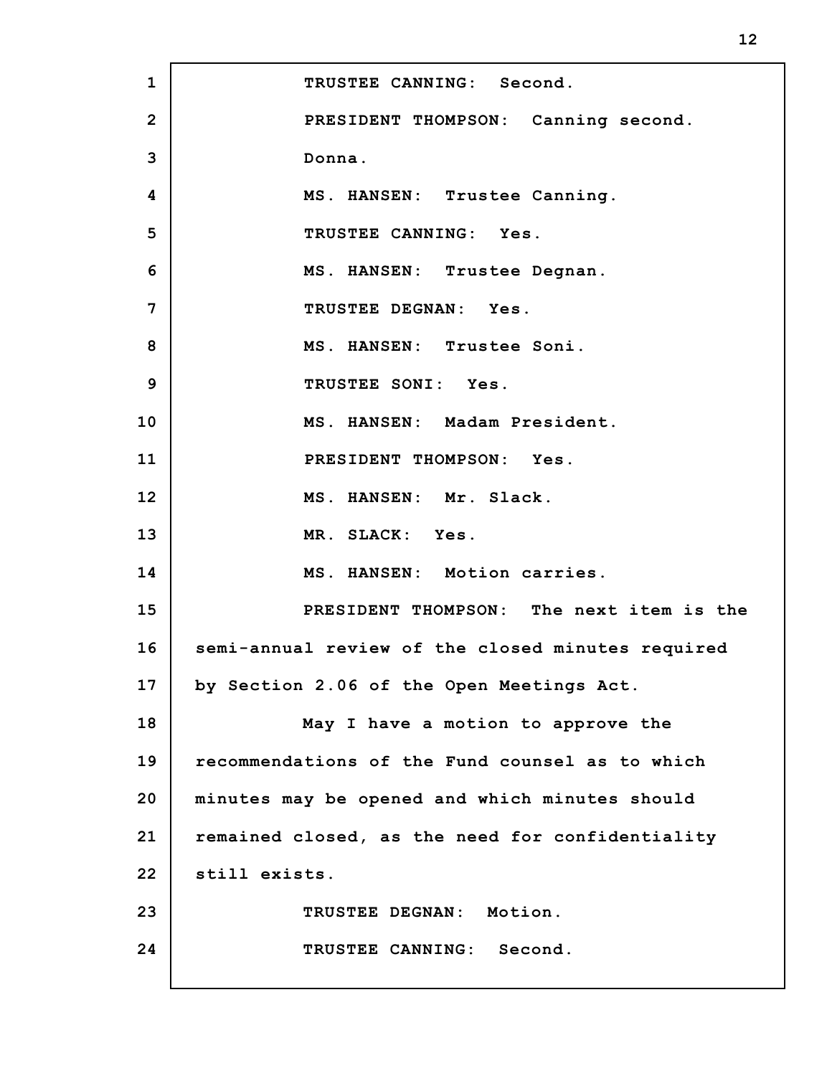| $\mathbf{1}$   | TRUSTEE CANNING: Second.                          |
|----------------|---------------------------------------------------|
| $\overline{2}$ | PRESIDENT THOMPSON: Canning second.               |
| 3              | Donna.                                            |
| 4              | MS. HANSEN: Trustee Canning.                      |
| 5              | TRUSTEE CANNING: Yes.                             |
| 6              | MS. HANSEN: Trustee Degnan.                       |
| 7              | TRUSTEE DEGNAN: Yes.                              |
| 8              | MS. HANSEN: Trustee Soni.                         |
| 9              | TRUSTEE SONI: Yes.                                |
| 10             | MS. HANSEN: Madam President.                      |
| 11             | PRESIDENT THOMPSON: Yes.                          |
| 12             | MS. HANSEN: Mr. Slack.                            |
| 13             | MR. SLACK: Yes.                                   |
| 14             | MS. HANSEN: Motion carries.                       |
| 15             | PRESIDENT THOMPSON: The next item is the          |
| 16             | semi-annual review of the closed minutes required |
| 17             | by Section 2.06 of the Open Meetings Act.         |
| 18             | May I have a motion to approve the                |
| 19             | recommendations of the Fund counsel as to which   |
| 20             | minutes may be opened and which minutes should    |
| 21             | remained closed, as the need for confidentiality  |
| 22             | still exists.                                     |
| 23             | TRUSTEE DEGNAN: Motion.                           |
| 24             | TRUSTEE CANNING: Second.                          |
|                |                                                   |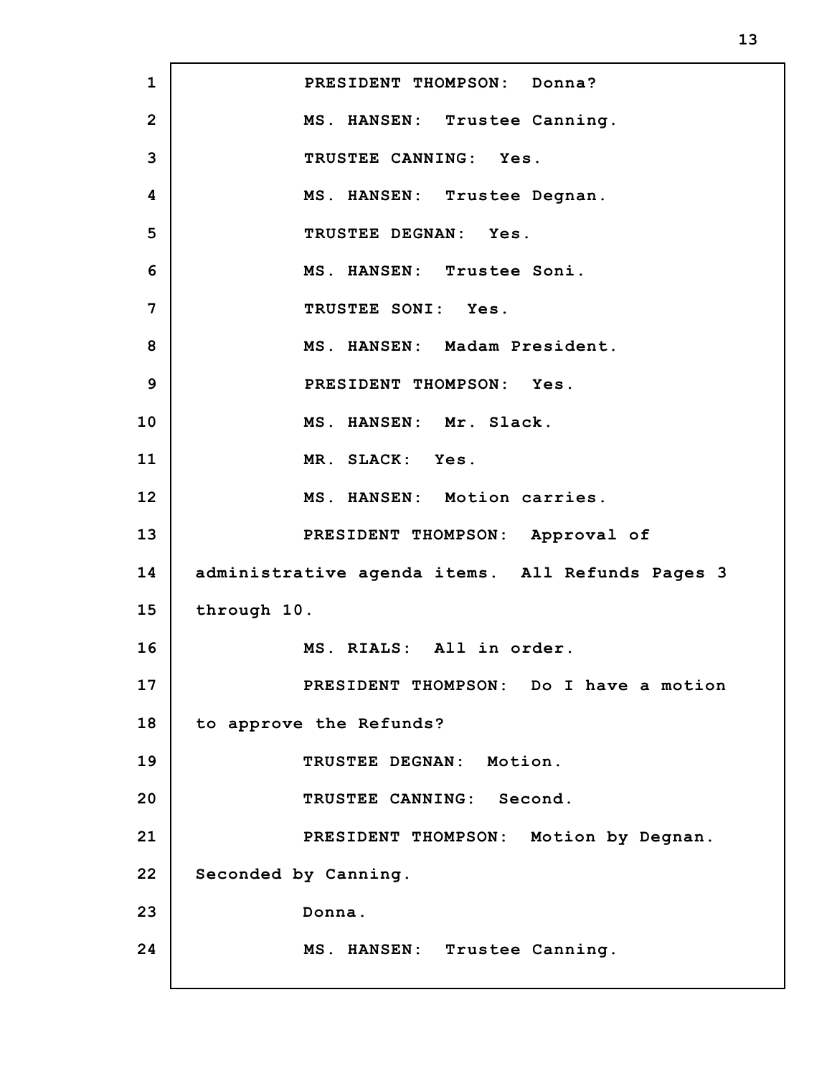**1 2 3 4 5 6 7 8 9 10 11 12 13 14 15 16 17 18 19 20 21 22 23 24 PRESIDENT THOMPSON: Donna? MS. HANSEN: Trustee Canning. TRUSTEE CANNING: Yes. MS. HANSEN: Trustee Degnan. TRUSTEE DEGNAN: Yes. MS. HANSEN: Trustee Soni. TRUSTEE SONI: Yes. MS. HANSEN: Madam President. PRESIDENT THOMPSON: Yes. MS. HANSEN: Mr. Slack. MR. SLACK: Yes. MS. HANSEN: Motion carries. PRESIDENT THOMPSON: Approval of administrative agenda items. All Refunds Pages 3 through 10. MS. RIALS: All in order. PRESIDENT THOMPSON: Do I have a motion to approve the Refunds? TRUSTEE DEGNAN: Motion. TRUSTEE CANNING: Second. PRESIDENT THOMPSON: Motion by Degnan. Seconded by Canning. Donna. MS. HANSEN: Trustee Canning.**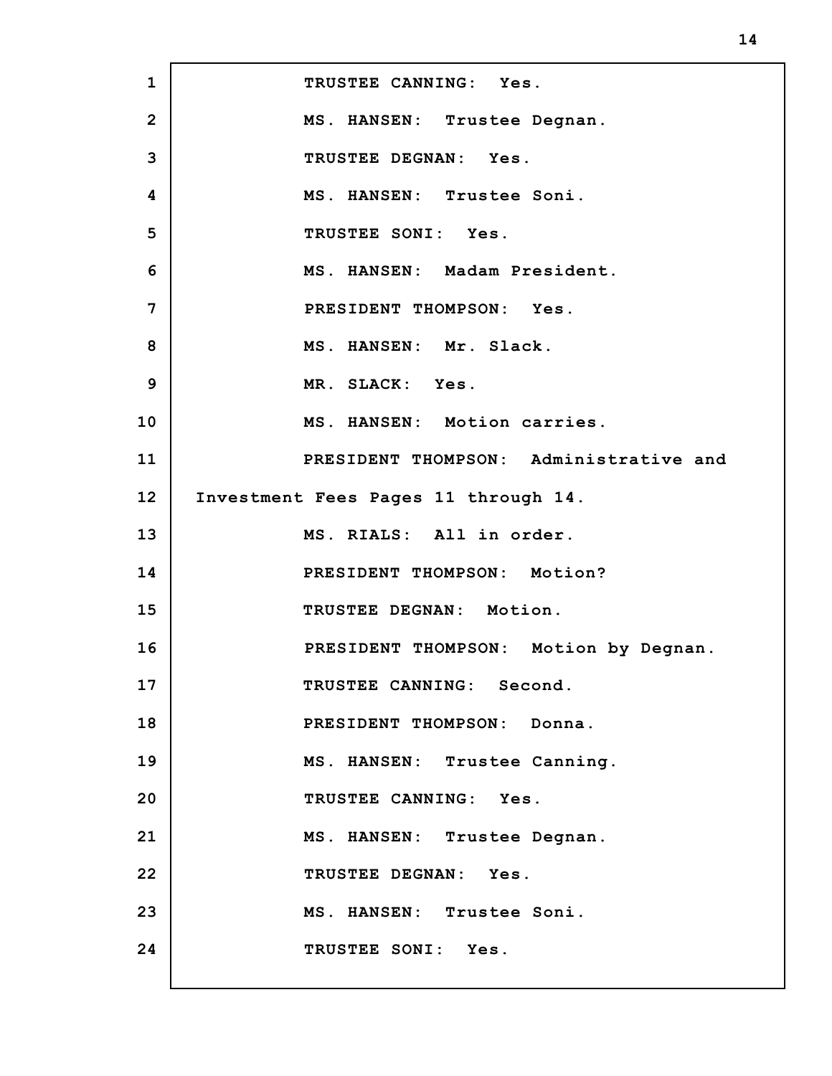**1 2 3 4 5 6 7 8 9 10 11 12 13 14 15 16 17 18 19 20 21 22 23 24 TRUSTEE CANNING: Yes. MS. HANSEN: Trustee Degnan. TRUSTEE DEGNAN: Yes. MS. HANSEN: Trustee Soni. TRUSTEE SONI: Yes. MS. HANSEN: Madam President. PRESIDENT THOMPSON: Yes. MS. HANSEN: Mr. Slack. MR. SLACK: Yes. MS. HANSEN: Motion carries. PRESIDENT THOMPSON: Administrative and Investment Fees Pages 11 through 14. MS. RIALS: All in order. PRESIDENT THOMPSON: Motion? TRUSTEE DEGNAN: Motion. PRESIDENT THOMPSON: Motion by Degnan. TRUSTEE CANNING: Second. PRESIDENT THOMPSON: Donna. MS. HANSEN: Trustee Canning. TRUSTEE CANNING: Yes. MS. HANSEN: Trustee Degnan. TRUSTEE DEGNAN: Yes. MS. HANSEN: Trustee Soni. TRUSTEE SONI: Yes.**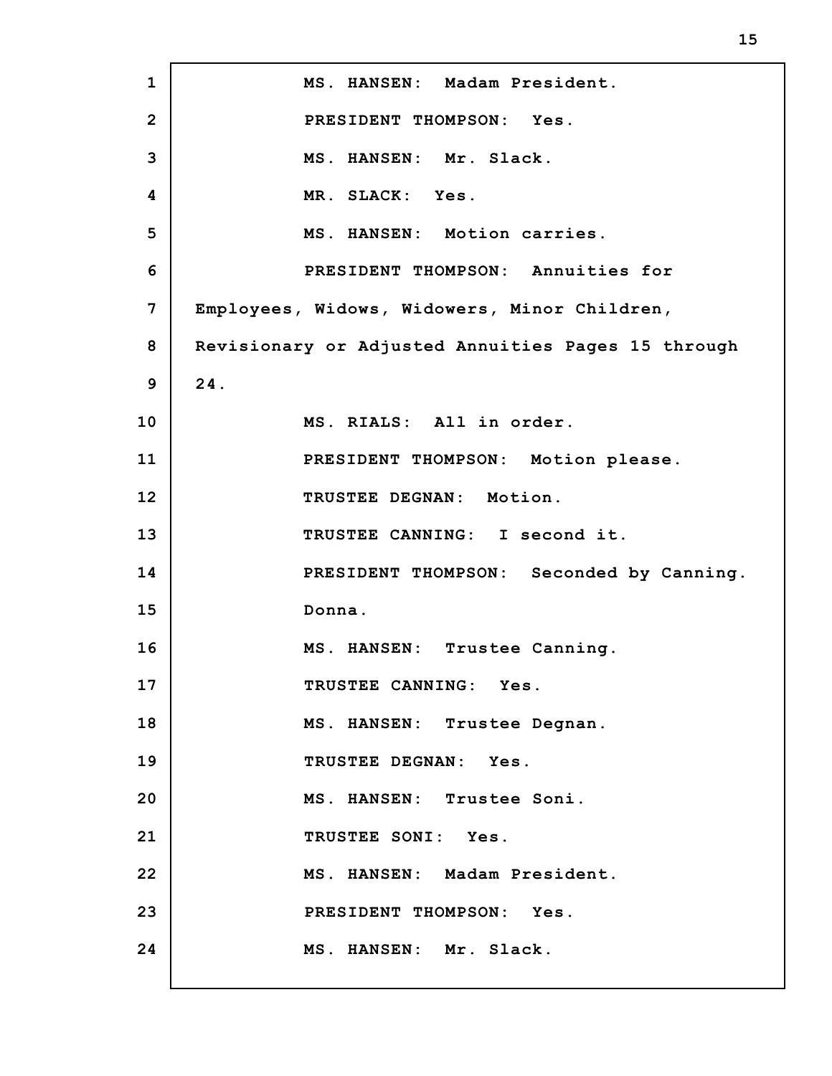**1 2 3 4 5 6 7 8 9 10 11 12 13 14 15 16 17 18 19 20 21 22 23 24 MS. HANSEN: Madam President. PRESIDENT THOMPSON: Yes. MS. HANSEN: Mr. Slack. MR. SLACK: Yes. MS. HANSEN: Motion carries. PRESIDENT THOMPSON: Annuities for Employees, Widows, Widowers, Minor Children, Revisionary or Adjusted Annuities Pages 15 through 24. MS. RIALS: All in order. PRESIDENT THOMPSON: Motion please. TRUSTEE DEGNAN: Motion. TRUSTEE CANNING: I second it. PRESIDENT THOMPSON: Seconded by Canning. Donna. MS. HANSEN: Trustee Canning. TRUSTEE CANNING: Yes. MS. HANSEN: Trustee Degnan. TRUSTEE DEGNAN: Yes. MS. HANSEN: Trustee Soni. TRUSTEE SONI: Yes. MS. HANSEN: Madam President. PRESIDENT THOMPSON: Yes. MS. HANSEN: Mr. Slack.**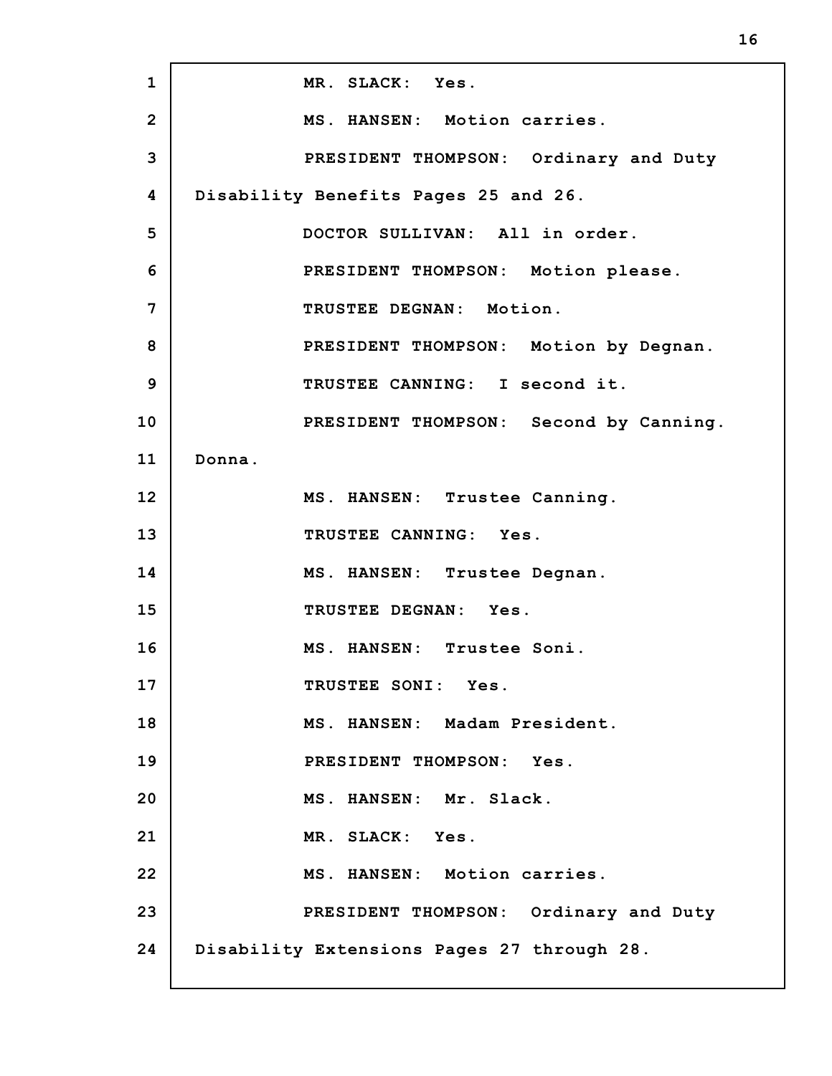| $\mathbf{1}$   | MR. SLACK: Yes.                            |
|----------------|--------------------------------------------|
| $\overline{2}$ | MS. HANSEN: Motion carries.                |
| 3              | PRESIDENT THOMPSON: Ordinary and Duty      |
| 4              | Disability Benefits Pages 25 and 26.       |
| 5              | DOCTOR SULLIVAN: All in order.             |
| 6              | PRESIDENT THOMPSON: Motion please.         |
| 7              | TRUSTEE DEGNAN: Motion.                    |
| 8              | PRESIDENT THOMPSON: Motion by Degnan.      |
| 9              | TRUSTEE CANNING: I second it.              |
| 10             | PRESIDENT THOMPSON: Second by Canning.     |
| 11             | Donna.                                     |
| 12             | MS. HANSEN: Trustee Canning.               |
| 13             | TRUSTEE CANNING: Yes.                      |
| 14             | MS. HANSEN: Trustee Degnan.                |
| 15             | TRUSTEE DEGNAN: Yes.                       |
| 16             | MS. HANSEN: Trustee Soni.                  |
| 17             | TRUSTEE SONI: Yes.                         |
| 18             | MS. HANSEN: Madam President.               |
| 19             | PRESIDENT THOMPSON: Yes.                   |
| 20             | MS. HANSEN: Mr. Slack.                     |
| 21             | MR. SLACK: Yes.                            |
| 22             | MS. HANSEN: Motion carries.                |
| 23             | PRESIDENT THOMPSON: Ordinary and Duty      |
| 24             | Disability Extensions Pages 27 through 28. |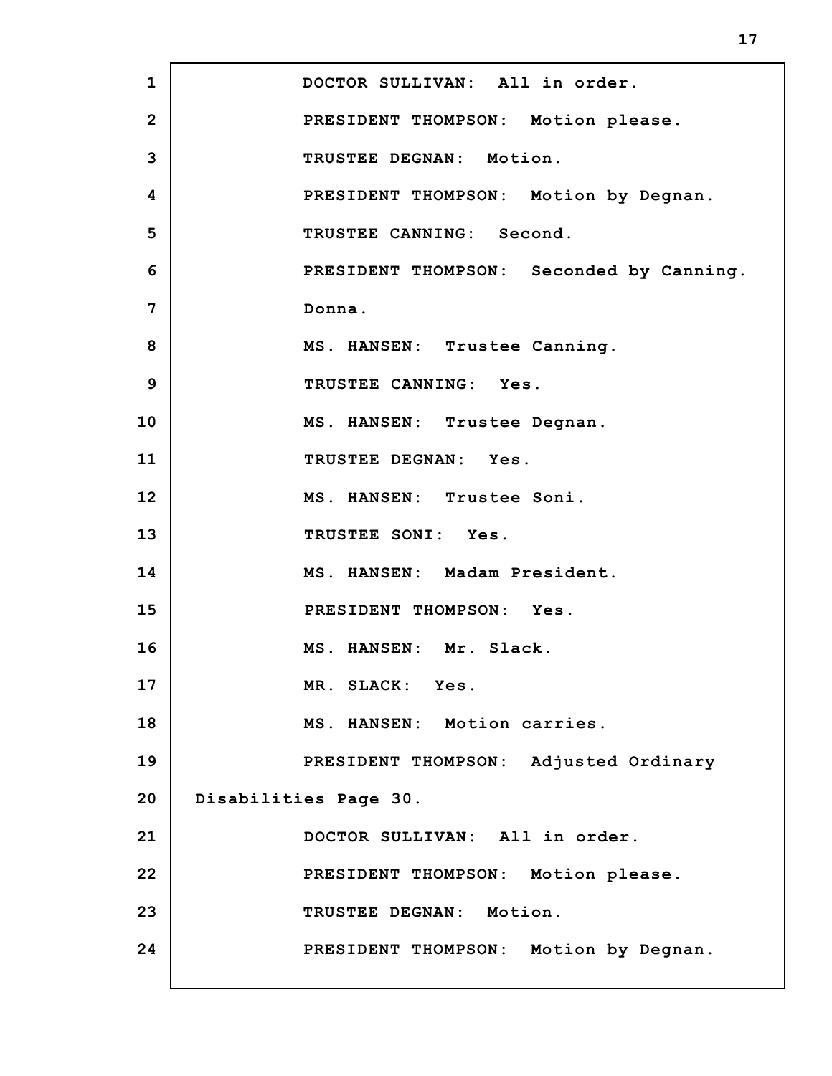**1 2 3 4 5 6 7 8 9 10 11 12 13 14 15 16 17 18 19 20 21 22 23 24 DOCTOR SULLIVAN: All in order. PRESIDENT THOMPSON: Motion please. TRUSTEE DEGNAN: Motion. PRESIDENT THOMPSON: Motion by Degnan. TRUSTEE CANNING: Second. PRESIDENT THOMPSON: Seconded by Canning. Donna. MS. HANSEN: Trustee Canning. TRUSTEE CANNING: Yes. MS. HANSEN: Trustee Degnan. TRUSTEE DEGNAN: Yes. MS. HANSEN: Trustee Soni. TRUSTEE SONI: Yes. MS. HANSEN: Madam President. PRESIDENT THOMPSON: Yes. MS. HANSEN: Mr. Slack. MR. SLACK: Yes. MS. HANSEN: Motion carries. PRESIDENT THOMPSON: Adjusted Ordinary Disabilities Page 30. DOCTOR SULLIVAN: All in order. PRESIDENT THOMPSON: Motion please. TRUSTEE DEGNAN: Motion. PRESIDENT THOMPSON: Motion by Degnan.**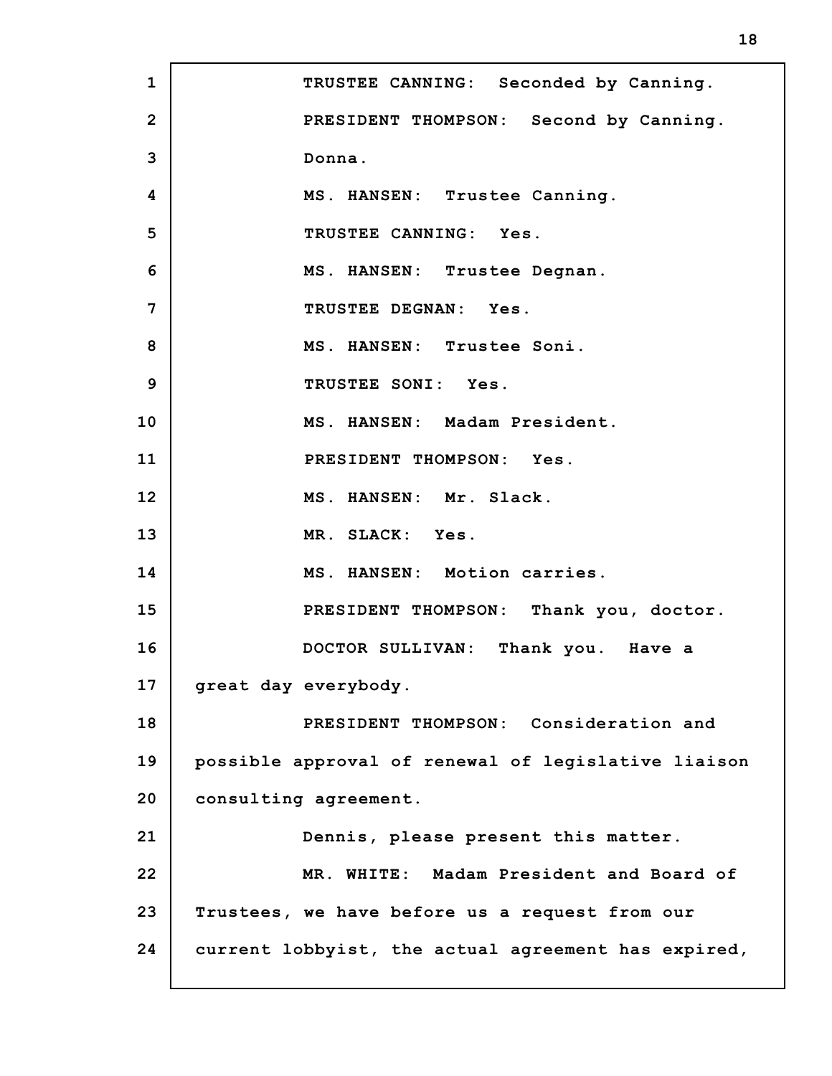**1 2 3 4 5 6 7 8 9 10 11 12 13 14 15 16 17 18 19 20 21 22 23 24 TRUSTEE CANNING: Seconded by Canning. PRESIDENT THOMPSON: Second by Canning. Donna. MS. HANSEN: Trustee Canning. TRUSTEE CANNING: Yes. MS. HANSEN: Trustee Degnan. TRUSTEE DEGNAN: Yes. MS. HANSEN: Trustee Soni. TRUSTEE SONI: Yes. MS. HANSEN: Madam President. PRESIDENT THOMPSON: Yes. MS. HANSEN: Mr. Slack. MR. SLACK: Yes. MS. HANSEN: Motion carries. PRESIDENT THOMPSON: Thank you, doctor. DOCTOR SULLIVAN: Thank you. Have a great day everybody. PRESIDENT THOMPSON: Consideration and possible approval of renewal of legislative liaison consulting agreement. Dennis, please present this matter. MR. WHITE: Madam President and Board of Trustees, we have before us a request from our current lobbyist, the actual agreement has expired,**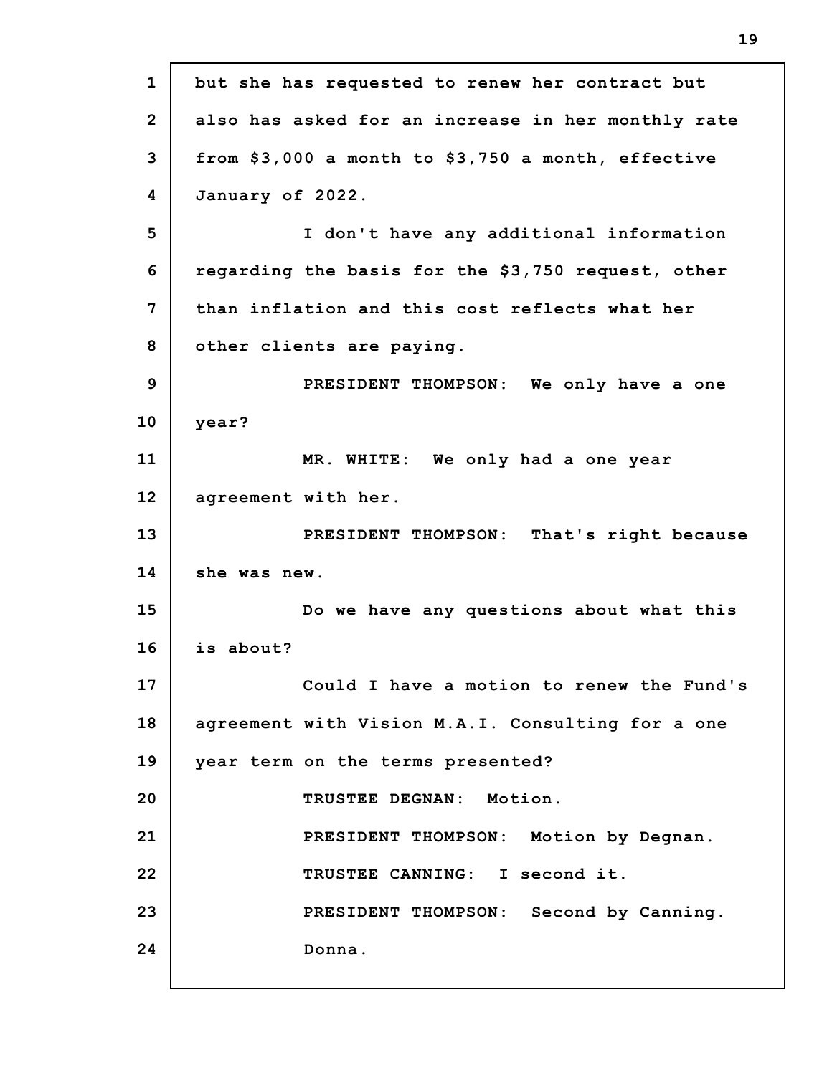| $\mathbf{1}$   | but she has requested to renew her contract but    |
|----------------|----------------------------------------------------|
| $\overline{2}$ | also has asked for an increase in her monthly rate |
| 3              | from \$3,000 a month to \$3,750 a month, effective |
| 4              | January of 2022.                                   |
| 5              | I don't have any additional information            |
| 6              | regarding the basis for the \$3,750 request, other |
| 7              | than inflation and this cost reflects what her     |
| 8              | other clients are paying.                          |
| 9              | PRESIDENT THOMPSON: We only have a one             |
| 10             | year?                                              |
| 11             | MR. WHITE: We only had a one year                  |
| 12             | agreement with her.                                |
| 13             | PRESIDENT THOMPSON: That's right because           |
| 14             | she was new.                                       |
| 15             | Do we have any questions about what this           |
| 16             | is about?                                          |
| 17             | Could I have a motion to renew the Fund's          |
| 18             | agreement with Vision M.A.I. Consulting for a one  |
| 19             | year term on the terms presented?                  |
| 20             | TRUSTEE DEGNAN: Motion.                            |
| 21             | PRESIDENT THOMPSON: Motion by Degnan.              |
| 22             | TRUSTEE CANNING: I second it.                      |
| 23             | PRESIDENT THOMPSON: Second by Canning.             |
| 24             | Donna.                                             |
|                |                                                    |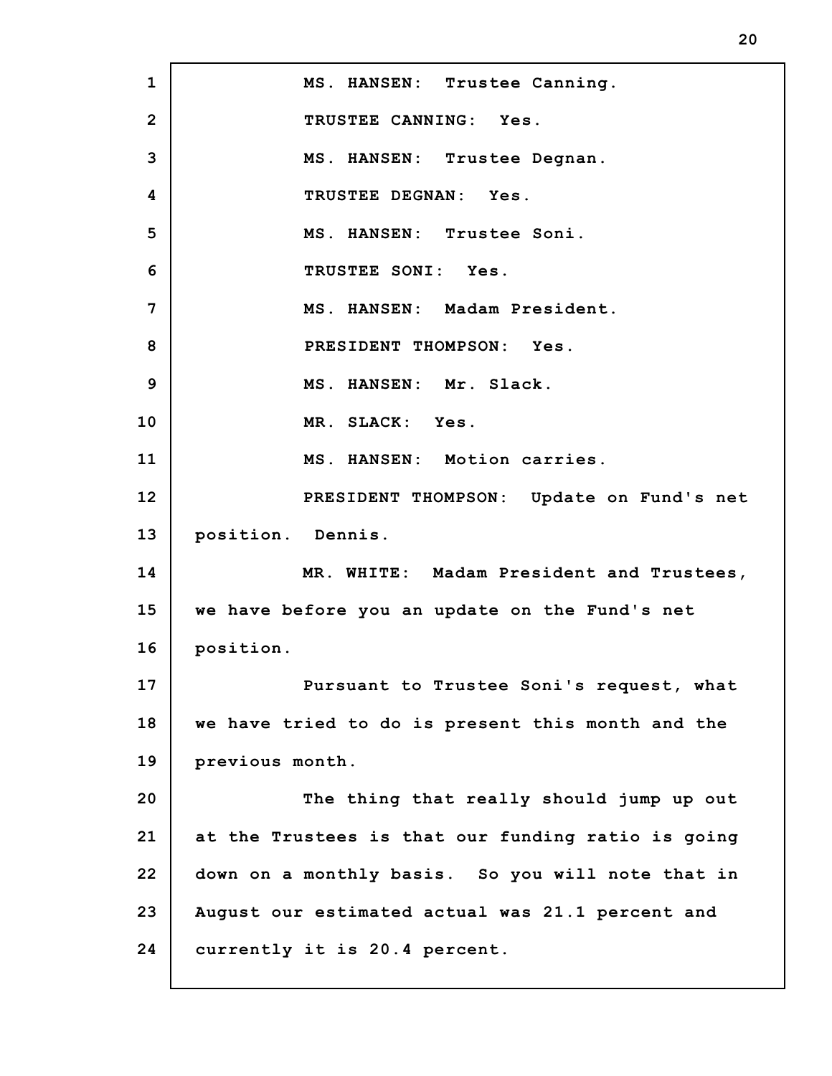**1 2 3 4 5 6 7 8 9 10 11 12 13 14 15 16 17 18 19 20 21 22 23 24 MS. HANSEN: Trustee Canning. TRUSTEE CANNING: Yes. MS. HANSEN: Trustee Degnan. TRUSTEE DEGNAN: Yes. MS. HANSEN: Trustee Soni. TRUSTEE SONI: Yes. MS. HANSEN: Madam President. PRESIDENT THOMPSON: Yes. MS. HANSEN: Mr. Slack. MR. SLACK: Yes. MS. HANSEN: Motion carries. PRESIDENT THOMPSON: Update on Fund's net position. Dennis. MR. WHITE: Madam President and Trustees, we have before you an update on the Fund's net position. Pursuant to Trustee Soni's request, what we have tried to do is present this month and the previous month. The thing that really should jump up out at the Trustees is that our funding ratio is going down on a monthly basis. So you will note that in August our estimated actual was 21.1 percent and currently it is 20.4 percent.**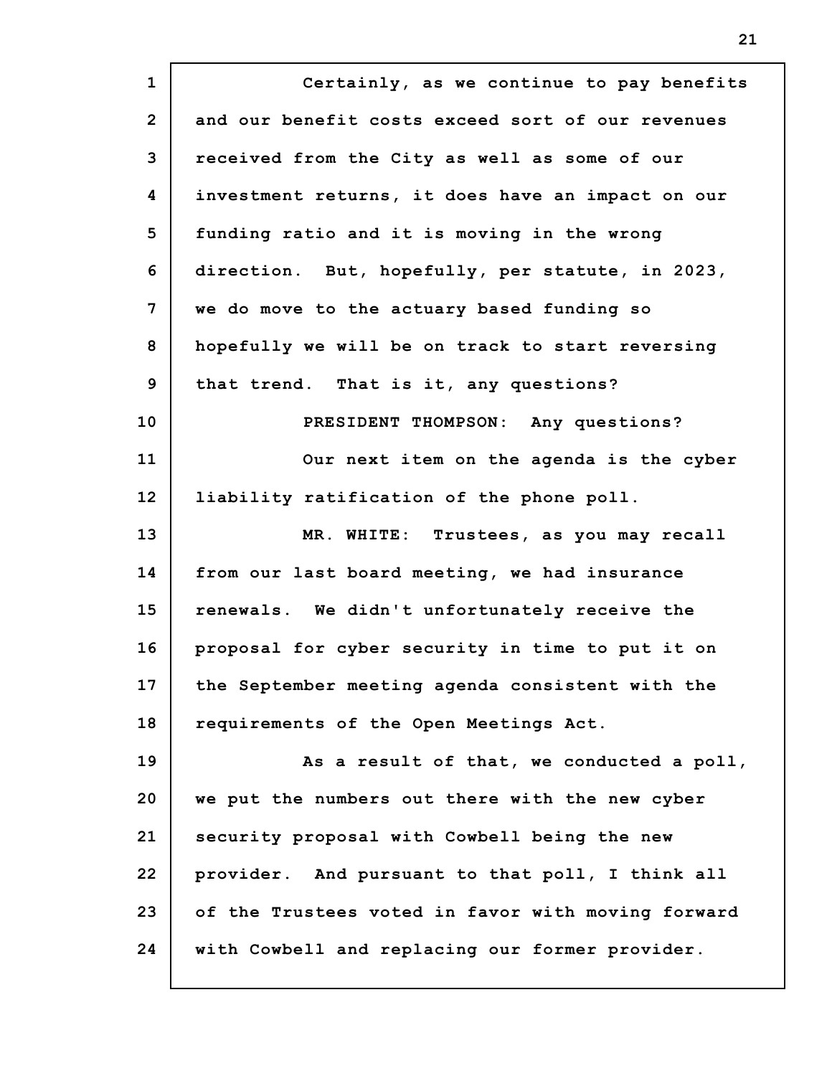**1 2 3 4 5 6 7 8 9 10 11 12 13 14 15 16 17 18 19 20 21 22 23 24 Certainly, as we continue to pay benefits and our benefit costs exceed sort of our revenues received from the City as well as some of our investment returns, it does have an impact on our funding ratio and it is moving in the wrong direction. But, hopefully, per statute, in 2023, we do move to the actuary based funding so hopefully we will be on track to start reversing that trend. That is it, any questions? PRESIDENT THOMPSON: Any questions? Our next item on the agenda is the cyber liability ratification of the phone poll. MR. WHITE: Trustees, as you may recall from our last board meeting, we had insurance renewals. We didn't unfortunately receive the proposal for cyber security in time to put it on the September meeting agenda consistent with the requirements of the Open Meetings Act. As a result of that, we conducted a poll, we put the numbers out there with the new cyber security proposal with Cowbell being the new provider. And pursuant to that poll, I think all of the Trustees voted in favor with moving forward with Cowbell and replacing our former provider.**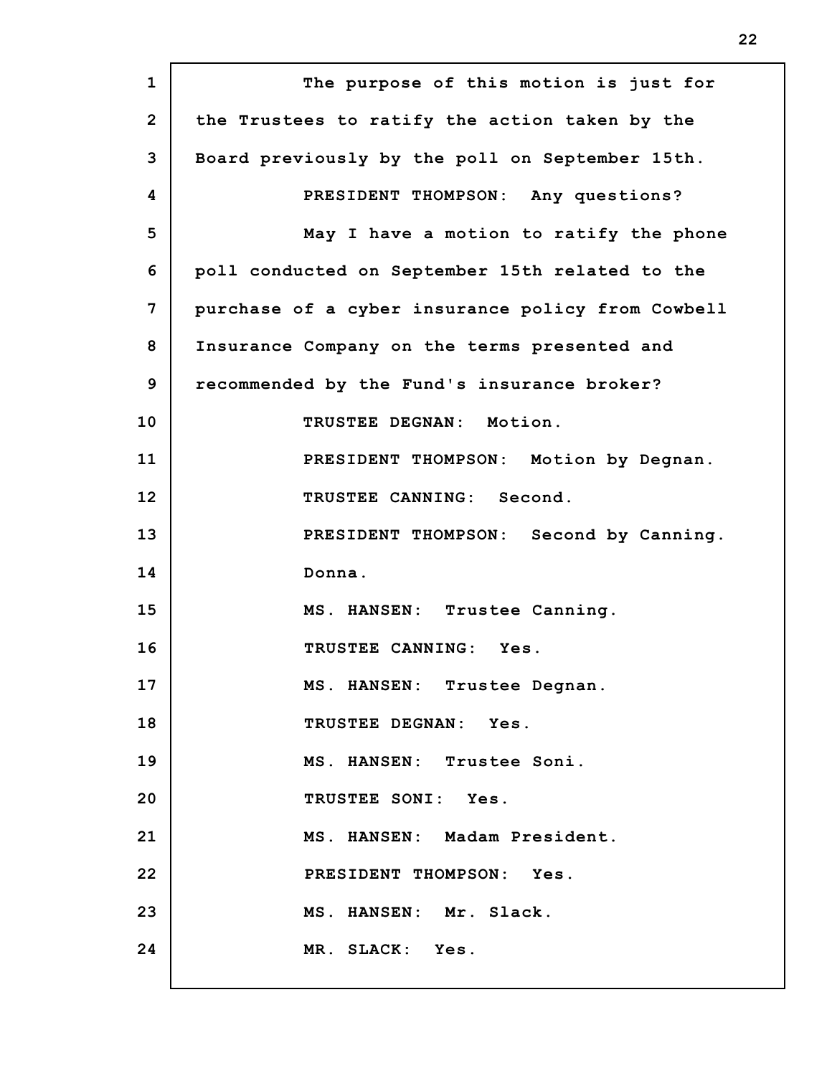**1 2 3 4 5 6 7 8 9 10 11 12 13 14 15 16 17 18 19 20 21 22 23 24 The purpose of this motion is just for the Trustees to ratify the action taken by the Board previously by the poll on September 15th. PRESIDENT THOMPSON: Any questions? May I have a motion to ratify the phone poll conducted on September 15th related to the purchase of a cyber insurance policy from Cowbell Insurance Company on the terms presented and recommended by the Fund's insurance broker? TRUSTEE DEGNAN: Motion. PRESIDENT THOMPSON: Motion by Degnan. TRUSTEE CANNING: Second. PRESIDENT THOMPSON: Second by Canning. Donna. MS. HANSEN: Trustee Canning. TRUSTEE CANNING: Yes. MS. HANSEN: Trustee Degnan. TRUSTEE DEGNAN: Yes. MS. HANSEN: Trustee Soni. TRUSTEE SONI: Yes. MS. HANSEN: Madam President. PRESIDENT THOMPSON: Yes. MS. HANSEN: Mr. Slack. MR. SLACK: Yes.**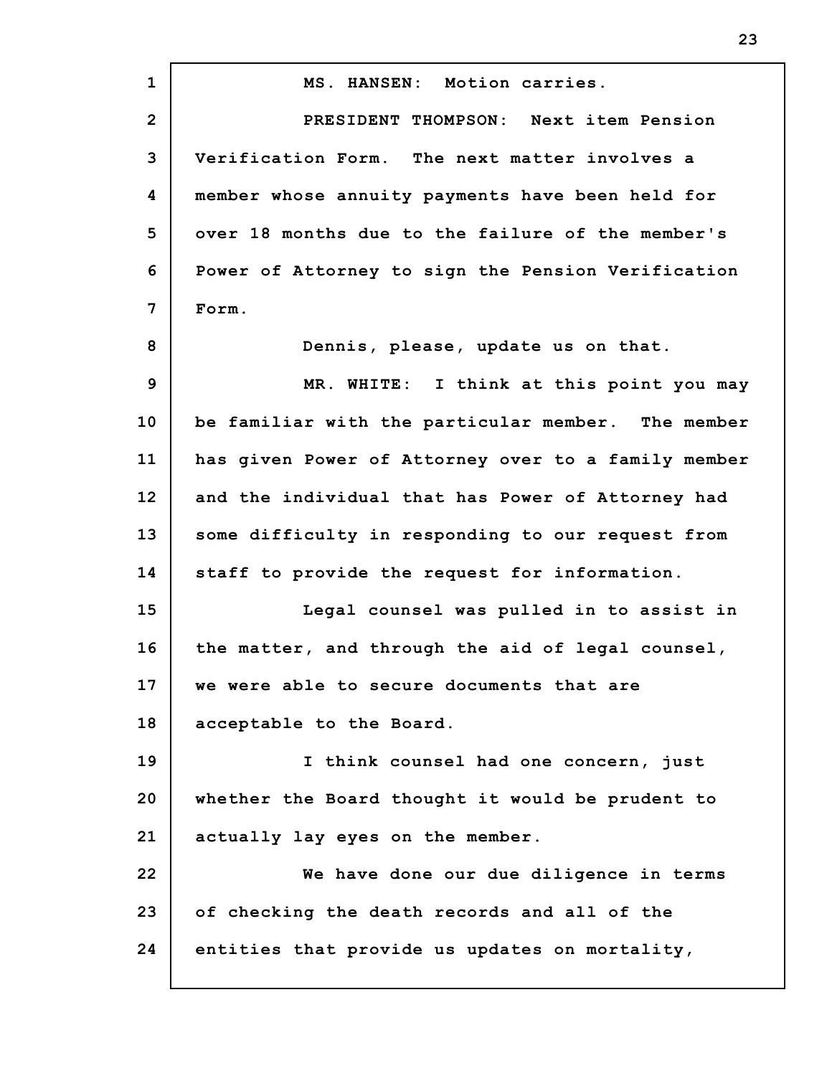**1 2 3 4 5 6 7 8 9 10 11 12 13 14 15 16 17 18 19 20 21 22 23 24 MS. HANSEN: Motion carries. PRESIDENT THOMPSON: Next item Pension Verification Form. The next matter involves a member whose annuity payments have been held for over 18 months due to the failure of the member's Power of Attorney to sign the Pension Verification Form. Dennis, please, update us on that. MR. WHITE: I think at this point you may be familiar with the particular member. The member has given Power of Attorney over to a family member and the individual that has Power of Attorney had some difficulty in responding to our request from staff to provide the request for information. Legal counsel was pulled in to assist in the matter, and through the aid of legal counsel, we were able to secure documents that are acceptable to the Board. I think counsel had one concern, just whether the Board thought it would be prudent to actually lay eyes on the member. We have done our due diligence in terms of checking the death records and all of the entities that provide us updates on mortality,**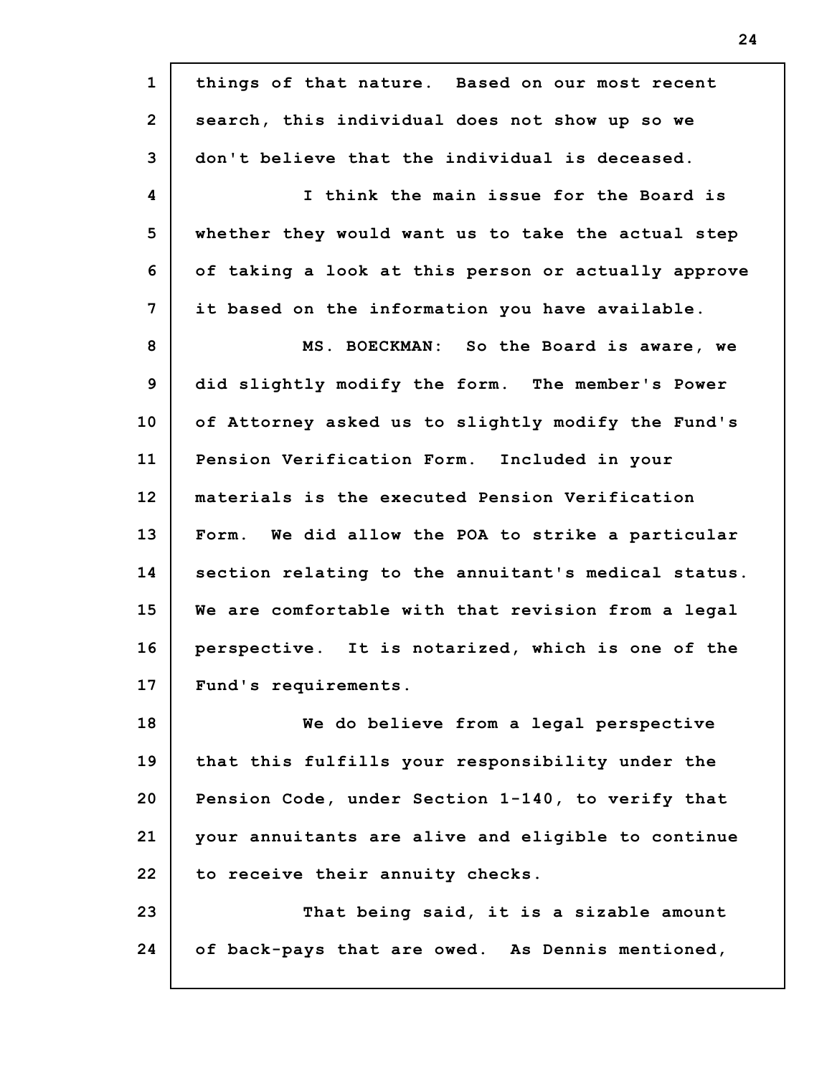| $\mathbf{1}$   | things of that nature. Based on our most recent     |
|----------------|-----------------------------------------------------|
| $\overline{2}$ | search, this individual does not show up so we      |
| 3              | don't believe that the individual is deceased.      |
| 4              | I think the main issue for the Board is             |
| 5              | whether they would want us to take the actual step  |
| 6              | of taking a look at this person or actually approve |
| 7              | it based on the information you have available.     |
| 8              | MS. BOECKMAN: So the Board is aware, we             |
| 9              | did slightly modify the form. The member's Power    |
| 10             | of Attorney asked us to slightly modify the Fund's  |
| 11             | Pension Verification Form. Included in your         |
| 12             | materials is the executed Pension Verification      |
| 13             | Form. We did allow the POA to strike a particular   |
| 14             | section relating to the annuitant's medical status. |
| 15             | We are comfortable with that revision from a legal  |
| 16             | perspective. It is notarized, which is one of the   |
| 17             | Fund's requirements.                                |
| 18             | We do believe from a legal perspective              |
| 19             | that this fulfills your responsibility under the    |
| 20             | Pension Code, under Section 1-140, to verify that   |
| 21             | your annuitants are alive and eligible to continue  |
| 22             | to receive their annuity checks.                    |
| 23             | That being said, it is a sizable amount             |
| 24             | of back-pays that are owed. As Dennis mentioned,    |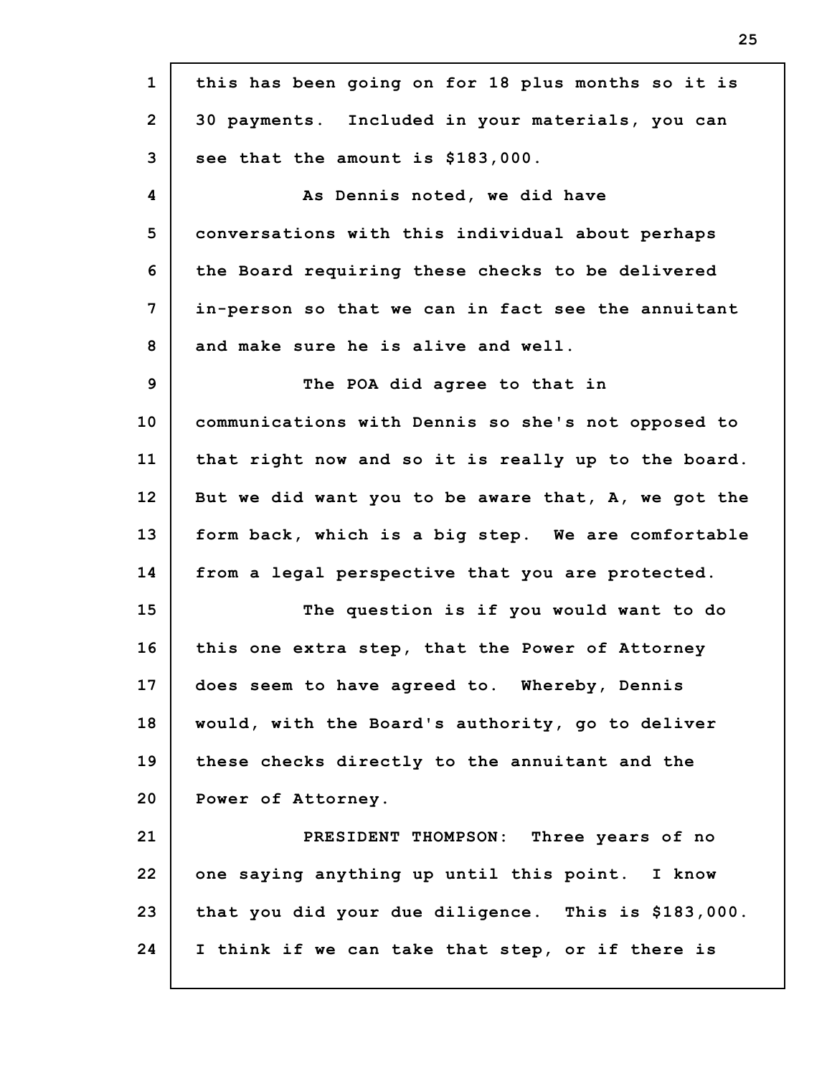| $\mathbf{1}$   | this has been going on for 18 plus months so it is  |
|----------------|-----------------------------------------------------|
| $\overline{2}$ | 30 payments. Included in your materials, you can    |
| 3              | see that the amount is \$183,000.                   |
| 4              | As Dennis noted, we did have                        |
| 5              | conversations with this individual about perhaps    |
| 6              | the Board requiring these checks to be delivered    |
| 7              | in-person so that we can in fact see the annuitant  |
| 8              | and make sure he is alive and well.                 |
| 9              | The POA did agree to that in                        |
| 10             | communications with Dennis so she's not opposed to  |
| 11             | that right now and so it is really up to the board. |
| 12             | But we did want you to be aware that, A, we got the |
| 13             | form back, which is a big step. We are comfortable  |
| 14             | from a legal perspective that you are protected.    |
| 15             | The question is if you would want to do             |
| 16             | this one extra step, that the Power of Attorney     |
| 17             | does seem to have agreed to. Whereby, Dennis        |
| 18             | would, with the Board's authority, go to deliver    |
| 19             | these checks directly to the annuitant and the      |
| 20             | Power of Attorney.                                  |
| 21             | PRESIDENT THOMPSON: Three years of no               |
| 22             | one saying anything up until this point. I know     |
| 23             | that you did your due diligence. This is \$183,000. |
| 24             | I think if we can take that step, or if there is    |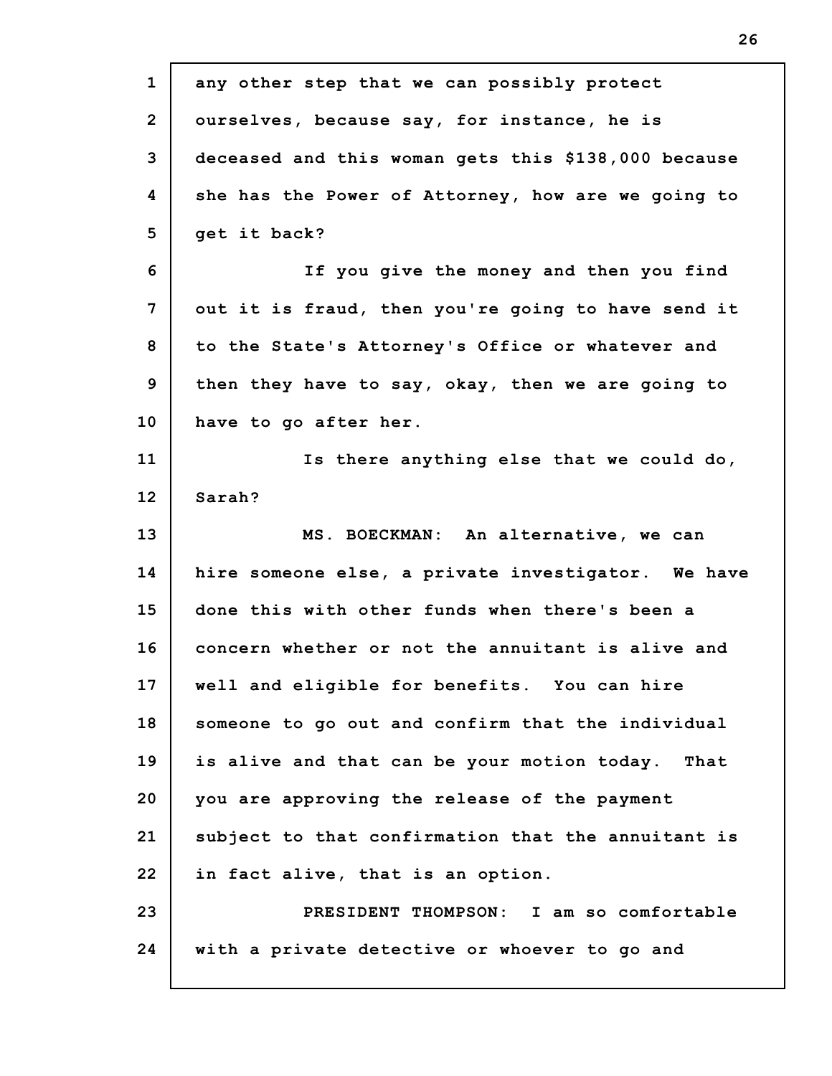| $\mathbf{1}$   | any other step that we can possibly protect         |
|----------------|-----------------------------------------------------|
| $\overline{2}$ | ourselves, because say, for instance, he is         |
| 3              | deceased and this woman gets this \$138,000 because |
| 4              | she has the Power of Attorney, how are we going to  |
| 5              | get it back?                                        |
| 6              | If you give the money and then you find             |
| 7              | out it is fraud, then you're going to have send it  |
| 8              | to the State's Attorney's Office or whatever and    |
| 9              | then they have to say, okay, then we are going to   |
| 10             | have to go after her.                               |
| 11             | Is there anything else that we could do,            |
| 12             | Sarah?                                              |
| 13             | MS. BOECKMAN: An alternative, we can                |
| 14             | hire someone else, a private investigator. We have  |
| 15             | done this with other funds when there's been a      |
| 16             | concern whether or not the annuitant is alive and   |
| 17             | well and eligible for benefits. You can hire        |
| 18             | someone to go out and confirm that the individual   |
| 19             | is alive and that can be your motion today. That    |
| 20             | you are approving the release of the payment        |
| 21             | subject to that confirmation that the annuitant is  |
| 22             | in fact alive, that is an option.                   |
|                |                                                     |
| 23             | PRESIDENT THOMPSON: I am so comfortable             |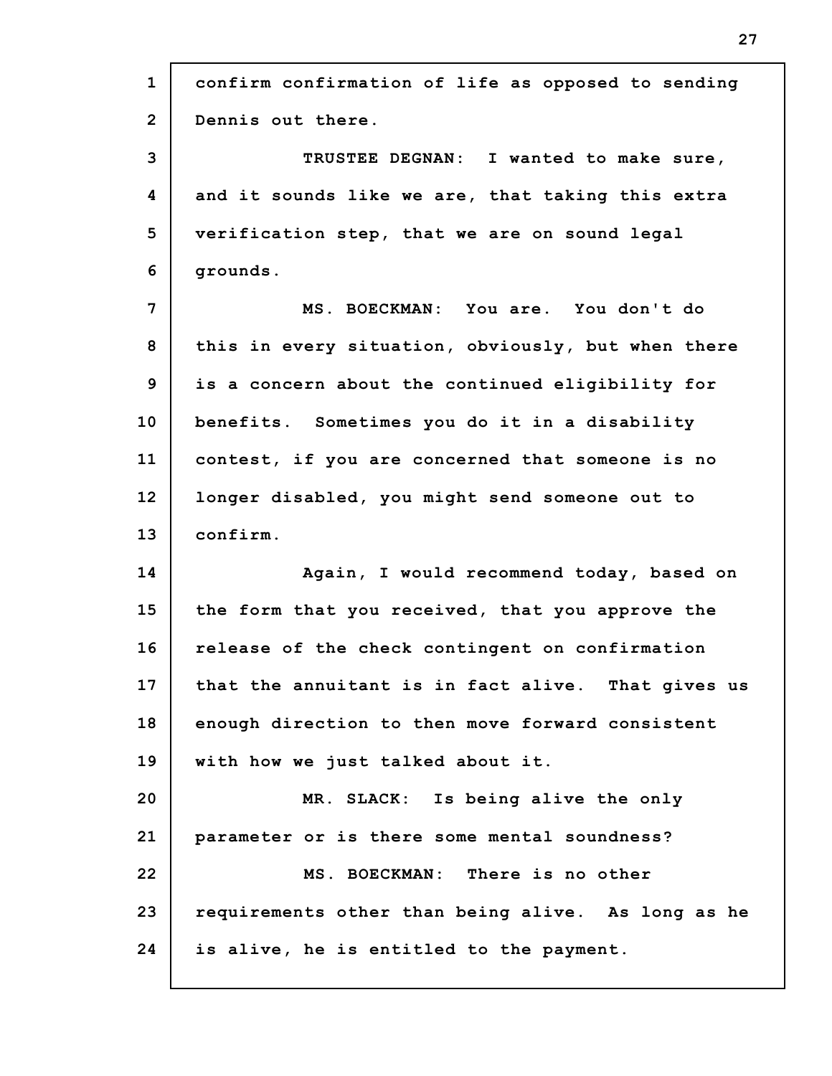| $\mathbf{1}$         | confirm confirmation of life as opposed to sending |
|----------------------|----------------------------------------------------|
| $\overline{2}$       | Dennis out there.                                  |
| 3                    | TRUSTEE DEGNAN: I wanted to make sure,             |
| 4                    | and it sounds like we are, that taking this extra  |
| 5                    | verification step, that we are on sound legal      |
| 6                    | grounds.                                           |
| 7                    | MS. BOECKMAN: You are. You don't do                |
| 8                    | this in every situation, obviously, but when there |
| 9                    | is a concern about the continued eligibility for   |
| 10                   | benefits. Sometimes you do it in a disability      |
| 11                   | contest, if you are concerned that someone is no   |
| 12                   | longer disabled, you might send someone out to     |
|                      |                                                    |
| 13                   | confirm.                                           |
| 14                   | Again, I would recommend today, based on           |
|                      | the form that you received, that you approve the   |
|                      | release of the check contingent on confirmation    |
|                      | that the annuitant is in fact alive. That gives us |
| 15<br>16<br>17<br>18 | enough direction to then move forward consistent   |
| 19                   | with how we just talked about it.                  |
| 20                   | MR. SLACK: Is being alive the only                 |
| 21                   | parameter or is there some mental soundness?       |
| 22                   | MS. BOECKMAN: There is no other                    |
| 23                   | requirements other than being alive. As long as he |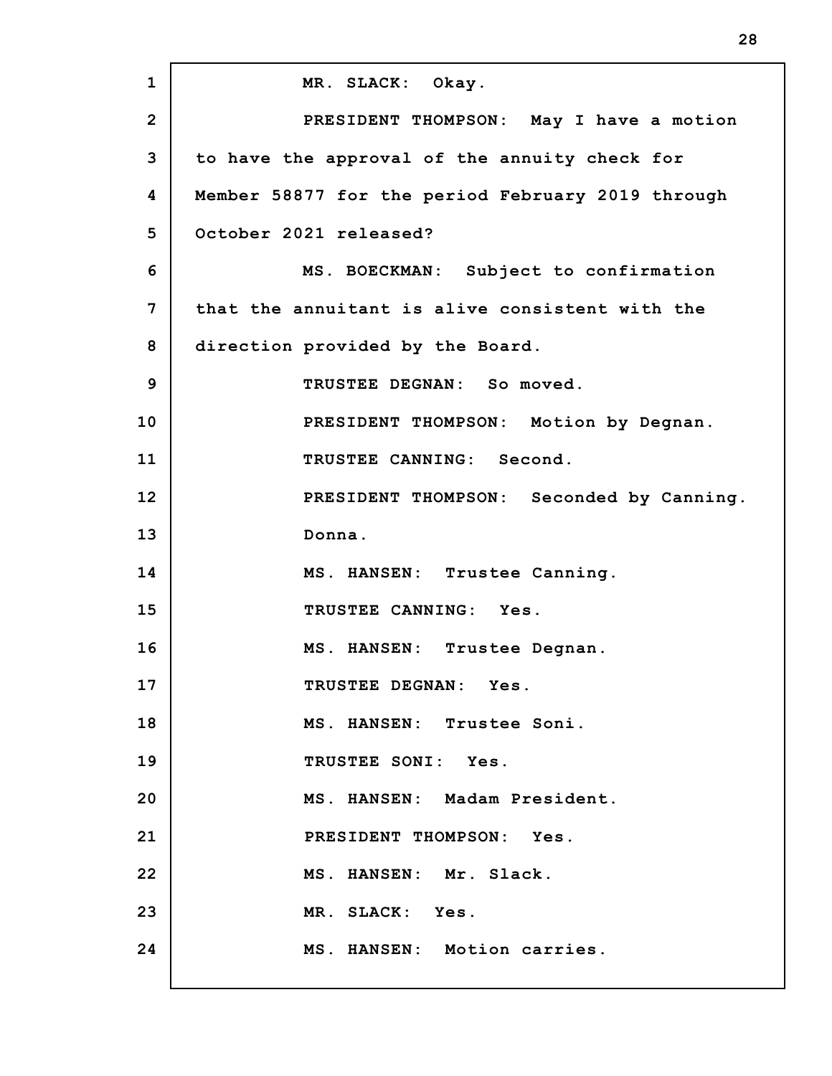**1 2 3 4 5 6 7 8 9 10 11 12 13 14 15 16 17 18 19 20 21 22 23 24 MR. SLACK: Okay. PRESIDENT THOMPSON: May I have a motion to have the approval of the annuity check for Member 58877 for the period February 2019 through October 2021 released? MS. BOECKMAN: Subject to confirmation that the annuitant is alive consistent with the direction provided by the Board. TRUSTEE DEGNAN: So moved. PRESIDENT THOMPSON: Motion by Degnan. TRUSTEE CANNING: Second. PRESIDENT THOMPSON: Seconded by Canning. Donna. MS. HANSEN: Trustee Canning. TRUSTEE CANNING: Yes. MS. HANSEN: Trustee Degnan. TRUSTEE DEGNAN: Yes. MS. HANSEN: Trustee Soni. TRUSTEE SONI: Yes. MS. HANSEN: Madam President. PRESIDENT THOMPSON: Yes. MS. HANSEN: Mr. Slack. MR. SLACK: Yes. MS. HANSEN: Motion carries.**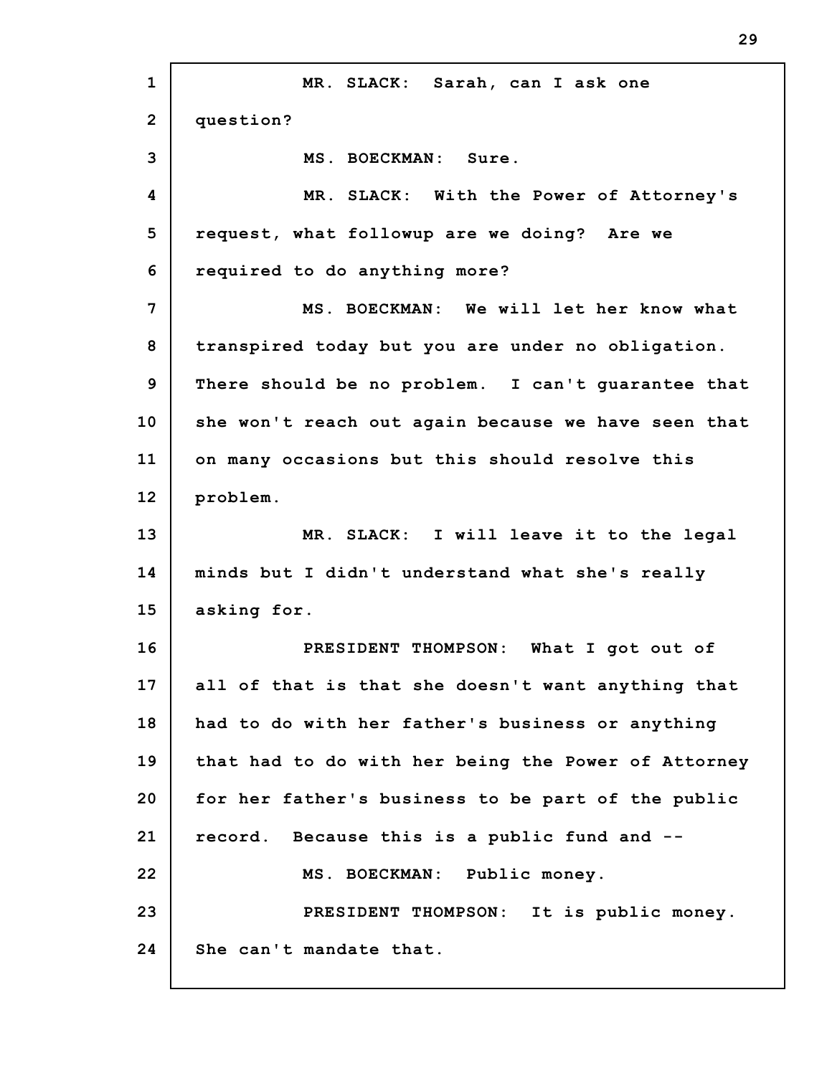**1 2 3 4 5 6 7 8 9 10 11 12 13 14 15 16 17 18 19 20 21 22 23 24 MR. SLACK: Sarah, can I ask one question? MS. BOECKMAN: Sure. MR. SLACK: With the Power of Attorney's request, what followup are we doing? Are we required to do anything more? MS. BOECKMAN: We will let her know what transpired today but you are under no obligation. There should be no problem. I can't guarantee that she won't reach out again because we have seen that on many occasions but this should resolve this problem. MR. SLACK: I will leave it to the legal minds but I didn't understand what she's really asking for. PRESIDENT THOMPSON: What I got out of all of that is that she doesn't want anything that had to do with her father's business or anything that had to do with her being the Power of Attorney for her father's business to be part of the public record. Because this is a public fund and -- MS. BOECKMAN: Public money. PRESIDENT THOMPSON: It is public money. She can't mandate that.**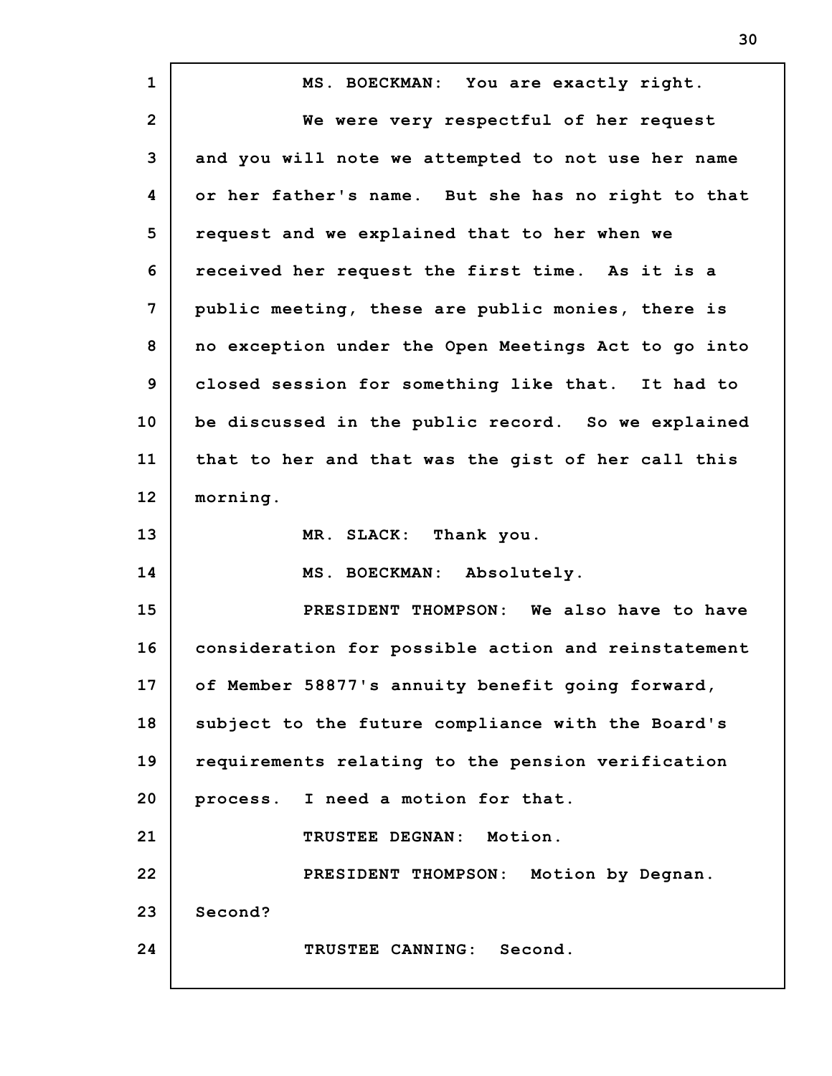| $\mathbf{1}$   | MS. BOECKMAN: You are exactly right.                |
|----------------|-----------------------------------------------------|
| $\overline{2}$ | We were very respectful of her request              |
| 3              | and you will note we attempted to not use her name  |
| 4              | or her father's name. But she has no right to that  |
| 5              | request and we explained that to her when we        |
| 6              | received her request the first time. As it is a     |
| 7              | public meeting, these are public monies, there is   |
| 8              | no exception under the Open Meetings Act to go into |
| $\mathbf{9}$   | closed session for something like that. It had to   |
| 10             | be discussed in the public record. So we explained  |
| 11             | that to her and that was the gist of her call this  |
| 12             | morning.                                            |
| 13             | MR. SLACK: Thank you.                               |
| 14             | MS. BOECKMAN: Absolutely.                           |
| 15             | PRESIDENT THOMPSON: We also have to have            |
| 16             | consideration for possible action and reinstatement |
| 17             | of Member 58877's annuity benefit going forward,    |
| 18             | subject to the future compliance with the Board's   |
| 19             | requirements relating to the pension verification   |
| 20             | process. I need a motion for that.                  |
| 21             | TRUSTEE DEGNAN: Motion.                             |
| 22             | PRESIDENT THOMPSON: Motion by Degnan.               |
| 23             | Second?                                             |
| 24             | TRUSTEE CANNING: Second.                            |
|                |                                                     |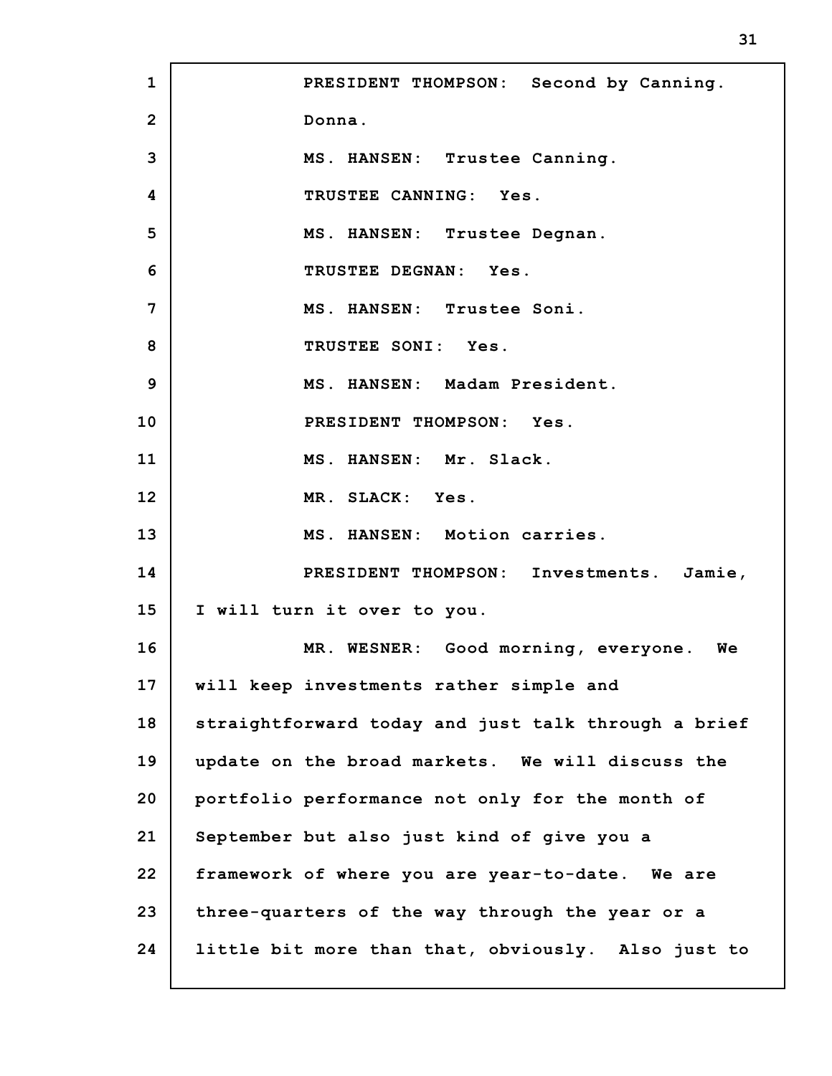**1 2 3 4 5 6 7 8 9 10 11 12 13 14 15 16 17 18 19 20 21 22 23 24 PRESIDENT THOMPSON: Second by Canning. Donna. MS. HANSEN: Trustee Canning. TRUSTEE CANNING: Yes. MS. HANSEN: Trustee Degnan. TRUSTEE DEGNAN: Yes. MS. HANSEN: Trustee Soni. TRUSTEE SONI: Yes. MS. HANSEN: Madam President. PRESIDENT THOMPSON: Yes. MS. HANSEN: Mr. Slack. MR. SLACK: Yes. MS. HANSEN: Motion carries. PRESIDENT THOMPSON: Investments. Jamie, I will turn it over to you. MR. WESNER: Good morning, everyone. We will keep investments rather simple and straightforward today and just talk through a brief update on the broad markets. We will discuss the portfolio performance not only for the month of September but also just kind of give you a framework of where you are year-to-date. We are three-quarters of the way through the year or a little bit more than that, obviously. Also just to**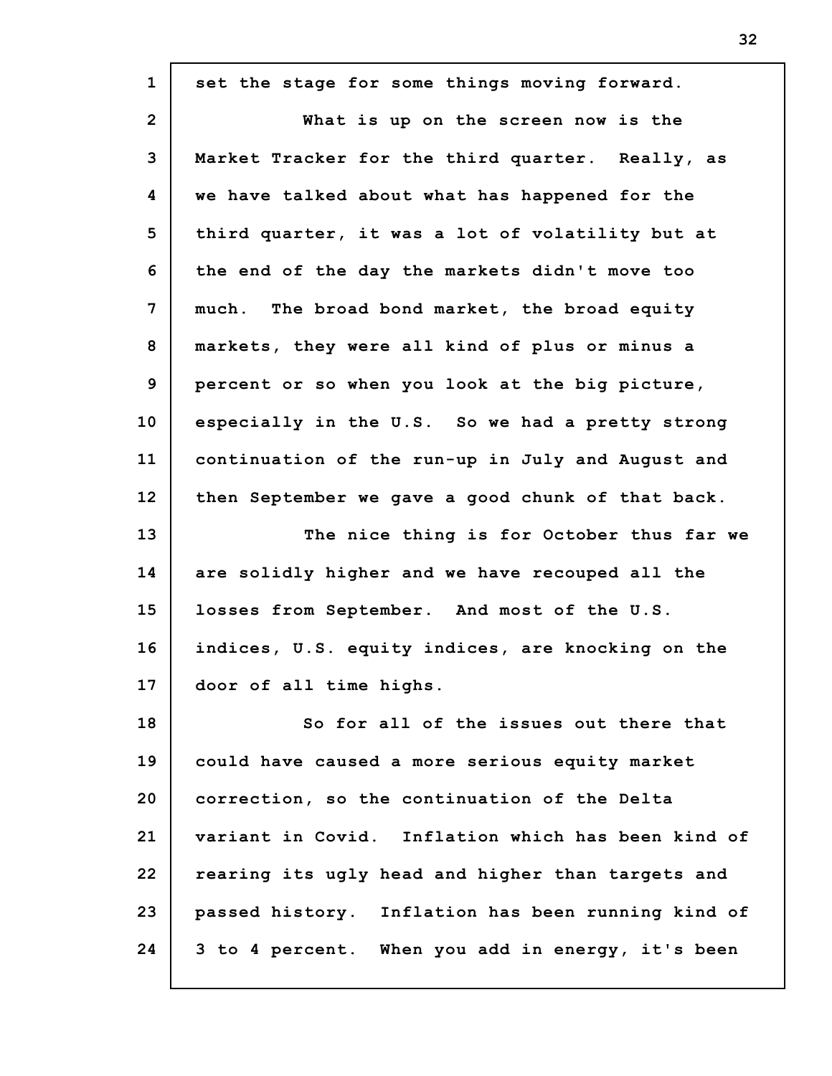**1 2 3 4 5 6 7 8 9 10 11 12 13 14 15 16 17 18 19 20 21 22 23 24 set the stage for some things moving forward. What is up on the screen now is the Market Tracker for the third quarter. Really, as we have talked about what has happened for the third quarter, it was a lot of volatility but at the end of the day the markets didn't move too much. The broad bond market, the broad equity markets, they were all kind of plus or minus a percent or so when you look at the big picture, especially in the U.S. So we had a pretty strong continuation of the run-up in July and August and then September we gave a good chunk of that back. The nice thing is for October thus far we are solidly higher and we have recouped all the losses from September. And most of the U.S. indices, U.S. equity indices, are knocking on the door of all time highs. So for all of the issues out there that could have caused a more serious equity market correction, so the continuation of the Delta variant in Covid. Inflation which has been kind of rearing its ugly head and higher than targets and passed history. Inflation has been running kind of 3 to 4 percent. When you add in energy, it's been**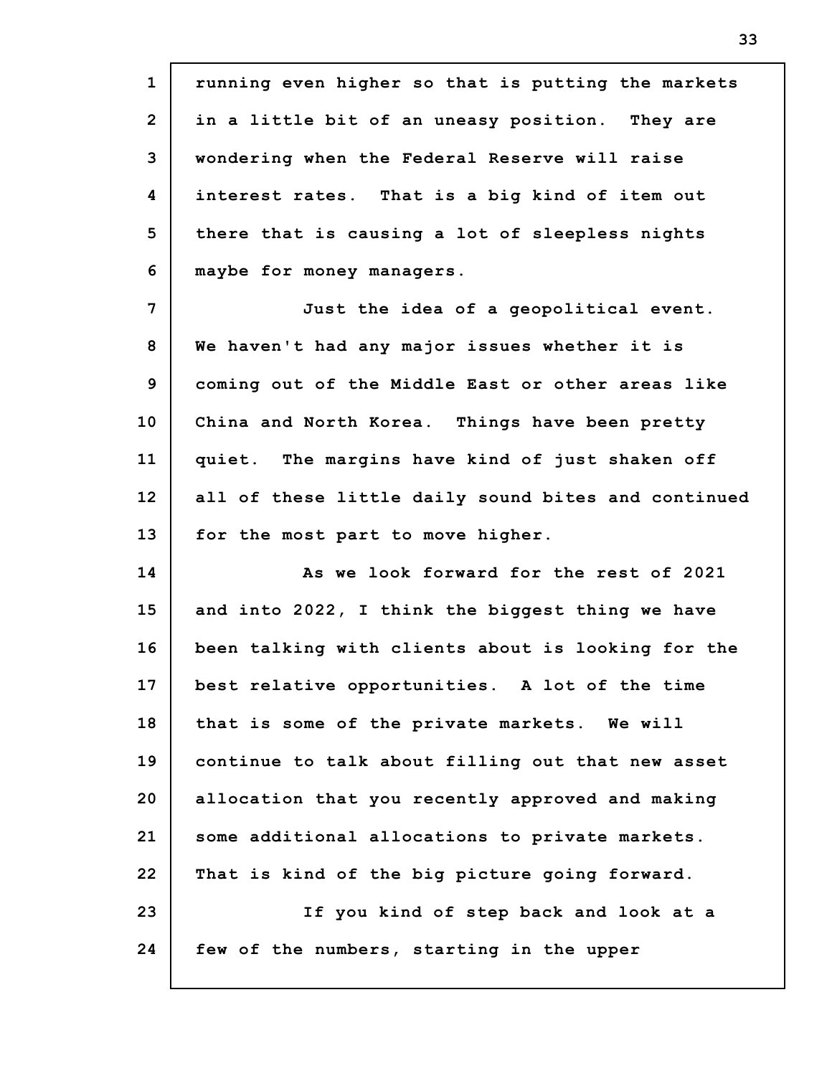**1 2 3 4 5 6 7 8 9 10 11 12 13 14 15 16 17 18 19 20 21 22 23 24 running even higher so that is putting the markets in a little bit of an uneasy position. They are wondering when the Federal Reserve will raise interest rates. That is a big kind of item out there that is causing a lot of sleepless nights maybe for money managers. Just the idea of a geopolitical event. We haven't had any major issues whether it is coming out of the Middle East or other areas like China and North Korea. Things have been pretty quiet. The margins have kind of just shaken off all of these little daily sound bites and continued for the most part to move higher. As we look forward for the rest of 2021 and into 2022, I think the biggest thing we have been talking with clients about is looking for the best relative opportunities. A lot of the time that is some of the private markets. We will continue to talk about filling out that new asset allocation that you recently approved and making some additional allocations to private markets. That is kind of the big picture going forward. If you kind of step back and look at a few of the numbers, starting in the upper**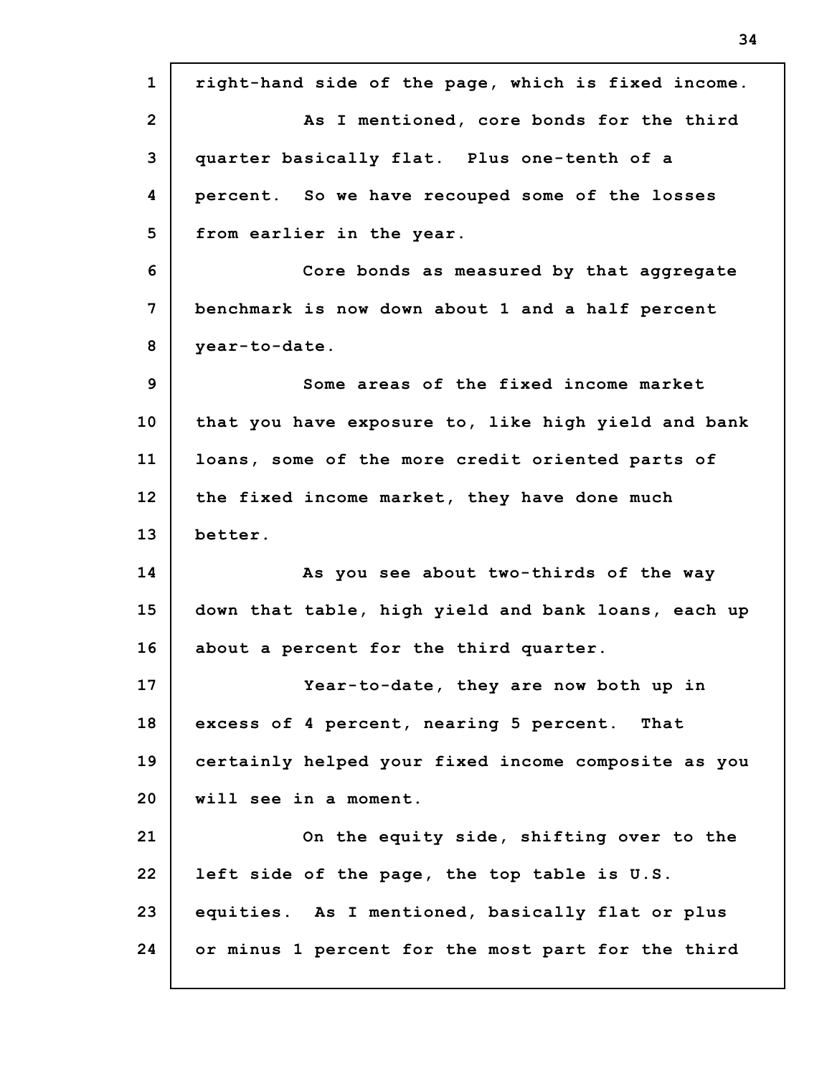**1 2 3 4 5 6 7 8 9 10 11 12 13 14 15 16 17 18 19 20 21 22 23 24 right-hand side of the page, which is fixed income. As I mentioned, core bonds for the third quarter basically flat. Plus one-tenth of a percent. So we have recouped some of the losses from earlier in the year. Core bonds as measured by that aggregate benchmark is now down about 1 and a half percent year-to-date. Some areas of the fixed income market that you have exposure to, like high yield and bank loans, some of the more credit oriented parts of the fixed income market, they have done much better. As you see about two-thirds of the way down that table, high yield and bank loans, each up about a percent for the third quarter. Year-to-date, they are now both up in excess of 4 percent, nearing 5 percent. That certainly helped your fixed income composite as you will see in a moment. On the equity side, shifting over to the left side of the page, the top table is U.S. equities. As I mentioned, basically flat or plus or minus 1 percent for the most part for the third**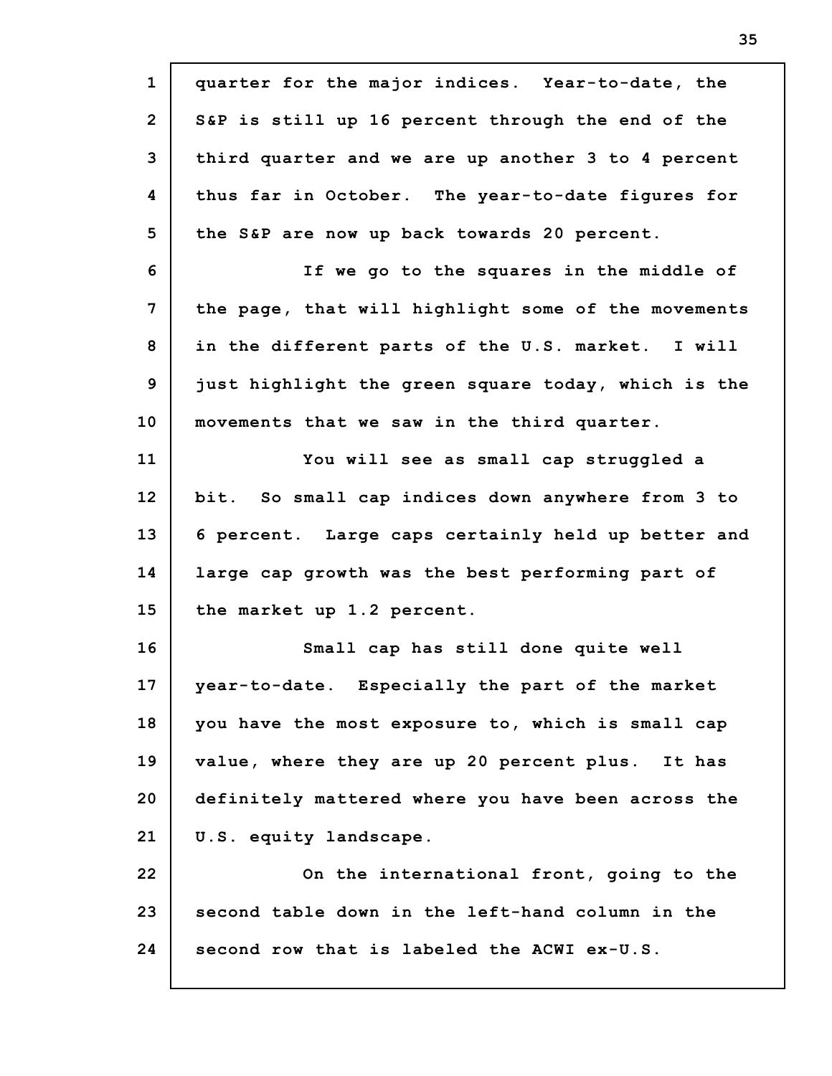**1 2 3 4 5 6 7 8 9 10 11 12 13 14 15 16 17 18 19 20 21 22 23 24 quarter for the major indices. Year-to-date, the S&P is still up 16 percent through the end of the third quarter and we are up another 3 to 4 percent thus far in October. The year-to-date figures for the S&P are now up back towards 20 percent. If we go to the squares in the middle of the page, that will highlight some of the movements in the different parts of the U.S. market. I will just highlight the green square today, which is the movements that we saw in the third quarter. You will see as small cap struggled a bit. So small cap indices down anywhere from 3 to 6 percent. Large caps certainly held up better and large cap growth was the best performing part of the market up 1.2 percent. Small cap has still done quite well year-to-date. Especially the part of the market you have the most exposure to, which is small cap value, where they are up 20 percent plus. It has definitely mattered where you have been across the U.S. equity landscape. On the international front, going to the second table down in the left-hand column in the second row that is labeled the ACWI ex-U.S.**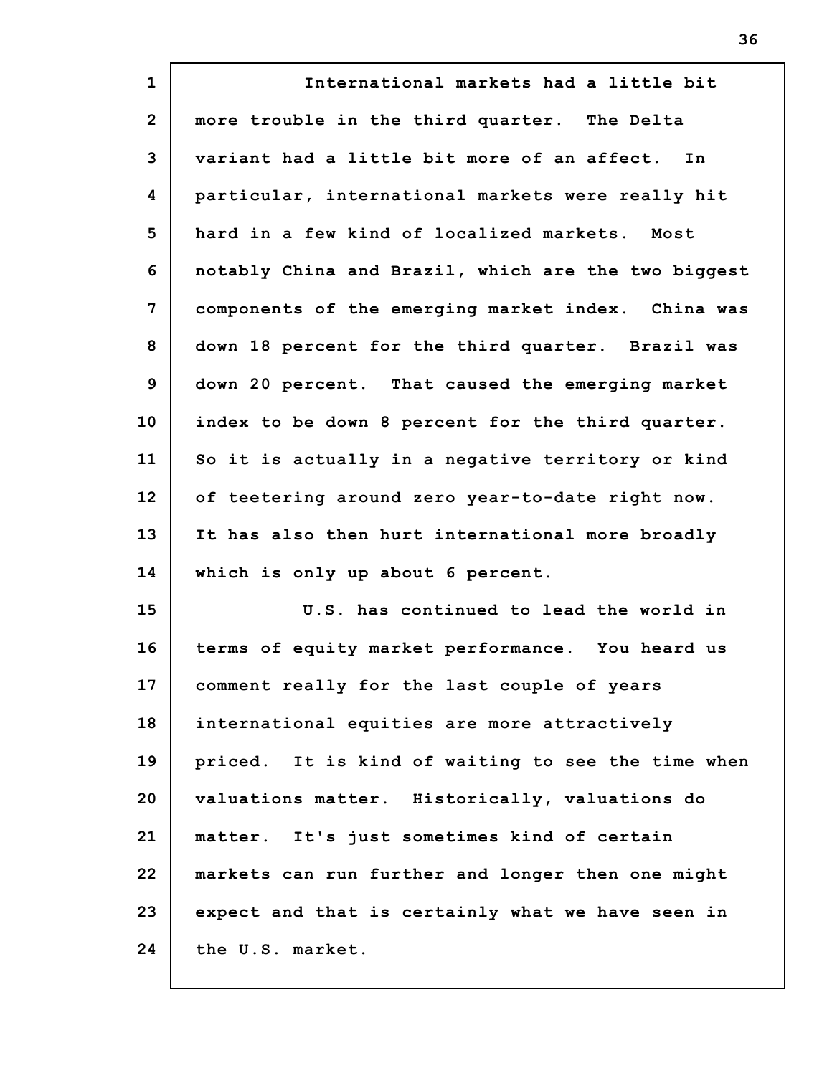| $\mathbf{1}$   | International markets had a little bit              |
|----------------|-----------------------------------------------------|
| $\overline{2}$ | more trouble in the third quarter. The Delta        |
| 3              | variant had a little bit more of an affect. In      |
| 4              | particular, international markets were really hit   |
| 5              | hard in a few kind of localized markets. Most       |
| 6              | notably China and Brazil, which are the two biggest |
| 7              | components of the emerging market index. China was  |
| 8              | down 18 percent for the third quarter. Brazil was   |
| 9              | down 20 percent. That caused the emerging market    |
| 10             | index to be down 8 percent for the third quarter.   |
| 11             | So it is actually in a negative territory or kind   |
| 12             | of teetering around zero year-to-date right now.    |
| 13             | It has also then hurt international more broadly    |
| 14             | which is only up about 6 percent.                   |
| 15             | U.S. has continued to lead the world in             |
| 16             | terms of equity market performance. You heard us    |
| 17             | comment really for the last couple of years         |
| 18             | international equities are more attractively        |
| 19             | priced. It is kind of waiting to see the time when  |
| 20             | valuations matter. Historically, valuations do      |
| 21             | matter. It's just sometimes kind of certain         |
| 22             | markets can run further and longer then one might   |
| 23             | expect and that is certainly what we have seen in   |
| 24             | the U.S. market.                                    |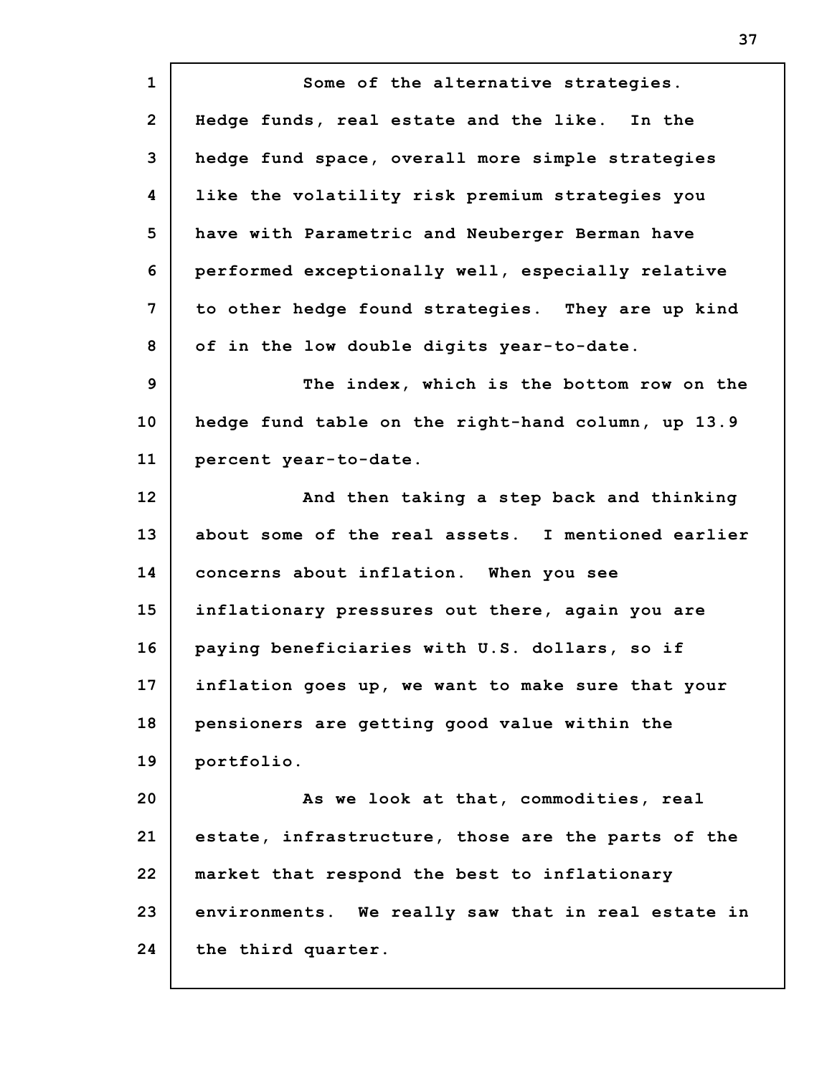**1 2 3 4 5 6 7 8 9 10 11 12 13 14 15 16 17 18 19 20 21 22 23 24 Some of the alternative strategies. Hedge funds, real estate and the like. In the hedge fund space, overall more simple strategies like the volatility risk premium strategies you have with Parametric and Neuberger Berman have performed exceptionally well, especially relative to other hedge found strategies. They are up kind of in the low double digits year-to-date. The index, which is the bottom row on the hedge fund table on the right-hand column, up 13.9 percent year-to-date. And then taking a step back and thinking about some of the real assets. I mentioned earlier concerns about inflation. When you see inflationary pressures out there, again you are paying beneficiaries with U.S. dollars, so if inflation goes up, we want to make sure that your pensioners are getting good value within the portfolio. As we look at that, commodities, real estate, infrastructure, those are the parts of the market that respond the best to inflationary environments. We really saw that in real estate in the third quarter.**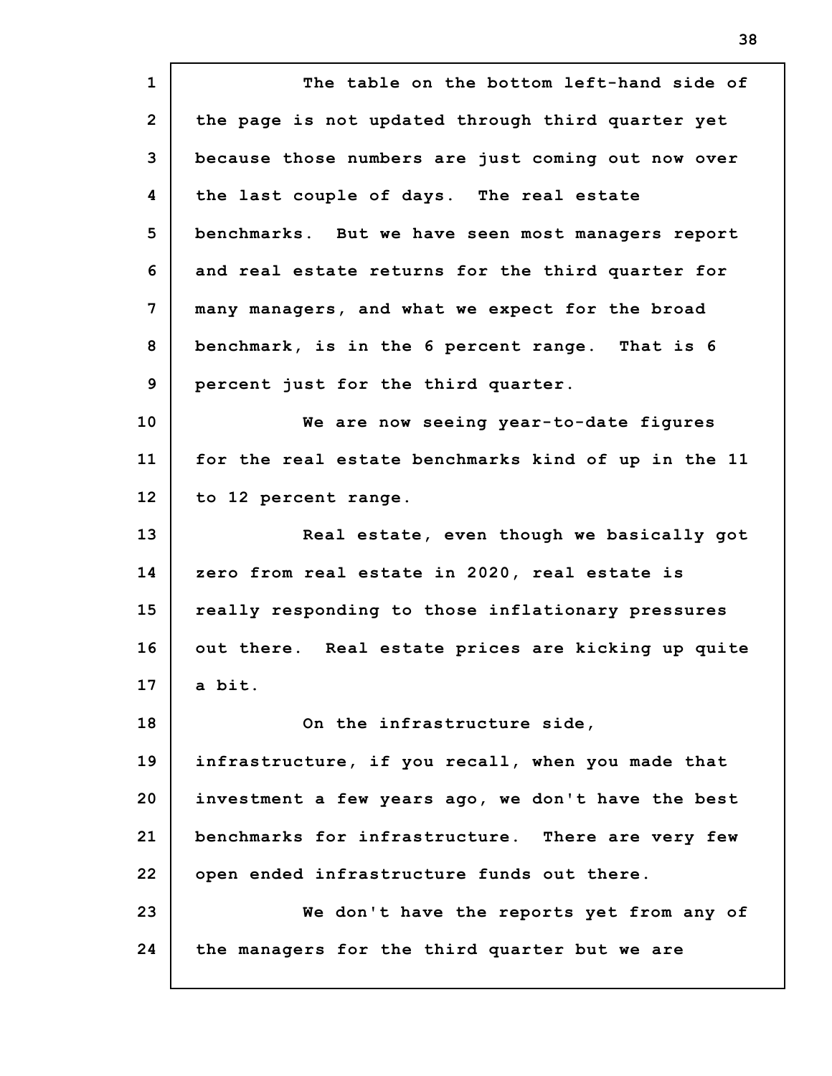**1 2 3 4 5 6 7 8 9 10 11 12 13 14 15 16 17 18 19 20 21 22 23 24 The table on the bottom left-hand side of the page is not updated through third quarter yet because those numbers are just coming out now over the last couple of days. The real estate benchmarks. But we have seen most managers report and real estate returns for the third quarter for many managers, and what we expect for the broad benchmark, is in the 6 percent range. That is 6 percent just for the third quarter. We are now seeing year-to-date figures for the real estate benchmarks kind of up in the 11 to 12 percent range. Real estate, even though we basically got zero from real estate in 2020, real estate is really responding to those inflationary pressures out there. Real estate prices are kicking up quite a bit. On the infrastructure side, infrastructure, if you recall, when you made that investment a few years ago, we don't have the best benchmarks for infrastructure. There are very few open ended infrastructure funds out there. We don't have the reports yet from any of the managers for the third quarter but we are**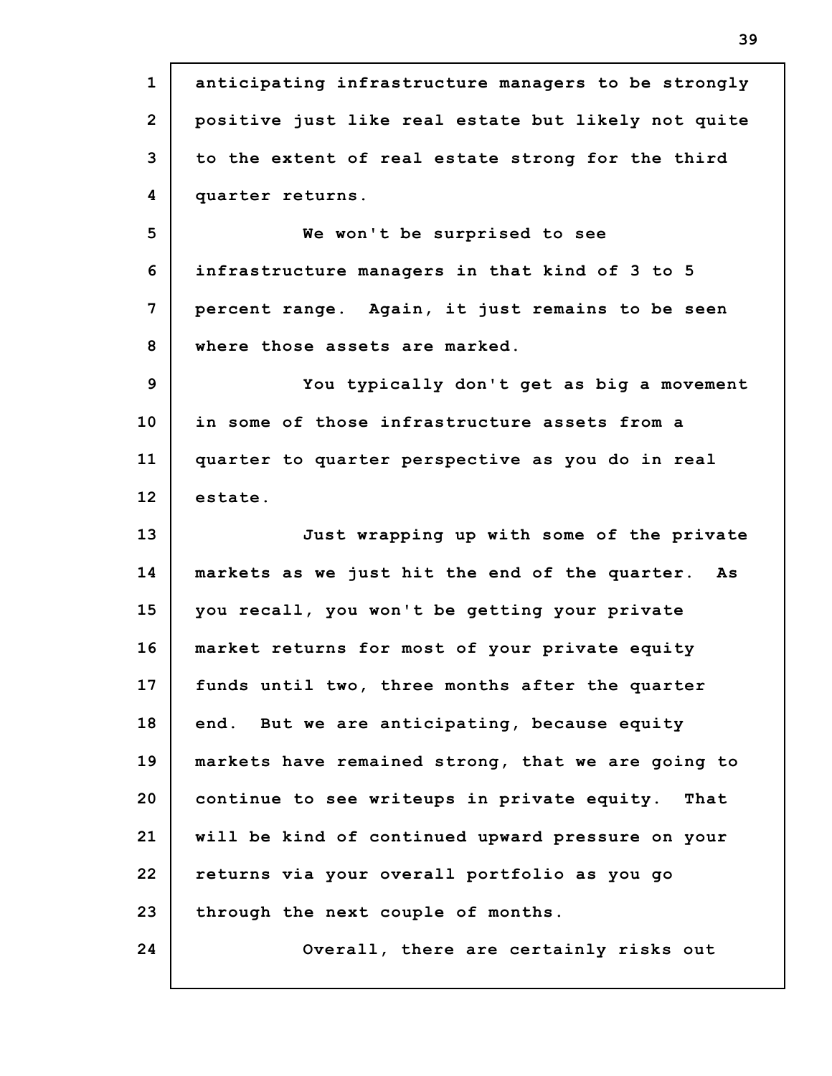**1 2 3 4 5 6 7 8 9 10 11 12 13 14 15 16 17 18 19 20 21 22 23 24 anticipating infrastructure managers to be strongly positive just like real estate but likely not quite to the extent of real estate strong for the third quarter returns. We won't be surprised to see infrastructure managers in that kind of 3 to 5 percent range. Again, it just remains to be seen where those assets are marked. You typically don't get as big a movement in some of those infrastructure assets from a quarter to quarter perspective as you do in real estate. Just wrapping up with some of the private markets as we just hit the end of the quarter. As you recall, you won't be getting your private market returns for most of your private equity funds until two, three months after the quarter end. But we are anticipating, because equity markets have remained strong, that we are going to continue to see writeups in private equity. That will be kind of continued upward pressure on your returns via your overall portfolio as you go through the next couple of months. Overall, there are certainly risks out**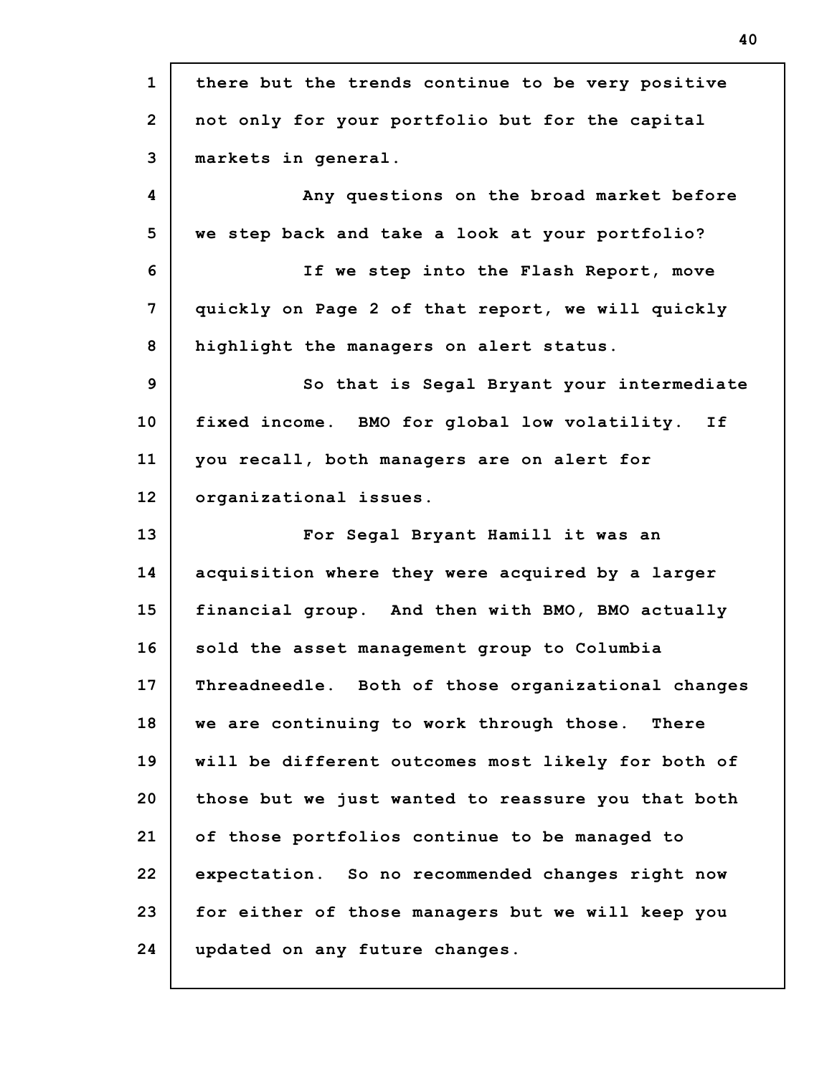| $\mathbf{1}$                     | there but the trends continue to be very positive  |
|----------------------------------|----------------------------------------------------|
| $\overline{2}$                   | not only for your portfolio but for the capital    |
| 3                                | markets in general.                                |
| 4                                | Any questions on the broad market before           |
| 5                                | we step back and take a look at your portfolio?    |
| 6                                | If we step into the Flash Report, move             |
| 7                                | quickly on Page 2 of that report, we will quickly  |
| 8                                | highlight the managers on alert status.            |
| 9                                | So that is Segal Bryant your intermediate          |
| 10                               | fixed income. BMO for global low volatility. If    |
| 11                               | you recall, both managers are on alert for         |
| 12                               | organizational issues.                             |
| 13                               | For Segal Bryant Hamill it was an                  |
|                                  |                                                    |
|                                  | acquisition where they were acquired by a larger   |
|                                  | financial group. And then with BMO, BMO actually   |
|                                  | sold the asset management group to Columbia        |
|                                  | Threadneedle. Both of those organizational changes |
|                                  | we are continuing to work through those.<br>There  |
| 14<br>15<br>16<br>17<br>18<br>19 | will be different outcomes most likely for both of |
| 20                               | those but we just wanted to reassure you that both |
| 21                               | of those portfolios continue to be managed to      |
| 22                               | expectation. So no recommended changes right now   |
| 23                               | for either of those managers but we will keep you  |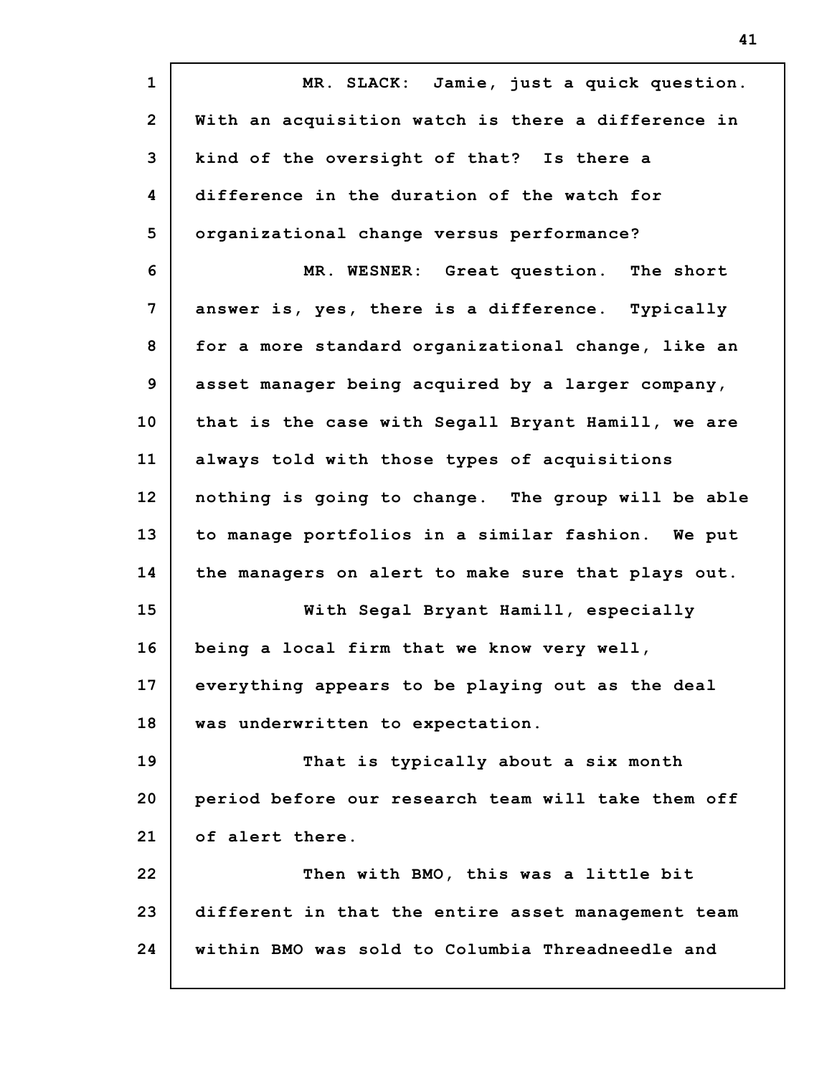**1 2 3 4 5 6 7 8 9 10 11 12 13 14 15 16 17 18 19 20 21 22 23 24 MR. SLACK: Jamie, just a quick question. With an acquisition watch is there a difference in kind of the oversight of that? Is there a difference in the duration of the watch for organizational change versus performance? MR. WESNER: Great question. The short answer is, yes, there is a difference. Typically for a more standard organizational change, like an asset manager being acquired by a larger company, that is the case with Segall Bryant Hamill, we are always told with those types of acquisitions nothing is going to change. The group will be able to manage portfolios in a similar fashion. We put the managers on alert to make sure that plays out. With Segal Bryant Hamill, especially being a local firm that we know very well, everything appears to be playing out as the deal was underwritten to expectation. That is typically about a six month period before our research team will take them off of alert there. Then with BMO, this was a little bit different in that the entire asset management team within BMO was sold to Columbia Threadneedle and**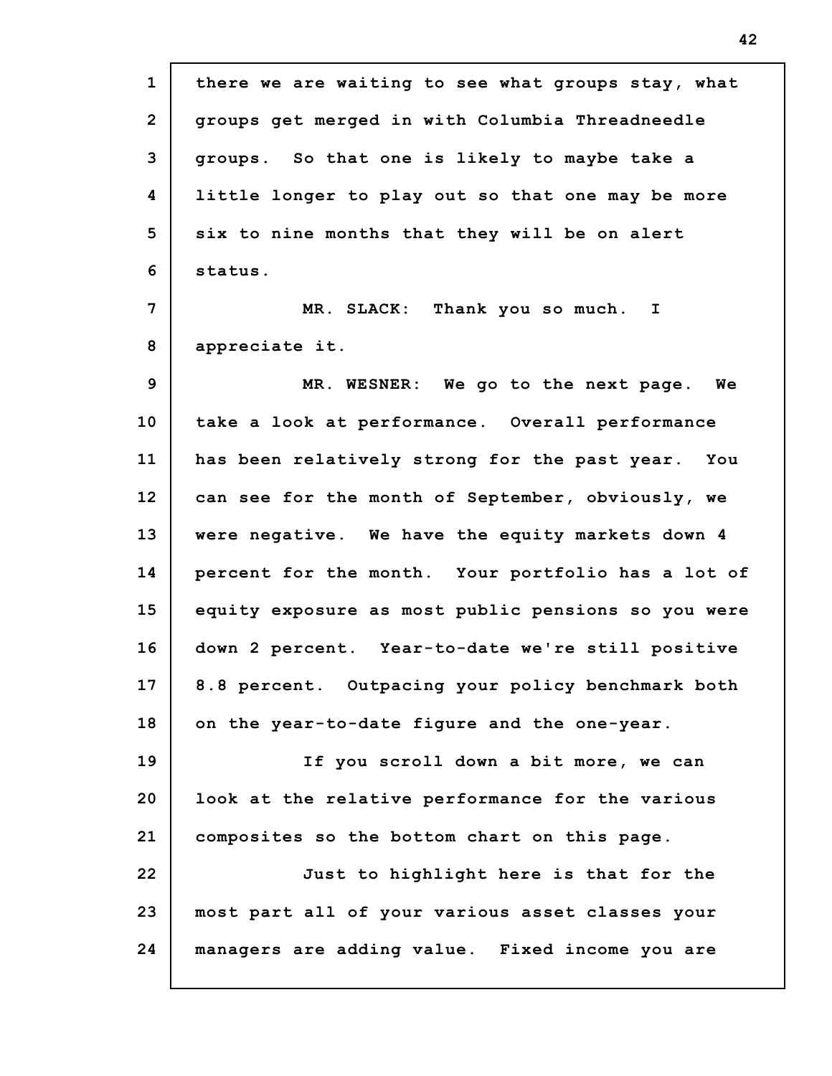| $\mathbf{1}$   | there we are waiting to see what groups stay, what  |
|----------------|-----------------------------------------------------|
| $\overline{2}$ | groups get merged in with Columbia Threadneedle     |
| 3              | groups. So that one is likely to maybe take a       |
| 4              | little longer to play out so that one may be more   |
| 5              | six to nine months that they will be on alert       |
| 6              | status.                                             |
| 7              | MR. SLACK: Thank you so much. I                     |
| 8              | appreciate it.                                      |
| 9              | MR. WESNER: We go to the next page. We              |
| 10             | take a look at performance. Overall performance     |
| 11             | has been relatively strong for the past year. You   |
| 12             | can see for the month of September, obviously, we   |
| 13             | were negative. We have the equity markets down 4    |
| 14             | percent for the month. Your portfolio has a lot of  |
| 15             | equity exposure as most public pensions so you were |
| 16             | down 2 percent. Year-to-date we're still positive   |
| 17             | 8.8 percent. Outpacing your policy benchmark both   |
| 18             | on the year-to-date figure and the one-year.        |
| 19             | If you scroll down a bit more, we can               |
| 20             | look at the relative performance for the various    |
| 21             | composites so the bottom chart on this page.        |
| 22             | Just to highlight here is that for the              |
| 23             | most part all of your various asset classes your    |
| 24             | managers are adding value. Fixed income you are     |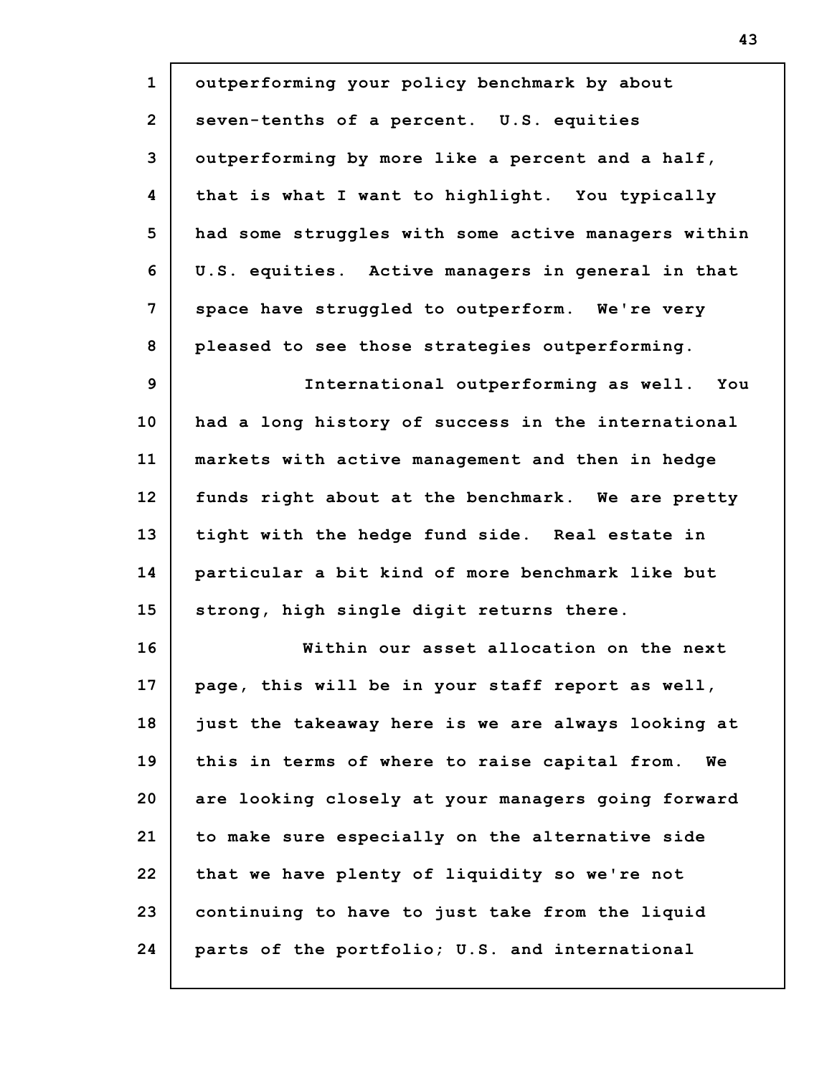| $\mathbf{1}$   | outperforming your policy benchmark by about        |
|----------------|-----------------------------------------------------|
| $\overline{2}$ | seven-tenths of a percent. U.S. equities            |
| 3              | outperforming by more like a percent and a half,    |
| 4              | that is what I want to highlight. You typically     |
| 5              | had some struggles with some active managers within |
| 6              | U.S. equities. Active managers in general in that   |
| 7              | space have struggled to outperform. We're very      |
| 8              | pleased to see those strategies outperforming.      |
| 9              | International outperforming as well. You            |
| 10             | had a long history of success in the international  |
| 11             | markets with active management and then in hedge    |
| 12             | funds right about at the benchmark. We are pretty   |
| 13             | tight with the hedge fund side. Real estate in      |
| 14             | particular a bit kind of more benchmark like but    |
| 15             | strong, high single digit returns there.            |
| 16             | Within our asset allocation on the next             |
| 17             | page, this will be in your staff report as well,    |
| 18             | just the takeaway here is we are always looking at  |
| 19             | this in terms of where to raise capital from.<br>Wе |
| 20             | are looking closely at your managers going forward  |
| 21             | to make sure especially on the alternative side     |
| 22             | that we have plenty of liquidity so we're not       |
| 23             | continuing to have to just take from the liquid     |
| 24             | parts of the portfolio; U.S. and international      |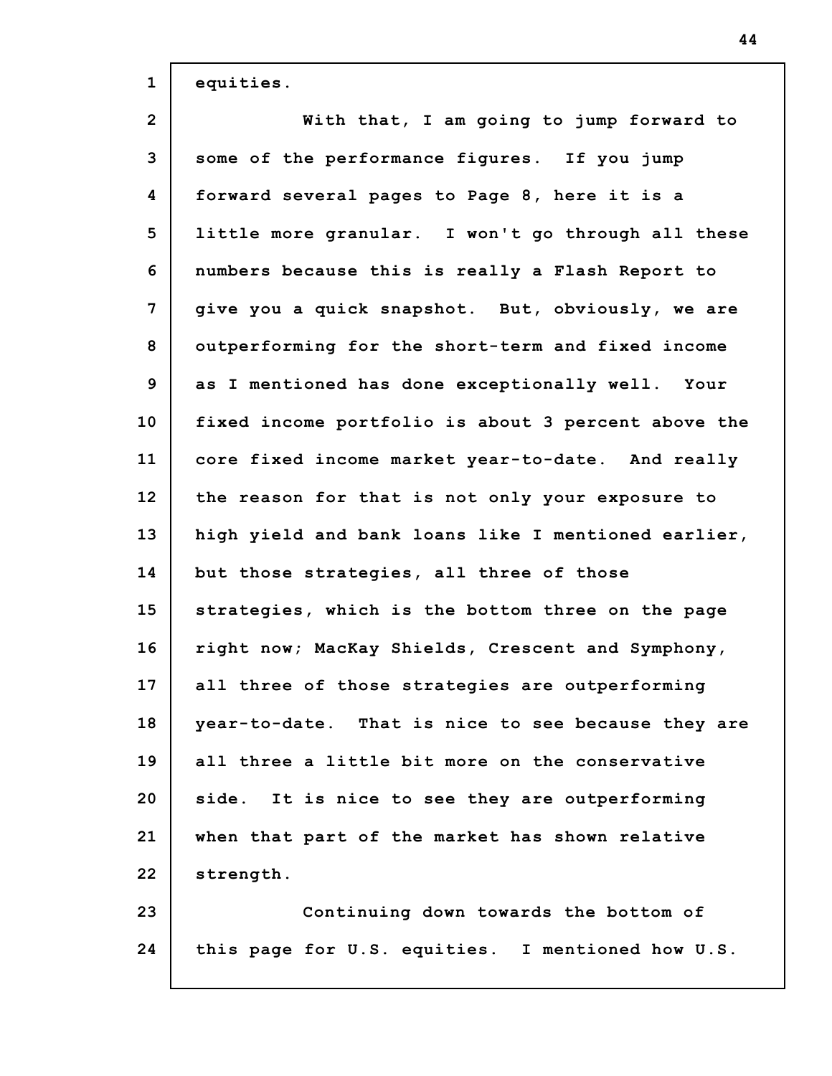| $\mathbf{1}$   | equities.                                           |
|----------------|-----------------------------------------------------|
| $\overline{2}$ | With that, I am going to jump forward to            |
| 3              | some of the performance figures. If you jump        |
| 4              | forward several pages to Page 8, here it is a       |
| 5              | little more granular. I won't go through all these  |
| 6              | numbers because this is really a Flash Report to    |
| 7              | give you a quick snapshot. But, obviously, we are   |
| 8              | outperforming for the short-term and fixed income   |
| 9              | as I mentioned has done exceptionally well. Your    |
| 10             | fixed income portfolio is about 3 percent above the |
| 11             | core fixed income market year-to-date. And really   |
| 12             | the reason for that is not only your exposure to    |
| 13             | high yield and bank loans like I mentioned earlier, |
| 14             | but those strategies, all three of those            |
| 15             | strategies, which is the bottom three on the page   |
| 16             | right now; MacKay Shields, Crescent and Symphony,   |
| 17             | all three of those strategies are outperforming     |
| 18             | year-to-date. That is nice to see because they are  |
| 19             | all three a little bit more on the conservative     |
| 20             | side. It is nice to see they are outperforming      |
| 21             | when that part of the market has shown relative     |
| 22             | strength.                                           |
| 23             | Continuing down towards the bottom of               |
| 24             | this page for U.S. equities. I mentioned how U.S.   |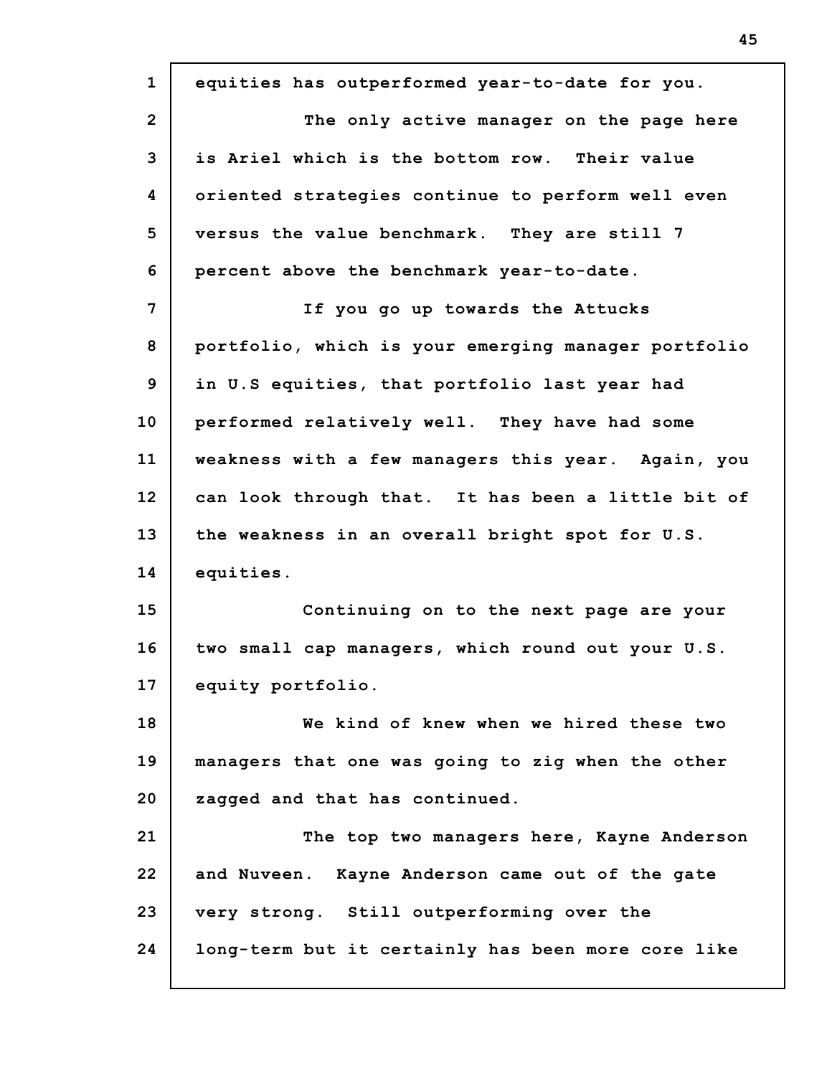| $\mathbf{1}$   | equities has outperformed year-to-date for you.     |
|----------------|-----------------------------------------------------|
| $\overline{2}$ | The only active manager on the page here            |
| 3              | is Ariel which is the bottom row. Their value       |
| 4              | oriented strategies continue to perform well even   |
| 5              | versus the value benchmark. They are still 7        |
| 6              | percent above the benchmark year-to-date.           |
| 7              | If you go up towards the Attucks                    |
| 8              | portfolio, which is your emerging manager portfolio |
| 9              | in U.S equities, that portfolio last year had       |
| 10             | performed relatively well. They have had some       |
| 11             | weakness with a few managers this year. Again, you  |
| 12             | can look through that. It has been a little bit of  |
| 13             | the weakness in an overall bright spot for U.S.     |
| 14             | equities.                                           |
| 15             | Continuing on to the next page are your             |
| 16             | two small cap managers, which round out your U.S.   |
| 17             | equity portfolio.                                   |
| 18             | We kind of knew when we hired these two             |
| 19             | managers that one was going to zig when the other   |
| 20             | zagged and that has continued.                      |
| 21             | The top two managers here, Kayne Anderson           |
| 22             | and Nuveen. Kayne Anderson came out of the gate     |
| 23             | very strong. Still outperforming over the           |
| 24             | long-term but it certainly has been more core like  |
|                |                                                     |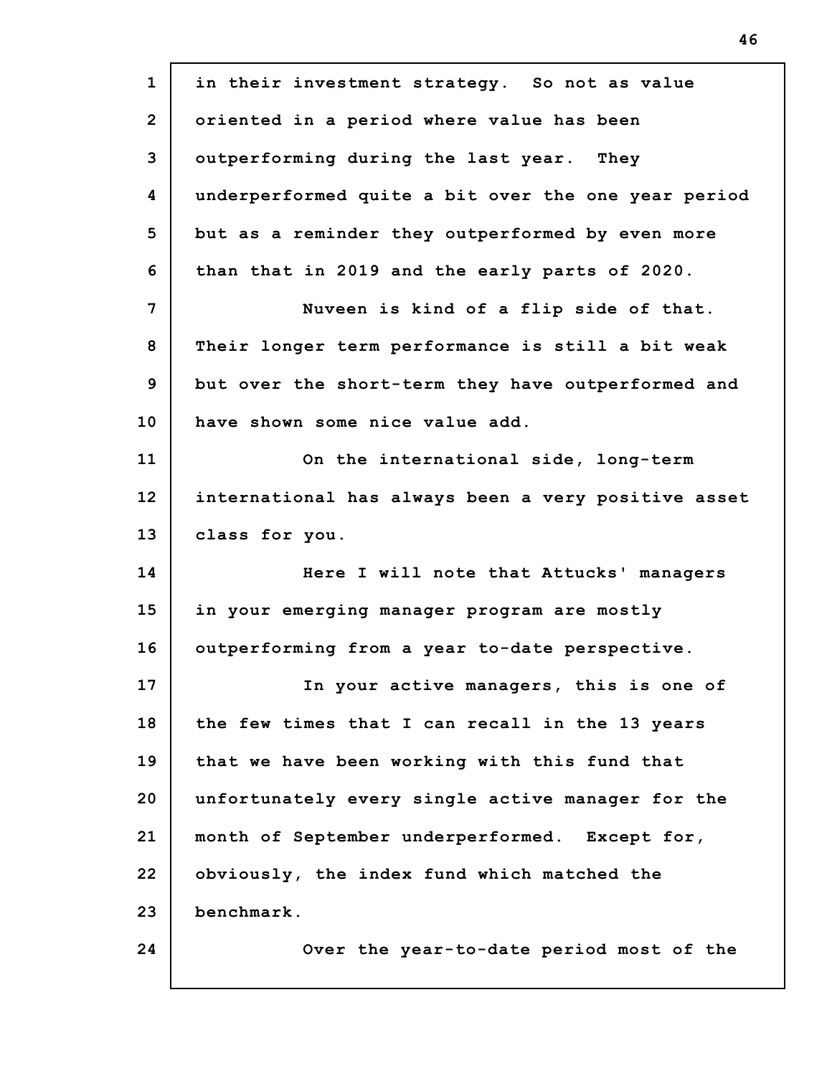| $\mathbf{1}$   | in their investment strategy. So not as value       |
|----------------|-----------------------------------------------------|
| $\overline{2}$ | oriented in a period where value has been           |
| 3              | outperforming during the last year. They            |
| 4              | underperformed quite a bit over the one year period |
| 5              | but as a reminder they outperformed by even more    |
| 6              | than that in 2019 and the early parts of 2020.      |
| 7              | Nuveen is kind of a flip side of that.              |
| 8              | Their longer term performance is still a bit weak   |
| 9              | but over the short-term they have outperformed and  |
| 10             | have shown some nice value add.                     |
| 11             | On the international side, long-term                |
| 12             | international has always been a very positive asset |
| 13             | class for you.                                      |
| 14             | Here I will note that Attucks' managers             |
| 15             | in your emerging manager program are mostly         |
| 16             | outperforming from a year to-date perspective.      |
| 17             | In your active managers, this is one of             |
| 18             | the few times that I can recall in the 13 years     |
| 19             | that we have been working with this fund that       |
| 20             | unfortunately every single active manager for the   |
| 21             | month of September underperformed. Except for,      |
| 22             | obviously, the index fund which matched the         |
| 23             | benchmark.                                          |
| 24             | Over the year-to-date period most of the            |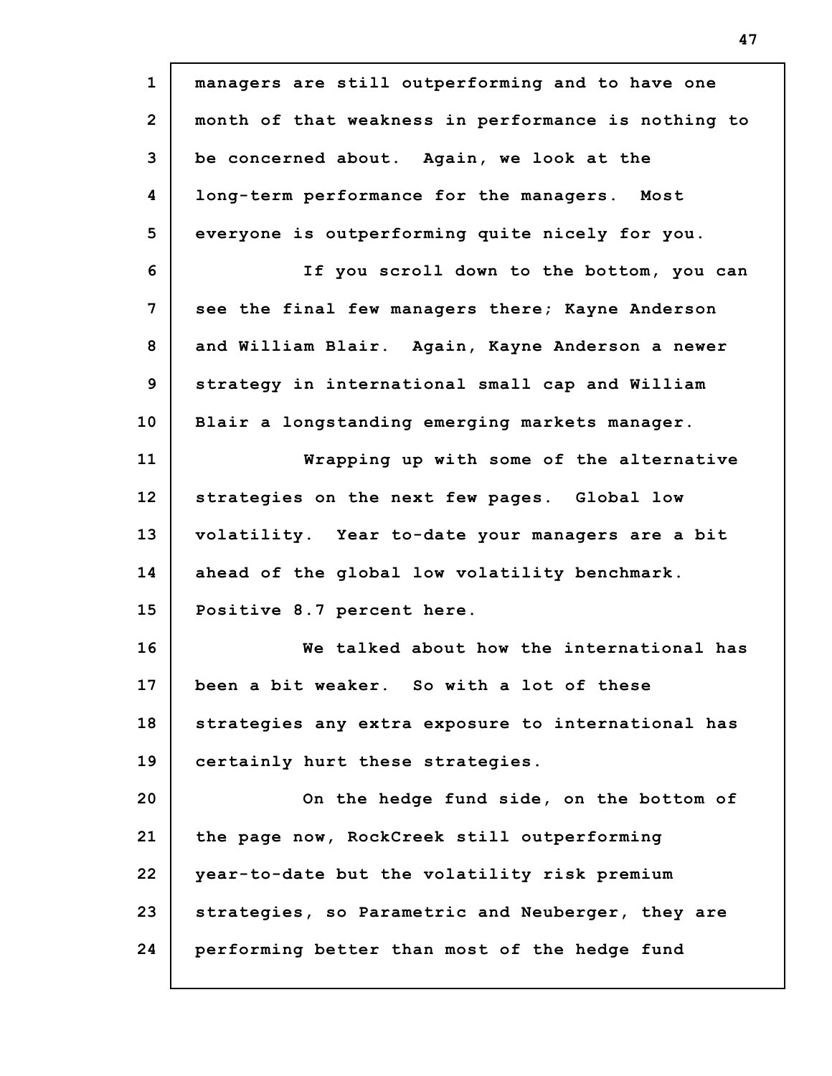| $\mathbf{1}$   | managers are still outperforming and to have one    |
|----------------|-----------------------------------------------------|
| $\overline{2}$ | month of that weakness in performance is nothing to |
| 3              | be concerned about. Again, we look at the           |
| 4              | long-term performance for the managers. Most        |
| 5              | everyone is outperforming quite nicely for you.     |
| 6              | If you scroll down to the bottom, you can           |
| 7              | see the final few managers there; Kayne Anderson    |
| 8              | and William Blair. Again, Kayne Anderson a newer    |
| 9              | strategy in international small cap and William     |
| 10             | Blair a longstanding emerging markets manager.      |
| 11             | Wrapping up with some of the alternative            |
| 12             | strategies on the next few pages. Global low        |
| 13             | volatility. Year to-date your managers are a bit    |
| 14             | ahead of the global low volatility benchmark.       |
| 15             | Positive 8.7 percent here.                          |
| 16             | We talked about how the international has           |
| 17             | been a bit weaker. So with a lot of these           |
| 18             | strategies any extra exposure to international has  |
| 19             | certainly hurt these strategies.                    |
| 20             | On the hedge fund side, on the bottom of            |
| 21             | the page now, RockCreek still outperforming         |
| 22             | year-to-date but the volatility risk premium        |
| 23             |                                                     |
|                | strategies, so Parametric and Neuberger, they are   |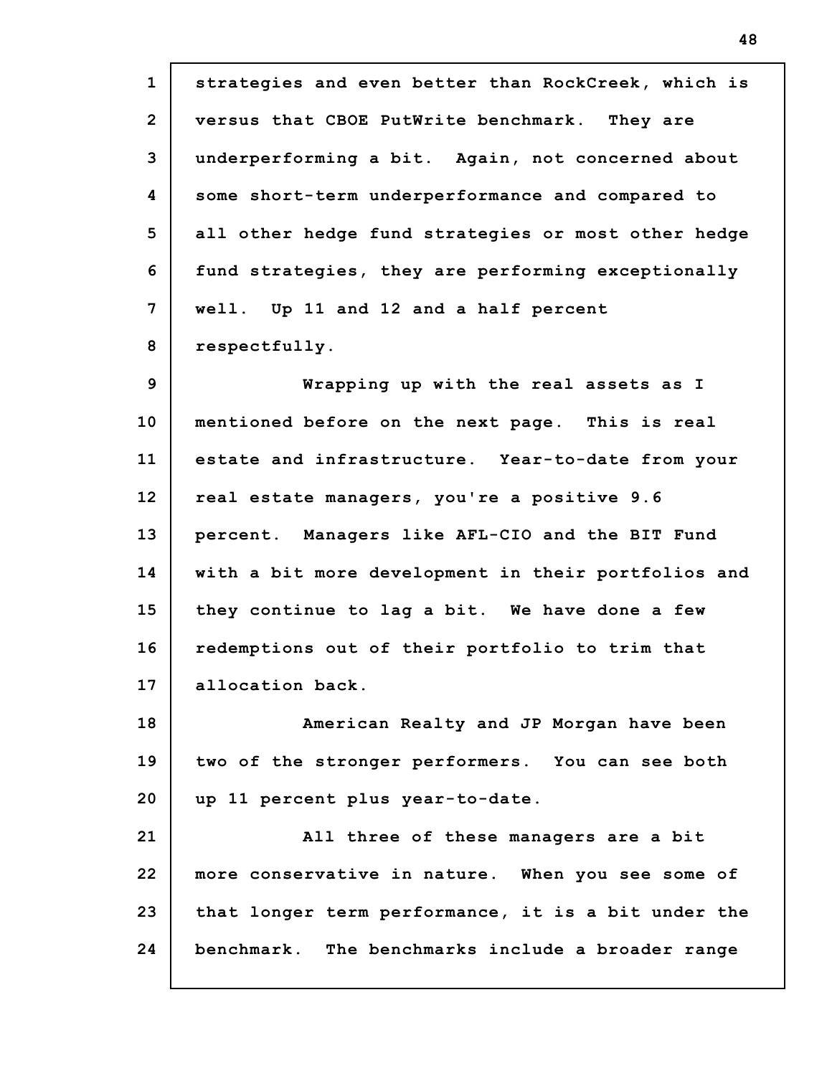**1 2 3 4 5 6 7 8 9 10 11 12 13 14 15 16 17 18 19 20 21 22 23 24 strategies and even better than RockCreek, which is versus that CBOE PutWrite benchmark. They are underperforming a bit. Again, not concerned about some short-term underperformance and compared to all other hedge fund strategies or most other hedge fund strategies, they are performing exceptionally well. Up 11 and 12 and a half percent respectfully. Wrapping up with the real assets as I mentioned before on the next page. This is real estate and infrastructure. Year-to-date from your real estate managers, you're a positive 9.6 percent. Managers like AFL-CIO and the BIT Fund with a bit more development in their portfolios and they continue to lag a bit. We have done a few redemptions out of their portfolio to trim that allocation back. American Realty and JP Morgan have been two of the stronger performers. You can see both up 11 percent plus year-to-date. All three of these managers are a bit more conservative in nature. When you see some of that longer term performance, it is a bit under the benchmark. The benchmarks include a broader range**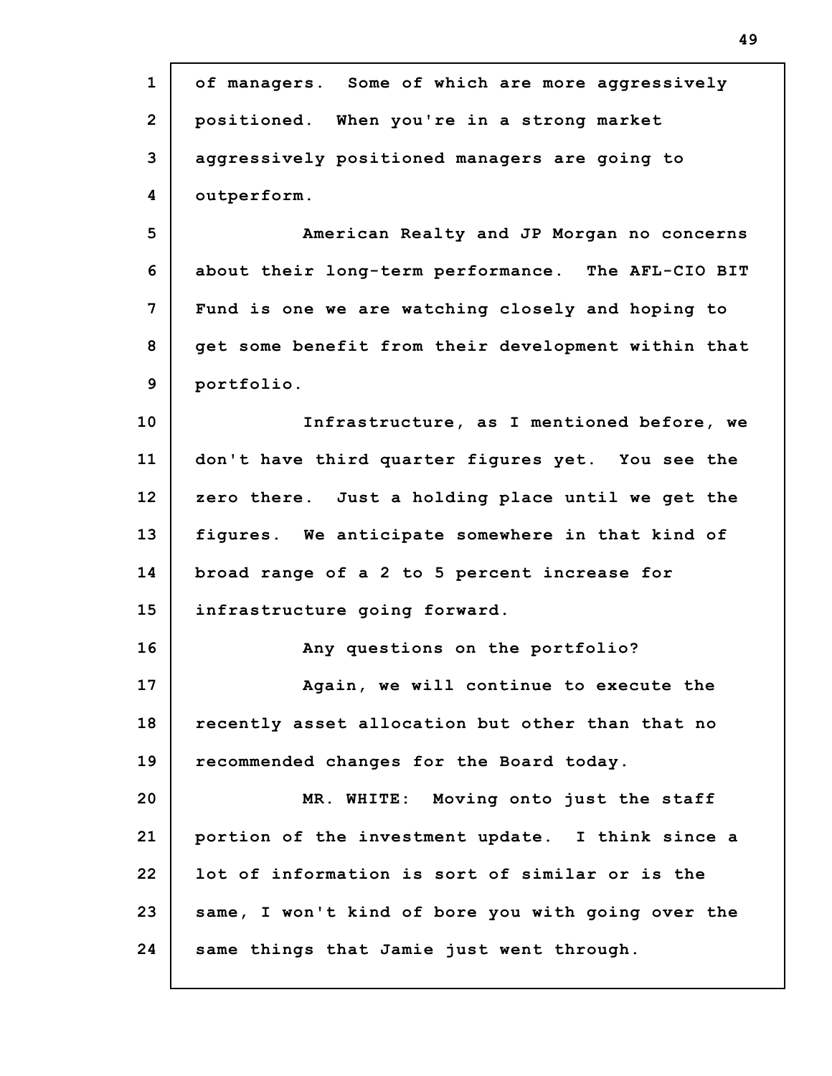| $\mathbf{1}$   | of managers. Some of which are more aggressively    |
|----------------|-----------------------------------------------------|
| $\overline{2}$ | positioned. When you're in a strong market          |
| 3              | aggressively positioned managers are going to       |
| 4              | outperform.                                         |
| 5              | American Realty and JP Morgan no concerns           |
| 6              | about their long-term performance. The AFL-CIO BIT  |
| 7              | Fund is one we are watching closely and hoping to   |
| 8              | get some benefit from their development within that |
| 9              | portfolio.                                          |
| 10             | Infrastructure, as I mentioned before, we           |
| 11             | don't have third quarter figures yet. You see the   |
| 12             | zero there. Just a holding place until we get the   |
| 13             | figures. We anticipate somewhere in that kind of    |
| 14             | broad range of a 2 to 5 percent increase for        |
| 15             | infrastructure going forward.                       |
| 16             | Any questions on the portfolio?                     |
| 17             | Again, we will continue to execute the              |
| 18             | recently asset allocation but other than that no    |
| 19             | recommended changes for the Board today.            |
| 20             | Moving onto just the staff<br>MR. WHITE:            |
| 21             | portion of the investment update. I think since a   |
| 22             | lot of information is sort of similar or is the     |
| 23             | same, I won't kind of bore you with going over the  |
| 24             | same things that Jamie just went through.           |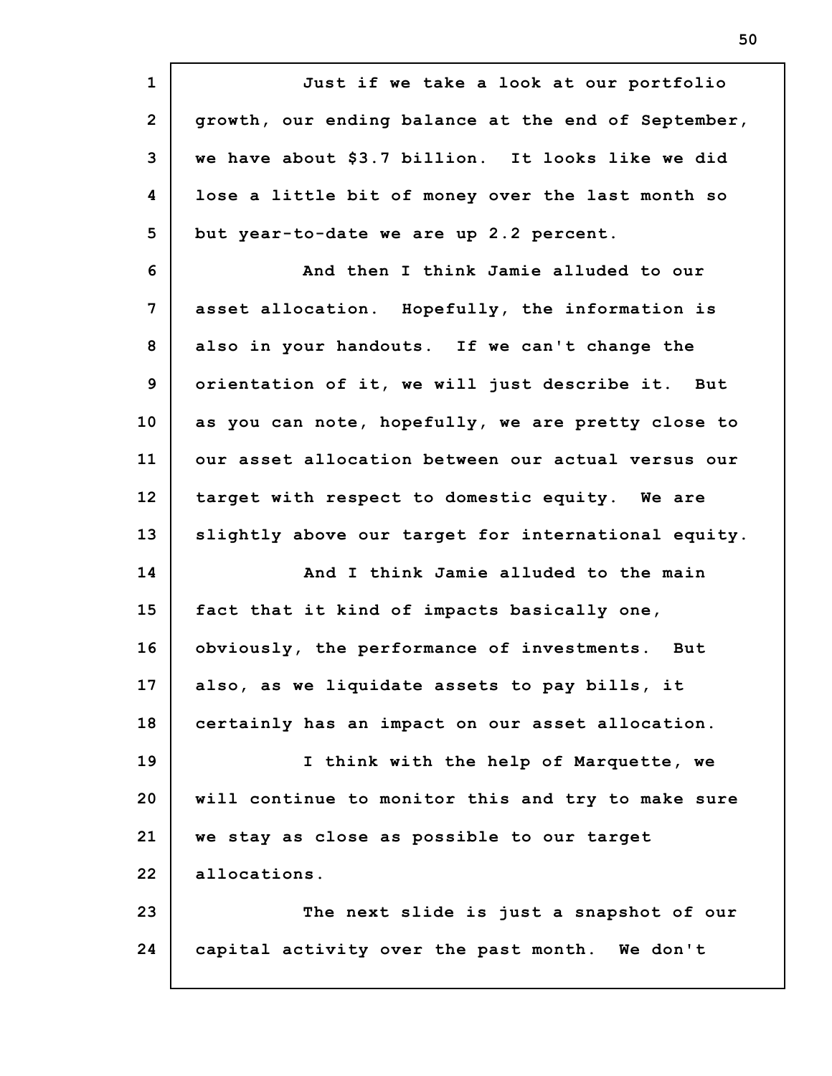**1 2 3 4 5 6 7 8 9 10 11 12 13 14 15 16 17 18 19 20 21 22 23 24 Just if we take a look at our portfolio growth, our ending balance at the end of September, we have about \$3.7 billion. It looks like we did lose a little bit of money over the last month so but year-to-date we are up 2.2 percent. And then I think Jamie alluded to our asset allocation. Hopefully, the information is also in your handouts. If we can't change the orientation of it, we will just describe it. But as you can note, hopefully, we are pretty close to our asset allocation between our actual versus our target with respect to domestic equity. We are slightly above our target for international equity. And I think Jamie alluded to the main fact that it kind of impacts basically one, obviously, the performance of investments. But also, as we liquidate assets to pay bills, it certainly has an impact on our asset allocation. I think with the help of Marquette, we will continue to monitor this and try to make sure we stay as close as possible to our target allocations. The next slide is just a snapshot of our capital activity over the past month. We don't**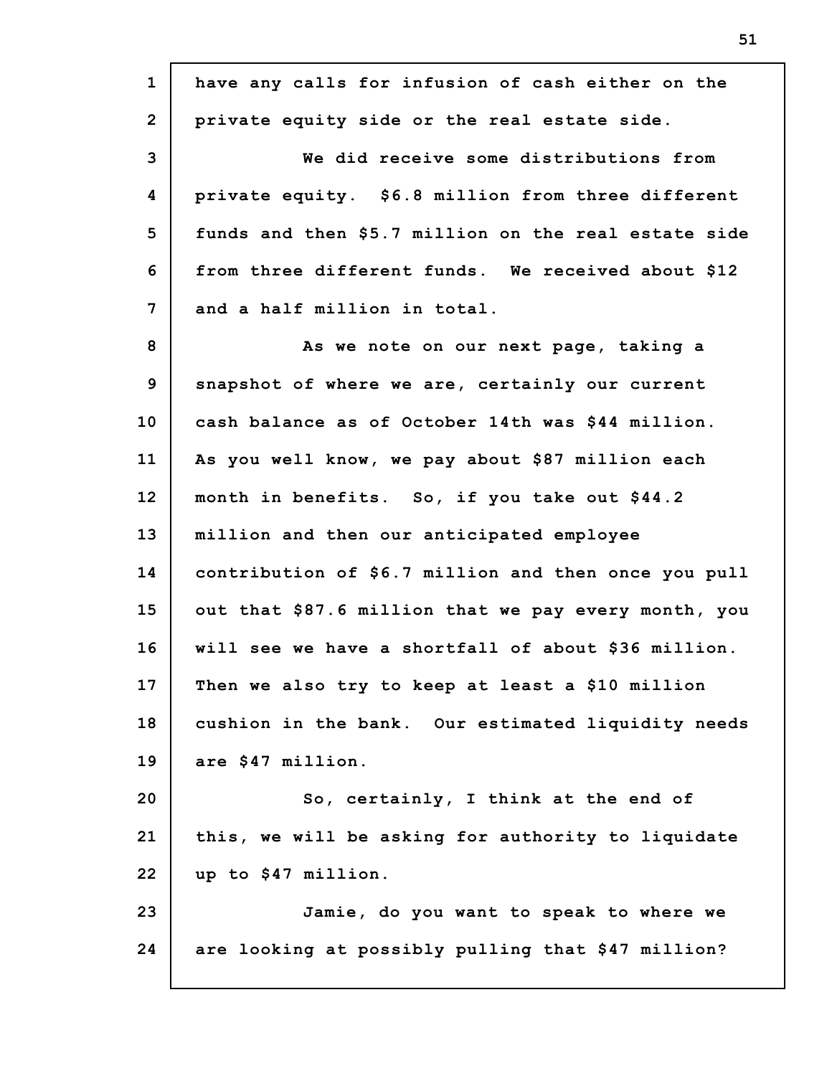| $\mathbf{1}$   | have any calls for infusion of cash either on the    |
|----------------|------------------------------------------------------|
| $\overline{2}$ | private equity side or the real estate side.         |
| 3              | We did receive some distributions from               |
| 4              | private equity. \$6.8 million from three different   |
| 5              | funds and then \$5.7 million on the real estate side |
| 6              | from three different funds. We received about \$12   |
| 7              | and a half million in total.                         |
| 8              | As we note on our next page, taking a                |
| 9              | snapshot of where we are, certainly our current      |
| 10             | cash balance as of October 14th was \$44 million.    |
| 11             | As you well know, we pay about \$87 million each     |
| 12             | month in benefits. So, if you take out \$44.2        |
| 13             | million and then our anticipated employee            |
| 14             | contribution of \$6.7 million and then once you pull |
| 15             | out that \$87.6 million that we pay every month, you |
| 16             | will see we have a shortfall of about \$36 million.  |
| 17             | Then we also try to keep at least a \$10 million     |
| 18             | cushion in the bank. Our estimated liquidity needs   |
| 19             | are \$47 million.                                    |
| 20             | So, certainly, I think at the end of                 |
| 21             | this, we will be asking for authority to liquidate   |
| 22             | up to \$47 million.                                  |
| 23             | Jamie, do you want to speak to where we              |
| 24             | are looking at possibly pulling that \$47 million?   |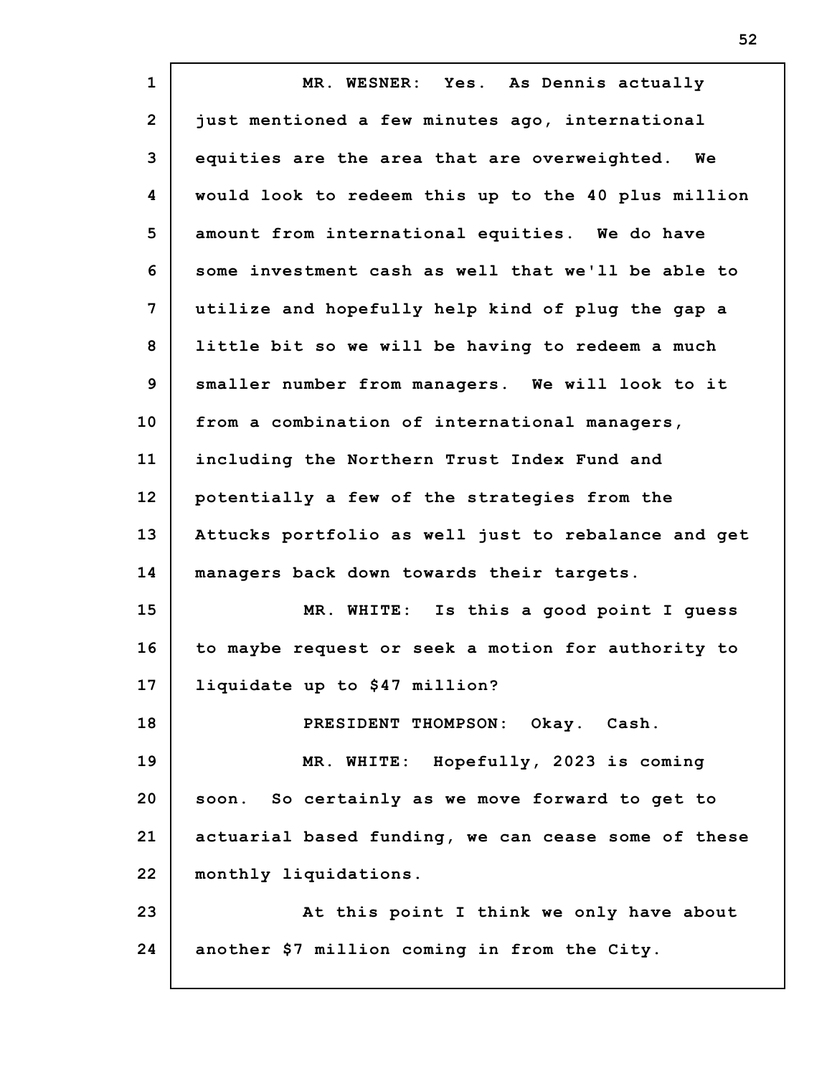| $\mathbf{1}$   | MR. WESNER: Yes. As Dennis actually                 |
|----------------|-----------------------------------------------------|
| $\overline{2}$ | just mentioned a few minutes ago, international     |
| 3              | equities are the area that are overweighted. We     |
| 4              | would look to redeem this up to the 40 plus million |
| 5              | amount from international equities. We do have      |
| 6              | some investment cash as well that we'll be able to  |
| 7              | utilize and hopefully help kind of plug the gap a   |
| 8              | little bit so we will be having to redeem a much    |
| 9              | smaller number from managers. We will look to it    |
| 10             | from a combination of international managers,       |
| 11             | including the Northern Trust Index Fund and         |
| 12             | potentially a few of the strategies from the        |
| 13             | Attucks portfolio as well just to rebalance and get |
| 14             | managers back down towards their targets.           |
| 15             | Is this a good point I guess<br>MR. WHITE:          |
| 16             | to maybe request or seek a motion for authority to  |
| 17             | liquidate up to \$47 million?                       |
| 18             | PRESIDENT THOMPSON: Okay. Cash.                     |
| 19             | MR. WHITE: Hopefully, 2023 is coming                |
| 20             | soon. So certainly as we move forward to get to     |
| 21             | actuarial based funding, we can cease some of these |
| 22             | monthly liquidations.                               |
| 23             | At this point I think we only have about            |
| 24             | another \$7 million coming in from the City.        |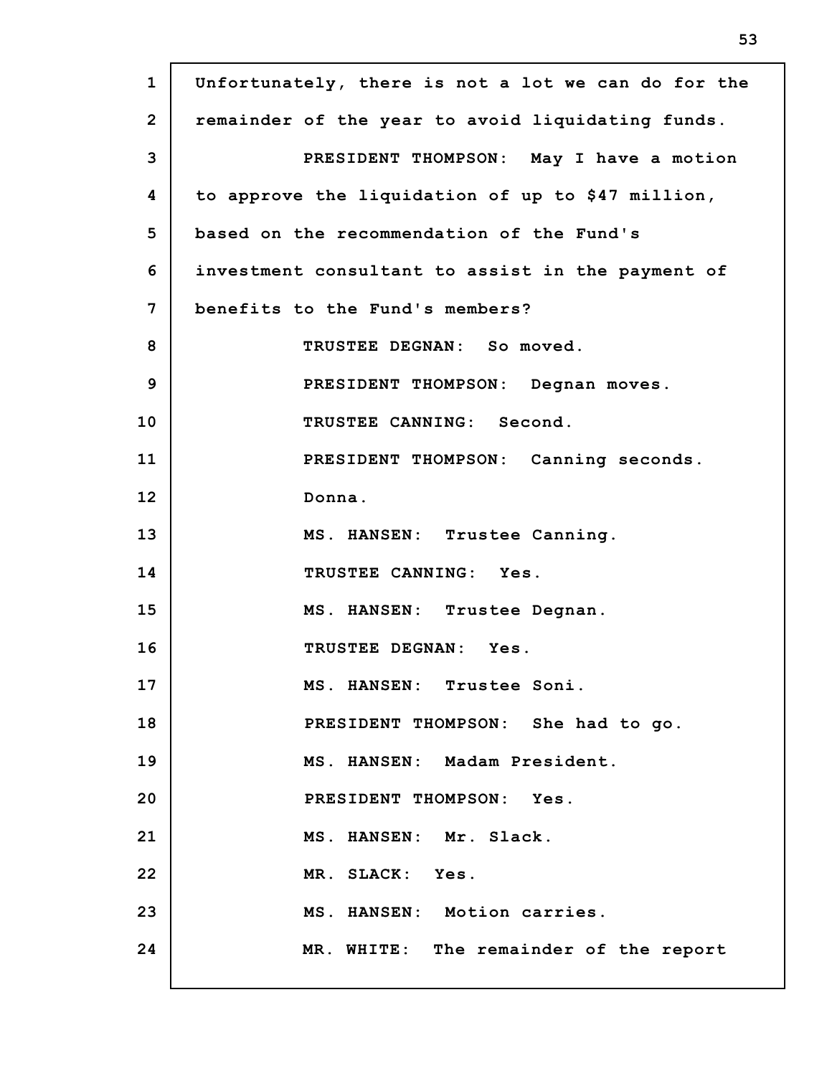| $\mathbf{1}$   | Unfortunately, there is not a lot we can do for the |
|----------------|-----------------------------------------------------|
| $\overline{2}$ | remainder of the year to avoid liquidating funds.   |
| 3              | PRESIDENT THOMPSON: May I have a motion             |
| 4              | to approve the liquidation of up to \$47 million,   |
| 5              | based on the recommendation of the Fund's           |
| 6              | investment consultant to assist in the payment of   |
| 7              | benefits to the Fund's members?                     |
| 8              | TRUSTEE DEGNAN: So moved.                           |
| 9              | PRESIDENT THOMPSON: Degnan moves.                   |
| 10             | TRUSTEE CANNING: Second.                            |
| 11             | PRESIDENT THOMPSON: Canning seconds.                |
| 12             | Donna.                                              |
| 13             | MS. HANSEN: Trustee Canning.                        |
| 14             | TRUSTEE CANNING: Yes.                               |
| 15             | MS. HANSEN: Trustee Degnan.                         |
| 16             | TRUSTEE DEGNAN: Yes.                                |
| 17             | MS. HANSEN: Trustee Soni.                           |
| 18             | PRESIDENT THOMPSON: She had to go.                  |
| 19             | MS. HANSEN: Madam President.                        |
| 20             | PRESIDENT THOMPSON: Yes.                            |
| 21             | MS. HANSEN: Mr. Slack.                              |
| 22             | MR. SLACK: Yes.                                     |
| 23             | MS. HANSEN: Motion carries.                         |
| 24             | MR. WHITE: The remainder of the report              |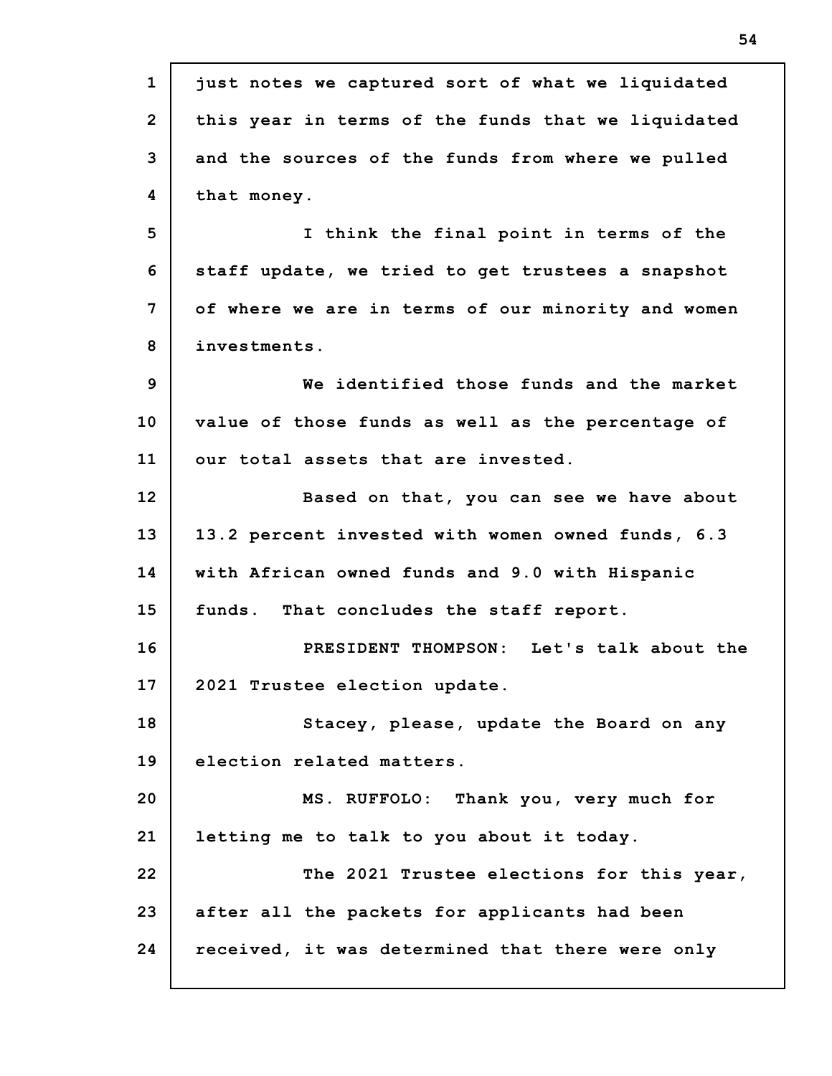**1 2 3 4 5 6 7 8 9 10 11 12 13 14 15 16 17 18 19 20 21 22 23 24 just notes we captured sort of what we liquidated this year in terms of the funds that we liquidated and the sources of the funds from where we pulled that money. I think the final point in terms of the staff update, we tried to get trustees a snapshot of where we are in terms of our minority and women investments. We identified those funds and the market value of those funds as well as the percentage of our total assets that are invested. Based on that, you can see we have about 13.2 percent invested with women owned funds, 6.3 with African owned funds and 9.0 with Hispanic funds. That concludes the staff report. PRESIDENT THOMPSON: Let's talk about the 2021 Trustee election update. Stacey, please, update the Board on any election related matters. MS. RUFFOLO: Thank you, very much for letting me to talk to you about it today. The 2021 Trustee elections for this year, after all the packets for applicants had been received, it was determined that there were only**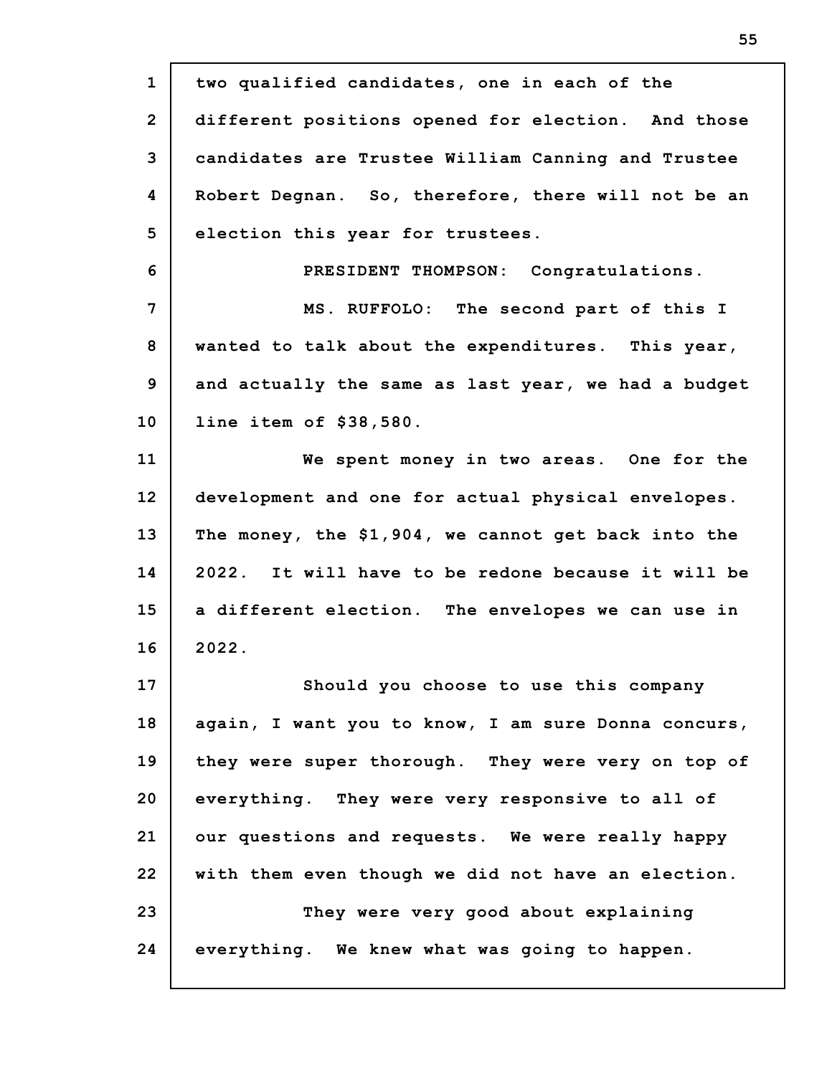| $\mathbf{1}$   | two qualified candidates, one in each of the        |
|----------------|-----------------------------------------------------|
| $\overline{2}$ | different positions opened for election. And those  |
| 3              | candidates are Trustee William Canning and Trustee  |
| 4              | Robert Degnan. So, therefore, there will not be an  |
| 5              | election this year for trustees.                    |
| 6              | PRESIDENT THOMPSON: Congratulations.                |
| 7              | MS. RUFFOLO: The second part of this I              |
| 8              | wanted to talk about the expenditures. This year,   |
| 9              | and actually the same as last year, we had a budget |
| 10             | line item of \$38,580.                              |
| 11             | We spent money in two areas. One for the            |
| 12             | development and one for actual physical envelopes.  |
| 13             | The money, the \$1,904, we cannot get back into the |
| 14             | 2022. It will have to be redone because it will be  |
| 15             | a different election. The envelopes we can use in   |
| 16             | 2022.                                               |
| 17             | Should you choose to use this company               |
| 18             | again, I want you to know, I am sure Donna concurs, |
| 19             | they were super thorough. They were very on top of  |
| 20             | everything. They were very responsive to all of     |
| 21             | our questions and requests. We were really happy    |
| 22             | with them even though we did not have an election.  |
| 23             | They were very good about explaining                |
| 24             | everything. We knew what was going to happen.       |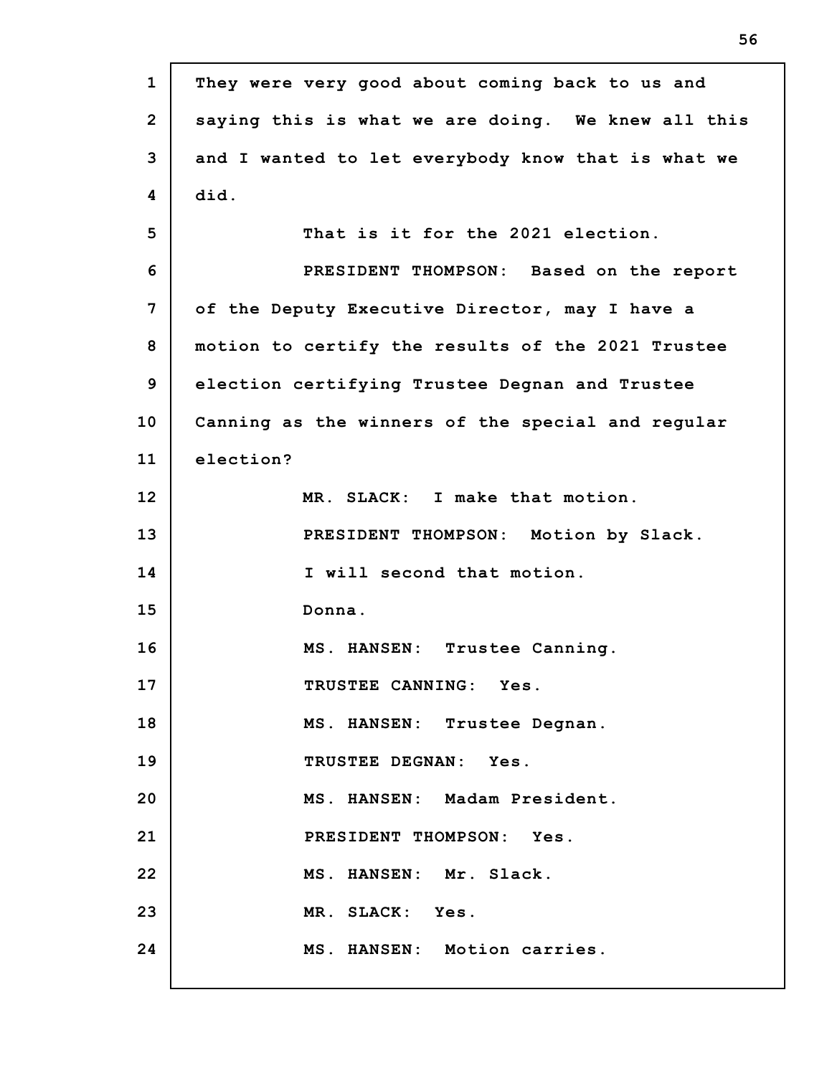| $\mathbf{1}$   | They were very good about coming back to us and    |
|----------------|----------------------------------------------------|
| $\overline{2}$ | saying this is what we are doing. We knew all this |
| 3              | and I wanted to let everybody know that is what we |
| 4              | did.                                               |
| 5              | That is it for the 2021 election.                  |
| 6              | PRESIDENT THOMPSON: Based on the report            |
| 7              | of the Deputy Executive Director, may I have a     |
| 8              | motion to certify the results of the 2021 Trustee  |
| 9              | election certifying Trustee Degnan and Trustee     |
| 10             | Canning as the winners of the special and regular  |
| 11             | election?                                          |
| 12             | MR. SLACK: I make that motion.                     |
| 13             | PRESIDENT THOMPSON: Motion by Slack.               |
| 14             | I will second that motion.                         |
| 15             | Donna.                                             |
| 16             | Trustee Canning.<br>MS. HANSEN:                    |
| 17             | TRUSTEE CANNING: Yes.                              |
| 18             | MS. HANSEN: Trustee Degnan.                        |
| 19             | TRUSTEE DEGNAN: Yes.                               |
| 20             | MS. HANSEN: Madam President.                       |
| 21             | PRESIDENT THOMPSON: Yes.                           |
| 22             | MS. HANSEN: Mr. Slack.                             |
| 23             | MR. SLACK: Yes.                                    |
| 24             | MS. HANSEN: Motion carries.                        |

П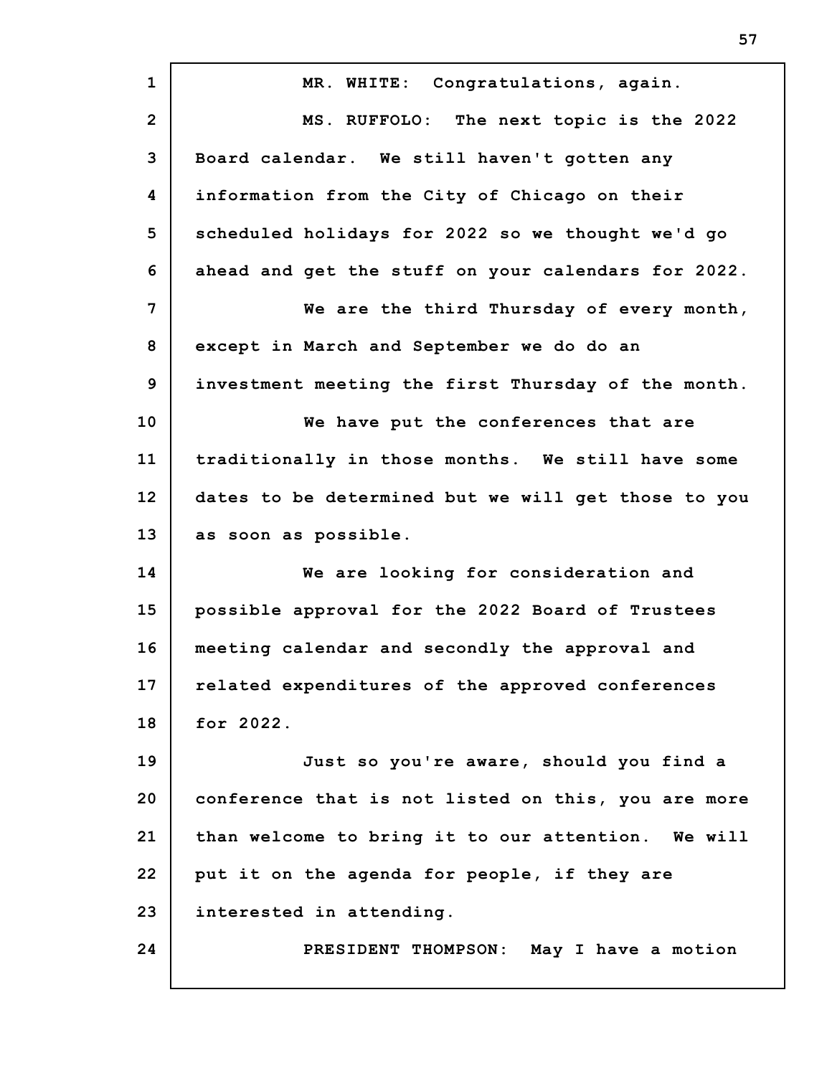| $\mathbf{1}$   | MR. WHITE: Congratulations, again.                  |
|----------------|-----------------------------------------------------|
| $\overline{2}$ | MS. RUFFOLO: The next topic is the 2022             |
| 3              | Board calendar. We still haven't gotten any         |
| 4              | information from the City of Chicago on their       |
| 5              | scheduled holidays for 2022 so we thought we'd go   |
| 6              | ahead and get the stuff on your calendars for 2022. |
| $\overline{7}$ | We are the third Thursday of every month,           |
| 8              | except in March and September we do do an           |
| 9              | investment meeting the first Thursday of the month. |
| 10             | We have put the conferences that are                |
| 11             | traditionally in those months. We still have some   |
| 12             | dates to be determined but we will get those to you |
| 13             | as soon as possible.                                |
| 14             | We are looking for consideration and                |
| 15             | possible approval for the 2022 Board of Trustees    |
| 16             | meeting calendar and secondly the approval and      |
| 17             | related expenditures of the approved conferences    |
| 18             | for 2022.                                           |
| 19             | Just so you're aware, should you find a             |
| 20             | conference that is not listed on this, you are more |
| 21             | than welcome to bring it to our attention. We will  |
| 22             | put it on the agenda for people, if they are        |
| 23             | interested in attending.                            |
| 24             | PRESIDENT THOMPSON: May I have a motion             |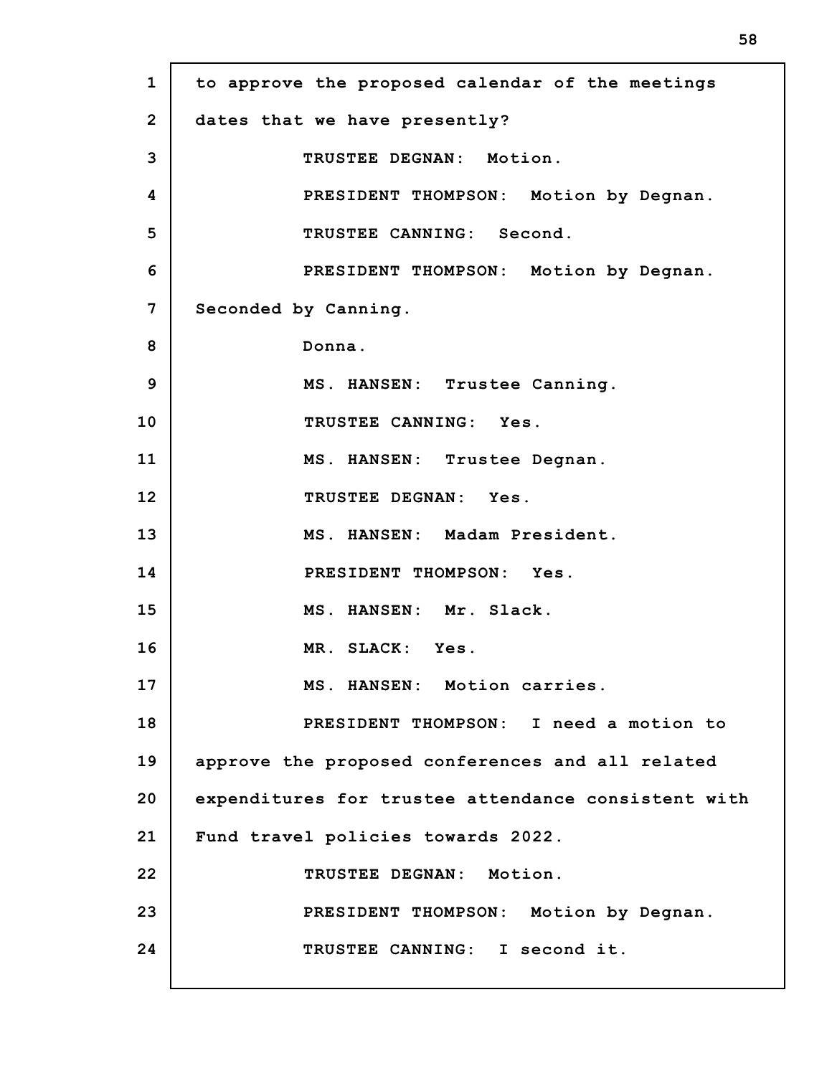**1 2 3 4 5 6 7 8 9 10 11 12 13 14 15 16 17 18 19 20 21 22 23 24 to approve the proposed calendar of the meetings dates that we have presently? TRUSTEE DEGNAN: Motion. PRESIDENT THOMPSON: Motion by Degnan. TRUSTEE CANNING: Second. PRESIDENT THOMPSON: Motion by Degnan. Seconded by Canning. Donna. MS. HANSEN: Trustee Canning. TRUSTEE CANNING: Yes. MS. HANSEN: Trustee Degnan. TRUSTEE DEGNAN: Yes. MS. HANSEN: Madam President. PRESIDENT THOMPSON: Yes. MS. HANSEN: Mr. Slack. MR. SLACK: Yes. MS. HANSEN: Motion carries. PRESIDENT THOMPSON: I need a motion to approve the proposed conferences and all related expenditures for trustee attendance consistent with Fund travel policies towards 2022. TRUSTEE DEGNAN: Motion. PRESIDENT THOMPSON: Motion by Degnan. TRUSTEE CANNING: I second it.**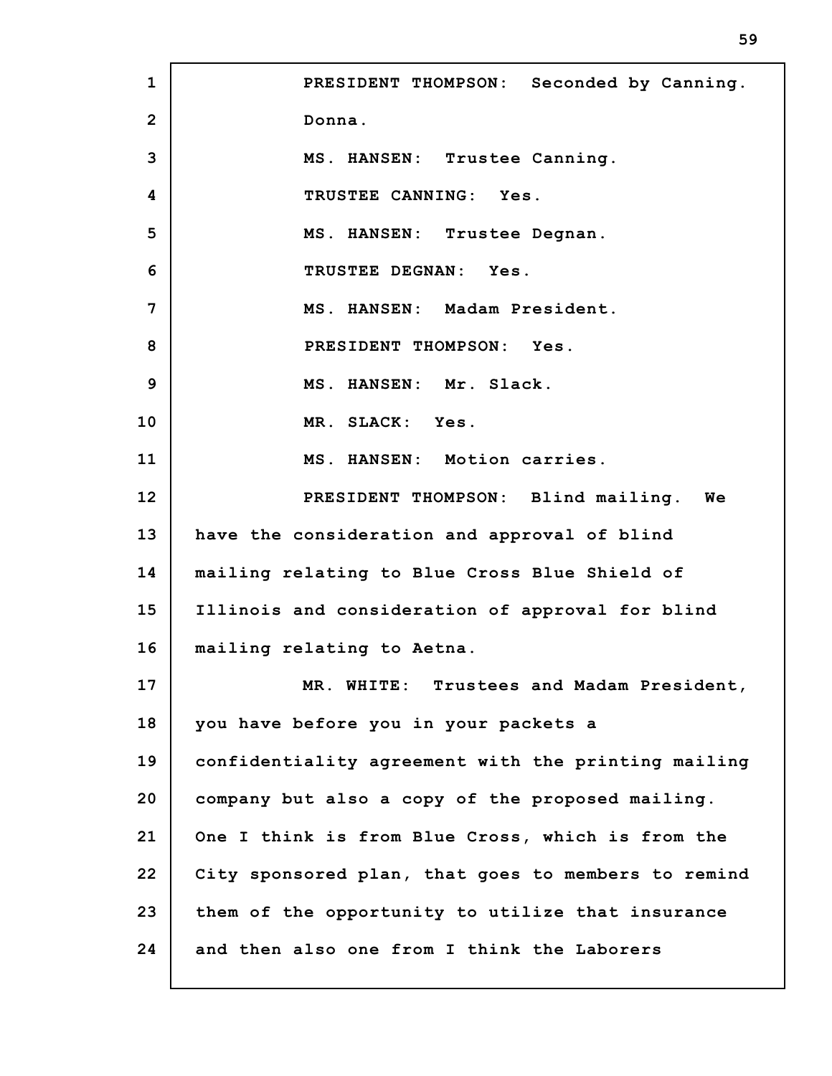**1 2 3 4 5 6 7 8 9 10 11 12 13 14 15 16 17 18 19 20 21 22 23 24 PRESIDENT THOMPSON: Seconded by Canning. Donna. MS. HANSEN: Trustee Canning. TRUSTEE CANNING: Yes. MS. HANSEN: Trustee Degnan. TRUSTEE DEGNAN: Yes. MS. HANSEN: Madam President. PRESIDENT THOMPSON: Yes. MS. HANSEN: Mr. Slack. MR. SLACK: Yes. MS. HANSEN: Motion carries. PRESIDENT THOMPSON: Blind mailing. We have the consideration and approval of blind mailing relating to Blue Cross Blue Shield of Illinois and consideration of approval for blind mailing relating to Aetna. MR. WHITE: Trustees and Madam President, you have before you in your packets a confidentiality agreement with the printing mailing company but also a copy of the proposed mailing. One I think is from Blue Cross, which is from the City sponsored plan, that goes to members to remind them of the opportunity to utilize that insurance and then also one from I think the Laborers**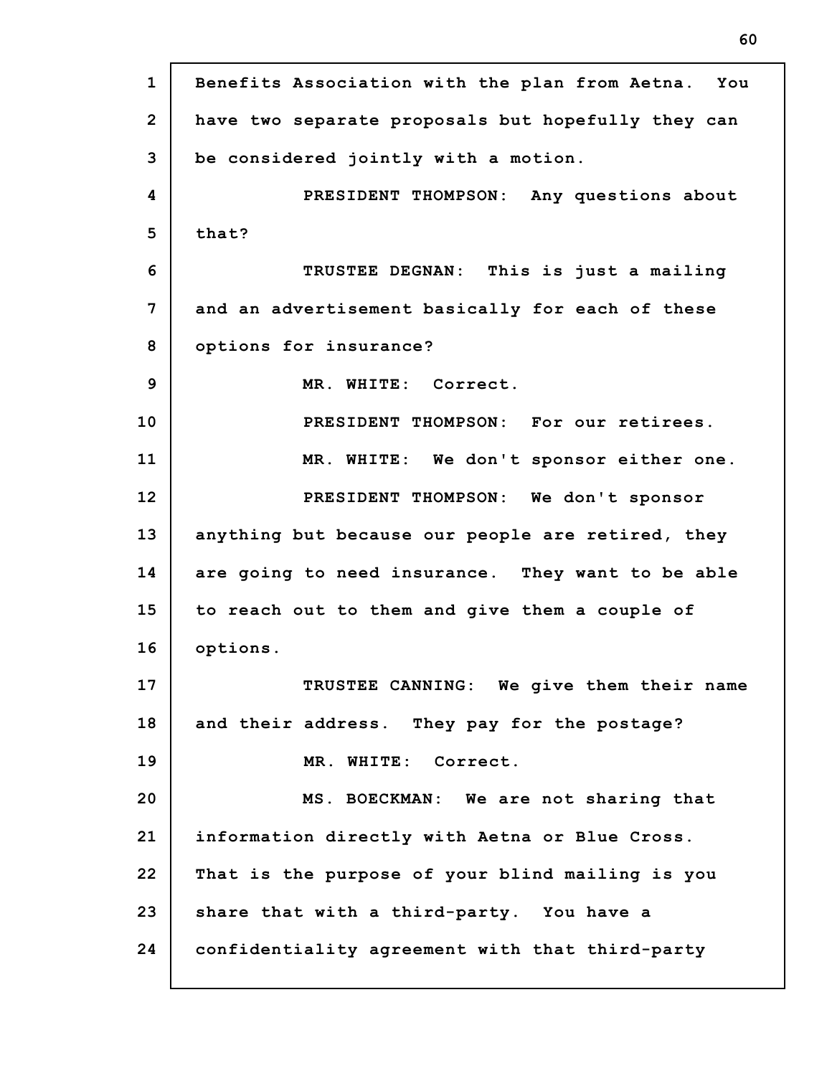**1 2 3 4 5 6 7 8 9 10 11 12 13 14 15 16 17 18 19 20 21 22 23 24 Benefits Association with the plan from Aetna. You have two separate proposals but hopefully they can be considered jointly with a motion. PRESIDENT THOMPSON: Any questions about that? TRUSTEE DEGNAN: This is just a mailing and an advertisement basically for each of these options for insurance? MR. WHITE: Correct. PRESIDENT THOMPSON: For our retirees. MR. WHITE: We don't sponsor either one. PRESIDENT THOMPSON: We don't sponsor anything but because our people are retired, they are going to need insurance. They want to be able to reach out to them and give them a couple of options. TRUSTEE CANNING: We give them their name and their address. They pay for the postage? MR. WHITE: Correct. MS. BOECKMAN: We are not sharing that information directly with Aetna or Blue Cross. That is the purpose of your blind mailing is you share that with a third-party. You have a confidentiality agreement with that third-party**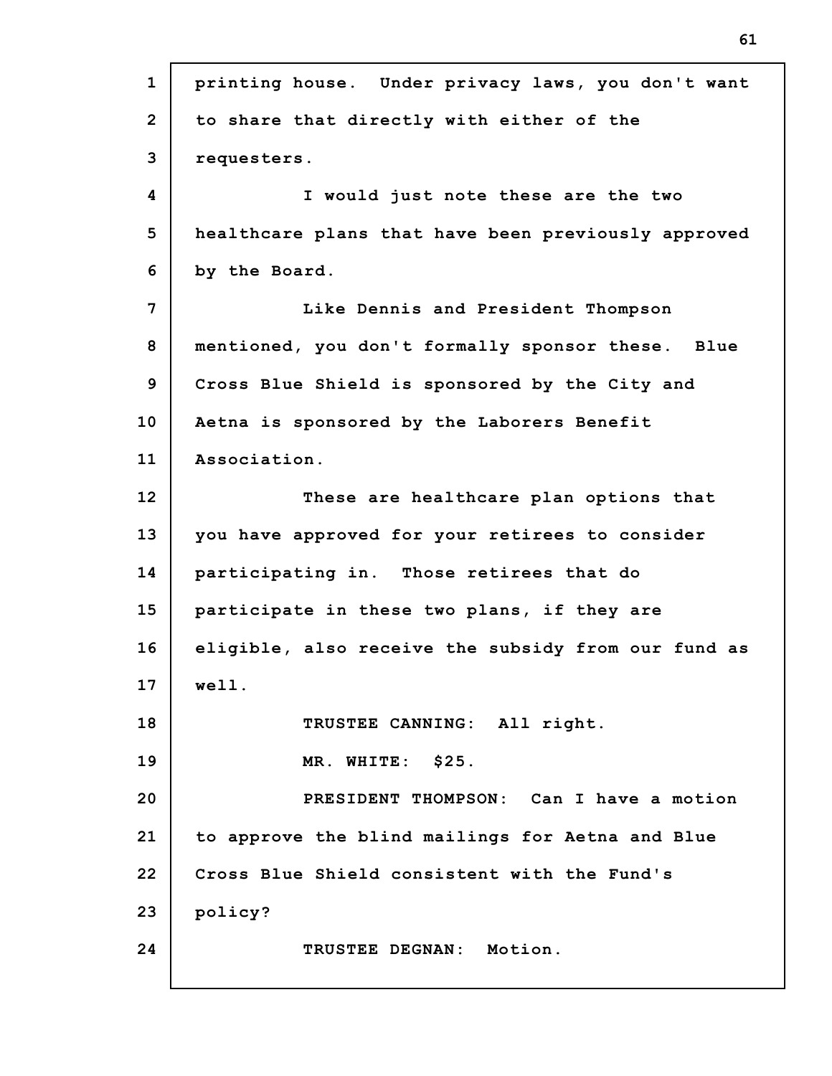| $\mathbf{1}$   | printing house. Under privacy laws, you don't want  |
|----------------|-----------------------------------------------------|
| $\overline{2}$ | to share that directly with either of the           |
| 3              | requesters.                                         |
| 4              | I would just note these are the two                 |
| 5              | healthcare plans that have been previously approved |
| 6              | by the Board.                                       |
| 7              | Like Dennis and President Thompson                  |
| 8              | mentioned, you don't formally sponsor these. Blue   |
| 9              | Cross Blue Shield is sponsored by the City and      |
| 10             | Aetna is sponsored by the Laborers Benefit          |
| 11             | Association.                                        |
| 12             | These are healthcare plan options that              |
| 13             | you have approved for your retirees to consider     |
| 14             | participating in. Those retirees that do            |
| 15             | participate in these two plans, if they are         |
| 16             | eligible, also receive the subsidy from our fund as |
| 17             | well.                                               |
| 18             | TRUSTEE CANNING: All right.                         |
| 19             | MR. WHITE: \$25.                                    |
| 20             | PRESIDENT THOMPSON: Can I have a motion             |
| 21             | to approve the blind mailings for Aetna and Blue    |
| 22             | Cross Blue Shield consistent with the Fund's        |
| 23             | policy?                                             |
| 24             | TRUSTEE DEGNAN: Motion.                             |
|                |                                                     |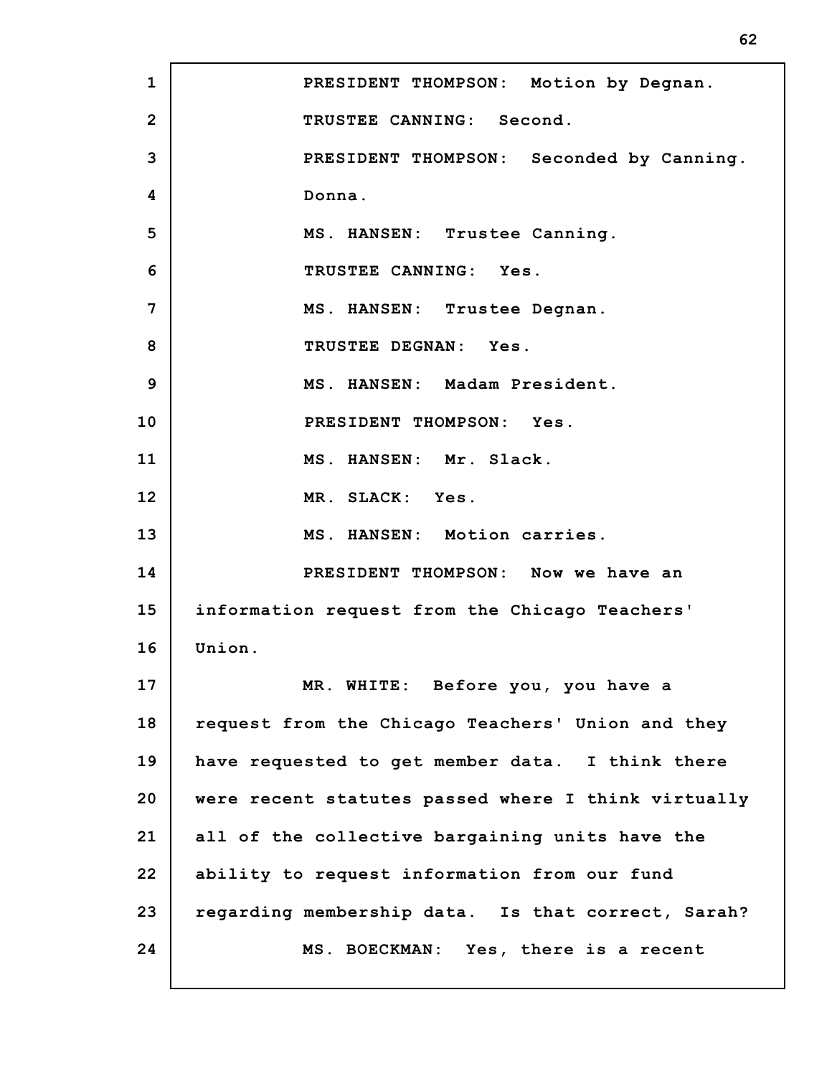**1 2 3 4 5 6 7 8 9 10 11 12 13 14 15 16 17 18 19 20 21 22 23 24 PRESIDENT THOMPSON: Motion by Degnan. TRUSTEE CANNING: Second. PRESIDENT THOMPSON: Seconded by Canning. Donna. MS. HANSEN: Trustee Canning. TRUSTEE CANNING: Yes. MS. HANSEN: Trustee Degnan. TRUSTEE DEGNAN: Yes. MS. HANSEN: Madam President. PRESIDENT THOMPSON: Yes. MS. HANSEN: Mr. Slack. MR. SLACK: Yes. MS. HANSEN: Motion carries. PRESIDENT THOMPSON: Now we have an information request from the Chicago Teachers' Union. MR. WHITE: Before you, you have a request from the Chicago Teachers' Union and they have requested to get member data. I think there were recent statutes passed where I think virtually all of the collective bargaining units have the ability to request information from our fund regarding membership data. Is that correct, Sarah? MS. BOECKMAN: Yes, there is a recent**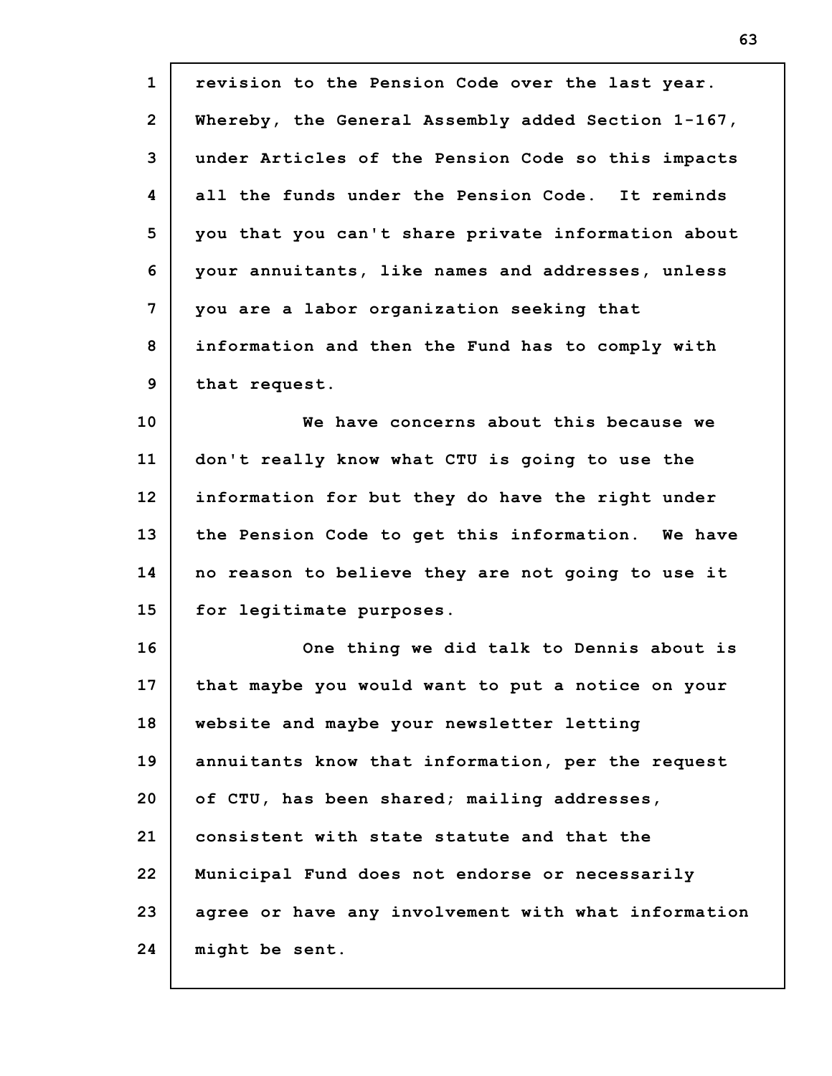| $\mathbf{1}$   | revision to the Pension Code over the last year.    |
|----------------|-----------------------------------------------------|
| $\overline{2}$ | Whereby, the General Assembly added Section 1-167,  |
| 3              | under Articles of the Pension Code so this impacts  |
| 4              | all the funds under the Pension Code. It reminds    |
| 5              | you that you can't share private information about  |
| 6              | your annuitants, like names and addresses, unless   |
| 7              | you are a labor organization seeking that           |
| 8              | information and then the Fund has to comply with    |
| 9              | that request.                                       |
| 10             | We have concerns about this because we              |
| 11             | don't really know what CTU is going to use the      |
| 12             | information for but they do have the right under    |
| 13             | the Pension Code to get this information. We have   |
| 14             | no reason to believe they are not going to use it   |
| 15             | for legitimate purposes.                            |
| 16             | One thing we did talk to Dennis about is            |
| 17             | that maybe you would want to put a notice on your   |
| 18             | website and maybe your newsletter letting           |
| 19             | annuitants know that information, per the request   |
| 20             | of CTU, has been shared; mailing addresses,         |
| 21             | consistent with state statute and that the          |
| 22             | Municipal Fund does not endorse or necessarily      |
| 23             | agree or have any involvement with what information |
| 24             | might be sent.                                      |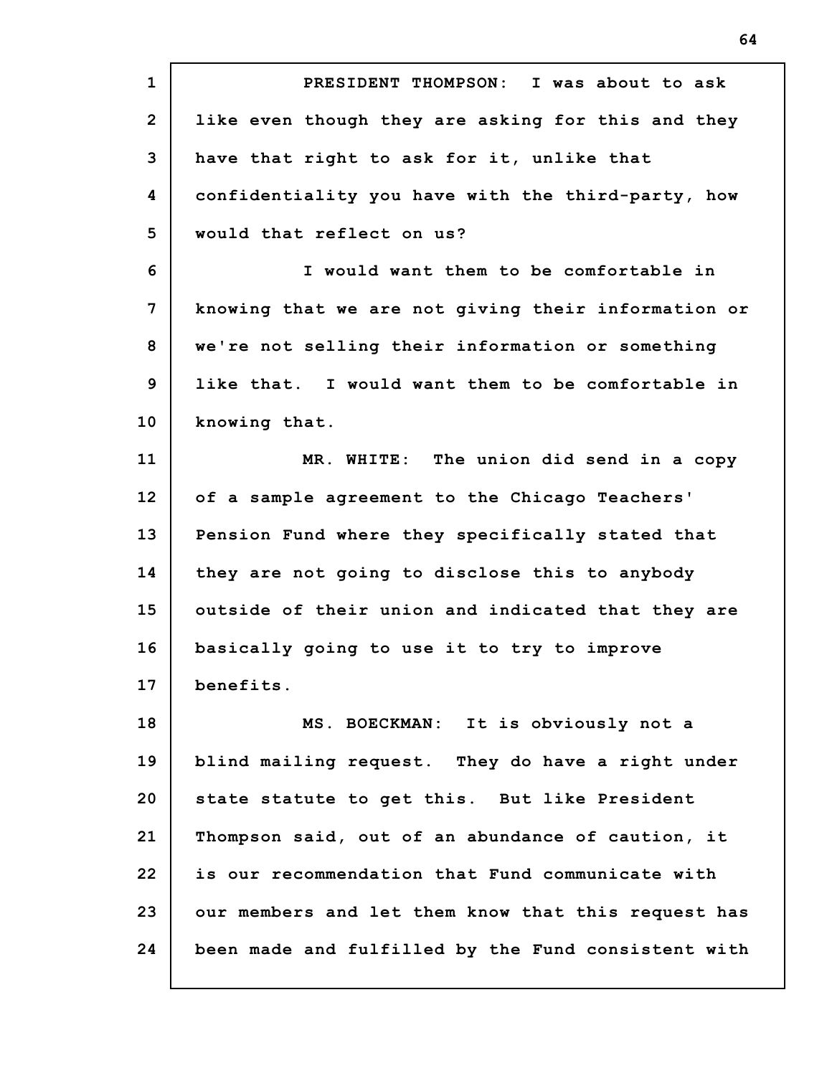**1 2 3 4 5 6 7 8 9 10 11 12 13 14 15 16 17 18 19 20 21 22 23 24 PRESIDENT THOMPSON: I was about to ask like even though they are asking for this and they have that right to ask for it, unlike that confidentiality you have with the third-party, how would that reflect on us? I would want them to be comfortable in knowing that we are not giving their information or we're not selling their information or something like that. I would want them to be comfortable in knowing that. MR. WHITE: The union did send in a copy of a sample agreement to the Chicago Teachers' Pension Fund where they specifically stated that they are not going to disclose this to anybody outside of their union and indicated that they are basically going to use it to try to improve benefits. MS. BOECKMAN: It is obviously not a blind mailing request. They do have a right under state statute to get this. But like President Thompson said, out of an abundance of caution, it is our recommendation that Fund communicate with our members and let them know that this request has been made and fulfilled by the Fund consistent with**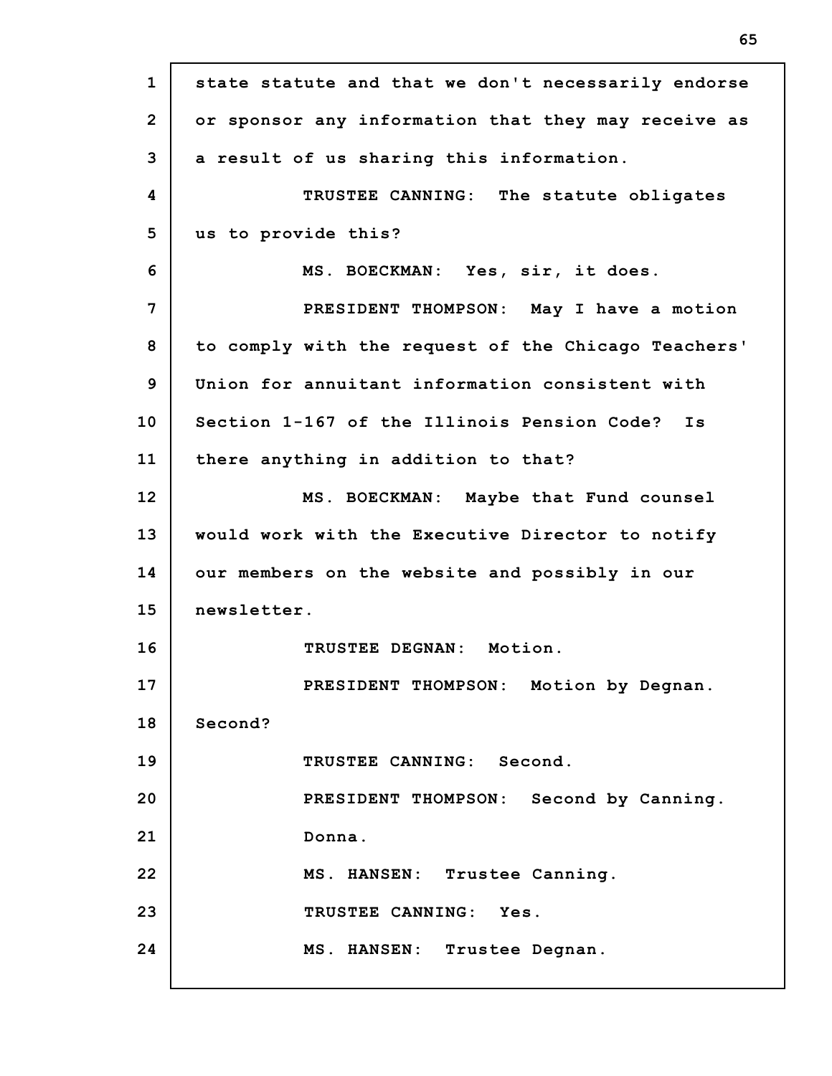| $\mathbf{1}$   | state statute and that we don't necessarily endorse |
|----------------|-----------------------------------------------------|
| $\overline{2}$ | or sponsor any information that they may receive as |
| 3              | a result of us sharing this information.            |
| 4              | TRUSTEE CANNING: The statute obligates              |
| 5              | us to provide this?                                 |
| 6              | MS. BOECKMAN: Yes, sir, it does.                    |
| 7              | PRESIDENT THOMPSON: May I have a motion             |
| 8              | to comply with the request of the Chicago Teachers' |
| 9              | Union for annuitant information consistent with     |
| 10             | Section 1-167 of the Illinois Pension Code? Is      |
| 11             | there anything in addition to that?                 |
| 12             | MS. BOECKMAN: Maybe that Fund counsel               |
| 13             | would work with the Executive Director to notify    |
| 14             | our members on the website and possibly in our      |
| 15             | newsletter.                                         |
| 16             | TRUSTEE DEGNAN: Motion.                             |
| 17             | PRESIDENT THOMPSON: Motion by Degnan.               |
| 18             | Second?                                             |
| 19             | TRUSTEE CANNING: Second.                            |
| 20             | PRESIDENT THOMPSON: Second by Canning.              |
| 21             | Donna.                                              |
| 22             | MS. HANSEN: Trustee Canning.                        |
| 23             | TRUSTEE CANNING: Yes.                               |
| 24             | MS. HANSEN: Trustee Degnan.                         |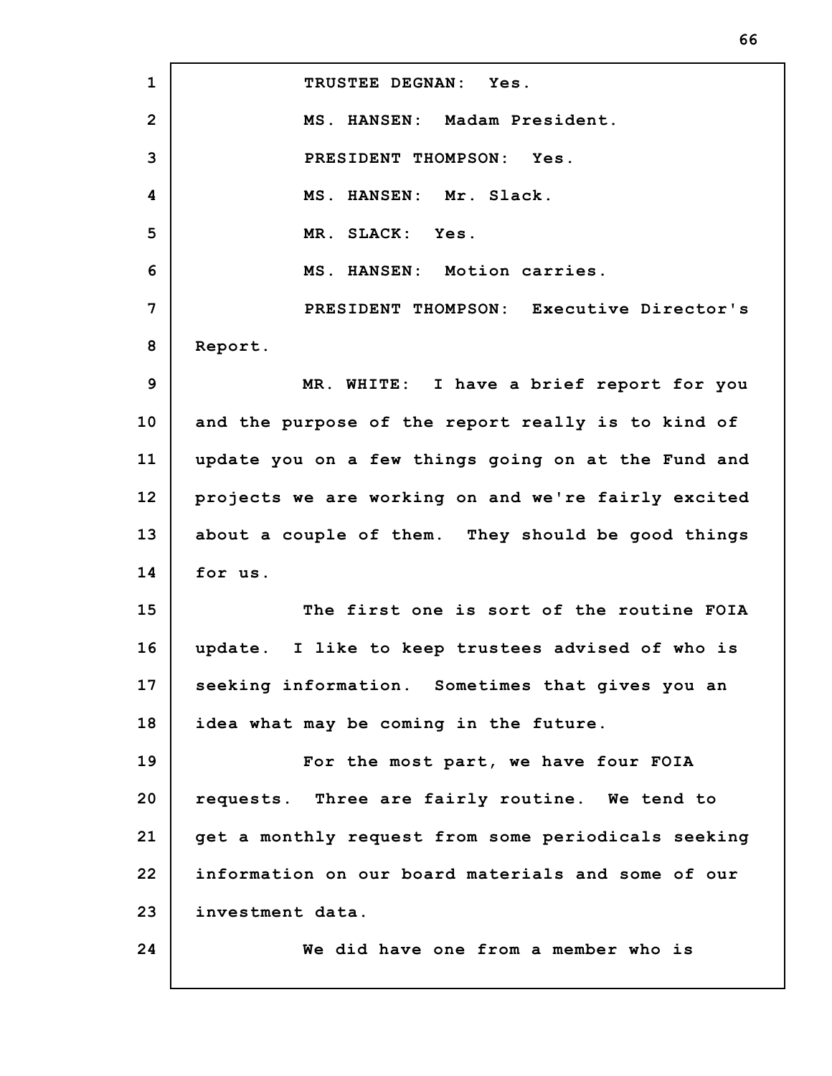**1 2 3 4 5 6 7 8 9 10 11 12 13 14 15 16 17 18 19 20 21 22 23 24 TRUSTEE DEGNAN: Yes. MS. HANSEN: Madam President. PRESIDENT THOMPSON: Yes. MS. HANSEN: Mr. Slack. MR. SLACK: Yes. MS. HANSEN: Motion carries. PRESIDENT THOMPSON: Executive Director's Report. MR. WHITE: I have a brief report for you and the purpose of the report really is to kind of update you on a few things going on at the Fund and projects we are working on and we're fairly excited about a couple of them. They should be good things for us. The first one is sort of the routine FOIA update. I like to keep trustees advised of who is seeking information. Sometimes that gives you an idea what may be coming in the future. For the most part, we have four FOIA requests. Three are fairly routine. We tend to get a monthly request from some periodicals seeking information on our board materials and some of our investment data. We did have one from a member who is**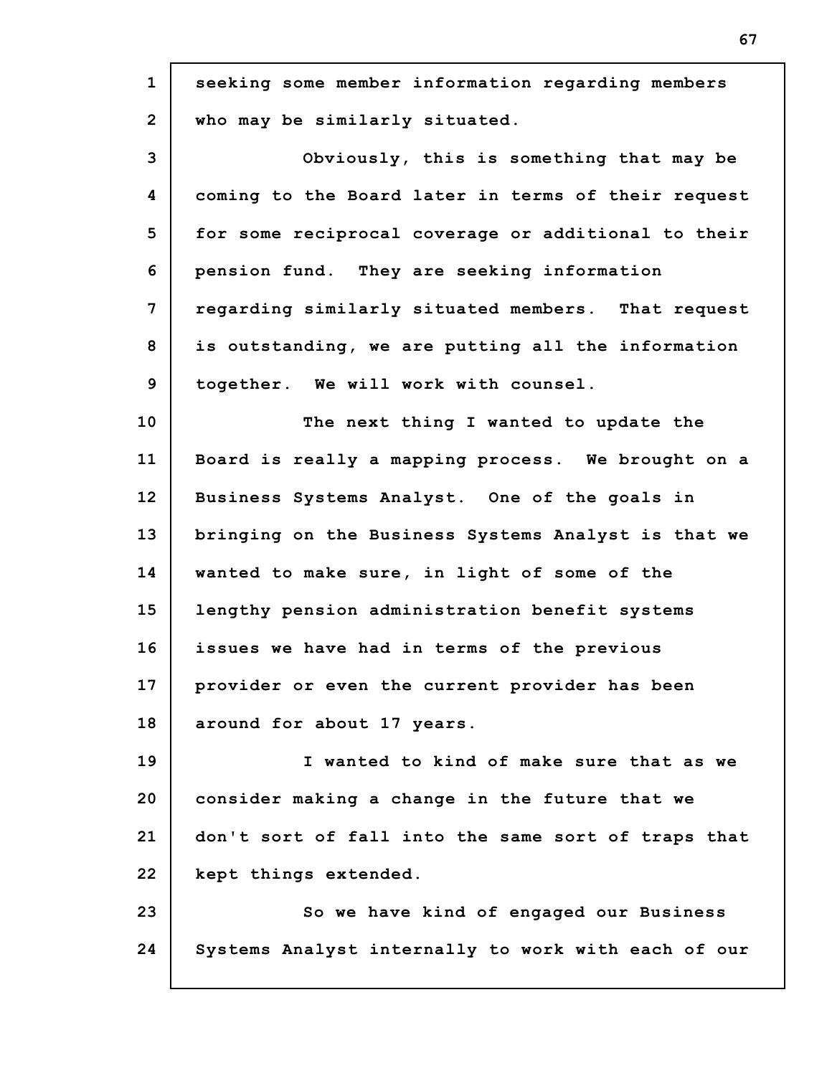| $\mathbf{1}$   | seeking some member information regarding members   |
|----------------|-----------------------------------------------------|
| $\overline{2}$ | who may be similarly situated.                      |
| 3              | Obviously, this is something that may be            |
| 4              | coming to the Board later in terms of their request |
| 5              | for some reciprocal coverage or additional to their |
| 6              | pension fund. They are seeking information          |
| 7              | regarding similarly situated members. That request  |
| 8              | is outstanding, we are putting all the information  |
| 9              | together. We will work with counsel.                |
| 10             | The next thing I wanted to update the               |
| 11             | Board is really a mapping process. We brought on a  |
| 12             | Business Systems Analyst. One of the goals in       |
| 13             | bringing on the Business Systems Analyst is that we |
| 14             | wanted to make sure, in light of some of the        |
| 15             | lengthy pension administration benefit systems      |
| 16             | issues we have had in terms of the previous         |
| 17             | provider or even the current provider has been      |
| 18             | around for about 17 years.                          |
| 19             | I wanted to kind of make sure that as we            |
| 20             | consider making a change in the future that we      |
| 21             | don't sort of fall into the same sort of traps that |
| 22             | kept things extended.                               |
| 23             | So we have kind of engaged our Business             |
| 24             | Systems Analyst internally to work with each of our |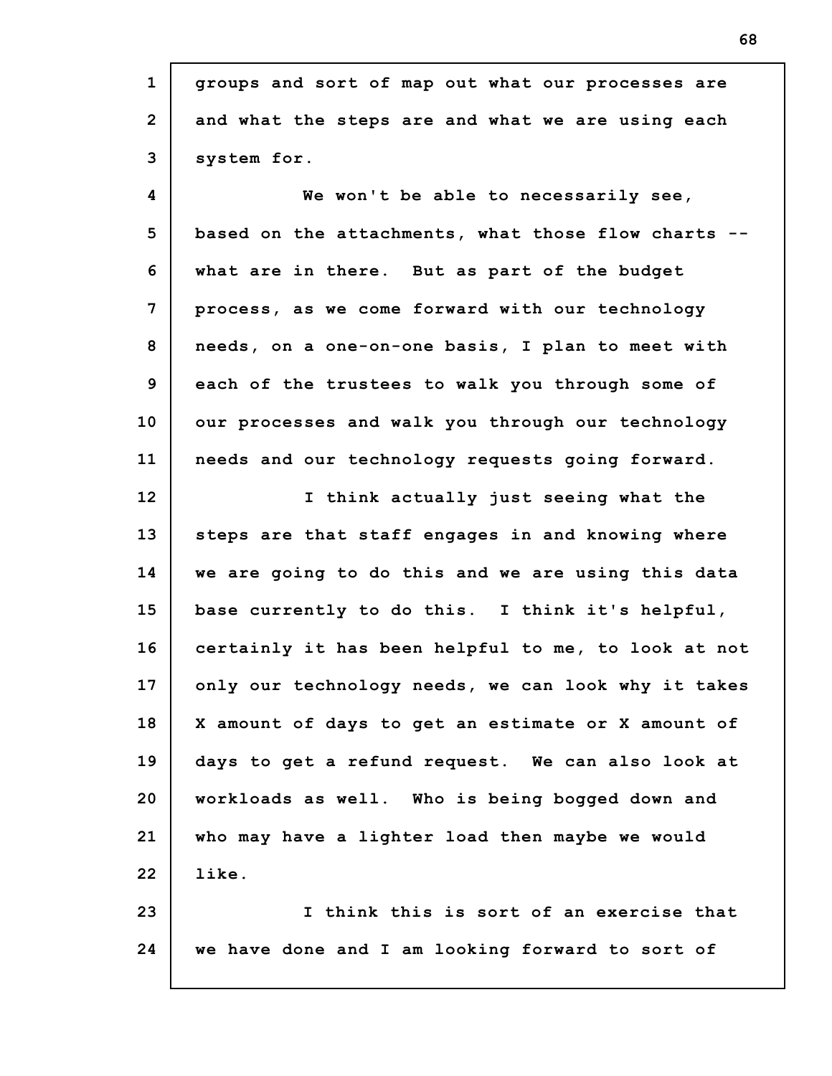| $\mathbf{1}$   | groups and sort of map out what our processes are   |
|----------------|-----------------------------------------------------|
| $\overline{2}$ | and what the steps are and what we are using each   |
| 3              | system for.                                         |
| 4              | We won't be able to necessarily see,                |
| 5              | based on the attachments, what those flow charts .  |
| 6              | what are in there. But as part of the budget        |
| 7              | process, as we come forward with our technology     |
| 8              | needs, on a one-on-one basis, I plan to meet with   |
| 9              | each of the trustees to walk you through some of    |
| 10             | our processes and walk you through our technology   |
| 11             | needs and our technology requests going forward.    |
| 12             | I think actually just seeing what the               |
| 13             | steps are that staff engages in and knowing where   |
| 14             | we are going to do this and we are using this data  |
| 15             | base currently to do this. I think it's helpful,    |
| 16             | certainly it has been helpful to me, to look at not |
| 17             | only our technology needs, we can look why it takes |
| 18             | X amount of days to get an estimate or X amount of  |
| 19             | days to get a refund request. We can also look at   |
| 20             | workloads as well. Who is being bogged down and     |
| 21             | who may have a lighter load then maybe we would     |
| 22             | like.                                               |
| 23             | I think this is sort of an exercise that            |
| 24             | we have done and I am looking forward to sort of    |
|                |                                                     |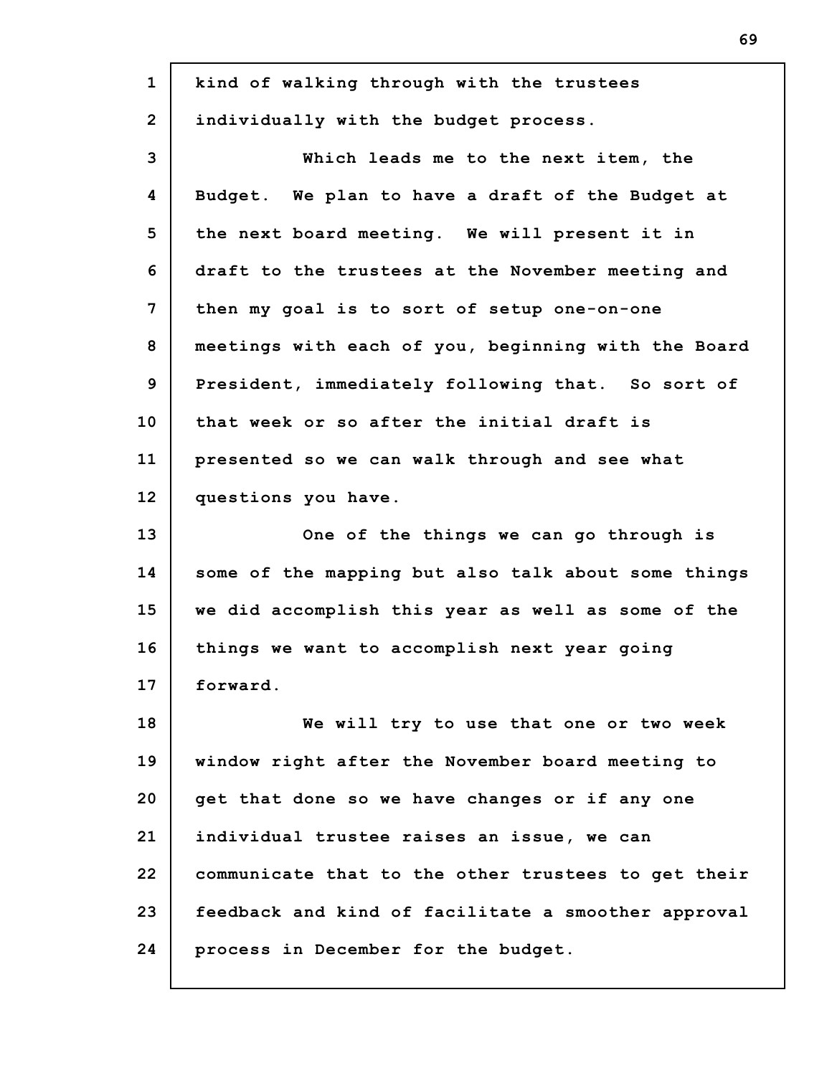| $\mathbf{1}$   | kind of walking through with the trustees           |
|----------------|-----------------------------------------------------|
| $\overline{2}$ | individually with the budget process.               |
| 3              | Which leads me to the next item, the                |
| 4              | Budget. We plan to have a draft of the Budget at    |
| 5              | the next board meeting. We will present it in       |
| 6              | draft to the trustees at the November meeting and   |
| $\overline{7}$ | then my goal is to sort of setup one-on-one         |
| 8              | meetings with each of you, beginning with the Board |
| 9              | President, immediately following that. So sort of   |
| 10             | that week or so after the initial draft is          |
| 11             | presented so we can walk through and see what       |
| 12             | questions you have.                                 |
| 13             | One of the things we can go through is              |
| 14             | some of the mapping but also talk about some things |
| 15             | we did accomplish this year as well as some of the  |
| 16             | things we want to accomplish next year going        |
| 17             | forward.                                            |
| 18             | We will try to use that one or two week             |
| 19             | window right after the November board meeting to    |
| 20             | get that done so we have changes or if any one      |
| 21             | individual trustee raises an issue, we can          |
| 22             | communicate that to the other trustees to get their |
| 23             | feedback and kind of facilitate a smoother approval |
| 24             |                                                     |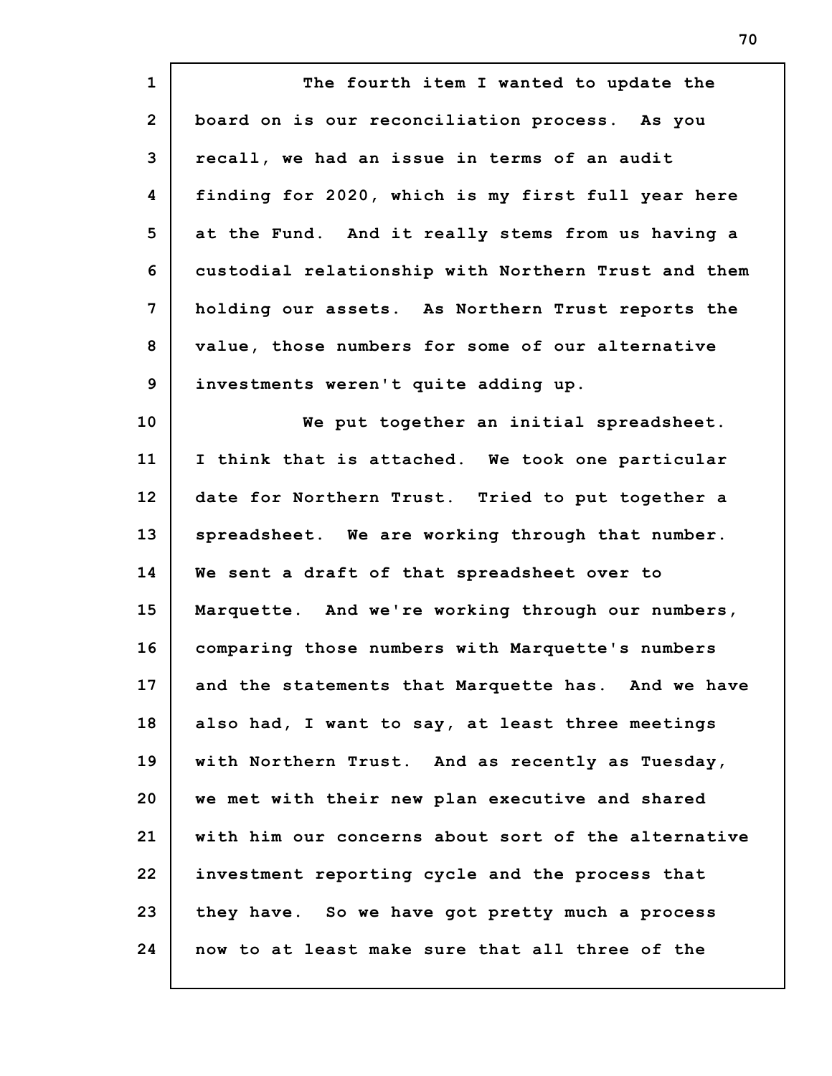**1 2 3 4 5 6 7 8 9 10 11 12 13 14 15 16 17 18 19 20 21 22 23 24 The fourth item I wanted to update the board on is our reconciliation process. As you recall, we had an issue in terms of an audit finding for 2020, which is my first full year here at the Fund. And it really stems from us having a custodial relationship with Northern Trust and them holding our assets. As Northern Trust reports the value, those numbers for some of our alternative investments weren't quite adding up. We put together an initial spreadsheet. I think that is attached. We took one particular date for Northern Trust. Tried to put together a spreadsheet. We are working through that number. We sent a draft of that spreadsheet over to Marquette. And we're working through our numbers, comparing those numbers with Marquette's numbers and the statements that Marquette has. And we have also had, I want to say, at least three meetings with Northern Trust. And as recently as Tuesday, we met with their new plan executive and shared with him our concerns about sort of the alternative investment reporting cycle and the process that they have. So we have got pretty much a process now to at least make sure that all three of the**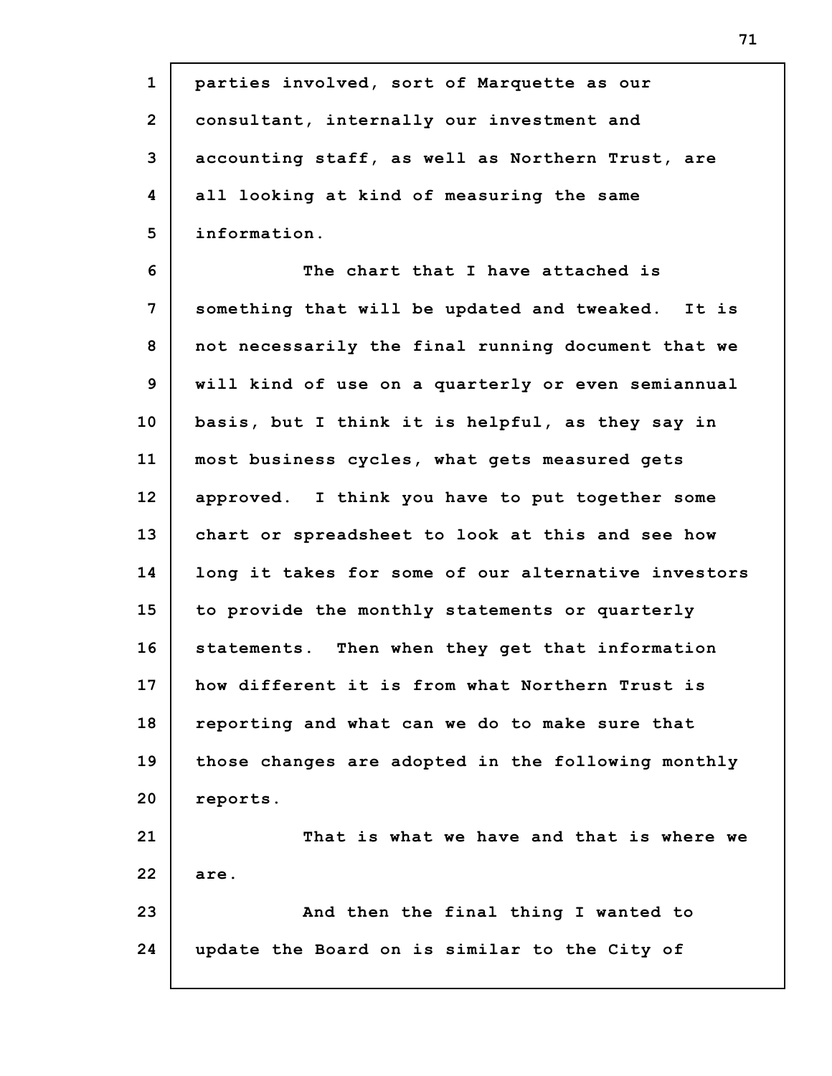| $\mathbf{1}$   | parties involved, sort of Marquette as our          |
|----------------|-----------------------------------------------------|
| $\overline{2}$ | consultant, internally our investment and           |
| 3              | accounting staff, as well as Northern Trust, are    |
| 4              | all looking at kind of measuring the same           |
| 5              | information.                                        |
| 6              | The chart that I have attached is                   |
| 7              | something that will be updated and tweaked. It is   |
| 8              | not necessarily the final running document that we  |
| 9              | will kind of use on a quarterly or even semiannual  |
| 10             | basis, but I think it is helpful, as they say in    |
| 11             | most business cycles, what gets measured gets       |
| 12             | approved. I think you have to put together some     |
| 13             | chart or spreadsheet to look at this and see how    |
| 14             | long it takes for some of our alternative investors |
| 15             | to provide the monthly statements or quarterly      |
| 16             | statements. Then when they get that information     |
| 17             | how different it is from what Northern Trust is     |
| 18             | reporting and what can we do to make sure that      |
| 19             | those changes are adopted in the following monthly  |
| 20             | reports.                                            |
| 21             | That is what we have and that is where we           |
| 22             | are.                                                |
| 23             | And then the final thing I wanted to                |
| 24             | update the Board on is similar to the City of       |
|                |                                                     |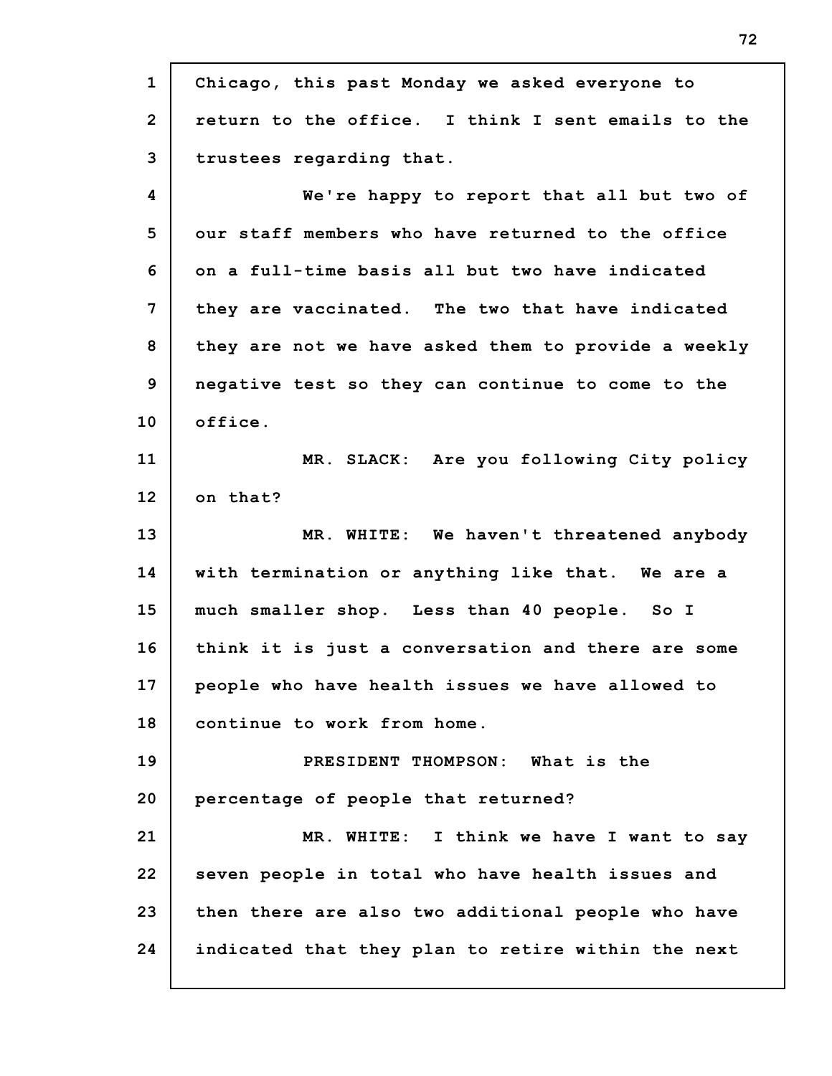**1 2 3 4 5 6 7 8 9 10 11 12 13 14 15 16 17 18 19 20 21 22 23 24 Chicago, this past Monday we asked everyone to return to the office. I think I sent emails to the trustees regarding that. We're happy to report that all but two of our staff members who have returned to the office on a full-time basis all but two have indicated they are vaccinated. The two that have indicated they are not we have asked them to provide a weekly negative test so they can continue to come to the office. MR. SLACK: Are you following City policy on that? MR. WHITE: We haven't threatened anybody with termination or anything like that. We are a much smaller shop. Less than 40 people. So I think it is just a conversation and there are some people who have health issues we have allowed to continue to work from home. PRESIDENT THOMPSON: What is the percentage of people that returned? MR. WHITE: I think we have I want to say seven people in total who have health issues and then there are also two additional people who have indicated that they plan to retire within the next**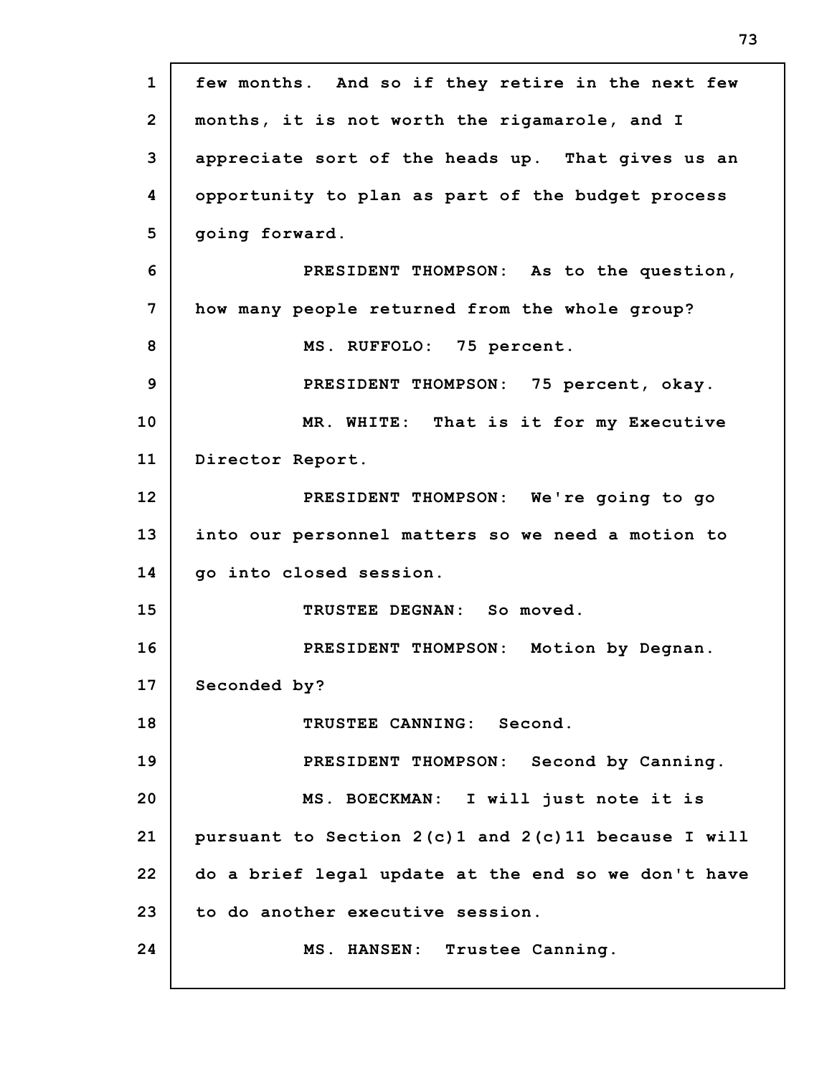| $\mathbf{1}$   | few months. And so if they retire in the next few       |
|----------------|---------------------------------------------------------|
| $\overline{2}$ | months, it is not worth the rigamarole, and I           |
| 3              | appreciate sort of the heads up. That gives us an       |
| 4              | opportunity to plan as part of the budget process       |
| 5              | going forward.                                          |
| 6              | PRESIDENT THOMPSON: As to the question,                 |
| 7              | how many people returned from the whole group?          |
| 8              | MS. RUFFOLO: 75 percent.                                |
| 9              | PRESIDENT THOMPSON: 75 percent, okay.                   |
| 10             | MR. WHITE: That is it for my Executive                  |
| 11             | Director Report.                                        |
| 12             | PRESIDENT THOMPSON: We're going to go                   |
| 13             | into our personnel matters so we need a motion to       |
| 14             | go into closed session.                                 |
| 15             | TRUSTEE DEGNAN: So moved.                               |
| 16             | PRESIDENT THOMPSON: Motion by Degnan.                   |
| 17             | Seconded by?                                            |
| 18             | TRUSTEE CANNING: Second.                                |
| 19             | PRESIDENT THOMPSON: Second by Canning.                  |
| 20             | MS. BOECKMAN: I will just note it is                    |
| 21             | pursuant to Section $2(c)1$ and $2(c)11$ because I will |
| 22             | do a brief legal update at the end so we don't have     |
| 23             | to do another executive session.                        |
| 24             | MS. HANSEN: Trustee Canning.                            |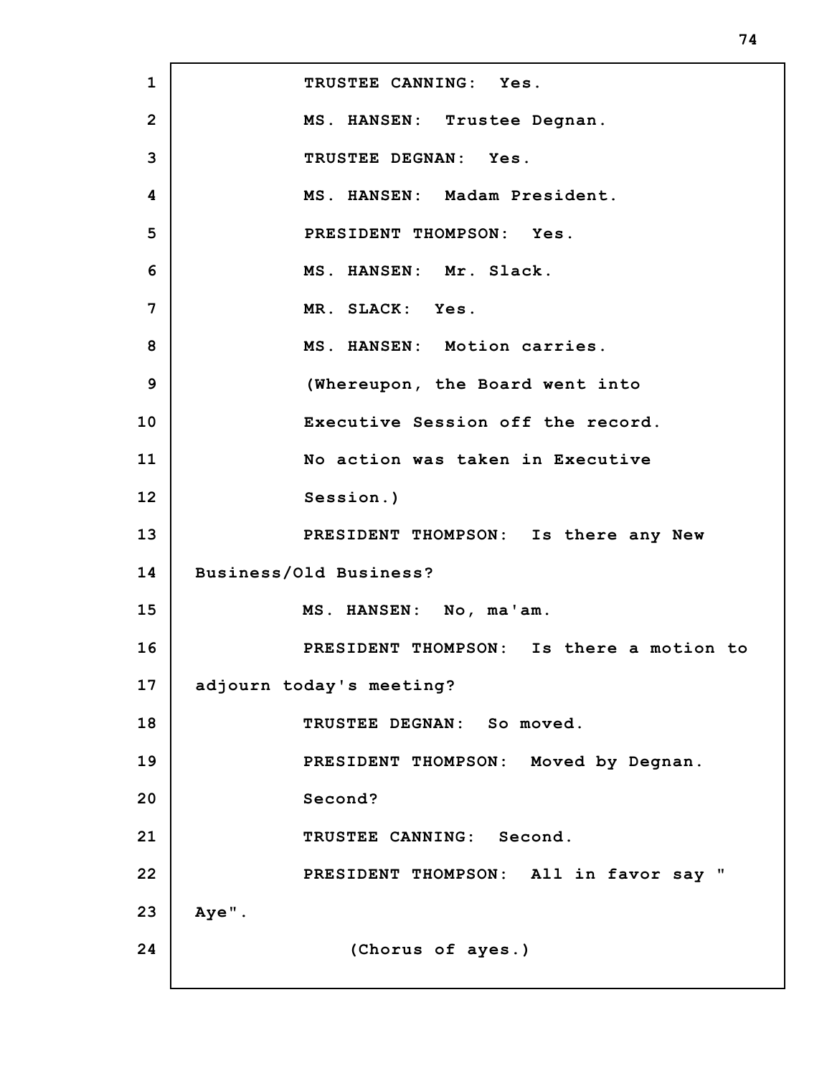**1 2 3 4 5 6 7 8 9 10 11 12 13 14 15 16 17 18 19 20 21 22 23 24 TRUSTEE CANNING: Yes. MS. HANSEN: Trustee Degnan. TRUSTEE DEGNAN: Yes. MS. HANSEN: Madam President. PRESIDENT THOMPSON: Yes. MS. HANSEN: Mr. Slack. MR. SLACK: Yes. MS. HANSEN: Motion carries. (Whereupon, the Board went into Executive Session off the record. No action was taken in Executive Session.) PRESIDENT THOMPSON: Is there any New Business/Old Business? MS. HANSEN: No, ma'am. PRESIDENT THOMPSON: Is there a motion to adjourn today's meeting? TRUSTEE DEGNAN: So moved. PRESIDENT THOMPSON: Moved by Degnan. Second? TRUSTEE CANNING: Second. PRESIDENT THOMPSON: All in favor say " Aye". (Chorus of ayes.)**

**74**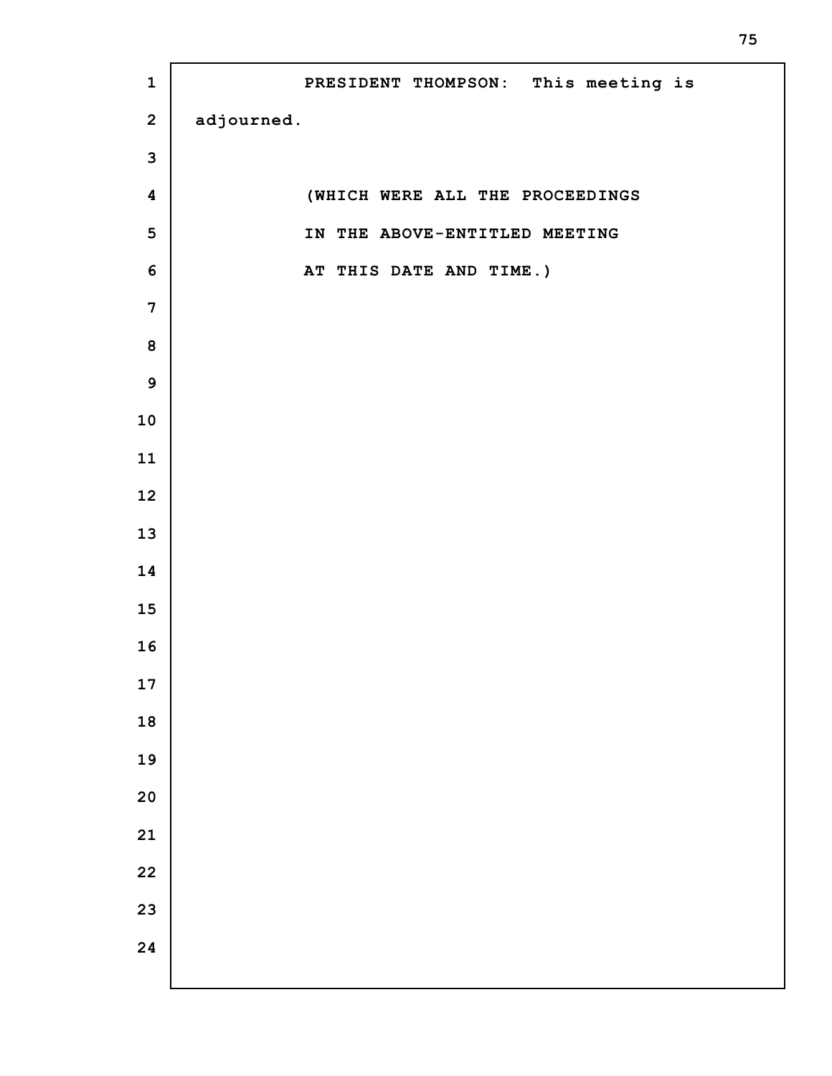| $\mathbf 1$             | PRESIDENT THOMPSON: This meeting is |
|-------------------------|-------------------------------------|
| $\mathbf{2}$            | adjourned.                          |
| $\mathbf{3}$            |                                     |
| $\pmb{4}$               | (WHICH WERE ALL THE PROCEEDINGS     |
| $\overline{\mathbf{5}}$ | IN THE ABOVE-ENTITLED MEETING       |
| $\boldsymbol{6}$        | AT THIS DATE AND TIME.)             |
| $\boldsymbol{7}$        |                                     |
| 8                       |                                     |
| $\boldsymbol{9}$        |                                     |
| 10                      |                                     |
| 11                      |                                     |
| 12                      |                                     |
| 13                      |                                     |
| 14                      |                                     |
| 15                      |                                     |
| 16                      |                                     |
| 17                      |                                     |
| 18                      |                                     |
| 19                      |                                     |
| 20                      |                                     |
| 21                      |                                     |
| 22                      |                                     |
| 23                      |                                     |
| 24                      |                                     |
|                         |                                     |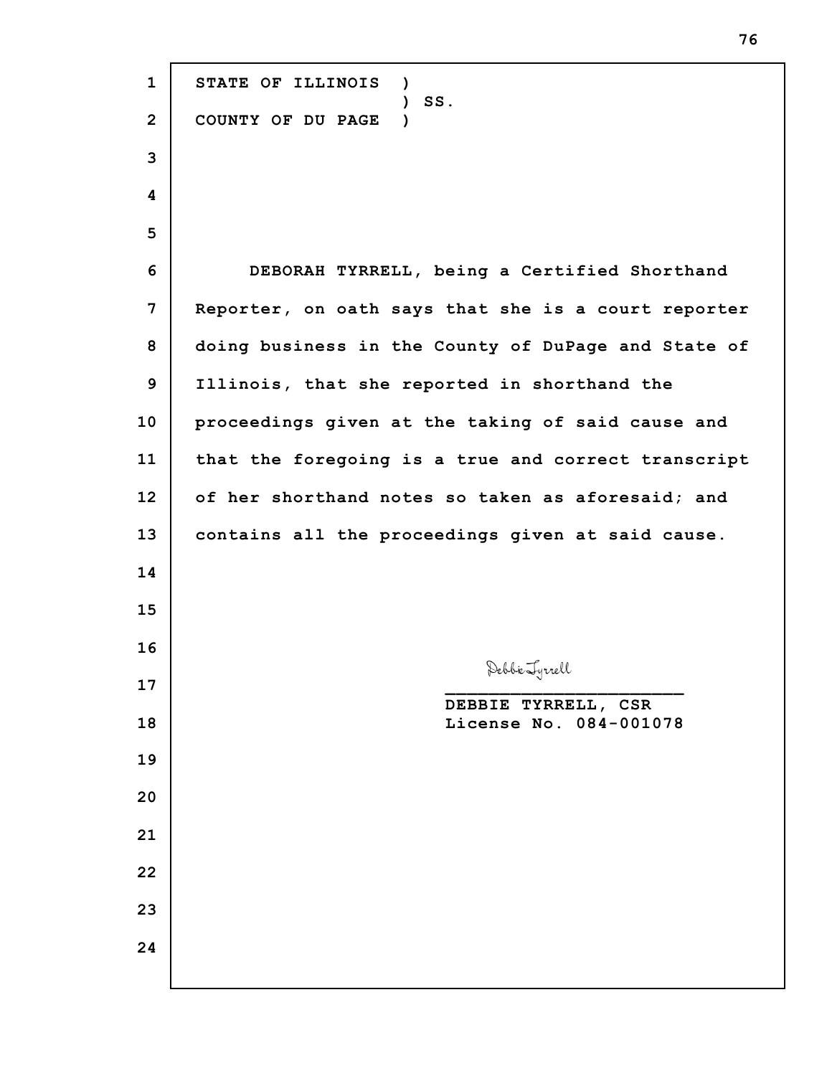**STATE OF ILLINOIS ) ) SS. COUNTY OF DU PAGE ) DEBORAH TYRRELL, being a Certified Shorthand Reporter, on oath says that she is a court reporter doing business in the County of DuPage and State of Illinois, that she reported in shorthand the proceedings given at the taking of said cause and that the foregoing is a true and correct transcript of her shorthand notes so taken as aforesaid; and contains all the proceedings given at said cause. \_\_\_\_\_\_\_\_\_\_\_\_\_\_\_\_\_\_\_\_\_\_ DEBBIE TYRRELL, CSR License No. 084-001078**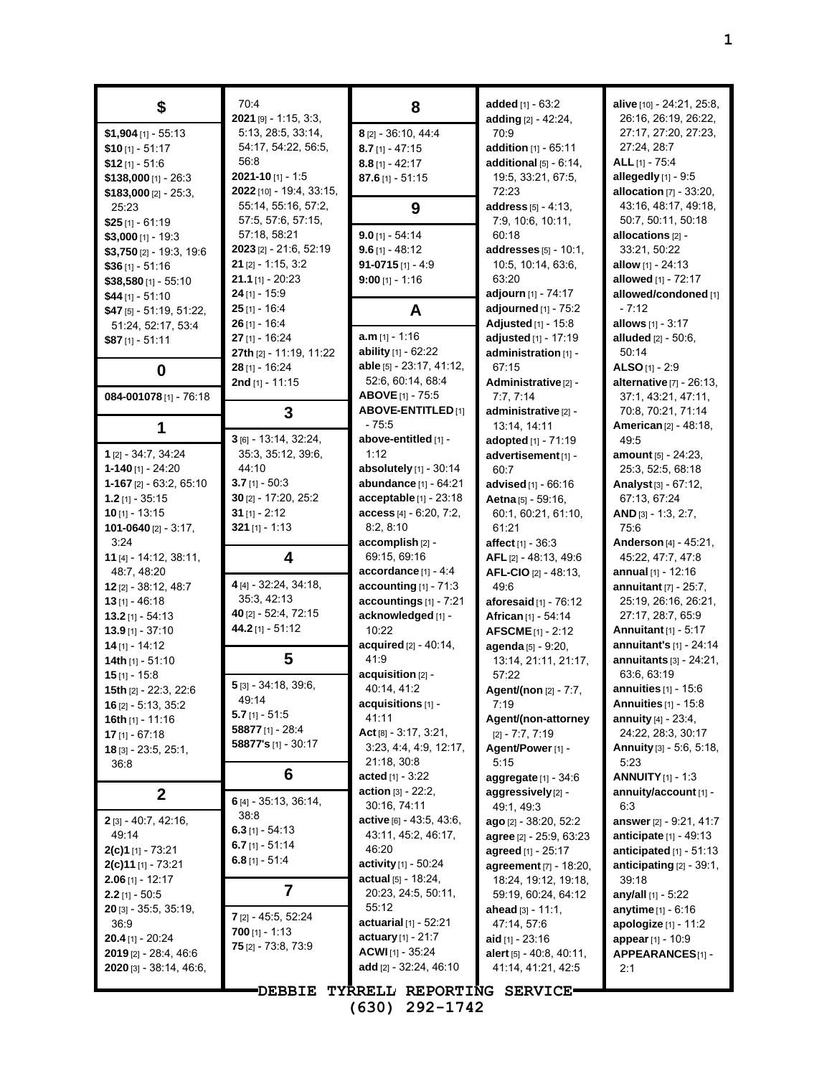| \$                                        | 70:4<br>$2021$ [9] - 1:15, 3:3, | 8                                       | added [1] - 63:2<br>adding [2] - 42:24,       | alive [10] - 24:21, 25:8,<br>26:16, 26:19, 26:22,     |
|-------------------------------------------|---------------------------------|-----------------------------------------|-----------------------------------------------|-------------------------------------------------------|
| $$1,904$ [1] - 55:13                      | 5:13, 28:5, 33:14,              | 8 [2] - 36:10, 44:4                     | 70.9                                          | 27:17, 27:20, 27:23,                                  |
| $$10$ [1] - 51:17                         | 54:17, 54:22, 56:5,             | $8.7$ [1] - 47:15                       | addition $[1] - 65.11$                        | 27:24, 28:7                                           |
| $$12$ [1] - 51:6                          | 56:8                            | $8.8$ [1] - 42:17                       | additional $[5] - 6.14$ ,                     | ALL $[1]$ - 75:4                                      |
| $$138,000$ [1] - 26:3                     | $2021 - 10$ [1] - 1:5           | $87.6$ [1] - 51:15                      | 19:5, 33:21, 67:5,                            | allegedly [1] - 9:5                                   |
| $$183,000$ [2] - 25:3,                    | 2022 [10] - 19:4, 33:15,        |                                         | 72:23                                         | allocation $[7] - 33:20$ ,                            |
| 25:23                                     | 55:14, 55:16, 57:2,             | 9                                       | address $[5] - 4:13$ ,                        | 43:16, 48:17, 49:18,                                  |
| $$25$ [1] - 61:19                         | 57:5, 57:6, 57:15,              |                                         | 7:9, 10:6, 10:11,                             | 50:7, 50:11, 50:18                                    |
| $$3,000$ [1] - 19:3                       | 57:18, 58:21                    | $9.0$ [1] - 54:14                       | 60:18                                         | allocations [2] -                                     |
| $$3,750$ [2] - 19:3, 19:6                 | 2023 [2] - 21:6, 52:19          | $9.6$ [1] - 48:12                       | addresses $[5] - 10:1$ ,                      | 33:21, 50:22                                          |
| $$36$ [1] - 51:16                         | $21$ [2] - 1:15, 3:2            | $91-0715$ [1] - 4:9                     | 10:5, 10:14, 63:6,                            | allow $[1] - 24:13$                                   |
| $$38,580$ [1] - 55:10                     | $21.1$ [1] - 20:23              | $9:00$ [1] - 1:16                       | 63:20                                         | allowed [1] - 72:17                                   |
| $$44$ [1] - 51:10                         | $24$ [1] - 15:9                 |                                         | adjourn [1] - 74:17                           | allowed/condoned [1]                                  |
| \$47 [5] - 51:19, 51:22,                  | $25$ [1] - 16:4                 | A                                       | adjourned [1] - 75:2                          | $-7:12$                                               |
| 51:24, 52:17, 53:4                        | $26$ [1] - 16:4                 |                                         | Adjusted [1] - 15:8                           | allows [1] - 3:17                                     |
| $$87$ [1] - 51:11                         | $27$ [1] - 16:24                | $a.m$ [1] - 1:16                        | adjusted [1] - 17:19                          | <b>alluded</b> $[2] - 50.6$ ,                         |
|                                           | 27th [2] - 11:19, 11:22         | ability [1] - 62:22                     | administration [1] -                          | 50:14                                                 |
| 0                                         | 28 [1] - 16:24                  | able [5] - 23:17, 41:12,                | 67:15                                         | ALSO $[1] - 2:9$                                      |
|                                           | 2nd $[1] - 11:15$               | 52:6, 60:14, 68:4<br>ABOVE [1] - 75:5   | Administrative <sup>[2]</sup> -               | alternative [7] - 26:13,                              |
| 084-001078 [1] - 76:18                    |                                 | <b>ABOVE-ENTITLED</b> [1]               | 7:7,7:14<br>administrative [2] -              | 37:1, 43:21, 47:11,<br>70.8, 70.21, 71:14             |
| 1                                         | 3                               | $-75.5$                                 | 13:14, 14:11                                  | <b>American [2] - 48:18,</b>                          |
|                                           | 3 [6] - 13:14, 32:24,           | above-entitled [1] -                    | adopted [1] - 71:19                           | 49:5                                                  |
| 1 [2] - 34:7, 34:24                       | 35:3, 35:12, 39:6,              | 1:12                                    | advertisement <sup>[1]</sup> -                | amount [5] - 24:23,                                   |
| $1 - 140$ [1] - 24:20                     | 44:10                           | absolutely $[1]$ - 30:14                | 60.7                                          | 25:3, 52:5, 68:18                                     |
| $1-167$ [2] $-63:2, 65:10$                | $3.7$ [1] - 50:3                | abundance [1] - 64:21                   | advised [1] - 66:16                           | Analyst $[3] - 67:12$ ,                               |
| $1.2$ [1] - 35:15                         | 30 [2] - 17:20, 25:2            | acceptable [1] - 23:18                  | Aetna [5] - 59:16,                            | 67:13, 67:24                                          |
| $10$ [1] - 13:15                          | $31$ [1] - 2:12                 | $access$ [4] $- 6.20, 7:2,$             | 60:1, 60:21, 61:10,                           | $AND$ [3] - 1:3, 2:7,                                 |
| 101-0640 [2] - 3:17,                      | $321$ [1] - 1:13                | 8:2, 8:10                               | 61:21                                         | 75:6                                                  |
| 3:24                                      |                                 | accomplish [2] -                        | affect $[1] - 36:3$                           | Anderson [4] - 45:21,                                 |
| 11 $[4] - 14.12, 38.11,$                  | 4                               | 69:15, 69:16                            | AFL [2] - 48:13, 49:6                         | 45:22, 47:7, 47:8                                     |
| 48:7, 48:20                               |                                 | accordance [1] - 4:4                    | $AFL-ClO [2] - 48.13,$                        | annual $[1] - 12:16$                                  |
| $12$ [2] - 38:12, 48:7                    | 4 [4] - 32:24, 34:18,           | accounting $[1]$ - $71:3$               | 49.6                                          | annuitant $[7]$ - 25:7,                               |
| $13$ [1] - 46:18                          | 35:3, 42:13                     | accountings [1] - 7:21                  | aforesaid $[1]$ - 76:12                       | 25:19, 26:16, 26:21,                                  |
| $13.2$ [1] - 54:13                        | 40 [2] - 52:4, 72:15            | acknowledged [1] -                      | African [1] - 54:14                           | 27:17, 28:7, 65:9                                     |
| $13.9$ [1] - 37:10                        | 44.2 [1] - 51:12                | 10:22                                   | <b>AFSCME</b> [1] - 2:12                      | Annuitant [1] - 5:17                                  |
| $14$ [1] - 14:12                          |                                 | acquired [2] - 40:14,                   | agenda [5] - 9:20,                            | annuitant's [1] - 24:14                               |
| 14th $[1] - 51:10$                        | 5                               | 41:9                                    | 13:14, 21:11, 21:17,                          | annuitants [3] - 24:21.                               |
| $15$ [1] - 15:8                           | 5 [3] - 34:18, 39:6,            | acquisition [2] -<br>40:14, 41:2        | 57:22                                         | 63:6, 63:19                                           |
| 15th [2] - 22:3, 22:6                     | 49.14                           | $acquisitions$ $[1]$ -                  | Agent/(non [2] - 7:7,                         | annuities [1] - 15:6<br><b>Annuities</b> $[1]$ - 15:8 |
| $16$ [2] - 5:13, 35:2<br>16th [1] - 11:16 | <b>5.7</b> [1] - 51:5           | 41:11                                   | 7:19<br>Agent/(non-attorney                   | <b>annuity</b> $[4] - 23.4$ ,                         |
| $17$ [1] - 67:18                          | 58877 $[1]$ - 28:4              | Act $[8] - 3.17, 3.21,$                 | $[2] - 7:7, 7:19$                             | 24:22, 28:3, 30:17                                    |
| <b>18</b> [3] - 23:5, 25:1,               | 58877's [1] - 30:17             | 3:23, 4:4, 4:9, 12:17,                  | Agent/Power [1] -                             | <b>Annuity</b> $[3] - 5.6, 5.18,$                     |
| 36.8                                      |                                 | 21:18, 30:8                             | 5:15                                          | 5:23                                                  |
|                                           | 6                               | <b>acted</b> [1] - $3:22$               | aggregate $[1]$ - 34:6                        | <b>ANNUITY</b> $[1]$ - 1:3                            |
| $\mathbf 2$                               |                                 | <b>action</b> $[3] - 22:2$              | aggressively [2] -                            | annuity/account [1] -                                 |
|                                           | 6 [4] - 35:13, 36:14,<br>38:8   | 30:16, 74:11                            | 49:1, 49:3                                    | 6:3                                                   |
| 2 [3] - 40:7, 42:16,                      | 6.3 $[1] - 54.13$               | $active$ [6] - 43.5, 43.6,              | ago [2] - 38:20, 52:2                         | answer [2] - 9:21, 41:7                               |
| 49.14                                     | 6.7 $[1] - 51.14$               | 43:11, 45:2, 46:17,                     | agree [2] - 25:9, 63:23                       | <b>anticipate</b> $[1] - 49:13$                       |
| $2(c)1$ [1] - 73:21                       | $6.8$ [1] - 51:4                | 46:20                                   | agreed [1] - 25:17                            | anticipated $[1]$ - 51:13                             |
| $2(c)$ 11 [1] - 73.21                     |                                 | activity [1] - 50:24                    | agreement [7] - 18:20,                        | anticipating $[2] - 39:1$ ,                           |
| <b>2.06</b> [1] - 12:17                   | 7                               | actual $[5] - 18:24$ ,                  | 18:24, 19:12, 19:18,                          | 39:18                                                 |
| $2.2$ [1] - 50:5                          |                                 | 20:23, 24:5, 50:11,                     | 59:19, 60:24, 64:12                           | any/all [1] - 5:22                                    |
| 20 [3] - 35:5, 35:19,                     | 7 [2] - 45:5, 52:24             | 55:12<br><b>actuarial</b> $[1]$ - 52:21 | ahead $[3] - 11:1$ ,                          | <b>anytime</b> $[1] - 6:16$                           |
| 36.9<br><b>20.4</b> [1] - 20:24           | $700$ [1] - 1:13                | <b>actuary</b> $[1] - 21:7$             | 47:14, 57:6                                   | apologize [1] - 11:2                                  |
| 2019 [2] - 28:4, 46:6                     | $75$ [2] - 73:8, 73:9           | <b>ACWI</b> $[1]$ - 35:24               | aid $[1]$ - 23:16<br>alert [5] - 40:8, 40:11, | appear [1] - 10:9<br>APPEARANCES[1] -                 |
| $2020$ [3] - 38:14, 46:6,                 |                                 | add [2] - 32:24, 46:10                  | 41:14, 41:21, 42:5                            | 2:1                                                   |
|                                           |                                 |                                         |                                               |                                                       |
|                                           | <b>DEBBIE</b>                   | TYRRELL REPORTING SERVICE-              |                                               |                                                       |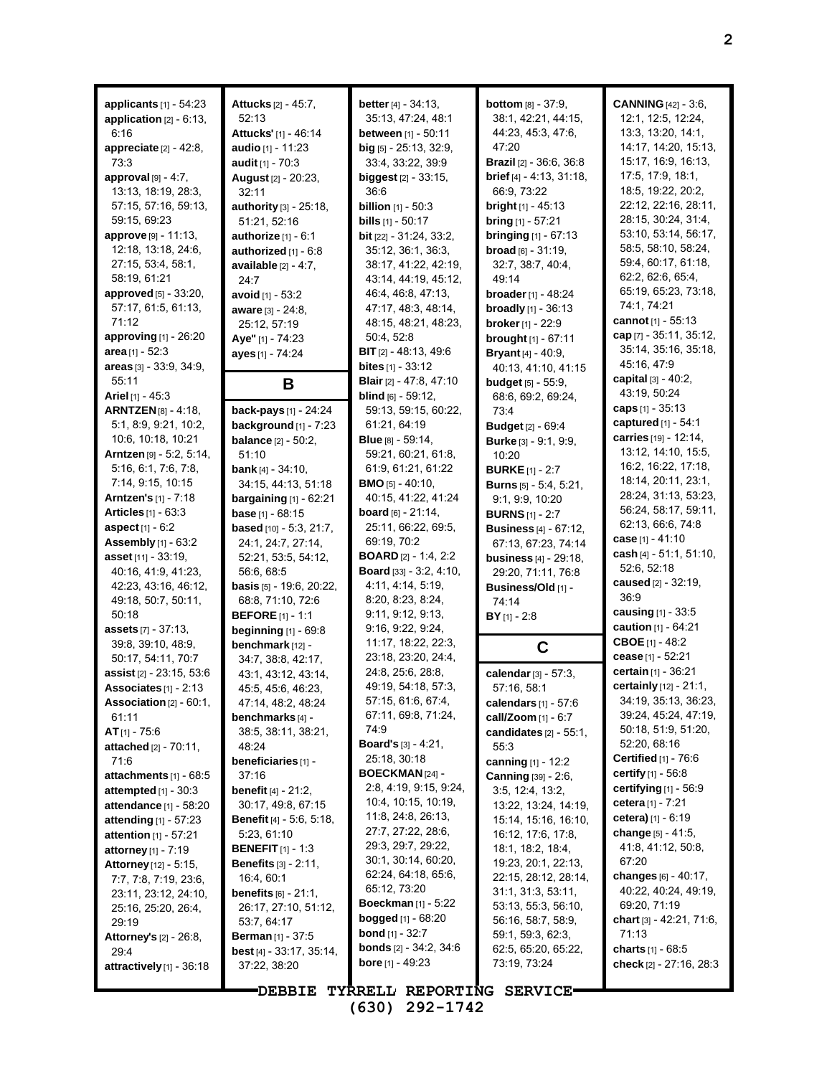| applicants $[1]$ - 54:23<br>application $[2] - 6:13$ ,<br>6:16<br>appreciate $[2] - 42:8$ ,<br>73:3<br>approval [9] - 4:7,<br>13:13, 18:19, 28:3,<br>57:15, 57:16, 59:13,<br>59:15, 69:23<br>approve [9] - 11:13,<br>12:18, 13:18, 24:6,<br>27:15, 53:4, 58:1,<br>58.19, 61.21<br>approved [5] - 33:20,<br>57:17, 61:5, 61:13,<br>71:12<br><b>approving</b> $[1]$ - 26:20 | Attucks [2] - 45:7,<br>52:13<br>Attucks' [1] - 46:14<br>audio [1] - 11:23<br>audit $[1] - 70:3$<br>August [2] - 20:23,<br>32:11<br>authority [3] - 25:18,<br>51:21, 52:16<br>authorize [1] - 6:1<br>authorized $[1] - 6.8$<br>available $[2] - 4:7$ .<br>24:7<br><b>avoid</b> $[1]$ - 53:2<br>aware [3] - 24:8,<br>25:12, 57:19<br>Aye" [1] - 74:23 | <b>better</b> $[4] - 34:13$ ,<br>35:13, 47:24, 48:1<br><b>between</b> $[1]$ - 50:11<br>$big$ [5] - 25:13, 32:9,<br>33:4, 33:22, 39:9<br><b>biggest</b> $[2] - 33:15$ ,<br>36:6<br><b>billion</b> $[1] - 50.3$<br><b>bills</b> $[1] - 50:17$<br><b>bit</b> $[22] - 31:24, 33:2,$<br>35:12, 36:1, 36:3,<br>38:17, 41:22, 42:19,<br>43:14, 44:19, 45:12,<br>46.4, 46.8, 47.13,<br>47:17, 48:3, 48:14,<br>48:15, 48:21, 48:23,<br>50:4, 52:8 | <b>bottom</b> [8] - 37:9,<br>38:1, 42:21, 44:15,<br>44.23, 45.3, 47.6,<br>47:20<br><b>Brazil</b> $[2] - 36.6, 36.8$<br>brief [4] - 4:13, 31:18,<br>66.9, 73.22<br><b>bright</b> $[1]$ - 45:13<br><b>bring</b> $[1] - 57:21$<br><b>bringing</b> $[1] - 67:13$<br>$broad$ [6] - 31:19.<br>32:7, 38:7, 40:4,<br>49:14<br><b>broader</b> [1] - $48:24$<br><b>broadly</b> $[1]$ - 36:13<br>broker [1] - 22:9<br>brought [1] - 67:11 | <b>CANNING</b> [42] - 3:6,<br>12:1, 12:5, 12:24,<br>13:3, 13:20, 14:1,<br>14:17, 14:20, 15:13,<br>15:17, 16:9, 16:13,<br>17:5, 17:9, 18:1,<br>18:5, 19:22, 20:2,<br>22:12, 22:16, 28:11,<br>28:15, 30:24, 31:4,<br>53:10, 53:14, 56:17,<br>58:5, 58:10, 58:24,<br>59.4, 60.17, 61:18,<br>62.2, 62.6, 65.4,<br>65:19, 65:23, 73:18,<br>74:1, 74:21<br>cannot [1] - 55:13<br>cap $[7] - 35:11, 35:12,$ |
|---------------------------------------------------------------------------------------------------------------------------------------------------------------------------------------------------------------------------------------------------------------------------------------------------------------------------------------------------------------------------|-----------------------------------------------------------------------------------------------------------------------------------------------------------------------------------------------------------------------------------------------------------------------------------------------------------------------------------------------------|------------------------------------------------------------------------------------------------------------------------------------------------------------------------------------------------------------------------------------------------------------------------------------------------------------------------------------------------------------------------------------------------------------------------------------------|--------------------------------------------------------------------------------------------------------------------------------------------------------------------------------------------------------------------------------------------------------------------------------------------------------------------------------------------------------------------------------------------------------------------------------|------------------------------------------------------------------------------------------------------------------------------------------------------------------------------------------------------------------------------------------------------------------------------------------------------------------------------------------------------------------------------------------------------|
| area $[1] - 52:3$<br>areas [3] - 33:9, 34:9,                                                                                                                                                                                                                                                                                                                              | ayes [1] - 74:24                                                                                                                                                                                                                                                                                                                                    | <b>BIT</b> $[2] - 48.13, 49.6$<br><b>bites</b> $[1] - 33.12$                                                                                                                                                                                                                                                                                                                                                                             | <b>Bryant</b> $[4] - 40.9$ ,<br>40.13, 41.10, 41.15                                                                                                                                                                                                                                                                                                                                                                            | 35:14, 35:16, 35:18,<br>45:16, 47:9                                                                                                                                                                                                                                                                                                                                                                  |
| 55:11                                                                                                                                                                                                                                                                                                                                                                     | В                                                                                                                                                                                                                                                                                                                                                   | <b>Blair</b> [2] - 47:8, 47:10                                                                                                                                                                                                                                                                                                                                                                                                           | <b>budget</b> $[5] - 55:9$ ,                                                                                                                                                                                                                                                                                                                                                                                                   | capital $[3] - 40:2$ ,                                                                                                                                                                                                                                                                                                                                                                               |
| <b>Ariel</b> [1] - 45:3<br><b>ARNTZEN</b> [8] - 4:18,                                                                                                                                                                                                                                                                                                                     | back-pays [1] - 24:24                                                                                                                                                                                                                                                                                                                               | <b>blind</b> $[6]$ - 59:12,<br>59:13, 59:15, 60:22,                                                                                                                                                                                                                                                                                                                                                                                      | 68:6, 69:2, 69:24,                                                                                                                                                                                                                                                                                                                                                                                                             | 43.19, 50:24<br>caps $[1] - 35:13$                                                                                                                                                                                                                                                                                                                                                                   |
| 5:1, 8:9, 9:21, 10:2,                                                                                                                                                                                                                                                                                                                                                     | background [1] - 7:23                                                                                                                                                                                                                                                                                                                               | 61:21, 64:19                                                                                                                                                                                                                                                                                                                                                                                                                             | 73:4<br><b>Budget</b> [2] - 69:4                                                                                                                                                                                                                                                                                                                                                                                               | captured [1] - 54:1                                                                                                                                                                                                                                                                                                                                                                                  |
| 10.6, 10.18, 10.21                                                                                                                                                                                                                                                                                                                                                        | <b>balance</b> $[2] - 50:2$ ,                                                                                                                                                                                                                                                                                                                       | <b>Blue</b> [8] - 59:14,                                                                                                                                                                                                                                                                                                                                                                                                                 | <b>Burke</b> $[3] - 9.1, 9.9$                                                                                                                                                                                                                                                                                                                                                                                                  | carries [19] - 12:14,                                                                                                                                                                                                                                                                                                                                                                                |
| <b>Arntzen</b> [9] $-5:2, 5:14,$                                                                                                                                                                                                                                                                                                                                          | 51:10                                                                                                                                                                                                                                                                                                                                               | 59:21, 60:21, 61:8,                                                                                                                                                                                                                                                                                                                                                                                                                      | 10:20                                                                                                                                                                                                                                                                                                                                                                                                                          | 13:12, 14:10, 15:5,<br>16:2, 16:22, 17:18,                                                                                                                                                                                                                                                                                                                                                           |
| 5:16, 6:1, 7:6, 7:8,<br>7:14, 9:15, 10:15                                                                                                                                                                                                                                                                                                                                 | <b>bank</b> [4] $-34:10$ ,                                                                                                                                                                                                                                                                                                                          | 61:9, 61:21, 61:22<br><b>BMO</b> [5] $-$ 40:10,                                                                                                                                                                                                                                                                                                                                                                                          | <b>BURKE</b> [1] - 2:7                                                                                                                                                                                                                                                                                                                                                                                                         | 18:14, 20:11, 23:1,                                                                                                                                                                                                                                                                                                                                                                                  |
| <b>Arntzen's [1] - 7:18</b>                                                                                                                                                                                                                                                                                                                                               | 34:15, 44:13, 51:18<br><b>bargaining</b> $[1]$ - 62:21                                                                                                                                                                                                                                                                                              | 40:15, 41:22, 41:24                                                                                                                                                                                                                                                                                                                                                                                                                      | <b>Burns</b> [5] - 5:4, 5:21,<br>9:1, 9:9, 10:20                                                                                                                                                                                                                                                                                                                                                                               | 28:24, 31:13, 53:23,                                                                                                                                                                                                                                                                                                                                                                                 |
| <b>Articles</b> $[1] - 63.3$                                                                                                                                                                                                                                                                                                                                              | <b>base</b> $[1] - 68:15$                                                                                                                                                                                                                                                                                                                           | <b>board</b> $[6] - 21:14$ ,                                                                                                                                                                                                                                                                                                                                                                                                             | <b>BURNS</b> $[1]$ - 2:7                                                                                                                                                                                                                                                                                                                                                                                                       | 56:24, 58:17, 59:11,                                                                                                                                                                                                                                                                                                                                                                                 |
| <b>aspect</b> $[1] - 6:2$                                                                                                                                                                                                                                                                                                                                                 | based [10] - 5:3, 21:7,                                                                                                                                                                                                                                                                                                                             | 25:11, 66:22, 69:5,                                                                                                                                                                                                                                                                                                                                                                                                                      | <b>Business</b> [4] - 67:12,                                                                                                                                                                                                                                                                                                                                                                                                   | 62:13, 66:6, 74:8                                                                                                                                                                                                                                                                                                                                                                                    |
| Assembly [1] - 63:2                                                                                                                                                                                                                                                                                                                                                       | 24:1, 24:7, 27:14,                                                                                                                                                                                                                                                                                                                                  | 69:19, 70:2                                                                                                                                                                                                                                                                                                                                                                                                                              | 67:13, 67:23, 74:14                                                                                                                                                                                                                                                                                                                                                                                                            | case [1] - 41:10                                                                                                                                                                                                                                                                                                                                                                                     |
| <b>asset</b> $[11] - 33.19$ ,                                                                                                                                                                                                                                                                                                                                             | 52:21, 53:5, 54:12,                                                                                                                                                                                                                                                                                                                                 | <b>BOARD</b> $[2] - 1.4, 2.2$                                                                                                                                                                                                                                                                                                                                                                                                            | <b>business</b> [4] - 29:18,                                                                                                                                                                                                                                                                                                                                                                                                   | cash $[4] - 51:1, 51:10,$<br>52:6, 52:18                                                                                                                                                                                                                                                                                                                                                             |
| 40:16, 41:9, 41:23,<br>42:23, 43:16, 46:12,                                                                                                                                                                                                                                                                                                                               | 56.6, 68.5<br><b>basis</b> [5] - 19:6, 20:22,                                                                                                                                                                                                                                                                                                       | <b>Board</b> [33] - $3.2$ , $4.10$ ,<br>4:11, 4:14, 5:19,                                                                                                                                                                                                                                                                                                                                                                                | 29:20, 71:11, 76:8                                                                                                                                                                                                                                                                                                                                                                                                             | caused [2] - 32:19,                                                                                                                                                                                                                                                                                                                                                                                  |
| 49:18, 50:7, 50:11,                                                                                                                                                                                                                                                                                                                                                       | 68:8, 71:10, 72:6                                                                                                                                                                                                                                                                                                                                   | 8:20, 8:23, 8:24,                                                                                                                                                                                                                                                                                                                                                                                                                        | Business/Old [1] -<br>74:14                                                                                                                                                                                                                                                                                                                                                                                                    | 36:9                                                                                                                                                                                                                                                                                                                                                                                                 |
| 50:18                                                                                                                                                                                                                                                                                                                                                                     | <b>BEFORE</b> [1] - 1:1                                                                                                                                                                                                                                                                                                                             | 9.11, 9.12, 9.13,                                                                                                                                                                                                                                                                                                                                                                                                                        | $BY$ [1] - 2:8                                                                                                                                                                                                                                                                                                                                                                                                                 | <b>causing</b> $[1] - 33.5$                                                                                                                                                                                                                                                                                                                                                                          |
| assets [7] - 37:13,                                                                                                                                                                                                                                                                                                                                                       | beginning [1] - 69:8                                                                                                                                                                                                                                                                                                                                | 9:16, 9:22, 9:24,                                                                                                                                                                                                                                                                                                                                                                                                                        |                                                                                                                                                                                                                                                                                                                                                                                                                                | caution [1] - 64:21                                                                                                                                                                                                                                                                                                                                                                                  |
| 39:8, 39:10, 48:9,                                                                                                                                                                                                                                                                                                                                                        | benchmark [12] -                                                                                                                                                                                                                                                                                                                                    | 11:17, 18:22, 22:3,                                                                                                                                                                                                                                                                                                                                                                                                                      | C                                                                                                                                                                                                                                                                                                                                                                                                                              | CBOE $[1] - 48.2$                                                                                                                                                                                                                                                                                                                                                                                    |
| 50:17, 54:11, 70:7                                                                                                                                                                                                                                                                                                                                                        | 34.7, 38.8, 42.17,                                                                                                                                                                                                                                                                                                                                  | 23:18, 23:20, 24:4,<br>24.8, 25.6, 28.8,                                                                                                                                                                                                                                                                                                                                                                                                 |                                                                                                                                                                                                                                                                                                                                                                                                                                | cease [1] - 52:21<br>certain [1] - 36:21                                                                                                                                                                                                                                                                                                                                                             |
| assist [2] - 23:15, 53:6<br>Associates <sup>[1]</sup> - 2:13                                                                                                                                                                                                                                                                                                              | 43.1, 43.12, 43.14,<br>45:5, 45:6, 46:23,                                                                                                                                                                                                                                                                                                           | 49:19, 54:18, 57:3,                                                                                                                                                                                                                                                                                                                                                                                                                      | calendar [3] - 57:3,<br>57:16, 58:1                                                                                                                                                                                                                                                                                                                                                                                            | certainly [12] - 21:1,                                                                                                                                                                                                                                                                                                                                                                               |
| <b>Association</b> $[2] - 60:1$ ,                                                                                                                                                                                                                                                                                                                                         | 47:14, 48:2, 48:24                                                                                                                                                                                                                                                                                                                                  | 57:15, 61:6, 67:4,                                                                                                                                                                                                                                                                                                                                                                                                                       | calendars $[1]$ - 57:6                                                                                                                                                                                                                                                                                                                                                                                                         | 34:19, 35:13, 36:23,                                                                                                                                                                                                                                                                                                                                                                                 |
| 61:11                                                                                                                                                                                                                                                                                                                                                                     | benchmarks [4] -                                                                                                                                                                                                                                                                                                                                    | 67:11, 69:8, 71:24,                                                                                                                                                                                                                                                                                                                                                                                                                      | call/Zoom [1] - 6:7                                                                                                                                                                                                                                                                                                                                                                                                            | 39:24, 45:24, 47:19,                                                                                                                                                                                                                                                                                                                                                                                 |
| $AT_{[1]} - 75.6$                                                                                                                                                                                                                                                                                                                                                         | 38.5, 38.11, 38.21,                                                                                                                                                                                                                                                                                                                                 | 74:9                                                                                                                                                                                                                                                                                                                                                                                                                                     | candidates [2] - 55:1,                                                                                                                                                                                                                                                                                                                                                                                                         | 50:18, 51:9, 51:20,                                                                                                                                                                                                                                                                                                                                                                                  |
| <b>attached</b> [2] - 70:11,                                                                                                                                                                                                                                                                                                                                              | 48:24                                                                                                                                                                                                                                                                                                                                               | <b>Board's</b> $[3] - 4.21$ ,<br>25:18, 30:18                                                                                                                                                                                                                                                                                                                                                                                            | 55:3                                                                                                                                                                                                                                                                                                                                                                                                                           | 52:20, 68:16<br><b>Certified</b> $[1]$ - 76:6                                                                                                                                                                                                                                                                                                                                                        |
| 71:6<br>attachments [1] - 68:5                                                                                                                                                                                                                                                                                                                                            | beneficiaries [1] -<br>37:16                                                                                                                                                                                                                                                                                                                        | <b>BOECKMAN</b> [24] -                                                                                                                                                                                                                                                                                                                                                                                                                   | canning [1] - 12:2<br>Canning [39] - 2:6,                                                                                                                                                                                                                                                                                                                                                                                      | <b>certify</b> $[1] - 56.8$                                                                                                                                                                                                                                                                                                                                                                          |
| attempted $[1]$ - 30:3                                                                                                                                                                                                                                                                                                                                                    | <b>benefit</b> $[4] - 21:2$ ,                                                                                                                                                                                                                                                                                                                       | 2.8, 4.19, 9.15, 9.24,                                                                                                                                                                                                                                                                                                                                                                                                                   | 3:5, 12:4, 13:2,                                                                                                                                                                                                                                                                                                                                                                                                               | certifying $[1]$ - 56:9                                                                                                                                                                                                                                                                                                                                                                              |
| <b>attendance</b> [1] - 58:20                                                                                                                                                                                                                                                                                                                                             | 30:17, 49:8, 67:15                                                                                                                                                                                                                                                                                                                                  | 10:4, 10:15, 10:19,                                                                                                                                                                                                                                                                                                                                                                                                                      | 13:22, 13:24, 14:19,                                                                                                                                                                                                                                                                                                                                                                                                           | cetera [1] - $7:21$                                                                                                                                                                                                                                                                                                                                                                                  |
| <b>attending</b> $[1] - 57:23$                                                                                                                                                                                                                                                                                                                                            | <b>Benefit</b> [4] - 5:6, 5:18,                                                                                                                                                                                                                                                                                                                     | 11:8, 24:8, 26:13,                                                                                                                                                                                                                                                                                                                                                                                                                       | 15:14, 15:16, 16:10,                                                                                                                                                                                                                                                                                                                                                                                                           | cetera) [1] - 6:19                                                                                                                                                                                                                                                                                                                                                                                   |
| attention [1] - 57:21                                                                                                                                                                                                                                                                                                                                                     | 5:23, 61:10                                                                                                                                                                                                                                                                                                                                         | 27:7, 27:22, 28:6,<br>29:3, 29:7, 29:22,                                                                                                                                                                                                                                                                                                                                                                                                 | 16:12, 17:6, 17:8,                                                                                                                                                                                                                                                                                                                                                                                                             | change [5] - 41:5.                                                                                                                                                                                                                                                                                                                                                                                   |
| attorney [1] - 7:19                                                                                                                                                                                                                                                                                                                                                       | <b>BENEFIT</b> $[1] - 1.3$                                                                                                                                                                                                                                                                                                                          | 30:1, 30:14, 60:20,                                                                                                                                                                                                                                                                                                                                                                                                                      | 18:1, 18:2, 18:4,<br>19:23, 20:1, 22:13,                                                                                                                                                                                                                                                                                                                                                                                       | 41.8, 41.12, 50.8,<br>67:20                                                                                                                                                                                                                                                                                                                                                                          |
| Attorney [12] - 5:15,<br>7:7, 7:8, 7:19, 23:6,                                                                                                                                                                                                                                                                                                                            | <b>Benefits</b> $[3] - 2:11$ ,<br>16:4, 60:1                                                                                                                                                                                                                                                                                                        | 62:24, 64:18, 65:6,                                                                                                                                                                                                                                                                                                                                                                                                                      | 22:15, 28:12, 28:14,                                                                                                                                                                                                                                                                                                                                                                                                           | changes $[6] - 40:17$ ,                                                                                                                                                                                                                                                                                                                                                                              |
| 23:11, 23:12, 24:10,                                                                                                                                                                                                                                                                                                                                                      | <b>benefits</b> $[6] - 21:1$ ,                                                                                                                                                                                                                                                                                                                      | 65:12, 73:20                                                                                                                                                                                                                                                                                                                                                                                                                             | 31.1, 31.3, 53.11,                                                                                                                                                                                                                                                                                                                                                                                                             | 40:22, 40:24, 49:19,                                                                                                                                                                                                                                                                                                                                                                                 |
| 25:16, 25:20, 26:4,                                                                                                                                                                                                                                                                                                                                                       | 26:17, 27:10, 51:12,                                                                                                                                                                                                                                                                                                                                | <b>Boeckman</b> [1] - 5:22                                                                                                                                                                                                                                                                                                                                                                                                               | 53:13, 55:3, 56:10,                                                                                                                                                                                                                                                                                                                                                                                                            | 69:20, 71:19                                                                                                                                                                                                                                                                                                                                                                                         |
| 29:19                                                                                                                                                                                                                                                                                                                                                                     | 53:7, 64:17                                                                                                                                                                                                                                                                                                                                         | <b>bogged</b> $[1] - 68:20$<br><b>bond</b> [1] - 32:7                                                                                                                                                                                                                                                                                                                                                                                    | 56:16, 58:7, 58:9,                                                                                                                                                                                                                                                                                                                                                                                                             | chart $[3] - 42.21$ , 71.6,                                                                                                                                                                                                                                                                                                                                                                          |
| <b>Attorney's [2] - 26:8,</b>                                                                                                                                                                                                                                                                                                                                             | <b>Berman</b> $[1]$ - 37:5<br>best [4] - 33:17, 35:14,                                                                                                                                                                                                                                                                                              | <b>bonds</b> $[2] - 34:2, 34:6$                                                                                                                                                                                                                                                                                                                                                                                                          | 59:1, 59:3, 62:3,<br>62:5, 65:20, 65:22,                                                                                                                                                                                                                                                                                                                                                                                       | 71:13<br><b>charts</b> $[1] - 68.5$                                                                                                                                                                                                                                                                                                                                                                  |
| 29:4<br>attractively [1] - 36:18                                                                                                                                                                                                                                                                                                                                          | 37:22, 38:20                                                                                                                                                                                                                                                                                                                                        | <b>bore</b> [1] - 49:23                                                                                                                                                                                                                                                                                                                                                                                                                  | 73:19, 73:24                                                                                                                                                                                                                                                                                                                                                                                                                   | check [2] - 27:16, 28:3                                                                                                                                                                                                                                                                                                                                                                              |
|                                                                                                                                                                                                                                                                                                                                                                           |                                                                                                                                                                                                                                                                                                                                                     |                                                                                                                                                                                                                                                                                                                                                                                                                                          |                                                                                                                                                                                                                                                                                                                                                                                                                                |                                                                                                                                                                                                                                                                                                                                                                                                      |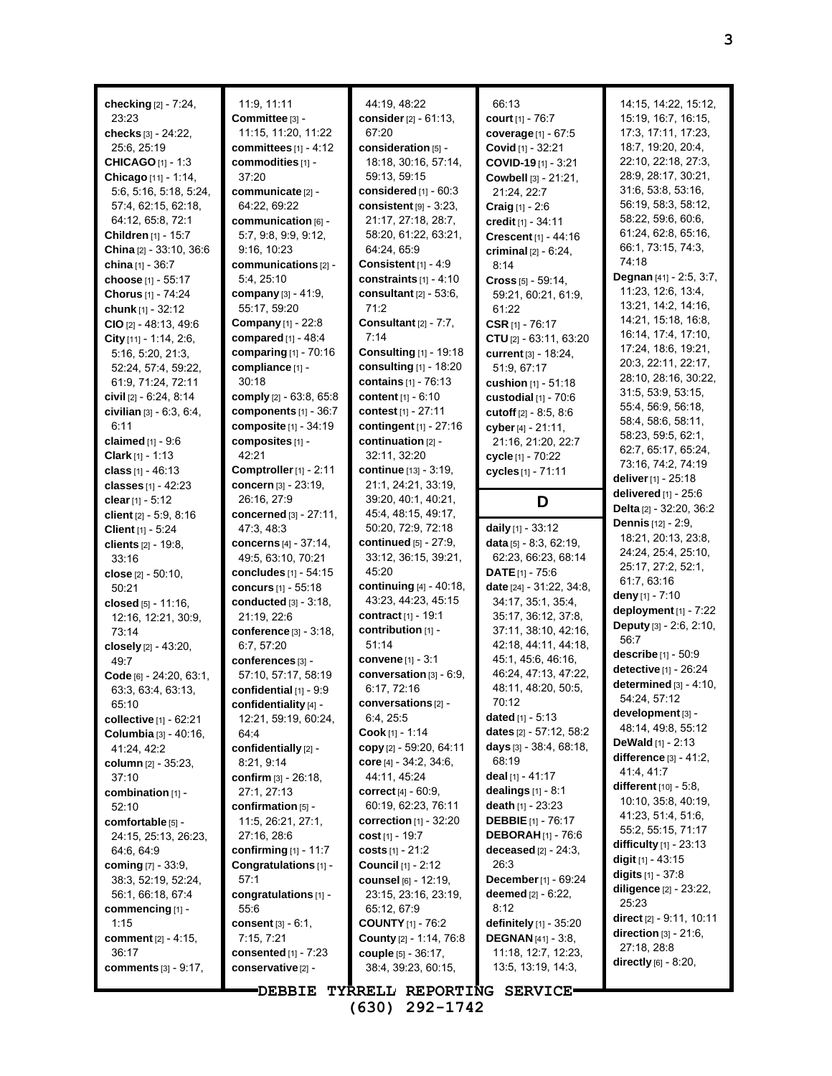**checking** [2] - 7:24, 23:23 **checks** [3] - 24:22, 25:6, 25:19 **CHICAGO** [1] - 1:3 **Chicago** [11] - 1:14, 5:6, 5:16, 5:18, 5:24, 57:4, 62:15, 62:18, 64:12, 65:8, 72:1 **Children** [1] - 15:7 **China** [2] - 33:10, 36:6 **china** [1] - 36:7 **choose** [1] - 55:17 **Chorus** [1] - 74:24 **chunk** [1] - 32:12 **CIO** [2] - 48:13, 49:6 **City** [11] - 1:14, 2:6, 5:16, 5:20, 21:3, 52:24, 57:4, 59:22, 61:9, 71:24, 72:11 **civil** [2] - 6:24, 8:14 **civilian** [3] - 6:3, 6:4, 6:11 **claimed** [1] - 9:6 **Clark** [1] - 1:13 **class** [1] - 46:13 **classes** [1] - 42:23 **clear**[1] - 5:12 **client** [2] - 5:9, 8:16 **Client** [1] - 5:24 **clients** [2] - 19:8, 33:16 **close** [2] - 50:10, 50:21 **closed** [5] - 11:16, 12:16, 12:21, 30:9, 73:14 **closely** [2] - 43:20, 49:7 **Code** [6] - 24:20, 63:1, 63:3, 63:4, 63:13, 65:10 **collective** [1] - 62:21 **Columbia** [3] - 40:16, 41:24, 42:2 **column** [2] - 35:23, 37:10 **combination** [1] - 52:10 **comfortable** [5] - 24:15, 25:13, 26:23, 64:6, 64:9 **coming** [7] - 33:9, 38:3, 52:19, 52:24, 56:1, 66:18, 67:4 **commencing** [1] - 1:15 **comment** [2] - 4:15, 36:17 **comments** [3] - 9:17,

11:9, 11:11 **Committee** [3] - 11:15, 11:20, 11:22 **committees** [1] - 4:12 **commodities** [1] - 37:20 **communicate** [2] - 64:22, 69:22 **communication** [6] - 5:7, 9:8, 9:9, 9:12, 9:16, 10:23 **communications** [2] - 5:4, 25:10 **company** [3] - 41:9, 55:17, 59:20 **Company** [1] - 22:8 **compared** [1] - 48:4 **comparing** [1] - 70:16 **compliance** [1] - 30:18 **comply** [2] - 63:8, 65:8 **components** [1] - 36:7 **composite** [1] - 34:19 **composites** [1] - 42:21 **Comptroller**[1] - 2:11 **concern** [3] - 23:19, 26:16, 27:9 **concerned** [3] - 27:11, 47:3, 48:3 **concerns** [4] - 37:14, 49:5, 63:10, 70:21 **concludes** [1] - 54:15 **concurs** [1] - 55:18 **conducted** [3] - 3:18, 21:19, 22:6 **conference** [3] - 3:18, 6:7, 57:20 **conferences** [3] - 57:10, 57:17, 58:19 **confidential** [1] - 9:9 **confidentiality** [4] - 12:21, 59:19, 60:24, 64:4 **confidentially** [2] - 8:21, 9:14 **confirm** [3] - 26:18, 27:1, 27:13 **confirmation** [5] - 11:5, 26:21, 27:1, 27:16, 28:6 **confirming** [1] - 11:7 **Congratulations** [1] - 57:1 **congratulations** [1] - 55:6 **consent** [3] - 6:1, 7:15, 7:21 **consented** [1] - 7:23 **conservative**[2] -

44:19, 48:22 **consider**[2] - 61:13, 67:20 **consideration** [5] - 18:18, 30:16, 57:14, 59:13, 59:15 **considered** [1] - 60:3 **consistent** [9] - 3:23, 21:17, 27:18, 28:7, 58:20, 61:22, 63:21, 64:24, 65:9 **Consistent** [1] - 4:9 **constraints** [1] - 4:10 **consultant** [2] - 53:6, 71:2 **Consultant** [2] - 7:7, 7:14 **Consulting** [1] - 19:18 **consulting** [1] - 18:20 **contains** [1] - 76:13 **content** [1] - 6:10 **contest** [1] - 27:11 **contingent** [1] - 27:16 **continuation** [2] - 32:11, 32:20 **continue** [13] - 3:19, 21:1, 24:21, 33:19, 39:20, 40:1, 40:21, 45:4, 48:15, 49:17, 50:20, 72:9, 72:18 **continued** [5] - 27:9, 33:12, 36:15, 39:21, 45:20 **continuing** [4] - 40:18, 43:23, 44:23, 45:15 **contract** [1] - 19:1 **contribution** [1] - 51:14 **convene** [1] - 3:1 **conversation** [3] - 6:9, 6:17, 72:16 **conversations** [2] - 6:4, 25:5 **Cook** [1] - 1:14 **copy** [2] - 59:20, 64:11 **core** [4] - 34:2, 34:6, 44:11, 45:24 **correct** [4] - 60:9, 60:19, 62:23, 76:11 **correction** [1] - 32:20 **cost** [1] - 19:7 **costs** [1] - 21:2 **Council** [1] - 2:12 **counsel** [6] - 12:19, 23:15, 23:16, 23:19, 65:12, 67:9 **COUNTY** [1] - 76:2 **County** [2] - 1:14, 76:8 **couple** [5] - 36:17, 38:4, 39:23, 60:15,

**court** [1] - 76:7 **coverage** [1] - 67:5 **Covid** [1] - 32:21 **COVID-19** [1] - 3:21 **Cowbell** [3] - 21:21, 21:24, 22:7 **Craig** [1] - 2:6 **credit** [1] - 34:11 **Crescent** [1] - 44:16 **criminal** [2] - 6:24, 8:14 **Cross** [5] - 59:14, 59:21, 60:21, 61:9, 61:22 **CSR** [1] - 76:17 **CTU** [2] - 63:11, 63:20 **current** [3] - 18:24, 51:9, 67:17 **cushion** [1] - 51:18 **custodial** [1] - 70:6 **cutoff** [2] - 8:5, 8:6 **cyber**[4] - 21:11, 21:16, 21:20, 22:7 **cycle** [1] - 70:22 **cycles** [1] - 71:11 **D daily** [1] - 33:12 **data** [5] - 8:3, 62:19, 62:23, 66:23, 68:14

**DATE**[1] - 75:6 **date** [24] - 31:22, 34:8, 34:17, 35:1, 35:4, 35:17, 36:12, 37:8, 37:11, 38:10, 42:16, 42:18, 44:11, 44:18, 45:1, 45:6, 46:16, 46:24, 47:13, 47:22, 48:11, 48:20, 50:5,

70:12 **dated** [1] - 5:13 **dates** [2] - 57:12, 58:2 **days** [3] - 38:4, 68:18,

68:19 **deal** [1] - 41:17 **dealings** [1] - 8:1 **death** [1] - 23:23 **DEBBIE** [1] - 76:17 **DEBORAH** [1] - 76:6 **deceased** [2] - 24:3,

26:3

8:12

**December**[1] - 69:24 **deemed** [2] - 6:22,

**definitely** [1] - 35:20 **DEGNAN** [41] - 3:8, 11:18, 12:7, 12:23, 13:5, 13:19, 14:3,

66:13

28:9, 28:17, 30:21, 31:6, 53:8, 53:16, 56:19, 58:3, 58:12, 58:22, 59:6, 60:6, 61:24, 62:8, 65:16, 66:1, 73:15, 74:3, 74:18 **Degnan** [41] - 2:5, 3:7, 11:23, 12:6, 13:4, 13:21, 14:2, 14:16, 14:21, 15:18, 16:8, 16:14, 17:4, 17:10, 17:24, 18:6, 19:21, 20:3, 22:11, 22:17, 28:10, 28:16, 30:22, 31:5, 53:9, 53:15, 55:4, 56:9, 56:18, 58:4, 58:6, 58:11, 58:23, 59:5, 62:1, 62:7, 65:17, 65:24, 73:16, 74:2, 74:19 **deliver**[1] - 25:18 **delivered** [1] - 25:6 **Delta** [2] - 32:20, 36:2 **Dennis** [12] - 2:9, 18:21, 20:13, 23:8, 24:24, 25:4, 25:10, 25:17, 27:2, 52:1, 61:7, 63:16 **deny** [1] - 7:10 **deployment** [1] - 7:22 **Deputy** [3] - 2:6, 2:10, 56:7 **describe** [1] - 50:9 **detective** [1] - 26:24 **determined** [3] - 4:10, 54:24, 57:12 **development** [3] - 48:14, 49:8, 55:12 **DeWald** [1] - 2:13 **difference** [3] - 41:2, 41:4, 41:7 **different** [10] - 5:8, 10:10, 35:8, 40:19, 41:23, 51:4, 51:6, 55:2, 55:15, 71:17 **difficulty** [1] - 23:13 **digit** [1] - 43:15 **digits** [1] - 37:8 **diligence** [2] - 23:22, 25:23 **direct** [2] - 9:11, 10:11 **direction** [3] - 21:6, 27:18, 28:8 **directly** [6] - 8:20,

**DEBBIE TYRRELL REPORTING SERVICE (630) 292-1742**

14:15, 14:22, 15:12, 15:19, 16:7, 16:15, 17:3, 17:11, 17:23, 18:7, 19:20, 20:4, 22:10, 22:18, 27:3,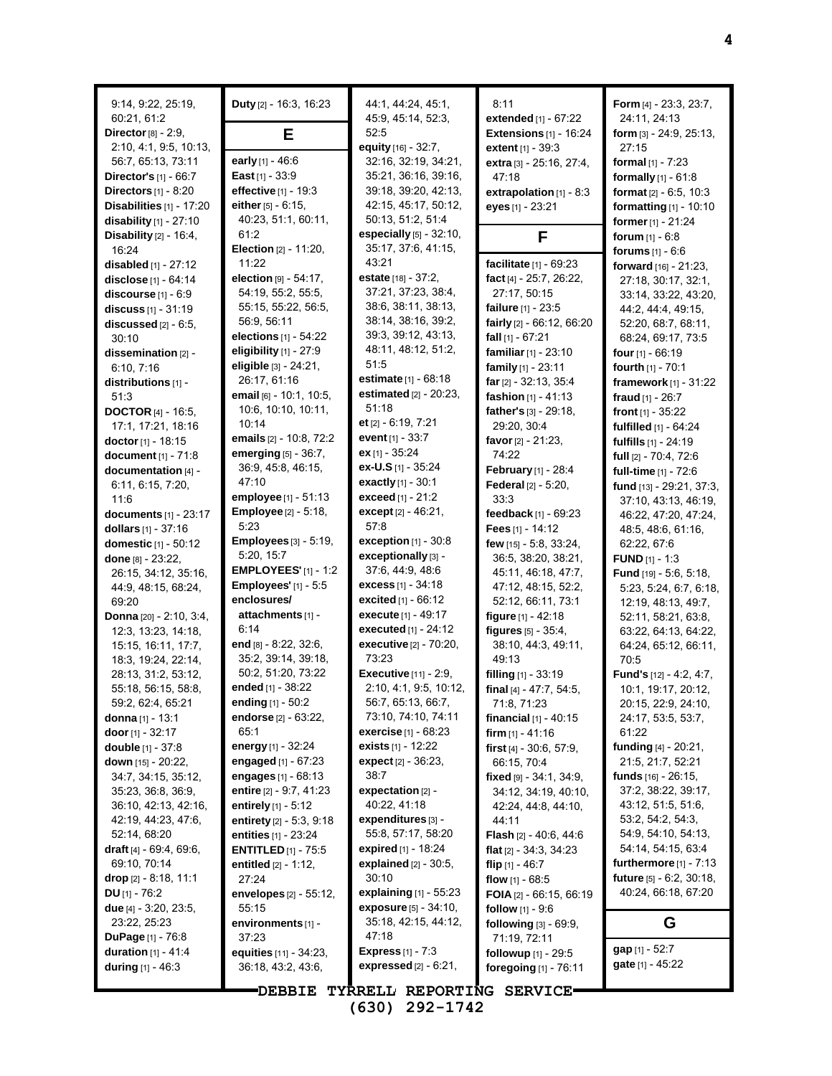| 9:14, 9:22, 25:19,<br>60:21, 61:2 | <b>Duty</b> $[2] - 16:3, 16:23$ | 44:1, 44:24, 45:1,<br>45:9, 45:14, 52:3, | 8:11<br><b>extended</b> $[1]$ - $67:22$ | Form [4] - 23:3, 23:7,<br>24:11, 24:13 |
|-----------------------------------|---------------------------------|------------------------------------------|-----------------------------------------|----------------------------------------|
| Director $[8] - 2.9$ ,            | Е                               | 52:5                                     | Extensions $[1]$ - 16:24                | form [3] - 24:9, 25:13,                |
| 2:10, 4:1, 9:5, 10:13,            |                                 | equity [16] - 32:7,                      | extent [1] - 39:3                       | 27:15                                  |
| 56:7, 65:13, 73:11                | early [1] - 46:6                | 32:16, 32:19, 34:21,                     | extra [3] - 25:16, 27:4,                | <b>formal</b> $[1] - 7:23$             |
| <b>Director's</b> $[1] - 66:7$    | East $[1] - 33.9$               | 35:21, 36:16, 39:16,                     | 47:18                                   | <b>formally</b> $[1] - 61:8$           |
| Directors $[1]$ - 8:20            | effective [1] - 19:3            | 39:18, 39:20, 42:13,                     | extrapolation $[1]$ - 8:3               | <b>format</b> $[2] - 6.5, 10.3$        |
| <b>Disabilities</b> $[1]$ - 17:20 | either $[5] - 6:15$ ,           | 42:15, 45:17, 50:12,                     | eyes [1] - 23:21                        | <b>formatting</b> $[1] - 10:10$        |
| disability $[1]$ - 27:10          | 40:23, 51:1, 60:11,             | 50:13, 51:2, 51:4                        |                                         | <b>former</b> $[1] - 21:24$            |
| Disability [2] - 16:4,            | 61:2                            | <b>especially</b> $[5] - 32:10$ ,        | F                                       | forum $[1] - 6.8$                      |
| 16:24                             | <b>Election</b> [2] - 11:20,    | 35:17, 37:6, 41:15,                      |                                         | forums $[1] - 6.6$                     |
| disabled $[1] - 27:12$            | 11:22                           | 43:21                                    | facilitate [1] - 69:23                  | forward [16] - 21:23.                  |
| disclose [1] - 64:14              | <b>election</b> $[9] - 54:17$ , | <b>estate</b> $[18] - 37:2$              | fact [4] - 25:7, 26:22,                 | 27:18, 30:17, 32:1,                    |
| discourse [1] - 6:9               | 54:19, 55:2, 55:5,              | 37:21, 37:23, 38:4,                      | 27:17, 50:15                            | 33:14, 33:22, 43:20,                   |
| discuss [1] - 31:19               | 55:15, 55:22, 56:5,             | 38:6, 38:11, 38:13,                      | failure [1] - 23:5                      | 44:2, 44:4, 49:15,                     |
| discussed $[2] - 6:5$ ,           | 56:9, 56:11                     | 38:14, 38:16, 39:2,                      | fairly [2] - 66:12, 66:20               | 52:20, 68:7, 68:11,                    |
| 30:10                             | elections $[1] - 54:22$         | 39:3, 39:12, 43:13,                      | <b>fall</b> $[1]$ - 67:21               | 68:24, 69:17, 73:5                     |
| dissemination [2] -               | eligibility $[1]$ - 27:9        | 48:11, 48:12, 51:2,                      | <b>familiar</b> $[1]$ - 23:10           | four $[1] - 66:19$                     |
| 6:10, 7:16                        | eligible [3] - 24:21,           | 51:5                                     | family $[1]$ - 23:11                    | <b>fourth</b> $[1] - 70:1$             |
| distributions [1] -               | 26:17, 61:16                    | estimate [1] - 68:18                     | far $[2] - 32:13, 35:4$                 | framework $[1] - 31:22$                |
| 51:3                              | email $[6] - 10.1$ , 10.5,      | <b>estimated</b> $[2] - 20:23$ ,         | fashion [1] - 41:13                     | fraud $[1] - 26:7$                     |
| <b>DOCTOR</b> [4] - 16:5,         | 10:6, 10:10, 10:11,             | 51:18                                    | father's [3] - 29:18,                   | <b>front</b> $[1]$ - 35:22             |
| 17:1, 17:21, 18:16                | 10:14                           | et $[2] - 6.19, 7.21$                    | 29:20, 30:4                             | fulfilled [1] - 64:24                  |
| doctor [1] - 18:15                | emails [2] - 10:8, 72:2         | event $[1] - 33.7$                       | favor $[2] - 21:23$ ,                   | fulfills [1] - 24:19                   |
| document [1] - 71:8               | emerging [5] - 36:7,            | <b>ex</b> $[1] - 35:24$                  | 74:22                                   | full [2] - 70:4, 72:6                  |
| documentation [4] -               | 36.9, 45.8, 46.15,              | <b>ex-U.S</b> [1] - 35:24                | February [1] - 28:4                     | full-time [1] - 72:6                   |
| 6.11, 6.15, 7.20,                 | 47:10                           | <b>exactly</b> $[1] - 30:1$              | <b>Federal</b> [2] - 5:20,              | fund [13] - 29:21, 37:3,               |
| 11.6                              | employee [1] - 51:13            | exceed [1] - 21:2                        | 33.3                                    | 37:10, 43:13, 46:19,                   |
| documents $[1]$ - 23:17           | <b>Employee</b> [2] - 5:18,     | except $[2] - 46:21$ ,                   | feedback $[1]$ - 69:23                  | 46:22, 47:20, 47:24,                   |
| dollars $[1] - 37:16$             | 5:23                            | 57:8                                     | Fees $[1] - 14:12$                      | 48:5, 48:6, 61:16,                     |
| domestic [1] - 50:12              | <b>Employees</b> [3] - 5:19,    | exception $[1]$ - 30:8                   | few [15] - 5:8, 33:24,                  | 62:22, 67:6                            |
| done [8] - 23:22,                 | 5:20, 15:7                      | exceptionally [3] -                      | 36.5, 38.20, 38.21,                     | <b>FUND</b> $[1] - 1:3$                |
| 26:15, 34:12, 35:16,              | <b>EMPLOYEES'</b> [1] - 1:2     | 37:6, 44:9, 48:6                         | 45:11, 46:18, 47:7,                     | <b>Fund</b> $[19] - 5.6, 5.18$         |
| 44.9, 48.15, 68.24,               | <b>Employees'</b> [1] - 5:5     | <b>excess</b> $[1] - 34:18$              | 47:12, 48:15, 52:2,                     | 5:23, 5:24, 6:7, 6:18,                 |
| 69.20                             | enclosures/                     | excited [1] - 66:12                      | 52:12, 66:11, 73:1                      | 12:19, 48:13, 49:7,                    |
| Donna [20] - 2:10, 3:4,           | attachments [1] -               | <b>execute</b> [1] - 49:17               | figure $[1] - 42:18$                    | 52:11, 58:21, 63:8,                    |
| 12:3, 13:23, 14:18,               | 6.14                            | <b>executed</b> $[1] - 24:12$            | figures [5] - 35:4,                     | 63:22, 64:13, 64:22,                   |
| 15:15, 16:11, 17:7,               | end $[8] - 8:22, 32:6,$         | executive [2] - 70:20,                   | 38:10, 44:3, 49:11,                     | 64:24, 65:12, 66:11,                   |
| 18:3, 19:24, 22:14,               | 35:2, 39:14, 39:18,             | 73:23                                    | 49.13                                   | 70:5                                   |
| 28:13, 31:2, 53:12,               | 50:2, 51:20, 73:22              | <b>Executive</b> [11] - 2:9,             | filling $[1]$ - 33:19                   | <b>Fund's</b> $[12] - 4:2, 4:7,$       |
| 55:18, 56:15, 58:8,               | ended [1] - 38:22               | 2:10, 4:1, 9:5, 10:12,                   | final [4] - 47:7, 54:5,                 | 10:1, 19:17, 20:12,                    |
| 59:2, 62:4, 65:21                 | ending $[1]$ - 50:2             | 56:7, 65:13, 66:7,                       | 71.8, 71.23                             | 20:15, 22:9, 24:10,                    |
| <b>donna</b> [1] - 13:1           | endorse <sup>[2]</sup> - 63:22, | 73:10, 74:10, 74:11                      | financial $[1] - 40:15$                 | 24:17, 53:5, 53:7,                     |
| door $[1]$ - 32:17                | 65:1                            | <b>exercise</b> $[1] - 68:23$            | firm $[1] - 41:16$                      | 61:22                                  |
| <b>double</b> [1] - 37:8          | energy [1] - 32:24              | <b>exists</b> $[1]$ - 12:22              | first $[4] - 30.6, 57.9$ ,              | funding [4] - 20:21,                   |
| down [15] - 20:22,                | engaged $[1] - 67:23$           | expect $[2] - 36:23$ ,                   | 66:15, 70:4                             | 21:5, 21:7, 52:21                      |
| 34:7, 34:15, 35:12,               | engages $[1] - 68:13$           | 38:7                                     | <b>fixed</b> թթ - 34:1, 34:9,           | <b>funds</b> [16] - 26:15,             |
| 35:23, 36:8, 36:9,                | entire [2] - 9:7, 41:23         | expectation $[2]$ -                      | 34:12, 34:19, 40:10,                    | 37:2, 38:22, 39:17,                    |
| 36:10, 42:13, 42:16,              | entirely [1] - 5:12             | 40:22, 41:18                             | 42:24, 44:8, 44:10,                     | 43:12, 51:5, 51:6,                     |
| 42.19, 44.23, 47.6,               | entirety $[2] - 5.3, 9.18$      | expenditures [3] -                       | 44:11                                   | 53:2, 54:2, 54:3,                      |
| 52:14, 68:20                      | <b>entities</b> [1] - 23:24     | 55:8, 57:17, 58:20                       | <b>Flash</b> $[2] - 40.6, 44.6$         | 54:9, 54:10, 54:13,                    |
| draft $[4] - 69.4, 69.6,$         | <b>ENTITLED</b> $[1]$ - 75:5    | expired [1] - 18:24                      | <b>flat</b> [2] - 34:3, 34:23           | 54:14, 54:15, 63:4                     |
| 69:10, 70:14                      | entitled [2] - 1:12,            | explained [2] - 30:5,                    | flip $[1] - 46:7$                       | furthermore $[1]$ - 7:13               |
| drop $[2] - 8.18, 11.1$           | 27:24                           | 30:10                                    | flow $[1] - 68.5$                       | <b>future</b> $[5] - 6:2$ , 30:18,     |
| DU $[1] - 76.2$                   | envelopes [2] - 55:12,          | explaining $[1]$ - 55:23                 | FOIA [2] - 66:15, 66:19                 | 40:24, 66:18, 67:20                    |
| due $[4] - 3:20, 23:5,$           | 55:15                           | exposure [5] - 34:10,                    | follow [1] - 9:6                        |                                        |
| 23.22, 25:23                      | environments [1] -              | 35:18, 42:15, 44:12,                     | following [3] - 69:9,                   | G                                      |
| <b>DuPage</b> $[1] - 76.8$        | 37:23                           | 47:18                                    | 71:19, 72:11                            |                                        |
| <b>duration</b> $[1] - 41.4$      | equities [11] - 34:23,          | <b>Express</b> $[1] - 7:3$               | followup [1] - 29:5                     | gap [1] - 52:7                         |
| during $[1] - 46:3$               | 36:18, 43:2, 43:6,              | expressed $[2] - 6.21$ ,                 | foregoing [1] - 76:11                   | <b>gate</b> $[1] - 45:22$              |
|                                   |                                 |                                          |                                         |                                        |
|                                   | <b>DEBBIE</b>                   | TYRRELL REPORTING SERVICE                |                                         |                                        |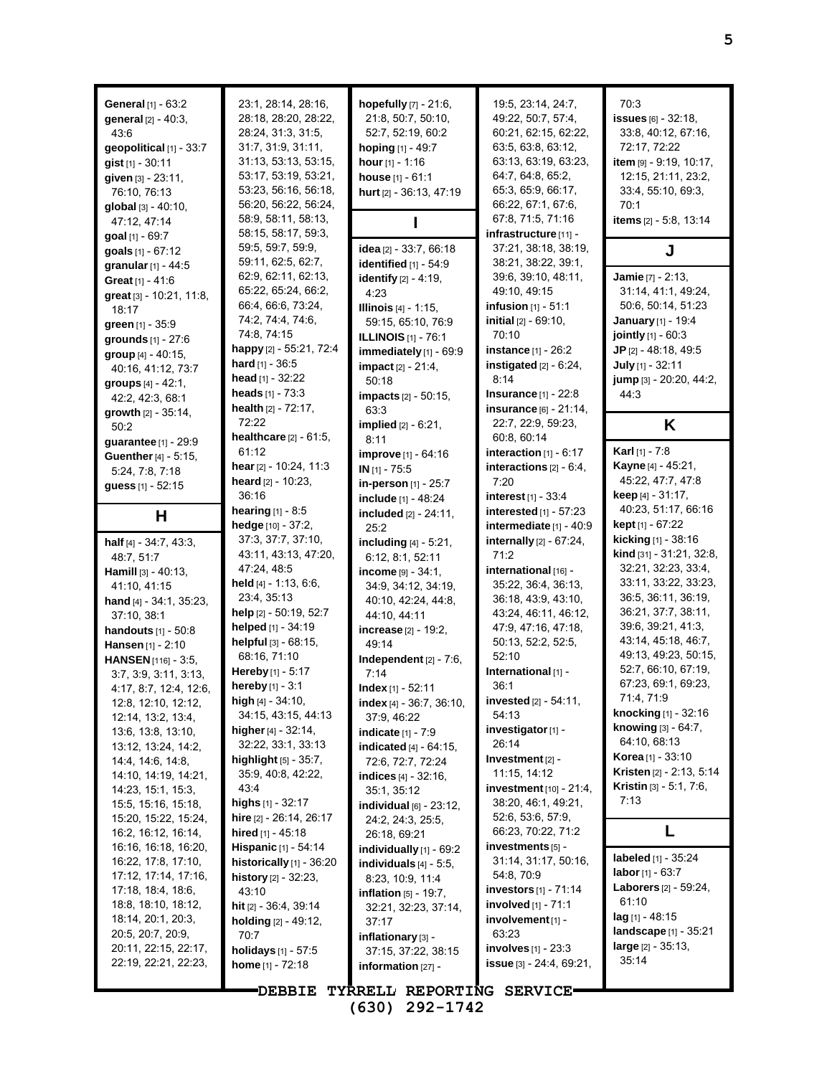| <b>General</b> $[1] - 63:2$<br>general [2] - 40:3,<br>43.6<br>geopolitical [1] - 33:7<br>gist [1] - 30:11<br>given [3] - 23:11,<br>76:10, 76:13<br>global [3] - 40:10,<br>47:12, 47:14<br>goal $[1]$ - 69:7 | 23:1, 28:14, 28:16,<br>28:18, 28:20, 28:22,<br>28:24, 31:3, 31:5,<br>31:7, 31:9, 31:11,<br>31:13, 53:13, 53:15,<br>53:17, 53:19, 53:21,<br>53:23, 56:16, 56:18,<br>56:20, 56:22, 56:24,<br>58:9, 58:11, 58:13,<br>58:15, 58:17, 59:3, | hopefully [7] - 21:6,<br>21:8, 50:7, 50:10,<br>52:7, 52:19, 60:2<br>hoping [1] - 49:7<br>hour $[1] - 1.16$<br>house $[1] - 61:1$<br>hurt [2] - 36:13, 47:19 | 19:5, 23:14, 24:7,<br>49:22, 50:7, 57:4,<br>60:21, 62:15, 62:22,<br>63:5, 63:8, 63:12,<br>63:13, 63:19, 63:23,<br>64:7, 64:8, 65:2,<br>65:3, 65:9, 66:17,<br>66.22, 67:1, 67:6,<br>67:8, 71:5, 71:16<br>infrastructure [11] - | 70:3<br>issues $[6] - 32:18$ ,<br>33.8, 40.12, 67.16,<br>72:17, 72:22<br>item [9] - 9:19, 10:17,<br>12:15, 21:11, 23:2,<br>33.4, 55.10, 69.3,<br>70:1<br>items [2] - 5:8, 13:14 |
|-------------------------------------------------------------------------------------------------------------------------------------------------------------------------------------------------------------|---------------------------------------------------------------------------------------------------------------------------------------------------------------------------------------------------------------------------------------|-------------------------------------------------------------------------------------------------------------------------------------------------------------|-------------------------------------------------------------------------------------------------------------------------------------------------------------------------------------------------------------------------------|---------------------------------------------------------------------------------------------------------------------------------------------------------------------------------|
| goals [1] - 67:12                                                                                                                                                                                           | 59:5, 59:7, 59:9,                                                                                                                                                                                                                     | idea [2] - 33:7, 66:18                                                                                                                                      | 37:21, 38:18, 38:19,                                                                                                                                                                                                          | J                                                                                                                                                                               |
| granular [1] - 44:5                                                                                                                                                                                         | 59:11, 62:5, 62:7,                                                                                                                                                                                                                    | identified $[1]$ - 54:9                                                                                                                                     | 38.21, 38:22, 39.1,                                                                                                                                                                                                           |                                                                                                                                                                                 |
| Great [1] - 41:6                                                                                                                                                                                            | 62:9, 62:11, 62:13,                                                                                                                                                                                                                   | <b>identify</b> [2] - 4:19,                                                                                                                                 | 39:6, 39:10, 48:11,                                                                                                                                                                                                           | Jamie [7] - 2:13,                                                                                                                                                               |
| great [3] - 10:21, 11:8,                                                                                                                                                                                    | 65:22, 65:24, 66:2,<br>66.4, 66.6, 73.24,                                                                                                                                                                                             | 4:23                                                                                                                                                        | 49:10, 49:15<br><b>infusion</b> $[1] - 51:1$                                                                                                                                                                                  | 31:14, 41:1, 49:24,<br>50:6, 50:14, 51:23                                                                                                                                       |
| 18:17                                                                                                                                                                                                       | 74.2, 74.4, 74.6,                                                                                                                                                                                                                     | <b>Illinois</b> [4] - 1:15,<br>59:15, 65:10, 76:9                                                                                                           | <b>initial</b> $[2] - 69:10$ ,                                                                                                                                                                                                | <b>January</b> [1] - 19:4                                                                                                                                                       |
| green [1] - 35:9                                                                                                                                                                                            | 74:8, 74:15                                                                                                                                                                                                                           | <b>ILLINOIS</b> [1] - 76:1                                                                                                                                  | 70:10                                                                                                                                                                                                                         | jointly [1] - 60:3                                                                                                                                                              |
| grounds [1] - 27:6                                                                                                                                                                                          | happy [2] - 55:21, 72:4                                                                                                                                                                                                               | immediately [1] - 69:9                                                                                                                                      | instance [1] - 26:2                                                                                                                                                                                                           | JP $[2] - 48:18, 49:5$                                                                                                                                                          |
| group [4] - 40:15,<br>40:16, 41:12, 73:7                                                                                                                                                                    | <b>hard</b> $[1] - 36:5$                                                                                                                                                                                                              | <b>impact</b> $[2] - 21:4$ ,                                                                                                                                | instigated $[2] - 6:24$ ,                                                                                                                                                                                                     | July [1] - 32:11                                                                                                                                                                |
| groups $[4] - 42.1$ ,                                                                                                                                                                                       | <b>head</b> [1] - $32:22$                                                                                                                                                                                                             | 50:18                                                                                                                                                       | 8:14                                                                                                                                                                                                                          | jump [3] - 20:20, 44:2,                                                                                                                                                         |
| 42:2, 42:3, 68:1                                                                                                                                                                                            | heads $[1] - 73.3$                                                                                                                                                                                                                    | <b>impacts</b> $[2] - 50:15$ ,                                                                                                                              | <b>Insurance</b> $[1] - 22.8$                                                                                                                                                                                                 | 44.3                                                                                                                                                                            |
| growth $[2] - 35:14$ ,                                                                                                                                                                                      | health $[2] - 72:17$ ,                                                                                                                                                                                                                | 63.3                                                                                                                                                        | insurance [6] - 21:14,                                                                                                                                                                                                        |                                                                                                                                                                                 |
| 50:2                                                                                                                                                                                                        | 72:22                                                                                                                                                                                                                                 | <b>implied</b> $[2] - 6:21$ ,                                                                                                                               | 22:7, 22:9, 59:23,                                                                                                                                                                                                            | K                                                                                                                                                                               |
| guarantee [1] - 29:9                                                                                                                                                                                        | <b>healthcare</b> $[2] - 61:5$ ,<br>61:12                                                                                                                                                                                             | 8:11                                                                                                                                                        | 60:8, 60:14                                                                                                                                                                                                                   | <b>Karl</b> [1] - 7:8                                                                                                                                                           |
| <b>Guenther</b> [4] - 5:15,                                                                                                                                                                                 | hear [2] - 10.24, 11:3                                                                                                                                                                                                                | improve [1] - 64:16                                                                                                                                         | interaction $[1] - 6:17$<br>interactions $[2] - 6:4$ ,                                                                                                                                                                        | <b>Kayne</b> [4] - 45:21,                                                                                                                                                       |
| 5:24, 7:8, 7:18                                                                                                                                                                                             | heard [2] - 10:23,                                                                                                                                                                                                                    | $IN$ [1] - 75:5<br>in-person [1] - 25:7                                                                                                                     | 7:20                                                                                                                                                                                                                          | 45:22, 47:7, 47:8                                                                                                                                                               |
| guess [1] - 52:15                                                                                                                                                                                           | 36:16                                                                                                                                                                                                                                 | include [1] - 48:24                                                                                                                                         | <b>interest</b> $[1] - 33.4$                                                                                                                                                                                                  | <b>keep</b> $[4] - 31:17$ ,                                                                                                                                                     |
| Н                                                                                                                                                                                                           | <b>hearing</b> $[1] - 8.5$                                                                                                                                                                                                            | included $[2] - 24:11$ ,                                                                                                                                    | interested [1] - 57:23                                                                                                                                                                                                        | 40:23, 51:17, 66:16                                                                                                                                                             |
|                                                                                                                                                                                                             | <b>hedge</b> $[10] - 37:2$ ,                                                                                                                                                                                                          | 25:2                                                                                                                                                        | intermediate [1] - 40:9                                                                                                                                                                                                       | kept [1] - 67:22                                                                                                                                                                |
| half $[4] - 34.7, 43.3$ ,                                                                                                                                                                                   | 37:3, 37:7, 37:10,                                                                                                                                                                                                                    | including $[4] - 5:21$ ,                                                                                                                                    | internally [2] - 67:24,                                                                                                                                                                                                       | kicking [1] - 38:16                                                                                                                                                             |
| 48:7, 51:7                                                                                                                                                                                                  | 43:11, 43:13, 47:20,                                                                                                                                                                                                                  | 6.12, 8.1, 52.11                                                                                                                                            | 71:2                                                                                                                                                                                                                          | kind [31] - 31:21, 32:8,                                                                                                                                                        |
| <b>Hamill</b> $[3] - 40.13$ ,                                                                                                                                                                               | 47:24, 48:5                                                                                                                                                                                                                           | income $[9] - 34:1$ ,                                                                                                                                       | international [16] -                                                                                                                                                                                                          | 32.21, 32.23, 33.4,                                                                                                                                                             |
| 41:10, 41:15                                                                                                                                                                                                | held $[4] - 1:13, 6:6,$<br>23:4, 35:13                                                                                                                                                                                                | 34:9, 34:12, 34:19,                                                                                                                                         | 35:22, 36:4, 36:13,                                                                                                                                                                                                           | 33:11, 33:22, 33:23,<br>36:5, 36:11, 36:19,                                                                                                                                     |
| <b>hand</b> [4] - 34: 1, 35: 23,                                                                                                                                                                            | help [2] - 50:19, 52:7                                                                                                                                                                                                                | 40:10, 42:24, 44:8,                                                                                                                                         | 36:18, 43:9, 43:10,<br>43:24, 46:11, 46:12,                                                                                                                                                                                   | 36:21, 37:7, 38:11,                                                                                                                                                             |
| 37:10, 38:1<br><b>handouts</b> $[1] - 50.8$                                                                                                                                                                 | helped [1] - 34:19                                                                                                                                                                                                                    | 44:10, 44:11<br>increase [2] - 19:2.                                                                                                                        | 47.9, 47.16, 47.18,                                                                                                                                                                                                           | 39:6, 39:21, 41:3,                                                                                                                                                              |
| Hansen [1] - 2:10                                                                                                                                                                                           | helpful [3] - 68:15,                                                                                                                                                                                                                  | 49:14                                                                                                                                                       | 50:13, 52:2, 52:5,                                                                                                                                                                                                            | 43:14, 45:18, 46:7,                                                                                                                                                             |
| HANSEN [116] - 3:5,                                                                                                                                                                                         | 68:16, 71:10                                                                                                                                                                                                                          | Independent [2] - 7:6,                                                                                                                                      | 52:10                                                                                                                                                                                                                         | 49:13, 49:23, 50:15,                                                                                                                                                            |
| 3:7, 3:9, 3:11, 3:13,                                                                                                                                                                                       | <b>Hereby</b> $[1]$ - 5:17                                                                                                                                                                                                            | 7.14                                                                                                                                                        | International [1] -                                                                                                                                                                                                           | 52:7, 66:10, 67:19,                                                                                                                                                             |
| 4:17, 8:7, 12:4, 12:6,                                                                                                                                                                                      | hereby $[1] - 3:1$                                                                                                                                                                                                                    | Index [1] - 52:11                                                                                                                                           | 36:1                                                                                                                                                                                                                          | 67:23, 69:1, 69:23,                                                                                                                                                             |
| 12:8, 12:10, 12:12,                                                                                                                                                                                         | high $[4]$ - 34:10,                                                                                                                                                                                                                   | index [4] - 36:7, 36:10,                                                                                                                                    | <b>invested</b> $[2] - 54:11$ ,                                                                                                                                                                                               | 71:4, 71:9                                                                                                                                                                      |
| 12:14, 13:2, 13:4,                                                                                                                                                                                          | 34:15, 43:15, 44:13                                                                                                                                                                                                                   | 37:9, 46:22                                                                                                                                                 | 54:13                                                                                                                                                                                                                         | knocking $[1] - 32.16$<br><b>knowing</b> $[3] - 64:7$ ,                                                                                                                         |
| 13.6, 13.8, 13.10,                                                                                                                                                                                          | higher $[4] - 32:14$ ,                                                                                                                                                                                                                | indicate [1] - 7:9                                                                                                                                          | investigator [1] -                                                                                                                                                                                                            | 64:10, 68:13                                                                                                                                                                    |
| 13:12, 13:24, 14:2,                                                                                                                                                                                         | 32:22, 33:1, 33:13<br>highlight $[5]$ - 35:7,                                                                                                                                                                                         | indicated [4] - 64:15,                                                                                                                                      | 26:14<br>Investment $[2]$ -                                                                                                                                                                                                   | <b>Korea</b> [1] - 33:10                                                                                                                                                        |
| 14:4, 14:6, 14:8,<br>14:10, 14:19, 14:21,                                                                                                                                                                   | 35:9, 40:8, 42:22,                                                                                                                                                                                                                    | 72:6, 72:7, 72:24<br>indices [4] - 32:16,                                                                                                                   | 11:15, 14:12                                                                                                                                                                                                                  | <b>Kristen</b> [2] - 2:13, 5:14                                                                                                                                                 |
| 14:23, 15:1, 15:3,                                                                                                                                                                                          | 43:4                                                                                                                                                                                                                                  | 35:1, 35:12                                                                                                                                                 | investment [10] - 21:4,                                                                                                                                                                                                       | <b>Kristin</b> [3] - 5:1, 7:6,                                                                                                                                                  |
| 15:5, 15:16, 15:18,                                                                                                                                                                                         | highs $[1]$ - 32:17                                                                                                                                                                                                                   | individual [6] - 23:12,                                                                                                                                     | 38:20, 46:1, 49:21,                                                                                                                                                                                                           | 7:13                                                                                                                                                                            |
| 15:20, 15:22, 15:24,                                                                                                                                                                                        | hire [2] - 26:14, 26:17                                                                                                                                                                                                               | 24:2, 24:3, 25:5,                                                                                                                                           | 52:6, 53:6, 57:9,                                                                                                                                                                                                             |                                                                                                                                                                                 |
| 16:2, 16:12, 16:14,                                                                                                                                                                                         | hired [1] - 45:18                                                                                                                                                                                                                     | 26:18, 69:21                                                                                                                                                | 66.23, 70.22, 71.2                                                                                                                                                                                                            | L                                                                                                                                                                               |
| 16:16, 16:18, 16:20,                                                                                                                                                                                        | <b>Hispanic</b> [1] - 54:14                                                                                                                                                                                                           | individually [1] - 69:2                                                                                                                                     | investments [5] -                                                                                                                                                                                                             | labeled [1] - 35:24                                                                                                                                                             |
| 16:22, 17:8, 17:10,                                                                                                                                                                                         | historically [1] - 36:20                                                                                                                                                                                                              | individuals $[4]$ - 5:5,                                                                                                                                    | 31:14, 31:17, 50:16,                                                                                                                                                                                                          | <b>labor</b> $[1] - 63:7$                                                                                                                                                       |
| 17:12, 17:14, 17:16,                                                                                                                                                                                        | history [2] - 32:23,                                                                                                                                                                                                                  | 8:23, 10.9, 11:4                                                                                                                                            | 54.8, 70.9<br><b>investors</b> [1] - 71:14                                                                                                                                                                                    | <b>Laborers</b> $[2] - 59:24$ ,                                                                                                                                                 |
| 17:18, 18:4, 18:6,<br>18:8, 18:10, 18:12,                                                                                                                                                                   | 43:10<br><b>hit</b> $[2]$ - 36:4, 39:14                                                                                                                                                                                               | inflation $[5] - 19.7$ ,                                                                                                                                    | <b>involved</b> $[1]$ - 71:1                                                                                                                                                                                                  | 61:10                                                                                                                                                                           |
| 18:14, 20:1, 20:3,                                                                                                                                                                                          | holding [2] - 49:12,                                                                                                                                                                                                                  | 32:21, 32:23, 37:14,<br>37:17                                                                                                                               | $involvement[1] -$                                                                                                                                                                                                            | $\log$ [1] - 48:15                                                                                                                                                              |
| 20:5, 20:7, 20:9,                                                                                                                                                                                           | 70:7                                                                                                                                                                                                                                  | inflationary [3] -                                                                                                                                          | 63.23                                                                                                                                                                                                                         | landscape [1] - 35:21                                                                                                                                                           |
| 20:11, 22:15, 22:17,                                                                                                                                                                                        | holidays [1] - 57:5                                                                                                                                                                                                                   | 37:15, 37:22, 38:15                                                                                                                                         | involves $[1]$ - $23:3$                                                                                                                                                                                                       | large [2] - 35:13,                                                                                                                                                              |
| 22:19, 22:21, 22:23,                                                                                                                                                                                        | home $[1] - 72:18$                                                                                                                                                                                                                    | information $[27]$ -                                                                                                                                        | <b>issue</b> $[3] - 24.4, 69.21,$                                                                                                                                                                                             | 35:14                                                                                                                                                                           |
|                                                                                                                                                                                                             |                                                                                                                                                                                                                                       | DEBBIE TYRRELL REPORTING SERVICE.                                                                                                                           |                                                                                                                                                                                                                               |                                                                                                                                                                                 |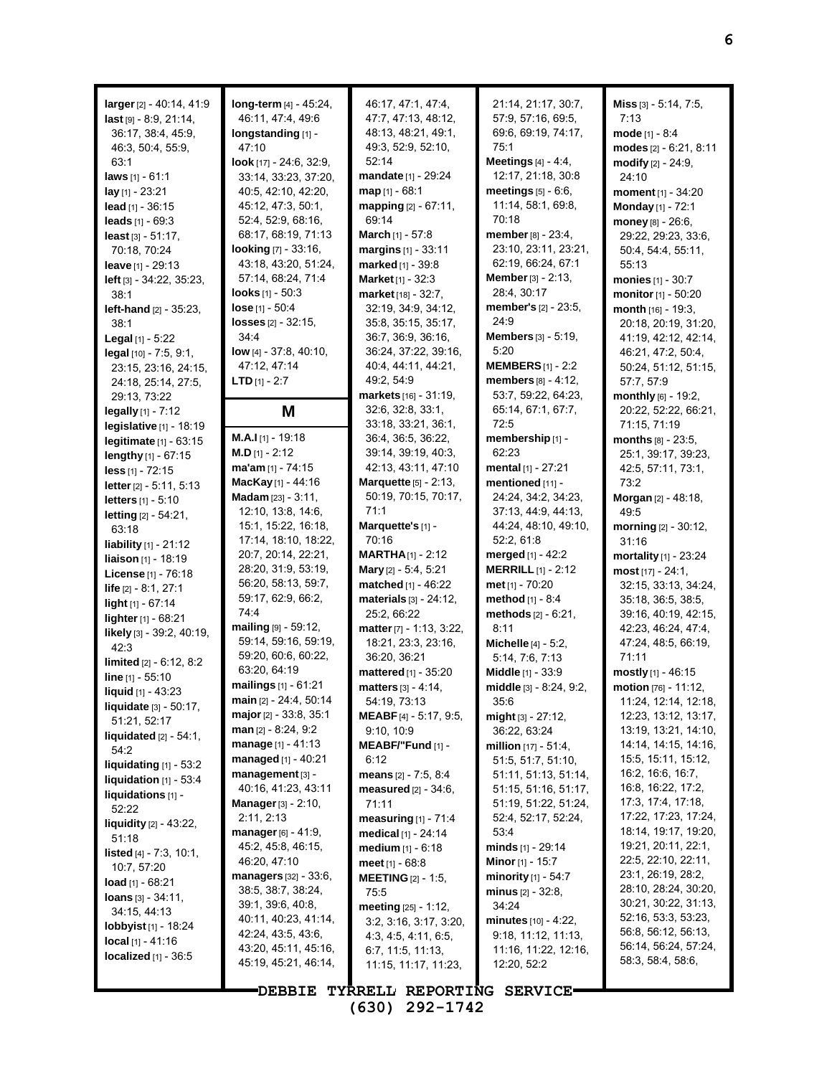**larger**[2] - 40:14, 41:9 **last** [9] - 8:9, 21:14, 36:17, 38:4, 45:9, 46:3, 50:4, 55:9, 63:1 **laws** [1] - 61:1 **lay** [1] - 23:21 **lead** [1] - 36:15 **leads** [1] - 69:3 **least** [3] - 51:17, 70:18, 70:24 **leave** [1] - 29:13 **left** [3] - 34:22, 35:23, 38:1 **left-hand** [2] - 35:23, 38:1 **Legal** [1] - 5:22 **legal** [10] - 7:5, 9:1, 23:15, 23:16, 24:15, 24:18, 25:14, 27:5, 29:13, 73:22 **legally** [1] - 7:12 **legislative** [1] - 18:19 **legitimate** [1] - 63:15 **lengthy** [1] - 67:15 **less** [1] - 72:15 **letter**[2] - 5:11, 5:13 **letters** [1] - 5:10 **letting** [2] - 54:21, 63:18 **liability** [1] - 21:12 **liaison** [1] - 18:19 **License** [1] - 76:18 **life** [2] - 8:1, 27:1 **light** [1] - 67:14 **lighter** [1] - 68:21 **likely** [3] - 39:2, 40:19, 42:3 **limited** [2] - 6:12, 8:2 **line** [1] - 55:10 **liquid** [1] - 43:23 **liquidate** [3] - 50:17, 51:21, 52:17 **liquidated** [2] - 54:1, 54:2 **liquidating** [1] - 53:2 **liquidation** [1] - 53:4 **liquidations** [1] - 52:22 **liquidity** [2] - 43:22, 51:18 **listed** [4] - 7:3, 10:1, 10:7, 57:20 **load** [1] - 68:21 **loans** [3] - 34:11, 34:15, 44:13 **lobbyist** [1] - 18:24 **local** [1] - 41:16 **localized** [1] - 36:5

**long-term** [4] - 45:24, 46:11, 47:4, 49:6 **longstanding** [1] - 47:10 **look** [17] - 24:6, 32:9, 33:14, 33:23, 37:20, 40:5, 42:10, 42:20, 45:12, 47:3, 50:1, 52:4, 52:9, 68:16, 68:17, 68:19, 71:13 **looking** [7] - 33:16, 43:18, 43:20, 51:24, 57:14, 68:24, 71:4 **looks** [1] - 50:3 **lose** [1] - 50:4 **losses** [2] - 32:15, 34:4 **low** [4] - 37:8, 40:10, 47:12, 47:14 **LTD** [1] - 2:7 **M M.A.I** [1] - 19:18 **M.D** [1] - 2:12 **ma'am** [1] - 74:15 **MacKay** [1] - 44:16 **Madam** [23] - 3:11, 12:10, 13:8, 14:6, 15:1, 15:22, 16:18, 17:14, 18:10, 18:22, 20:7, 20:14, 22:21, 28:20, 31:9, 53:19, 56:20, 58:13, 59:7, 59:17, 62:9, 66:2, 74:4 **mailing** [9] - 59:12, 59:14, 59:16, 59:19, 59:20, 60:6, 60:22, 63:20, 64:19 **mailings** [1] - 61:21 **main** [2] - 24:4, 50:14 **major**[2] - 33:8, 35:1 **man** [2] - 8:24, 9:2 **manage** [1] - 41:13 **managed** [1] - 40:21 **management** [3] - 40:16, 41:23, 43:11 **Manager**[3] - 2:10, 2:11, 2:13 **manager**[6] - 41:9, 45:2, 45:8, 46:15, 46:20, 47:10 **managers** [32] - 33:6, 38:5, 38:7, 38:24, 39:1, 39:6, 40:8, 40:11, 40:23, 41:14, 42:24, 43:5, 43:6, 43:20, 45:11, 45:16, 45:19, 45:21, 46:14,

46:17, 47:1, 47:4, 47:7, 47:13, 48:12, 48:13, 48:21, 49:1, 49:3, 52:9, 52:10, 52:14 **mandate** [1] - 29:24 **map** [1] - 68:1 **mapping** [2] - 67:11, 69:14 **March** [1] - 57:8 **margins** [1] - 33:11 **marked** [1] - 39:8 **Market**[1] - 32:3 **market** [18] - 32:7, 32:19, 34:9, 34:12, 35:8, 35:15, 35:17, 36:7, 36:9, 36:16, 36:24, 37:22, 39:16, 40:4, 44:11, 44:21, 49:2, 54:9 **markets** [16] - 31:19, 32:6, 32:8, 33:1, 33:18, 33:21, 36:1, 36:4, 36:5, 36:22, 39:14, 39:19, 40:3, 42:13, 43:11, 47:10 **Marquette** [5] - 2:13, 50:19, 70:15, 70:17, 71:1 **Marquette's** [1] - 70:16 **MARTHA**[1] - 2:12 **Mary** [2] - 5:4, 5:21 **matched** [1] - 46:22 **materials** [3] - 24:12, 25:2, 66:22 **matter**[7] - 1:13, 3:22, 18:21, 23:3, 23:16, 36:20, 36:21 **mattered** [1] - 35:20 **matters** [3] - 4:14, 54:19, 73:13 **MEABF** [4] - 5:17, 9:5, 9:10, 10:9 **MEABF/"Fund** [1] - 6:12 **means** [2] - 7:5, 8:4 **measured** [2] - 34:6, 71:11 **measuring** [1] - 71:4 **medical** [1] - 24:14 **medium** [1] - 6:18 **meet** [1] - 68:8 **MEETING** [2] - 1:5, 75:5 **meeting** [25] - 1:12, 3:2, 3:16, 3:17, 3:20, 4:3, 4:5, 4:11, 6:5, 6:7, 11:5, 11:13, 11:15, 11:17, 11:23,

21:14, 21:17, 30:7, 57:9, 57:16, 69:5, 69:6, 69:19, 74:17, 75:1 **Meetings** [4] - 4:4, 12:17, 21:18, 30:8 **meetings**  $[5]$  - 6:6, 11:14, 58:1, 69:8, 70:18 **member**[8] - 23:4, 23:10, 23:11, 23:21, 62:19, 66:24, 67:1 **Member**[3] - 2:13, 28:4, 30:17 **member's** [2] - 23:5, 24:9 **Members** [3] - 5:19, 5:20 **MEMBERS**[1] - 2:2 **members** [8] - 4:12, 53:7, 59:22, 64:23, 65:14, 67:1, 67:7, 72:5 **membership** [1] - 62:23 **mental** [1] - 27:21 **mentioned** [11] - 24:24, 34:2, 34:23, 37:13, 44:9, 44:13, 44:24, 48:10, 49:10, 52:2, 61:8 **merged** [1] - 42:2 **MERRILL** [1] - 2:12 **met** [1] - 70:20 **method** [1] - 8:4 **methods** [2] - 6:21, 8:11 **Michelle** [4] - 5:2, 5:14, 7:6, 7:13 **Middle** [1] - 33:9 **middle** [3] - 8:24, 9:2, 35:6 **might** [3] - 27:12, 36:22, 63:24 **million** [17] - 51:4, 51:5, 51:7, 51:10, 51:11, 51:13, 51:14, 51:15, 51:16, 51:17, 51:19, 51:22, 51:24, 52:4, 52:17, 52:24, 53:4 **minds** [1] - 29:14 **Minor**[1] - 15:7 **minority** [1] - 54:7 **minus** [2] - 32:8, 34:24 **minutes** [10] - 4:22, 9:18, 11:12, 11:13, 11:16, 11:22, 12:16, 12:20, 52:2

**Miss** [3] - 5:14, 7:5, 7:13 **mode** [1] - 8:4 **modes** [2] - 6:21, 8:11 **modify** [2] - 24:9, 24:10 **moment** [1] - 34:20 **Monday** [1] - 72:1 **money** [8] - 26:6, 29:22, 29:23, 33:6, 50:4, 54:4, 55:11, 55:13 **monies** [1] - 30:7 **monitor** [1] - 50:20 **month** [16] - 19:3, 20:18, 20:19, 31:20, 41:19, 42:12, 42:14, 46:21, 47:2, 50:4, 50:24, 51:12, 51:15, 57:7, 57:9 **monthly** [6] - 19:2, 20:22, 52:22, 66:21, 71:15, 71:19 **months** [8] - 23:5, 25:1, 39:17, 39:23, 42:5, 57:11, 73:1, 73:2 **Morgan** [2] - 48:18, 49:5 **morning** [2] - 30:12, 31:16 **mortality** [1] - 23:24 **most** [17] - 24:1, 32:15, 33:13, 34:24, 35:18, 36:5, 38:5, 39:16, 40:19, 42:15, 42:23, 46:24, 47:4, 47:24, 48:5, 66:19, 71:11 **mostly** [1] - 46:15 **motion** [76] - 11:12, 11:24, 12:14, 12:18, 12:23, 13:12, 13:17, 13:19, 13:21, 14:10, 14:14, 14:15, 14:16, 15:5, 15:11, 15:12, 16:2, 16:6, 16:7, 16:8, 16:22, 17:2, 17:3, 17:4, 17:18, 17:22, 17:23, 17:24, 18:14, 19:17, 19:20, 19:21, 20:11, 22:1, 22:5, 22:10, 22:11, 23:1, 26:19, 28:2, 28:10, 28:24, 30:20, 30:21, 30:22, 31:13, 52:16, 53:3, 53:23, 56:8, 56:12, 56:13, 56:14, 56:24, 57:24, 58:3, 58:4, 58:6,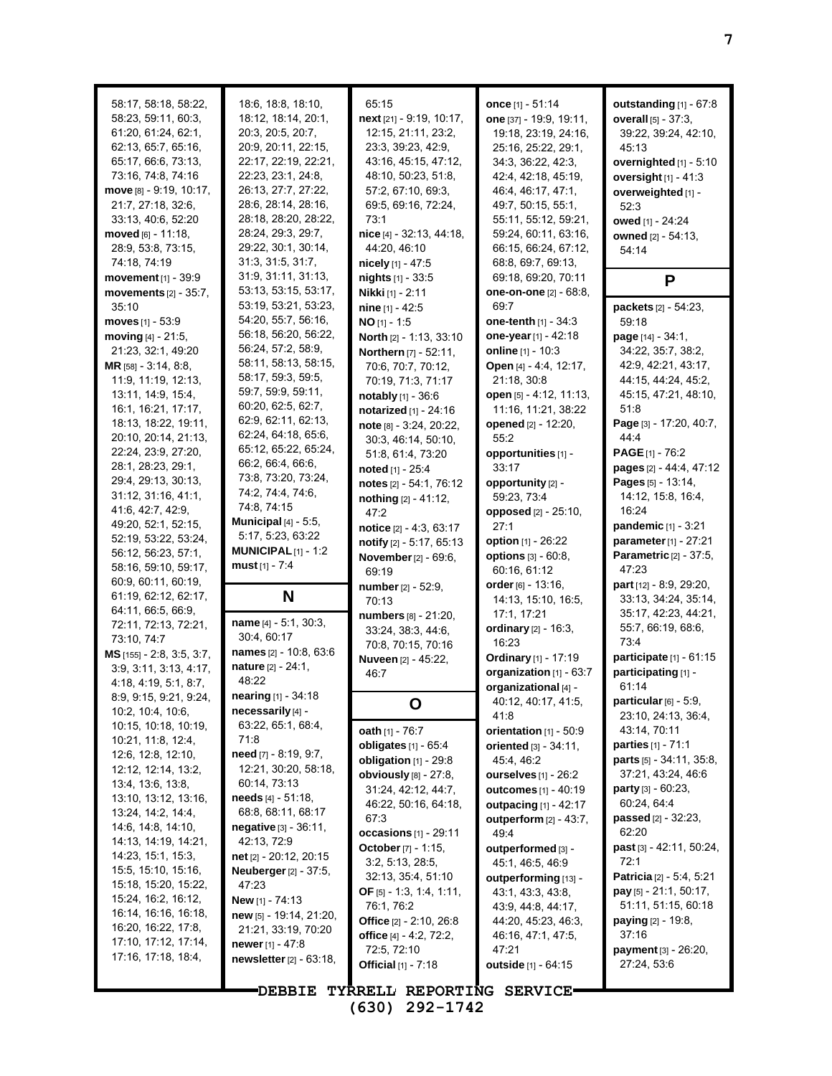| 58:17, 58:18, 58:22,<br>58:23, 59:11, 60:3,<br>61.20, 61.24, 62.1,<br>62:13, 65:7, 65:16,<br>65:17, 66:6, 73:13,<br>73:16, 74:8, 74:16<br>move [8] - 9:19, 10:17,<br>21:7, 27:18, 32:6,<br>33:13, 40:6, 52:20<br>moved [6] - 11:18.<br>28.9, 53.8, 73.15,<br>74:18, 74:19<br>movement [1] - 39:9 | 18:6, 18:8, 18:10,<br>18:12, 18:14, 20:1,<br>20:3, 20:5, 20:7,<br>20:9, 20:11, 22:15,<br>22:17, 22:19, 22:21,<br>22:23, 23:1, 24:8,<br>26.13, 27:7, 27:22,<br>28:6, 28:14, 28:16,<br>28:18, 28:20, 28:22,<br>28:24, 29:3, 29:7,<br>29:22, 30:1, 30:14,<br>31:3, 31:5, 31:7,<br>31:9, 31:11, 31:13, | 65:15<br>next [21] - 9:19, 10:17,<br>12:15, 21:11, 23:2,<br>23:3, 39:23, 42:9,<br>43:16, 45:15, 47:12,<br>48:10, 50:23, 51:8,<br>57:2, 67:10, 69:3,<br>69:5, 69:16, 72:24,<br>73:1<br>nice [4] - 32:13, 44:18,<br>44:20, 46:10<br>nicely [1] - 47:5<br>nights [1] - 33:5 | once [1] - 51:14<br>one [37] - 19:9, 19:11,<br>19:18, 23:19, 24:16,<br>25:16, 25:22, 29:1,<br>34:3, 36:22, 42:3,<br>42:4, 42:18, 45:19,<br>46.4, 46.17, 47.1,<br>49.7, 50.15, 55.1,<br>55:11, 55:12, 59:21,<br>59:24, 60:11, 63:16,<br>66:15, 66:24, 67:12,<br>68:8, 69:7, 69:13,<br>69:18, 69:20, 70:11 | outstanding $[1]$ - 67:8<br>overall $[5] - 37:3$ ,<br>39:22, 39:24, 42:10,<br>45:13<br>overnighted [1] - 5:10<br>oversight $[1] - 41:3$<br>overweighted [1] -<br>52:3<br>owed [1] - 24:24<br>owned [2] - 54:13,<br>54:14<br>P |
|--------------------------------------------------------------------------------------------------------------------------------------------------------------------------------------------------------------------------------------------------------------------------------------------------|----------------------------------------------------------------------------------------------------------------------------------------------------------------------------------------------------------------------------------------------------------------------------------------------------|--------------------------------------------------------------------------------------------------------------------------------------------------------------------------------------------------------------------------------------------------------------------------|----------------------------------------------------------------------------------------------------------------------------------------------------------------------------------------------------------------------------------------------------------------------------------------------------------|-------------------------------------------------------------------------------------------------------------------------------------------------------------------------------------------------------------------------------|
| movements $[2] - 35:7$ ,                                                                                                                                                                                                                                                                         | 53:13, 53:15, 53:17,                                                                                                                                                                                                                                                                               | <b>Nikki</b> [1] - 2:11                                                                                                                                                                                                                                                  | one-on-one [2] - 68:8,                                                                                                                                                                                                                                                                                   |                                                                                                                                                                                                                               |
| 35:10                                                                                                                                                                                                                                                                                            | 53:19, 53:21, 53:23,                                                                                                                                                                                                                                                                               | nine $[1] - 42.5$                                                                                                                                                                                                                                                        | 69:7                                                                                                                                                                                                                                                                                                     | packets [2] - 54:23,                                                                                                                                                                                                          |
| moves $[1] - 53.9$                                                                                                                                                                                                                                                                               | 54:20, 55:7, 56:16,<br>56:18, 56:20, 56:22,                                                                                                                                                                                                                                                        | $NO$ [1] - 1:5                                                                                                                                                                                                                                                           | <b>one-tenth</b> $[1]$ - 34:3                                                                                                                                                                                                                                                                            | 59:18                                                                                                                                                                                                                         |
| moving $[4] - 21:5$ ,<br>21:23, 32:1, 49:20                                                                                                                                                                                                                                                      | 56:24, 57:2, 58:9,                                                                                                                                                                                                                                                                                 | North [2] - 1:13, 33:10<br>Northern [7] - 52:11,                                                                                                                                                                                                                         | one-year [1] - 42:18<br>online [1] - 10:3                                                                                                                                                                                                                                                                | page [14] - 34:1,<br>34:22, 35:7, 38:2,                                                                                                                                                                                       |
| MR [58] - 3:14, 8:8,                                                                                                                                                                                                                                                                             | 58:11, 58:13, 58:15,                                                                                                                                                                                                                                                                               | 70:6, 70:7, 70:12,                                                                                                                                                                                                                                                       | Open [4] - 4:4, 12:17,                                                                                                                                                                                                                                                                                   | 42.9, 42.21, 43.17,                                                                                                                                                                                                           |
| 11.9, 11.19, 12:13,                                                                                                                                                                                                                                                                              | 58:17, 59:3, 59:5,                                                                                                                                                                                                                                                                                 | 70:19, 71:3, 71:17                                                                                                                                                                                                                                                       | 21:18, 30:8                                                                                                                                                                                                                                                                                              | 44:15, 44:24, 45:2,                                                                                                                                                                                                           |
| 13:11, 14:9, 15:4,                                                                                                                                                                                                                                                                               | 59:7, 59:9, 59:11,                                                                                                                                                                                                                                                                                 | notably [1] - 36:6                                                                                                                                                                                                                                                       | open [5] - 4:12, 11:13,                                                                                                                                                                                                                                                                                  | 45:15, 47:21, 48:10,                                                                                                                                                                                                          |
| 16:1, 16:21, 17:17,                                                                                                                                                                                                                                                                              | 60:20, 62:5, 62:7,                                                                                                                                                                                                                                                                                 | notarized [1] - 24:16                                                                                                                                                                                                                                                    | 11:16, 11:21, 38:22                                                                                                                                                                                                                                                                                      | 51:8                                                                                                                                                                                                                          |
| 18:13, 18:22, 19:11,                                                                                                                                                                                                                                                                             | 62.9, 62.11, 62.13,<br>62.24, 64:18, 65.6,                                                                                                                                                                                                                                                         | note [8] - 3:24, 20:22,                                                                                                                                                                                                                                                  | opened [2] - 12:20,                                                                                                                                                                                                                                                                                      | Page [3] - 17:20, 40:7,                                                                                                                                                                                                       |
| 20:10, 20:14, 21:13,                                                                                                                                                                                                                                                                             | 65:12, 65:22, 65:24,                                                                                                                                                                                                                                                                               | 30:3, 46:14, 50:10,                                                                                                                                                                                                                                                      | 55:2                                                                                                                                                                                                                                                                                                     | 4444                                                                                                                                                                                                                          |
| 22:24, 23:9, 27:20,<br>28:1, 28:23, 29:1,                                                                                                                                                                                                                                                        | 66:2, 66:4, 66:6,                                                                                                                                                                                                                                                                                  | 51.8, 61.4, 73.20                                                                                                                                                                                                                                                        | opportunities [1] -                                                                                                                                                                                                                                                                                      | <b>PAGE</b> $[1]$ - 76:2                                                                                                                                                                                                      |
| 29:4, 29:13, 30:13,                                                                                                                                                                                                                                                                              | 73.8, 73.20, 73.24,                                                                                                                                                                                                                                                                                | noted [1] - 25:4<br>notes [2] - 54:1, 76:12                                                                                                                                                                                                                              | 33:17<br>opportunity [2] -                                                                                                                                                                                                                                                                               | pages [2] - 44:4, 47:12<br>Pages [5] - 13:14,                                                                                                                                                                                 |
| 31:12, 31:16, 41:1,                                                                                                                                                                                                                                                                              | 74.2, 74.4, 74.6,                                                                                                                                                                                                                                                                                  | nothing [2] - 41:12,                                                                                                                                                                                                                                                     | 59:23, 73:4                                                                                                                                                                                                                                                                                              | 14:12, 15:8, 16:4,                                                                                                                                                                                                            |
| 41.6, 42.7, 42.9,                                                                                                                                                                                                                                                                                | 74:8, 74:15                                                                                                                                                                                                                                                                                        | 47:2                                                                                                                                                                                                                                                                     | opposed [2] - 25:10,                                                                                                                                                                                                                                                                                     | 16:24                                                                                                                                                                                                                         |
| 49:20, 52:1, 52:15,                                                                                                                                                                                                                                                                              | Municipal $[4]$ - 5:5,                                                                                                                                                                                                                                                                             | notice [2] - 4:3, 63:17                                                                                                                                                                                                                                                  | 27:1                                                                                                                                                                                                                                                                                                     | pandemic [1] - 3:21                                                                                                                                                                                                           |
| 52:19, 53:22, 53:24,                                                                                                                                                                                                                                                                             | 5:17, 5:23, 63:22                                                                                                                                                                                                                                                                                  | notify [2] - 5:17, 65:13                                                                                                                                                                                                                                                 | option [1] - 26:22                                                                                                                                                                                                                                                                                       | parameter [1] - 27:21                                                                                                                                                                                                         |
| 56:12, 56:23, 57:1,                                                                                                                                                                                                                                                                              | MUNICIPAL $[1]$ - 1:2                                                                                                                                                                                                                                                                              | <b>November</b> [2] - 69:6,                                                                                                                                                                                                                                              | <b>options</b> [3] - 60:8,                                                                                                                                                                                                                                                                               | Parametric [2] - 37:5,                                                                                                                                                                                                        |
| 58:16, 59:10, 59:17,                                                                                                                                                                                                                                                                             | must $[1] - 7:4$                                                                                                                                                                                                                                                                                   | 69:19                                                                                                                                                                                                                                                                    | 60:16, 61:12                                                                                                                                                                                                                                                                                             | 47:23                                                                                                                                                                                                                         |
| 60.9, 60.11, 60.19,<br>61:19, 62:12, 62:17,                                                                                                                                                                                                                                                      | N                                                                                                                                                                                                                                                                                                  | number [2] - 52:9,                                                                                                                                                                                                                                                       | order [6] - 13:16,                                                                                                                                                                                                                                                                                       | <b>part</b> [12] - 8:9, 29:20,                                                                                                                                                                                                |
| 64:11, 66:5, 66:9,                                                                                                                                                                                                                                                                               |                                                                                                                                                                                                                                                                                                    | 70:13                                                                                                                                                                                                                                                                    | 14:13, 15:10, 16:5,                                                                                                                                                                                                                                                                                      | 33:13, 34:24, 35:14,                                                                                                                                                                                                          |
| 72:11, 72:13, 72:21,                                                                                                                                                                                                                                                                             | name $[4] - 5:1, 30:3,$                                                                                                                                                                                                                                                                            | numbers [8] - 21:20,                                                                                                                                                                                                                                                     | 17:1, 17:21<br>ordinary [2] - 16:3,                                                                                                                                                                                                                                                                      | 35:17, 42:23, 44:21,<br>55:7, 66:19, 68:6,                                                                                                                                                                                    |
| 73:10, 74:7                                                                                                                                                                                                                                                                                      | 30:4, 60:17                                                                                                                                                                                                                                                                                        | 33:24, 38:3, 44:6,<br>70:8, 70:15, 70:16                                                                                                                                                                                                                                 | 16:23                                                                                                                                                                                                                                                                                                    | 73:4                                                                                                                                                                                                                          |
| $MS$ [155] - 2:8, 3:5, 3:7,                                                                                                                                                                                                                                                                      | names [2] - 10:8, 63:6                                                                                                                                                                                                                                                                             | <b>Nuveen</b> [2] - 45:22,                                                                                                                                                                                                                                               | Ordinary [1] - 17:19                                                                                                                                                                                                                                                                                     | participate [1] - 61:15                                                                                                                                                                                                       |
| 3:9, 3:11, 3:13, 4:17,                                                                                                                                                                                                                                                                           | nature [2] - 24:1,                                                                                                                                                                                                                                                                                 | 46:7                                                                                                                                                                                                                                                                     | organization [1] - 63:7                                                                                                                                                                                                                                                                                  | participating [1] -                                                                                                                                                                                                           |
| 4:18, 4:19, 5:1, 8:7,                                                                                                                                                                                                                                                                            | 48:22                                                                                                                                                                                                                                                                                              |                                                                                                                                                                                                                                                                          | organizational [4] -                                                                                                                                                                                                                                                                                     | 61:14                                                                                                                                                                                                                         |
| 8.9, 9.15, 9.21, 9.24,                                                                                                                                                                                                                                                                           | <b>nearing</b> $[1]$ - 34:18                                                                                                                                                                                                                                                                       | O                                                                                                                                                                                                                                                                        | 40:12, 40:17, 41:5,                                                                                                                                                                                                                                                                                      | particular [6] - 5:9,                                                                                                                                                                                                         |
| 10:2, 10:4, 10:6,<br>10:15, 10:18, 10:19,                                                                                                                                                                                                                                                        | necessarily [4] -<br>63:22, 65:1, 68:4,                                                                                                                                                                                                                                                            |                                                                                                                                                                                                                                                                          | 41:8                                                                                                                                                                                                                                                                                                     | 23:10, 24:13, 36:4,                                                                                                                                                                                                           |
| 10:21, 11:8, 12:4,                                                                                                                                                                                                                                                                               | 71:8                                                                                                                                                                                                                                                                                               | oath [1] - 76:7                                                                                                                                                                                                                                                          | orientation [1] - 50:9                                                                                                                                                                                                                                                                                   | 43:14, 70:11                                                                                                                                                                                                                  |
| 12:6, 12:8, 12:10,                                                                                                                                                                                                                                                                               | need [7] - 8:19, 9:7,                                                                                                                                                                                                                                                                              | obligates [1] - 65:4                                                                                                                                                                                                                                                     | <b>oriented</b> $[3] - 34:11$ ,                                                                                                                                                                                                                                                                          | <b>parties</b> $[1] - 71.1$                                                                                                                                                                                                   |
| 12:12, 12:14, 13:2,                                                                                                                                                                                                                                                                              | 12:21, 30:20, 58:18,                                                                                                                                                                                                                                                                               | obligation [1] - 29:8<br>obviously [8] - 27:8,                                                                                                                                                                                                                           | 45.4, 46.2<br>ourselves [1] - 26:2                                                                                                                                                                                                                                                                       | <b>parts</b> $[5] - 34.11, 35.8,$<br>37:21, 43:24, 46:6                                                                                                                                                                       |
| 13.4, 13.6, 13.8,                                                                                                                                                                                                                                                                                | 60.14, 73.13                                                                                                                                                                                                                                                                                       | 31:24, 42:12, 44:7,                                                                                                                                                                                                                                                      | outcomes [1] - 40:19                                                                                                                                                                                                                                                                                     | party [3] - 60:23,                                                                                                                                                                                                            |
| 13:10, 13:12, 13:16,                                                                                                                                                                                                                                                                             | needs [4] - 51:18,                                                                                                                                                                                                                                                                                 | 46:22, 50:16, 64:18,                                                                                                                                                                                                                                                     | outpacing $[1]$ - 42:17                                                                                                                                                                                                                                                                                  | 60.24, 64:4                                                                                                                                                                                                                   |
| 13:24, 14:2, 14:4,                                                                                                                                                                                                                                                                               | 68:8, 68:11, 68:17                                                                                                                                                                                                                                                                                 | 67:3                                                                                                                                                                                                                                                                     | outperform $[2] - 43:7$ ,                                                                                                                                                                                                                                                                                | passed [2] - 32:23,                                                                                                                                                                                                           |
| 14:6, 14:8, 14:10,                                                                                                                                                                                                                                                                               | negative [3] - 36:11,                                                                                                                                                                                                                                                                              | occasions $[1]$ - 29:11                                                                                                                                                                                                                                                  | 49.4                                                                                                                                                                                                                                                                                                     | 62:20                                                                                                                                                                                                                         |
| 14:13, 14:19, 14:21,<br>14:23, 15:1, 15:3,                                                                                                                                                                                                                                                       | 42:13, 72:9<br>net [2] - 20:12, 20:15                                                                                                                                                                                                                                                              | October [7] - 1:15,                                                                                                                                                                                                                                                      | outperformed [3] -                                                                                                                                                                                                                                                                                       | past [3] - 42:11, 50:24,                                                                                                                                                                                                      |
| 15:5, 15:10, 15:16,                                                                                                                                                                                                                                                                              | <b>Neuberger</b> [2] - 37:5,                                                                                                                                                                                                                                                                       | 3:2, 5:13, 28:5,                                                                                                                                                                                                                                                         | 45:1, 46:5, 46:9                                                                                                                                                                                                                                                                                         | 72:1                                                                                                                                                                                                                          |
| 15:18, 15:20, 15:22,                                                                                                                                                                                                                                                                             | 47:23                                                                                                                                                                                                                                                                                              | 32:13, 35:4, 51:10                                                                                                                                                                                                                                                       | outperforming [13] -                                                                                                                                                                                                                                                                                     | <b>Patricia</b> [2] - 5:4, 5:21                                                                                                                                                                                               |
| 15:24, 16:2, 16:12,                                                                                                                                                                                                                                                                              | <b>New</b> [1] - 74:13                                                                                                                                                                                                                                                                             | <b>OF</b> [5] - 1:3, 1:4, 1:11,                                                                                                                                                                                                                                          | 43:1, 43:3, 43:8,                                                                                                                                                                                                                                                                                        | <b>pay</b> $[5]$ - 21:1, 50:17,                                                                                                                                                                                               |
| 16:14, 16:16, 16:18,                                                                                                                                                                                                                                                                             | new [5] - 19:14, 21:20,                                                                                                                                                                                                                                                                            | 76:1, 76:2<br>Office $[2] - 2:10, 26:8$                                                                                                                                                                                                                                  | 43.9, 44.8, 44.17,<br>44:20, 45:23, 46:3,                                                                                                                                                                                                                                                                | 51:11, 51:15, 60:18<br><b>paying</b> [2] - 19:8,                                                                                                                                                                              |
| 16:20, 16:22, 17:8,                                                                                                                                                                                                                                                                              | 21:21, 33:19, 70:20                                                                                                                                                                                                                                                                                | office [4] - 4:2, 72:2,                                                                                                                                                                                                                                                  | 46:16, 47:1, 47:5,                                                                                                                                                                                                                                                                                       | 37:16                                                                                                                                                                                                                         |
| 17:10, 17:12, 17:14,                                                                                                                                                                                                                                                                             |                                                                                                                                                                                                                                                                                                    |                                                                                                                                                                                                                                                                          |                                                                                                                                                                                                                                                                                                          |                                                                                                                                                                                                                               |
| 17:16, 17:18, 18:4,                                                                                                                                                                                                                                                                              | newer $[1] - 47:8$                                                                                                                                                                                                                                                                                 |                                                                                                                                                                                                                                                                          | 47:21                                                                                                                                                                                                                                                                                                    |                                                                                                                                                                                                                               |
|                                                                                                                                                                                                                                                                                                  | newsletter [2] - 63:18,                                                                                                                                                                                                                                                                            | 72:5, 72:10<br><b>Official</b> $[1] - 7:18$                                                                                                                                                                                                                              | outside [1] - 64:15                                                                                                                                                                                                                                                                                      | payment [3] - 26:20,<br>27:24, 53:6                                                                                                                                                                                           |
|                                                                                                                                                                                                                                                                                                  | <b>DEBBIE</b>                                                                                                                                                                                                                                                                                      | TYRRELL REPORTING SERVICE-                                                                                                                                                                                                                                               |                                                                                                                                                                                                                                                                                                          |                                                                                                                                                                                                                               |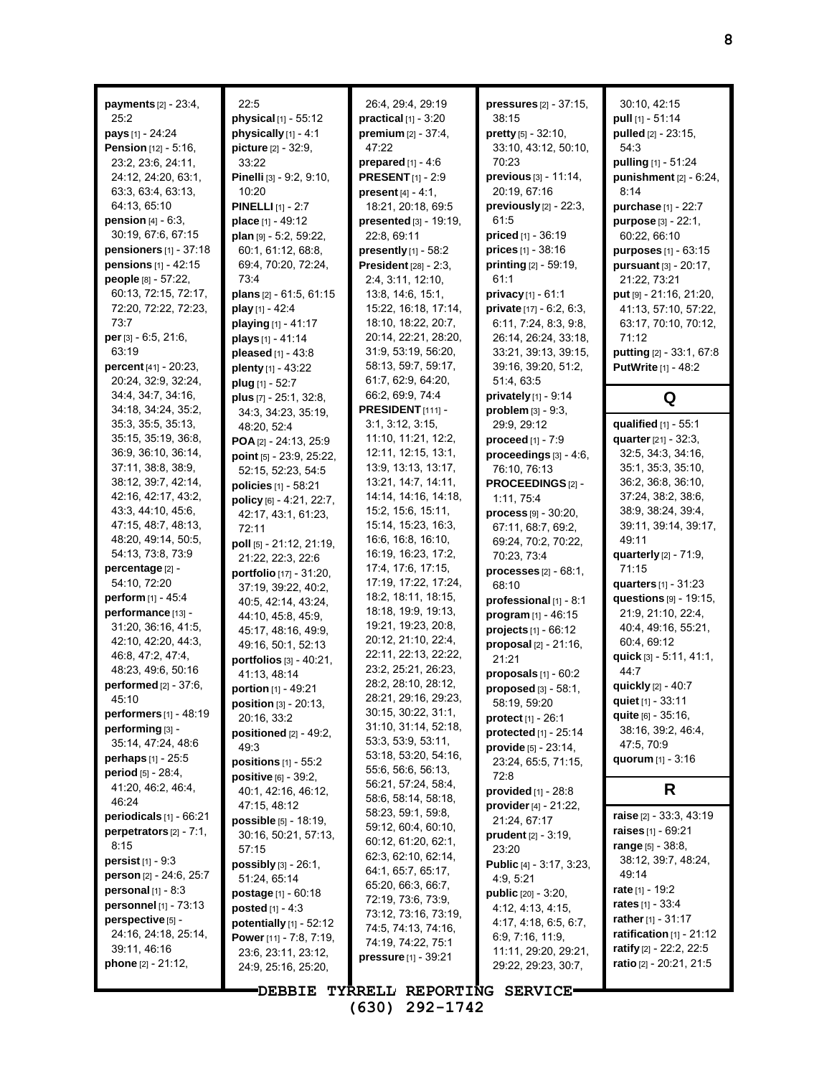| payments [2] - 23:4,<br>25:2<br>pays [1] - 24:24<br>Pension [12] - 5:16,<br>23:2, 23:6, 24:11,<br>24:12, 24:20, 63:1,<br>63:3, 63:4, 63:13,<br>64:13, 65:10<br><b>pension</b> $[4] - 6:3$ ,                                                                                                                                                                                                                                                                                                                                                                                                                              | 22:5<br>physical [1] - 55:12<br>physically [1] - 4:1<br>picture [2] - 32:9,<br>33:22<br>Pinelli [3] - 9:2, 9:10,<br>10:20<br><b>PINELLI</b> [1] - 2:7<br>place [1] - 49:12                                                                                                                                                                                                                                                                                                                                                                                                                                                        | 26:4, 29:4, 29:19<br>$practical$ [1] - 3:20<br>premium [2] - 37:4,<br>47:22<br>prepared $[1] - 4.6$<br><b>PRESENT</b> [1] - 2:9<br><b>present</b> $[4] - 4:1$ ,<br>18:21, 20:18, 69:5<br>presented [3] - 19:19,                                                                                                                                                                                                                                                                                                                                                                                                                                  | pressures [2] - 37:15,<br>38:15<br>pretty [5] - 32:10,<br>33:10, 43:12, 50:10,<br>70:23<br>previous [3] - 11:14,<br>20:19, 67:16<br>previously $[2]$ - $22:3$ ,<br>61:5                                                                                                                                                                                                                                                                                                                                                                                           | 30:10, 42:15<br>pull [1] - 51:14<br>pulled [2] - 23:15.<br>54:3<br>pulling [1] - 51:24<br>punishment [2] - 6:24,<br>8:14<br>purchase [1] - 22:7<br>purpose [3] - 22:1,                                                                                                                                                                                                                                                                                                                                                             |
|--------------------------------------------------------------------------------------------------------------------------------------------------------------------------------------------------------------------------------------------------------------------------------------------------------------------------------------------------------------------------------------------------------------------------------------------------------------------------------------------------------------------------------------------------------------------------------------------------------------------------|-----------------------------------------------------------------------------------------------------------------------------------------------------------------------------------------------------------------------------------------------------------------------------------------------------------------------------------------------------------------------------------------------------------------------------------------------------------------------------------------------------------------------------------------------------------------------------------------------------------------------------------|--------------------------------------------------------------------------------------------------------------------------------------------------------------------------------------------------------------------------------------------------------------------------------------------------------------------------------------------------------------------------------------------------------------------------------------------------------------------------------------------------------------------------------------------------------------------------------------------------------------------------------------------------|-------------------------------------------------------------------------------------------------------------------------------------------------------------------------------------------------------------------------------------------------------------------------------------------------------------------------------------------------------------------------------------------------------------------------------------------------------------------------------------------------------------------------------------------------------------------|------------------------------------------------------------------------------------------------------------------------------------------------------------------------------------------------------------------------------------------------------------------------------------------------------------------------------------------------------------------------------------------------------------------------------------------------------------------------------------------------------------------------------------|
| 30:19, 67:6, 67:15<br><b>pensioners</b> $[1] - 37:18$<br>pensions [1] - 42:15<br>people [8] - 57:22,<br>60:13, 72:15, 72:17,<br>72:20, 72:22, 72:23,<br>73:7<br>per [3] - 6:5, 21:6,<br>63:19<br>percent [41] - 20:23,<br>20:24, 32:9, 32:24,<br>34:4, 34:7, 34:16,                                                                                                                                                                                                                                                                                                                                                      | plan [9] - 5:2, 59:22,<br>60:1, 61:12, 68:8,<br>69:4, 70:20, 72:24,<br>73:4<br>plans [2] - 61:5, 61:15<br>play [1] - 42:4<br>playing [1] - 41:17<br>plays [1] - 41:14<br>pleased [1] - 43:8<br>plenty [1] - 43:22<br>plug [1] - 52:7                                                                                                                                                                                                                                                                                                                                                                                              | 22:8, 69:11<br>presently $[1]$ - 58:2<br><b>President</b> [28] - 2:3,<br>2:4, 3:11, 12:10,<br>13:8, 14:6, 15:1,<br>15:22, 16:18, 17:14,<br>18:10, 18:22, 20:7,<br>20:14, 22:21, 28:20,<br>31:9, 53:19, 56:20,<br>58:13, 59:7, 59:17,<br>61:7, 62:9, 64:20,<br>66:2, 69.9, 74.4                                                                                                                                                                                                                                                                                                                                                                   | <b>priced</b> $[1] - 36:19$<br>prices [1] - 38:16<br>printing [2] - 59:19,<br>61:1<br>privacy [1] - 61:1<br>private [17] - 6:2, 6:3,<br>6:11, 7:24, 8:3, 9:8,<br>26:14, 26:24, 33:18,<br>33:21, 39:13, 39:15,<br>39:16, 39:20, 51:2,<br>51.4, 63.5<br>privately $[1]$ - 9:14                                                                                                                                                                                                                                                                                      | 60:22, 66:10<br>purposes [1] - 63:15<br>pursuant [3] - 20:17,<br>21:22, 73:21<br>put [9] - 21:16, 21:20,<br>41:13, 57:10, 57:22,<br>63:17, 70:10, 70:12,<br>71:12<br>putting [2] - 33:1, 67:8<br><b>PutWrite</b> [1] - 48:2                                                                                                                                                                                                                                                                                                        |
| 34:18, 34:24, 35:2,<br>35:3, 35:5, 35:13,<br>35:15, 35:19, 36:8,<br>36:9, 36:10, 36:14,<br>37:11, 38:8, 38:9,<br>38:12, 39:7, 42:14,<br>42:16, 42:17, 43:2,<br>43:3, 44:10, 45:6,<br>47:15, 48:7, 48:13,<br>48:20, 49:14, 50:5,<br>54:13, 73:8, 73:9<br>percentage [2] -<br>54:10, 72:20<br>perform [1] - 45:4<br>performance [13] -<br>31:20, 36:16, 41:5,<br>42:10, 42:20, 44:3,<br>46.8, 47:2, 47:4,<br>48:23, 49:6, 50:16<br>performed [2] - 37:6,<br>45:10<br><b>performers</b> $[1] - 48:19$<br>performing [3] -<br>35:14, 47:24, 48:6<br>perhaps [1] - 25:5<br><b>period</b> $[5] - 28:4$ ,<br>41.20, 46.2, 46.4, | plus $[7] - 25:1, 32:8,$<br>34:3, 34:23, 35:19,<br>48:20, 52:4<br>POA [2] - 24:13, 25:9<br>point [5] - 23:9, 25:22,<br>52:15, 52:23, 54:5<br>policies [1] - 58:21<br>policy [6] - 4:21, 22:7,<br>42:17, 43:1, 61:23,<br>72:11<br>poll [5] - 21:12, 21:19,<br>21:22, 22:3, 22:6<br>portfolio [17] - 31:20,<br>37:19, 39:22, 40:2,<br>40.5, 42.14, 43.24,<br>44:10, 45:8, 45:9,<br>45:17, 48:16, 49:9,<br>49:16, 50:1, 52:13<br>portfolios [3] - 40:21,<br>41:13, 48:14<br>portion [1] - 49:21<br>position [3] - 20:13,<br>20:16, 33:2<br>positioned $[2]$ - 49:2,<br>49.3<br>positions $[1]$ - 55:2<br><b>positive</b> [6] - 39:2, | PRESIDENT <sub>[111]</sub> -<br>3:1, 3:12, 3:15,<br>11:10, 11:21, 12:2,<br>12:11, 12:15, 13:1,<br>13:9, 13:13, 13:17,<br>13:21, 14:7, 14:11,<br>14:14, 14:16, 14:18,<br>15:2, 15:6, 15:11,<br>15:14, 15:23, 16:3,<br>16.6, 16.8, 16.10,<br>16:19, 16:23, 17:2,<br>17:4, 17:6, 17:15,<br>17:19, 17:22, 17:24,<br>18:2, 18:11, 18:15,<br>18:18, 19:9, 19:13,<br>19:21, 19:23, 20:8,<br>20:12, 21:10, 22:4,<br>22:11, 22:13, 22:22,<br>23:2, 25:21, 26:23,<br>28:2, 28:10, 28:12,<br>28:21, 29:16, 29:23,<br>30:15, 30:22, 31:1,<br>31:10, 31:14, 52:18,<br>53:3, 53:9, 53:11,<br>53:18, 53:20, 54:16,<br>55:6, 56:6, 56:13,<br>56:21, 57:24, 58:4, | problem $[3] - 9:3$ ,<br>29:9, 29:12<br>proceed [1] - 7:9<br>proceedings [3] - 4:6,<br>76:10, 76:13<br>PROCEEDINGS [2] -<br>1:11, 75:4<br>$process$ [9] - 30:20,<br>67:11, 68:7, 69:2,<br>69:24, 70:2, 70:22,<br>70:23, 73:4<br>$processes$ [2] - 68:1,<br>68:10<br>professional [1] - 8:1<br>program [1] - 46:15<br>$projects_{[1]} - 66.12$<br>proposal [2] - 21:16,<br>21:21<br>proposals $[1]$ - $60:2$<br>proposed [3] - 58:1,<br>58:19, 59:20<br>protect [1] - 26:1<br>protected [1] - 25:14<br>$\n  provide [5] - 23.14,\n$<br>23:24, 65:5, 71:15,<br>72:8 | Q<br>qualified [1] - 55:1<br>quarter [21] - 32:3.<br>32:5, 34:3, 34:16,<br>35:1, 35:3, 35:10,<br>36:2, 36:8, 36:10,<br>37:24, 38:2, 38:6,<br>38.9, 38.24, 39.4,<br>39:11, 39:14, 39:17,<br>49:11<br><b>quarterly</b> [2] - 71:9,<br>71:15<br>quarters [1] - 31:23<br>questions [9] - 19:15,<br>21:9, 21:10, 22:4,<br>40.4, 49.16, 55.21,<br>60:4, 69:12<br>quick [3] - 5:11, 41:1,<br>44:7<br>quickly [2] - 40:7<br>quiet [1] - 33:11<br><b>quite</b> [6] - 35:16,<br>38:16, 39:2, 46:4,<br>47:5, 70:9<br>quorum $[1] - 3:16$<br>R |
| 46:24<br>periodicals [1] - 66:21<br>perpetrators $[2] - 7:1$ ,<br>8:15<br><b>persist</b> $[1] - 9:3$<br>person [2] - 24:6, 25:7<br>personal $[1] - 8:3$<br>personnel [1] - 73:13<br>perspective [5] -<br>24:16, 24:18, 25:14,<br>39:11, 46:16<br>phone [2] - 21:12,                                                                                                                                                                                                                                                                                                                                                      | 40:1, 42:16, 46:12,<br>47:15, 48:12<br>possible [5] - 18:19,<br>30:16, 50:21, 57:13,<br>57:15<br><b>possibly</b> $[3] - 26:1$ ,<br>51:24, 65:14<br><b>postage</b> $[1] - 60:18$<br>posted $[1] - 4:3$<br>potentially $[1]$ - 52:12<br>Power [11] - 7:8, 7:19,<br>23.6, 23.11, 23.12,<br>24:9, 25:16, 25:20,                                                                                                                                                                                                                                                                                                                       | 58:6, 58:14, 58:18,<br>58:23, 59:1, 59:8,<br>59:12, 60:4, 60:10,<br>60:12, 61:20, 62:1,<br>62:3, 62:10, 62:14,<br>64:1, 65:7, 65:17,<br>65:20, 66:3, 66:7,<br>72:19, 73:6, 73:9,<br>73:12, 73:16, 73:19,<br>74:5, 74:13, 74:16,<br>74:19, 74:22, 75:1<br>pressure [1] - 39:21                                                                                                                                                                                                                                                                                                                                                                    | <b>provided</b> $[1]$ - 28:8<br>provider $[4] - 21:22$ ,<br>21:24, 67:17<br>prudent [2] - 3:19,<br>23:20<br>Public [4] - 3:17, 3:23,<br>4:9, 5:21<br><b>public</b> $[20] - 3.20$ ,<br>4:12, 4:13, 4:15,<br>4:17, 4:18, 6:5, 6:7,<br>6.9, 7:16, 11.9,<br>11:11, 29:20, 29:21,<br>29:22, 29:23, 30:7,                                                                                                                                                                                                                                                               | raise [2] - 33:3, 43:19<br><b>raises</b> $[1] - 69.21$<br>range $[5] - 38.8$ ,<br>38:12, 39:7, 48:24,<br>49:14<br>rate $[1] - 19:2$<br><b>rates</b> $[1] - 33.4$<br>rather $[1] - 31:17$<br>ratification $[1]$ - 21:12<br>ratify [2] - 22:2, 22:5<br>ratio [2] - 20:21, 21:5                                                                                                                                                                                                                                                       |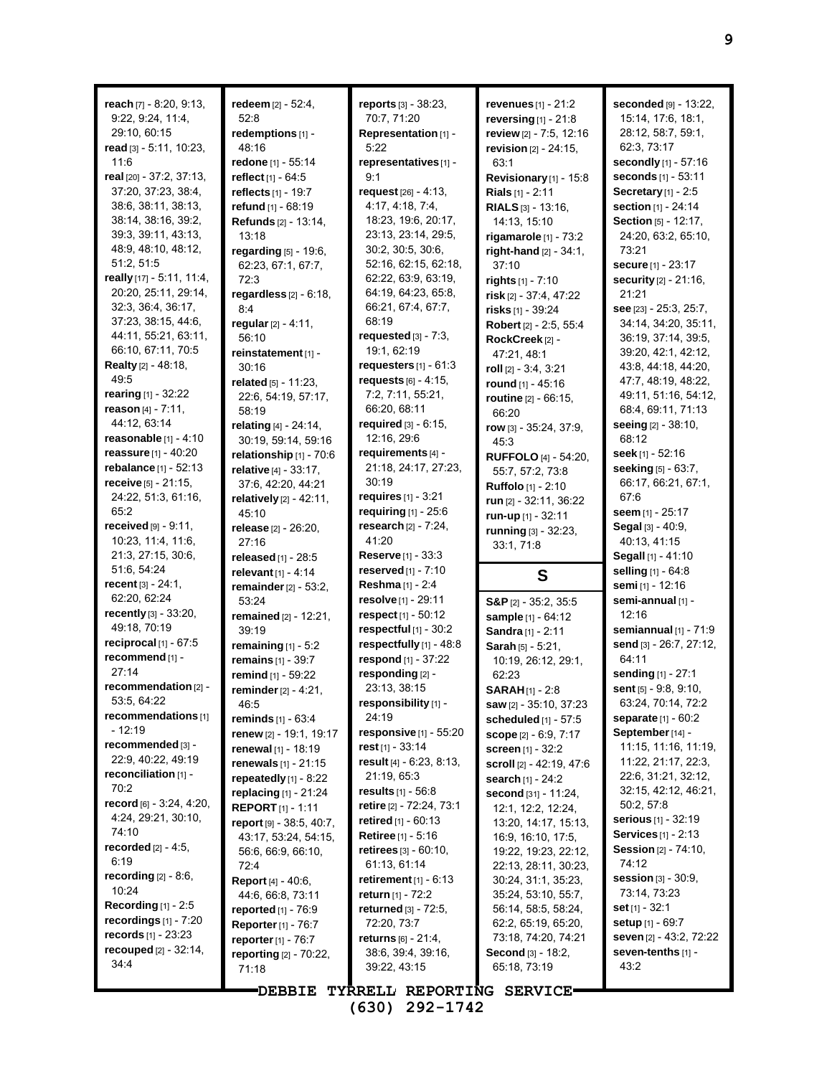| reach $[7] - 8:20, 9:13$ ,<br>9.22, 9.24, 11.4,<br>29:10, 60:15<br>read [3] - 5:11, 10:23,<br>11.6<br>real [20] - 37:2, 37:13,<br>37:20, 37:23, 38:4,<br>38.6, 38.11, 38.13,<br>38:14, 38:16, 39:2,<br>39.3, 39.11, 43.13,<br>48:9, 48:10, 48:12,<br>51:2, 51:5<br>really [17] - 5:11, 11:4,<br>20:20, 25:11, 29:14,<br>32:3, 36:4, 36:17,<br>37:23, 38:15, 44:6,                                                                                                                                                           | redeem [2] - 52:4,<br>52:8<br>redemptions [1] -<br>48:16<br>redone [1] - 55:14<br><b>reflect</b> [1] - 64:5<br>reflects [1] - 19:7<br>refund [1] - 68:19<br>Refunds [2] - 13:14,<br>13:18<br>regarding $[5]$ - 19:6,<br>62:23, 67:1, 67:7,<br>72:3<br>regardless $[2] - 6:18$ ,<br>8:4                                                                                                                                                                                                                                                                                                   | reports [3] - 38:23,<br>70:7, 71:20<br>Representation [1] -<br>5:22<br>representatives [1] -<br>9:1<br>request $[26] - 4.13$ ,<br>4:17, 4:18, 7:4,<br>18:23, 19:6, 20:17,<br>23:13, 23:14, 29:5,<br>30:2, 30:5, 30:6,<br>52:16, 62:15, 62:18,<br>62:22, 63:9, 63:19,<br>64:19, 64:23, 65:8,<br>66:21, 67:4, 67:7,<br>68:19                                                                                                                                                                                                                                                                           | <b>revenues</b> $[1] - 21:2$<br>reversing[1] - 21:8<br>review [2] - 7:5, 12:16<br>revision $[2] - 24:15$ ,<br>63:1<br>Revisionary [1] - 15:8<br>Rials [1] - 2:11<br>RIALS [3] - 13:16,<br>14:13, 15:10<br>rigamarole $[1]$ - $73:2$<br>right-hand [2] - 34:1,<br>37:10<br>rights $[1] - 7:10$<br>risk [2] - 37:4, 47:22<br>risks [1] - 39:24                                                                                                                                                                                                                                                   | seconded [9] - 13:22,<br>15:14, 17:6, 18:1,<br>28:12, 58:7, 59:1,<br>62.3, 73.17<br>secondly [1] - 57:16<br>seconds [1] - 53:11<br>Secretary $[1]$ - 2:5<br>section [1] - 24:14<br>Section [5] - 12:17,<br>24:20, 63:2, 65:10,<br>73:21<br><b>secure</b> [1] - 23:17<br>security [2] - 21:16,<br>21:21<br>see [23] - 25:3, 25:7,                                                                                                                                                                                                                                    |
|-----------------------------------------------------------------------------------------------------------------------------------------------------------------------------------------------------------------------------------------------------------------------------------------------------------------------------------------------------------------------------------------------------------------------------------------------------------------------------------------------------------------------------|------------------------------------------------------------------------------------------------------------------------------------------------------------------------------------------------------------------------------------------------------------------------------------------------------------------------------------------------------------------------------------------------------------------------------------------------------------------------------------------------------------------------------------------------------------------------------------------|------------------------------------------------------------------------------------------------------------------------------------------------------------------------------------------------------------------------------------------------------------------------------------------------------------------------------------------------------------------------------------------------------------------------------------------------------------------------------------------------------------------------------------------------------------------------------------------------------|------------------------------------------------------------------------------------------------------------------------------------------------------------------------------------------------------------------------------------------------------------------------------------------------------------------------------------------------------------------------------------------------------------------------------------------------------------------------------------------------------------------------------------------------------------------------------------------------|---------------------------------------------------------------------------------------------------------------------------------------------------------------------------------------------------------------------------------------------------------------------------------------------------------------------------------------------------------------------------------------------------------------------------------------------------------------------------------------------------------------------------------------------------------------------|
| 44:11, 55:21, 63:11,<br>66:10, 67:11, 70:5<br><b>Realty</b> $[2] - 48.18$ ,<br>49:5<br>rearing $[1] - 32:22$<br>reason [4] - 7:11,<br>44:12, 63:14<br>reasonable $[1] - 4:10$<br>reassure [1] - 40:20<br>rebalance [1] - 52:13                                                                                                                                                                                                                                                                                              | regular [2] - 4:11,<br>56:10<br>reinstatement [1] -<br>30:16<br>related [5] - 11:23,<br>22:6, 54:19, 57:17,<br>58:19<br>relating [4] - 24:14,<br>30:19, 59:14, 59:16<br>relationship $[1]$ - 70:6<br>relative [4] - 33:17,                                                                                                                                                                                                                                                                                                                                                               | requested $[3] - 7:3$ ,<br>19:1, 62:19<br>requesters $[1] - 61:3$<br>requests $[6] - 4:15$ ,<br>7:2, 7:11, 55:21,<br>66:20, 68:11<br>required [3] - 6:15,<br>12:16, 29:6<br>requirements [4] -<br>21:18, 24:17, 27:23,<br>30:19                                                                                                                                                                                                                                                                                                                                                                      | Robert [2] - 2:5, 55:4<br>RockCreek <sup>[2]</sup> -<br>47:21, 48:1<br>roll $[2] - 3.4, 3.21$<br>round [1] - 45:16<br>routine [2] - 66:15,<br>66:20<br>row [3] - 35:24, 37:9,<br>45:3<br>RUFFOLO [4] - 54:20,<br>55:7, 57:2, 73:8                                                                                                                                                                                                                                                                                                                                                              | 34:14, 34:20, 35:11,<br>36:19, 37:14, 39:5,<br>39:20, 42:1, 42:12,<br>43.8, 44.18, 44.20,<br>47:7, 48:19, 48:22,<br>49:11, 51:16, 54:12,<br>68:4, 69:11, 71:13<br>seeing [2] - 38:10,<br>68:12<br>seek [1] - 52:16<br>seeking [5] - 63:7,                                                                                                                                                                                                                                                                                                                           |
| receive $[5] - 21:15$ ,<br>24:22, 51:3, 61:16,<br>65:2<br>received $[9] - 9:11$ ,<br>10:23, 11:4, 11:6,<br>21:3, 27:15, 30:6,<br>51:6, 54:24<br>recent $[3] - 24:1$ ,<br>62:20, 62:24                                                                                                                                                                                                                                                                                                                                       | 37:6, 42:20, 44:21<br>relatively [2] - 42:11,<br>45:10<br>release [2] - 26:20,<br>27:16<br>released [1] - 28:5<br>relevant $[1] - 4:14$<br>remainder $[2] - 53:2$ ,<br>53:24                                                                                                                                                                                                                                                                                                                                                                                                             | requires $[1] - 3:21$<br>requiring [1] - 25:6<br>research [2] - 7:24,<br>41:20<br><b>Reserve</b> [1] - 33:3<br><b>reserved</b> $[1] - 7:10$<br>Reshma [1] - 2:4<br>resolve [1] - 29:11                                                                                                                                                                                                                                                                                                                                                                                                               | Ruffolo [1] - 2:10<br>run [2] - 32:11, 36:22<br>run-up [1] - 32:11<br>running [3] - 32:23,<br>33.1, 71.8<br>S<br>$S\&P_{[2]} - 35.2, 35.5$                                                                                                                                                                                                                                                                                                                                                                                                                                                     | 66:17, 66:21, 67:1,<br>67:6<br>seem [1] - 25:17<br>Segal [3] - 40.9,<br>40:13, 41:15<br>Segall [1] - 41:10<br>selling [1] - 64:8<br>semi [1] - 12:16<br>semi-annual [1] -                                                                                                                                                                                                                                                                                                                                                                                           |
| recently [3] - 33:20,<br>49:18, 70:19<br>reciprocal $[1]$ - $67:5$<br>recommend [1] -<br>27:14<br>recommendation $[2]$ -<br>53:5, 64:22<br>recommendations [1]<br>- 12:19<br>recommended [3] -<br>22:9, 40:22, 49:19<br>reconciliation $[1]$ -<br>70:2<br>record $[6] - 3.24, 4.20,$<br>4:24, 29:21, 30:10,<br>74:10<br><b>recorded</b> $[2] - 4.5$ ,<br>6:19<br>recording $[2] - 8.6$ ,<br>10:24<br>Recording $[1]$ - 2:5<br>recordings $[1]$ - $7:20$<br>records $[1] - 23:23$<br><b>recouped</b> $[2] - 32:14$ ,<br>34:4 | remained [2] - 12:21,<br>39:19<br>remaining $[1] - 5:2$<br>remains $[1] - 39.7$<br>remind [1] - 59:22<br>reminder $[2] - 4:21$ ,<br>46:5<br>reminds [1] - 63:4<br>renew [2] - 19:1, 19:17<br><b>renewal</b> [1] - 18:19<br>renewals [1] - 21:15<br>repeatedly $[1]$ - 8:22<br>replacing $[1]$ - 21:24<br><b>REPORT</b> $[1]$ - 1:11<br>report [9] - 38:5, 40:7,<br>43:17, 53:24, 54:15,<br>56.6, 66.9, 66.10,<br>72:4<br><b>Report</b> [4] - 40:6,<br>44.6, 66.8, 73.11<br><b>reported</b> $[1] - 76.9$<br>Reporter [1] - 76:7<br>reporter [1] - 76:7<br>reporting [2] - 70:22,<br>71:18 | respect [1] - 50:12<br>respectful $[1]$ - 30:2<br>respectfully [1] - 48:8<br>respond [1] - 37:22<br>responding [2] -<br>23:13, 38:15<br>responsibility [1] -<br>24:19<br>responsive [1] - 55:20<br>rest $[1]$ - 33:14<br>result $[4] - 6.23, 8.13,$<br>21:19, 65:3<br><b>results</b> $[1] - 56.8$<br>retire [2] - 72.24, 73.1<br><b>retired</b> $[1] - 60:13$<br><b>Retiree</b> $[1] - 5:16$<br>retirees $[3] - 60:10$ ,<br>61:13, 61:14<br>retirement $[1] - 6.13$<br>return $[1] - 72.2$<br>returned $[3] - 72.5$ ,<br>72:20, 73:7<br>returns $[6] - 21.4$ ,<br>38.6, 39.4, 39.16,<br>39:22, 43:15 | sample [1] - 64:12<br>Sandra [1] - 2:11<br>Sarah [5] - 5:21,<br>10:19, 26:12, 29:1,<br>62:23<br><b>SARAH</b> $[1]$ - 2:8<br>saw [2] - 35:10, 37:23<br><b>scheduled</b> $[1]$ - 57:5<br>scope [2] - 6.9, 7.17<br>screen [1] - 32:2<br>scroll [2] - 42:19, 47:6<br>search [1] - 24:2<br>second [31] - 11:24,<br>12:1, 12:2, 12:24,<br>13:20, 14:17, 15:13,<br>16.9, 16.10, 17:5,<br>19:22, 19:23, 22:12,<br>22:13, 28:11, 30:23,<br>30:24, 31:1, 35:23,<br>35:24, 53:10, 55:7,<br>56:14, 58:5, 58:24,<br>62:2, 65:19, 65:20,<br>73:18, 74:20, 74:21<br><b>Second</b> [3] - 18:2,<br>65:18, 73:19 | 12:16<br>semiannual $[1]$ - $71.9$<br>send [3] - 26:7, 27:12,<br>64:11<br>sending [1] - 27:1<br>sent [5] - 9:8, 9:10,<br>63:24, 70:14, 72:2<br>separate [1] - 60:2<br>September [14] -<br>11:15, 11:16, 11:19,<br>11:22, 21:17, 22:3,<br>22:6, 31:21, 32:12,<br>32:15, 42:12, 46:21,<br>50:2, 57:8<br><b>serious</b> [1] - 32:19<br><b>Services</b> [1] - 2:13<br><b>Session</b> [2] - 74:10,<br>74:12<br><b>session</b> $[3] - 30.9$ ,<br>73:14, 73:23<br>set $[1] - 32:1$<br><b>setup</b> $[1] - 69.7$<br>seven [2] - 43.2, 72:22<br>seven-tenths $[1]$ -<br>43:2 |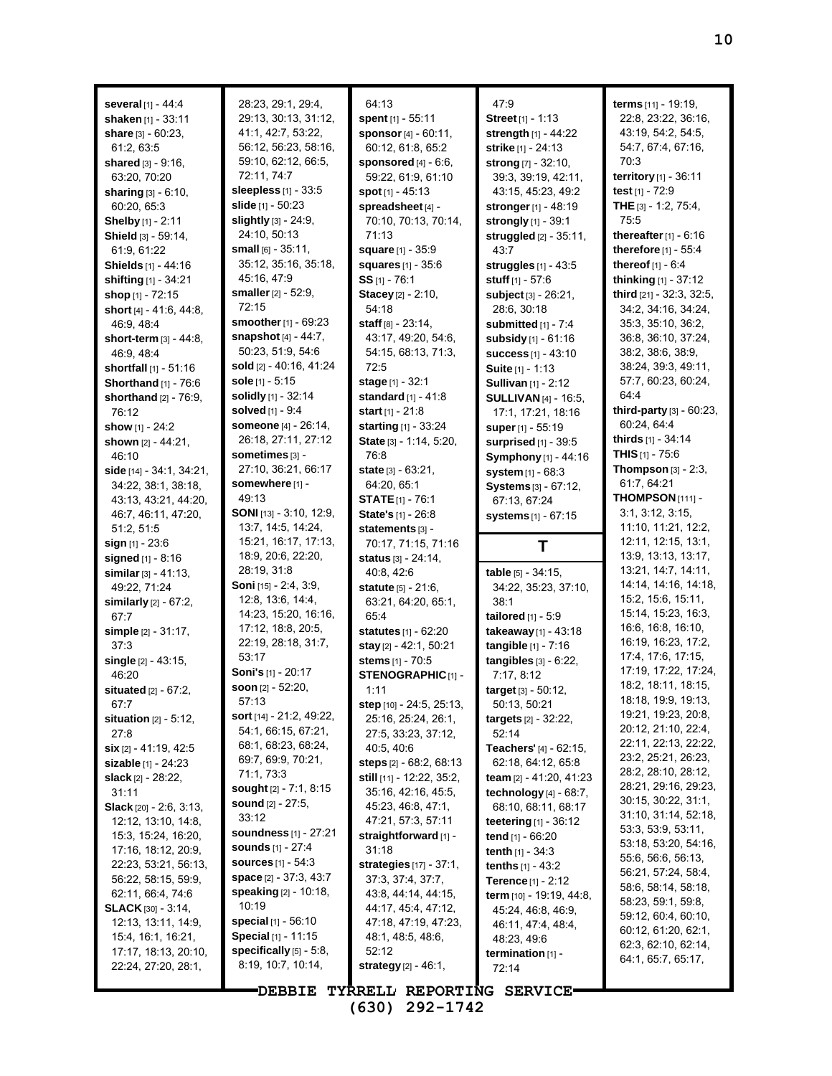| <b>several</b> $[1] - 44.4$           | 28:23, 29:1, 29:4,                 | 64:13                             | 47.9                             | terms [11] - 19:19,                        |
|---------------------------------------|------------------------------------|-----------------------------------|----------------------------------|--------------------------------------------|
| shaken [1] - 33:11                    | 29:13, 30:13, 31:12,               | spent [1] - 55:11                 | Street <sub>[1]</sub> - 1:13     | 22:8, 23:22, 36:16,                        |
| share $[3] - 60:23$ ,                 | 41.1, 42.7, 53.22,                 | sponsor [4] - 60:11,              | strength [1] - 44:22             | 43:19, 54:2, 54:5,                         |
| 61:2,63:5                             | 56:12, 56:23, 58:16,               | 60:12, 61:8, 65:2                 | strike [1] - 24:13               | 54.7, 67.4, 67.16,                         |
| shared [3] - 9:16,                    | 59:10, 62:12, 66:5,                | sponsored $[4] - 6.6$ ,           | strong [7] - 32:10,              | 70:3                                       |
| 63:20, 70:20                          | 72:11, 74:7                        | 59:22, 61:9, 61:10                | 39:3, 39:19, 42:11,              | territory [1] - $36:11$                    |
| sharing [3] - 6:10,                   | sleepless $[1]$ - 33:5             | spot $[1] - 45:13$                | 43.15, 45.23, 49.2               | test [1] - 72:9                            |
| 60:20, 65:3                           | slide [1] - 50:23                  | spreadsheet [4] -                 | stronger [1] - 48:19             | THE $[3] - 1.2, 75.4,$                     |
| <b>Shelby</b> [1] - 2:11              | slightly [3] - 24:9,               | 70:10, 70:13, 70:14,              | strongly [1] - 39:1              | 75:5                                       |
| Shield [3] - 59:14,                   | 24:10, 50:13                       | 71:13                             | <b>struggled</b> $[2] - 35:11$ , | thereafter $[1] - 6.16$                    |
| 61:9, 61:22                           | small $[6] - 35:11$ ,              | square [1] - 35:9                 | 43:7                             | therefore [1] - 55:4                       |
| <b>Shields</b> [1] - 44:16            | 35:12, 35:16, 35:18,               | <b>squares</b> [1] - 35:6         | struggles [1] - 43:5             | thereof [1] - 6:4                          |
| shifting [1] - 34:21                  | 45.16, 47:9                        | $SS$ <sub>[1]</sub> - 76:1        | stuff [1] - 57:6                 | thinking [1] - 37:12                       |
| shop [1] - 72:15                      | <b>smaller</b> $[2] - 52:9$ ,      | Stacey [2] - 2:10,                | subject [3] - 26:21,             | third [21] - 32:3, 32:5,                   |
| short $[4] - 41.6$ , 44.8,            | 72:15                              | 54:18                             | 28:6, 30:18                      | 34.2, 34.16, 34.24,                        |
| 46.9, 48.4                            | smoother [1] - 69:23               | staff $[8] - 23:14$ ,             | submitted [1] - 7:4              | 35.3, 35.10, 36.2,                         |
| short-term $\lbrack 3\rbrack$ - 44:8, | snapshot $[4] - 44.7$ ,            | 43:17, 49:20, 54:6,               | subsidy [1] - 61:16              | 36:8, 36:10, 37:24,                        |
| 46:9, 48:4                            | 50:23, 51:9, 54:6                  | 54:15, 68:13, 71:3,               | <b>success</b> $[1] - 43:10$     | 38.2, 38.6, 38.9,                          |
| shortfall $[1] - 51:16$               | sold [2] - 40:16, 41:24            | 72:5                              | <b>Suite</b> [1] - 1:13          | 38:24, 39:3, 49:11,                        |
| Shorthand [1] - 76:6                  | sole $[1]$ - 5:15                  | stage [1] - 32:1                  | <b>Sullivan</b> [1] - 2:12       | 57:7, 60:23, 60:24,                        |
| shorthand [2] - 76:9,                 | solidly [1] - 32:14                | <b>standard</b> $[1] - 41.8$      | <b>SULLIVAN</b> [4] - 16:5,      | 64.4                                       |
| 76:12                                 | <b>solved</b> $[1] - 9.4$          | <b>start</b> [1] - 21:8           | 17:1, 17:21, 18:16               | third-party [3] - 60:23,                   |
| show [1] - 24:2                       | <b>someone</b> [4] - 26:14,        | starting [1] - 33:24              | super [1] - 55:19                | 60:24, 64:4                                |
| <b>shown</b> $[2] - 44:21$ ,          | 26:18, 27:11, 27:12                | State [3] - 1:14, 5:20,           | surprised [1] - 39:5             | thirds $[1] - 34:14$                       |
| 46:10                                 | sometimes [3] -                    | 76:8                              | Symphony [1] - 44:16             | <b>THIS</b> $[1]$ - 75:6                   |
| side $[14] - 34.1, 34.21,$            | 27:10, 36:21, 66:17                | <b>state</b> $[3] - 63:21$ ,      | system [1] - 68:3                | <b>Thompson</b> $[3] - 2:3$ ,              |
| 34.22, 38:1, 38:18,                   | somewhere [1] -                    | 64:20, 65:1                       | Systems [3] - 67:12,             | 61:7, 64:21                                |
| 43:13, 43:21, 44:20,                  | 49:13                              | <b>STATE</b> $[1]$ - 76:1         | 67:13, 67:24                     | <b>THOMPSON</b> [111] -                    |
| 46:7, 46:11, 47:20,                   | <b>SONI</b> [13] - $3:10, 12:9$ ,  | State's [1] - 26:8                | <b>systems</b> $[1] - 67:15$     | 3.1, 3.12, 3.15,                           |
| 51:2, 51:5                            | 13.7, 14.5, 14.24,                 | statements [3] -                  |                                  | 11:10, 11:21, 12:2,                        |
|                                       |                                    |                                   |                                  |                                            |
|                                       |                                    |                                   |                                  |                                            |
| sign $[1]$ - 23:6                     | 15:21, 16:17, 17:13,               | 70:17, 71:15, 71:16               | Τ                                | 12:11, 12:15, 13:1,                        |
| signed $[1] - 8:16$                   | 18.9, 20.6, 22.20,                 | status [3] - 24:14,               |                                  | 13:9, 13:13, 13:17,<br>13:21, 14:7, 14:11, |
| <b>similar</b> $[3]$ - 41:13,         | 28:19, 31:8                        | 40.8, 42:6                        | table $[5] - 34:15$ ,            |                                            |
| 49.22, 71.24                          | <b>Soni</b> [15] $- 2.4$ , $3.9$ , | <b>statute</b> [5] - 21:6,        | 34:22, 35:23, 37:10,             | 14:14, 14:16, 14:18,<br>15:2, 15:6, 15:11, |
| <b>similarly</b> $[2] - 67:2$ ,       | 12.8, 13.6, 14.4,                  | 63:21, 64:20, 65:1,               | 38:1                             | 15:14, 15:23, 16:3,                        |
| 67:7                                  | 14:23, 15:20, 16:16,               | 65:4                              | tailored $[1] - 5.9$             | 16.6, 16.8, 16.10,                         |
| simple [2] - 31:17,                   | 17:12, 18:8, 20:5,                 | statutes [1] - 62:20              | takeaway [1] - 43:18             | 16:19, 16:23, 17:2,                        |
| 37:3                                  | 22:19, 28:18, 31:7,<br>53:17       | stay [2] - 42:1, 50:21            | <b>tangible</b> $[1] - 7:16$     |                                            |
| single $[2] - 43:15$ ,                |                                    | stems [1] - 70:5                  | $tangibles$ $[3] - 6:22$ ,       | 17:4, 17:6, 17:15,<br>17:19, 17:22, 17:24, |
| 46.20                                 | <b>Soni's [1] - 20:17</b>          | STENOGRAPHIC [1] -                | 7:17, 8:12                       | 18:2, 18:11, 18:15,                        |
| <b>situated</b> $[2] - 67:2$ ,        | soon $[2] - 52:20$ ,               | 1:11                              | target [3] - 50:12,              | 18:18, 19:9, 19:13,                        |
| 67:7                                  | 57:13                              | step $[10] - 24.5, 25.13,$        | 50:13, 50:21                     | 19:21, 19:23, 20:8,                        |
| <b>situation</b> $[2] - 5:12$ ,       | <b>sort</b> [14] - $21:2$ , 49:22, | 25:16, 25:24, 26:1,               | <b>targets</b> $[2] - 32:22$ ,   | 20.12, 21:10, 22:4,                        |
| 27.8                                  | 54:1, 66:15, 67:21,                | 27:5, 33:23, 37:12,               | 52:14                            | 22:11, 22:13, 22:22,                       |
| $\sin$ [2] - 41:19, 42:5              | 68:1, 68:23, 68:24,                | 40.5, 40.6                        | Teachers' [4] - 62:15,           | 23.2, 25.21, 26.23,                        |
| <b>sizable</b> $[1] - 24:23$          | 69.7, 69.9, 70.21,                 | steps [2] - 68:2, 68:13           | 62.18, 64.12, 65.8               | 28:2, 28:10, 28:12,                        |
| <b>slack</b> $[2] - 28.22$ ,          | 71.1, 73.3                         | still [11] - 12:22, 35:2,         | team $[2] - 41:20, 41:23$        | 28:21, 29:16, 29:23,                       |
| 31:11                                 | sought [2] - 7:1, 8:15             | 35:16, 42:16, 45:5,               | technology $[4]$ - $68:7$ ,      | 30:15, 30:22, 31:1,                        |
| <b>Slack</b> $[20] - 2:6, 3:13,$      | <b>sound</b> [2] - 27:5,           | 45:23, 46:8, 47:1,                | 68.10, 68.11, 68.17              | 31:10, 31:14, 52:18,                       |
| 12:12, 13:10, 14:8,                   | 33:12                              | 47:21, 57:3, 57:11                | teetering $[1]$ - 36:12          | 53.3, 53.9, 53.11,                         |
| 15:3, 15:24, 16:20,                   | <b>soundness</b> $[1] - 27:21$     | straightforward [1] -             | tend $[1] - 66:20$               | 53:18, 53:20, 54:16,                       |
| 17:16, 18:12, 20:9,                   | <b>sounds</b> [1] - 27:4           | 31:18                             | <b>tenth</b> $[1] - 34.3$        | 55.6, 56.6, 56.13,                         |
| 22:23, 53:21, 56:13,                  | <b>sources</b> $[1] - 54:3$        | <b>strategies</b> $[17] - 37:1$ , | <b>tenths</b> $[1] - 43:2$       | 56:21, 57:24, 58:4,                        |
| 56:22, 58:15, 59:9,                   | space [2] - 37:3, 43:7             | 37:3, 37:4, 37:7,                 | Terence $[1] - 2:12$             | 58:6, 58:14, 58:18,                        |
| 62:11, 66:4, 74:6                     | <b>speaking</b> $[2] - 10:18$ ,    | 43.8, 44.14, 44.15,               | term [10] - 19:19, 44:8,         | 58:23, 59:1, 59:8,                         |
| <b>SLACK</b> $[30] - 3.14$ ,          | 10:19                              | 44:17, 45:4, 47:12,               | 45:24, 46:8, 46:9,               | 59:12, 60:4, 60:10,                        |
| 12:13, 13:11, 14:9,                   | special [1] - 56:10                | 47:18, 47:19, 47:23,              | 46.11, 47:4, 48:4,               | 60.12, 61:20, 62:1,                        |
| 15.4, 16.1, 16.21,                    | Special [1] - 11:15                | 48:1, 48:5, 48:6,                 | 48.23, 49.6                      | 62:3, 62:10, 62:14,                        |
| 17:17, 18:13, 20:10,                  | specifically [5] - 5:8,            | 52:12                             | termination $[1]$ -              | 64.1, 65.7, 65.17,                         |
| 22:24, 27:20, 28:1,                   | 8:19, 10:7, 10:14,                 | strategy [2] - 46:1,              | 72:14                            |                                            |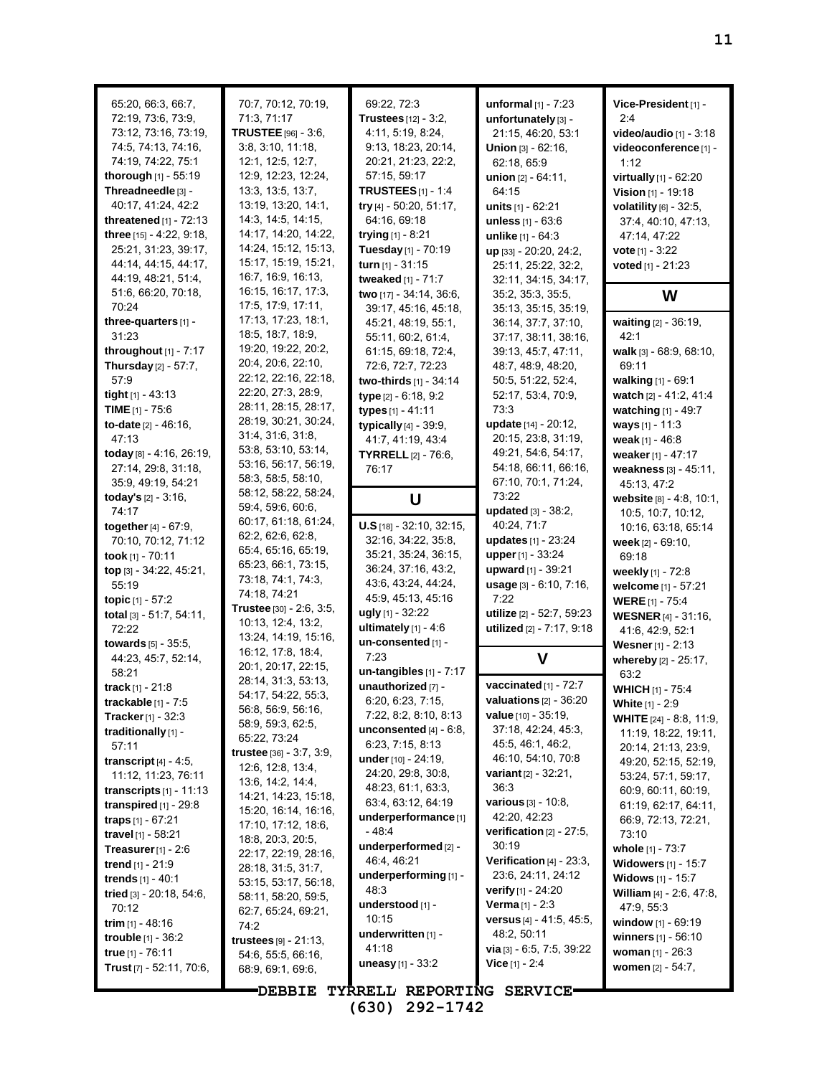| 65:20, 66:3, 66:7,<br>72:19, 73:6, 73:9,<br>73:12, 73:16, 73:19,<br>74:5, 74:13, 74:16,<br>74:19, 74:22, 75:1<br>thorough [1] - 55:19<br>Threadneedle [3] -<br>40:17, 41:24, 42:2<br><b>threatened</b> $[1]$ - 72:13<br>three [15] - 4:22, 9:18,<br>25:21, 31:23, 39:17,<br>44:14, 44:15, 44:17,<br>44:19, 48:21, 51:4,                                                                                                         | 70:7, 70:12, 70:19,<br>71:3, 71:17<br>TRUSTEE [96] - 3:6,<br>3:8, 3:10, 11:18,<br>12:1, 12:5, 12:7,<br>12.9, 12.23, 12:24,<br>13.3, 13.5, 13.7,<br>13:19, 13:20, 14:1,<br>14.3, 14.5, 14.15,<br>14:17, 14:20, 14:22,<br>14:24, 15:12, 15:13,<br>15:17, 15:19, 15:21,<br>16:7, 16:9, 16:13,                                                                                                                                                                                        | 69:22, 72:3<br>Trustees $[12] - 3.2$ ,<br>4:11, 5:19, 8:24,<br>9:13, 18:23, 20:14,<br>20:21, 21:23, 22:2,<br>57:15, 59:17<br><b>TRUSTEES</b> $[1]$ - 1:4<br>try [4] - 50:20, 51:17,<br>64:16, 69:18<br>trying [1] - 8:21<br>Tuesday [1] - 70:19<br>turn $[1] - 31:15$<br>tweaked [1] - 71:7                                                                                                                             | unformal $[1]$ - 7:23<br>unfortunately [3] -<br>21:15, 46:20, 53:1<br><b>Union</b> $[3] - 62:16$ ,<br>62:18, 65:9<br>union $[2] - 64:11$ ,<br>64:15<br><b>units</b> $[1] - 62:21$<br>unless [1] - 63:6<br>unlike [1] - 64:3<br>up [33] - 20:20, 24:2,<br>25:11, 25:22, 32:2,<br>32:11, 34:15, 34:17,                                                                                                                                                    | Vice-President [1] -<br>2:4<br>video/audio [1] - 3:18<br>videoconference [1] -<br>1:12<br>virtually $[1] - 62.20$<br>Vision [1] - 19:18<br>volatility $[6]$ - 32:5,<br>37:4, 40:10, 47:13,<br>47:14, 47:22<br><b>vote</b> $[1] - 3:22$<br>voted $[1] - 21:23$                                                                                                                                           |
|---------------------------------------------------------------------------------------------------------------------------------------------------------------------------------------------------------------------------------------------------------------------------------------------------------------------------------------------------------------------------------------------------------------------------------|-----------------------------------------------------------------------------------------------------------------------------------------------------------------------------------------------------------------------------------------------------------------------------------------------------------------------------------------------------------------------------------------------------------------------------------------------------------------------------------|-------------------------------------------------------------------------------------------------------------------------------------------------------------------------------------------------------------------------------------------------------------------------------------------------------------------------------------------------------------------------------------------------------------------------|---------------------------------------------------------------------------------------------------------------------------------------------------------------------------------------------------------------------------------------------------------------------------------------------------------------------------------------------------------------------------------------------------------------------------------------------------------|---------------------------------------------------------------------------------------------------------------------------------------------------------------------------------------------------------------------------------------------------------------------------------------------------------------------------------------------------------------------------------------------------------|
| 51:6, 66:20, 70:18,                                                                                                                                                                                                                                                                                                                                                                                                             | 16:15, 16:17, 17:3,                                                                                                                                                                                                                                                                                                                                                                                                                                                               | two [17] - 34:14, 36:6,                                                                                                                                                                                                                                                                                                                                                                                                 | 35:2, 35:3, 35:5,                                                                                                                                                                                                                                                                                                                                                                                                                                       | W                                                                                                                                                                                                                                                                                                                                                                                                       |
| 70:24<br>three-quarters [1] -<br>31:23<br>throughout [1] - 7:17<br>Thursday [2] - 57:7,<br>57.9<br>tight [1] - 43:13<br>TIME $[1]$ - 75:6<br>to-date $[2] - 46.16$ ,<br>47:13<br>today [8] - 4:16, 26:19,<br>27:14, 29:8, 31:18,<br>35.9, 49.19, 54.21<br><b>today's</b> $[2] - 3.16$ ,<br>74:17<br>together [4] - 67:9,<br>70:10, 70:12, 71:12<br>took [1] - $70:11$<br>top [3] - 34:22, 45:21,<br>55:19<br>topic $[1] - 57:2$ | 17:5, 17:9, 17:11,<br>17:13, 17:23, 18:1,<br>18.5, 18.7, 18.9,<br>19:20, 19:22, 20:2,<br>20:4, 20:6, 22:10,<br>22:12, 22:16, 22:18,<br>22.20, 27:3, 28:9,<br>28:11, 28:15, 28:17,<br>28:19, 30:21, 30:24,<br>31.4, 31.6, 31.8,<br>53.8, 53.10, 53.14,<br>53:16, 56:17, 56:19,<br>58:3, 58:5, 58:10,<br>58:12, 58:22, 58:24,<br>59.4, 59.6, 60.6,<br>60:17, 61:18, 61:24,<br>62:2, 62:6, 62:8,<br>65.4, 65.16, 65.19,<br>65.23, 66:1, 73:15,<br>73.18, 74.1, 74.3,<br>74.18, 74.21 | 39:17, 45:16, 45:18,<br>45:21, 48:19, 55:1,<br>55:11, 60:2, 61:4,<br>61:15, 69:18, 72:4,<br>72:6, 72:7, 72:23<br>two-thirds [1] - 34:14<br>type [2] - 6:18, 9:2<br>types [1] - 41:11<br>typically [4] - 39:9,<br>41:7, 41:19, 43:4<br>TYRRELL[2] - 76:6,<br>76:17<br>U<br>$U.S$ [18] - 32:10, 32:15,<br>32:16, 34:22, 35:8,<br>35:21, 35:24, 36:15,<br>36.24, 37:16, 43.2,<br>43.6, 43.24, 44.24,<br>45:9, 45:13, 45:16 | 35:13, 35:15, 35:19,<br>36:14, 37:7, 37:10,<br>37:17, 38:11, 38:16,<br>39:13, 45:7, 47:11,<br>48:7, 48:9, 48:20,<br>50:5, 51:22, 52:4,<br>52:17, 53:4, 70:9,<br>73:3<br>update [14] - 20:12,<br>20:15, 23:8, 31:19,<br>49.21, 54.6, 54.17,<br>54:18, 66:11, 66:16,<br>67:10, 70:1, 71:24,<br>73:22<br><b>updated</b> $[3] - 38.2$ ,<br>40:24, 71:7<br>updates [1] - 23:24<br>upper [1] - 33:24<br>upward [1] - 39:21<br>usage [3] - 6:10, 7:16,<br>7:22 | waiting [2] - 36:19,<br>42:1<br>walk [3] - 68:9, 68:10,<br>69:11<br>walking [1] - 69:1<br>watch [2] - 41:2, 41:4<br>watching [1] - 49:7<br>ways $[1] - 11.3$<br>weak $[1] - 46.8$<br>weaker [1] - 47:17<br>weakness [3] - 45:11,<br>45:13, 47:2<br>website $[8] - 4.8, 10.1,$<br>10:5, 10:7, 10:12,<br>10:16, 63:18, 65:14<br>week $[2] - 69:10$ ,<br>69:18<br>weekly [1] - 72:8<br>welcome [1] - 57:21 |
| total $[3] - 51:7, 54:11,$                                                                                                                                                                                                                                                                                                                                                                                                      | <b>Trustee</b> [30] - 2:6, 3:5,                                                                                                                                                                                                                                                                                                                                                                                                                                                   | ugly [1] - 32:22                                                                                                                                                                                                                                                                                                                                                                                                        | utilize [2] - 52:7, 59:23                                                                                                                                                                                                                                                                                                                                                                                                                               | <b>WERE</b> $[1]$ - 75:4<br><b>WESNER</b> [4] - 31:16,                                                                                                                                                                                                                                                                                                                                                  |
| 72:22                                                                                                                                                                                                                                                                                                                                                                                                                           | 10.13, 12.4, 13.2,<br>13:24, 14:19, 15:16,                                                                                                                                                                                                                                                                                                                                                                                                                                        | ultimately $[1] - 4.6$                                                                                                                                                                                                                                                                                                                                                                                                  | utilized [2] - 7:17, 9:18                                                                                                                                                                                                                                                                                                                                                                                                                               | 41:6, 42:9, 52:1                                                                                                                                                                                                                                                                                                                                                                                        |
| <b>towards</b> $[5] - 35.5$ ,                                                                                                                                                                                                                                                                                                                                                                                                   | 16:12, 17:8, 18:4,                                                                                                                                                                                                                                                                                                                                                                                                                                                                | un-consented [1] -<br>7:23                                                                                                                                                                                                                                                                                                                                                                                              |                                                                                                                                                                                                                                                                                                                                                                                                                                                         | Wesner [1] - 2:13                                                                                                                                                                                                                                                                                                                                                                                       |
| 44:23, 45:7, 52:14,<br>58:21                                                                                                                                                                                                                                                                                                                                                                                                    | 20:1, 20:17, 22:15,                                                                                                                                                                                                                                                                                                                                                                                                                                                               | $un-tangibles$ [1] - 7:17                                                                                                                                                                                                                                                                                                                                                                                               | V                                                                                                                                                                                                                                                                                                                                                                                                                                                       | whereby [2] - 25:17,<br>63:2                                                                                                                                                                                                                                                                                                                                                                            |
| track $[1] - 21.8$                                                                                                                                                                                                                                                                                                                                                                                                              | 28:14, 31:3, 53:13,                                                                                                                                                                                                                                                                                                                                                                                                                                                               | unauthorized [7] -                                                                                                                                                                                                                                                                                                                                                                                                      | vaccinated $[1]$ - $72:7$                                                                                                                                                                                                                                                                                                                                                                                                                               | <b>WHICH</b> [1] - 75:4                                                                                                                                                                                                                                                                                                                                                                                 |
| <b>trackable</b> [1] - 7:5                                                                                                                                                                                                                                                                                                                                                                                                      | 54:17, 54:22, 55:3,<br>56:8, 56:9, 56:16,                                                                                                                                                                                                                                                                                                                                                                                                                                         | 6:20, 6:23, 7:15,                                                                                                                                                                                                                                                                                                                                                                                                       | valuations $[2] - 36:20$                                                                                                                                                                                                                                                                                                                                                                                                                                | <b>White</b> [1] - 2:9                                                                                                                                                                                                                                                                                                                                                                                  |
| <b>Tracker</b> $[1]$ - 32:3                                                                                                                                                                                                                                                                                                                                                                                                     | 58:9, 59:3, 62:5,                                                                                                                                                                                                                                                                                                                                                                                                                                                                 | 7:22, 8:2, 8:10, 8:13                                                                                                                                                                                                                                                                                                                                                                                                   | value [10] - 35:19,<br>37:18, 42:24, 45:3,                                                                                                                                                                                                                                                                                                                                                                                                              | WHITE [24] - 8:8, 11:9,                                                                                                                                                                                                                                                                                                                                                                                 |
| traditionally [1] -<br>57:11                                                                                                                                                                                                                                                                                                                                                                                                    | 65.22, 73.24                                                                                                                                                                                                                                                                                                                                                                                                                                                                      | unconsented $[4]$ - $6:8$ ,<br>6:23, 7:15, 8:13                                                                                                                                                                                                                                                                                                                                                                         | 45.5, 46.1, 46.2,                                                                                                                                                                                                                                                                                                                                                                                                                                       | 11:19, 18:22, 19:11,                                                                                                                                                                                                                                                                                                                                                                                    |
| transcript $[4]$ - 4:5,                                                                                                                                                                                                                                                                                                                                                                                                         | $true$ [36] $-3.7, 3.9$ ,                                                                                                                                                                                                                                                                                                                                                                                                                                                         | under [10] - 24:19,                                                                                                                                                                                                                                                                                                                                                                                                     | 46:10, 54:10, 70:8                                                                                                                                                                                                                                                                                                                                                                                                                                      | 20:14, 21:13, 23:9,<br>49:20, 52:15, 52:19,                                                                                                                                                                                                                                                                                                                                                             |
| 11:12, 11:23, 76:11                                                                                                                                                                                                                                                                                                                                                                                                             | 12:6, 12:8, 13:4,<br>13.6, 14.2, 14.4,                                                                                                                                                                                                                                                                                                                                                                                                                                            | 24:20, 29:8, 30:8,                                                                                                                                                                                                                                                                                                                                                                                                      | <b>variant</b> $[2] - 32.21$ ,                                                                                                                                                                                                                                                                                                                                                                                                                          | 53:24, 57:1, 59:17,                                                                                                                                                                                                                                                                                                                                                                                     |
| transcripts $[1]$ - 11:13                                                                                                                                                                                                                                                                                                                                                                                                       | 14:21, 14:23, 15:18,                                                                                                                                                                                                                                                                                                                                                                                                                                                              | 48.23, 61:1, 63:3,                                                                                                                                                                                                                                                                                                                                                                                                      | 36:3                                                                                                                                                                                                                                                                                                                                                                                                                                                    | 60:9, 60:11, 60:19,                                                                                                                                                                                                                                                                                                                                                                                     |
| transpired $[1]$ - 29:8                                                                                                                                                                                                                                                                                                                                                                                                         | 15:20, 16:14, 16:16,                                                                                                                                                                                                                                                                                                                                                                                                                                                              | 63:4, 63:12, 64:19<br>underperformance <sup>[1]</sup>                                                                                                                                                                                                                                                                                                                                                                   | various [3] - 10:8,<br>42:20, 42:23                                                                                                                                                                                                                                                                                                                                                                                                                     | 61.19, 62.17, 64.11,                                                                                                                                                                                                                                                                                                                                                                                    |
| <b>traps</b> $[1] - 67:21$                                                                                                                                                                                                                                                                                                                                                                                                      | 17:10, 17:12, 18:6,                                                                                                                                                                                                                                                                                                                                                                                                                                                               | - 48:4                                                                                                                                                                                                                                                                                                                                                                                                                  | verification $[2] - 27:5$ ,                                                                                                                                                                                                                                                                                                                                                                                                                             | 66.9, 72.13, 72.21,<br>73:10                                                                                                                                                                                                                                                                                                                                                                            |
| travel [1] - 58:21<br><b>Treasurer</b> $[1]$ - 2:6                                                                                                                                                                                                                                                                                                                                                                              | 18:8, 20:3, 20:5,                                                                                                                                                                                                                                                                                                                                                                                                                                                                 | underperformed [2] -                                                                                                                                                                                                                                                                                                                                                                                                    | 30:19                                                                                                                                                                                                                                                                                                                                                                                                                                                   | whole [1] - 73:7                                                                                                                                                                                                                                                                                                                                                                                        |
| <b>trend</b> $[1] - 21.9$                                                                                                                                                                                                                                                                                                                                                                                                       | 22:17, 22:19, 28:16,<br>28.18, 31:5, 31:7,                                                                                                                                                                                                                                                                                                                                                                                                                                        | 46:4, 46:21                                                                                                                                                                                                                                                                                                                                                                                                             | Verification $[4]$ - 23:3,                                                                                                                                                                                                                                                                                                                                                                                                                              | <b>Widowers</b> [1] - 15:7                                                                                                                                                                                                                                                                                                                                                                              |
| trends [1] - 40:1                                                                                                                                                                                                                                                                                                                                                                                                               | 53:15, 53:17, 56:18,                                                                                                                                                                                                                                                                                                                                                                                                                                                              | underperforming [1] -                                                                                                                                                                                                                                                                                                                                                                                                   | 23.6, 24.11, 24.12                                                                                                                                                                                                                                                                                                                                                                                                                                      | Widows [1] - 15:7                                                                                                                                                                                                                                                                                                                                                                                       |
| tried [3] - 20:18, 54:6,                                                                                                                                                                                                                                                                                                                                                                                                        | 58:11, 58:20, 59:5,                                                                                                                                                                                                                                                                                                                                                                                                                                                               | 48:3                                                                                                                                                                                                                                                                                                                                                                                                                    | <b>verify</b> $[1]$ - 24:20                                                                                                                                                                                                                                                                                                                                                                                                                             | William [4] - 2:6, 47:8,                                                                                                                                                                                                                                                                                                                                                                                |
| 70:12                                                                                                                                                                                                                                                                                                                                                                                                                           | 62:7, 65:24, 69:21,                                                                                                                                                                                                                                                                                                                                                                                                                                                               | understood [1] -<br>10:15                                                                                                                                                                                                                                                                                                                                                                                               | <b>Verma</b> $[1] - 2:3$<br><b>versus</b> $[4] - 41.5, 45.5,$                                                                                                                                                                                                                                                                                                                                                                                           | 47.9, 55.3                                                                                                                                                                                                                                                                                                                                                                                              |
| <b>trim</b> [1] - 48:16<br><b>trouble</b> $[1] - 36.2$                                                                                                                                                                                                                                                                                                                                                                          | 74:2                                                                                                                                                                                                                                                                                                                                                                                                                                                                              | underwritten [1] -                                                                                                                                                                                                                                                                                                                                                                                                      | 48:2, 50:11                                                                                                                                                                                                                                                                                                                                                                                                                                             | window [1] - 69:19<br>winners [1] - 56:10                                                                                                                                                                                                                                                                                                                                                               |
| true [1] - 76:11                                                                                                                                                                                                                                                                                                                                                                                                                | <b>trustees</b> $[9] - 21:13$ ,<br>54:6, 55:5, 66:16,                                                                                                                                                                                                                                                                                                                                                                                                                             | 41:18                                                                                                                                                                                                                                                                                                                                                                                                                   | <b>via</b> $[3] - 6.5, 7.5, 39.22$                                                                                                                                                                                                                                                                                                                                                                                                                      | woman $[1] - 26:3$                                                                                                                                                                                                                                                                                                                                                                                      |
| Trust [7] - 52:11, 70:6,                                                                                                                                                                                                                                                                                                                                                                                                        | 68.9, 69.1, 69.6,                                                                                                                                                                                                                                                                                                                                                                                                                                                                 | <b>uneasy</b> [1] - $33.2$                                                                                                                                                                                                                                                                                                                                                                                              | <b>Vice</b> $[1] - 2.4$                                                                                                                                                                                                                                                                                                                                                                                                                                 | <b>women</b> $[2] - 54:7$ ,                                                                                                                                                                                                                                                                                                                                                                             |
|                                                                                                                                                                                                                                                                                                                                                                                                                                 | <b>DEBBIE</b>                                                                                                                                                                                                                                                                                                                                                                                                                                                                     | TYRRELL REPORTING SERVICE.                                                                                                                                                                                                                                                                                                                                                                                              |                                                                                                                                                                                                                                                                                                                                                                                                                                                         |                                                                                                                                                                                                                                                                                                                                                                                                         |